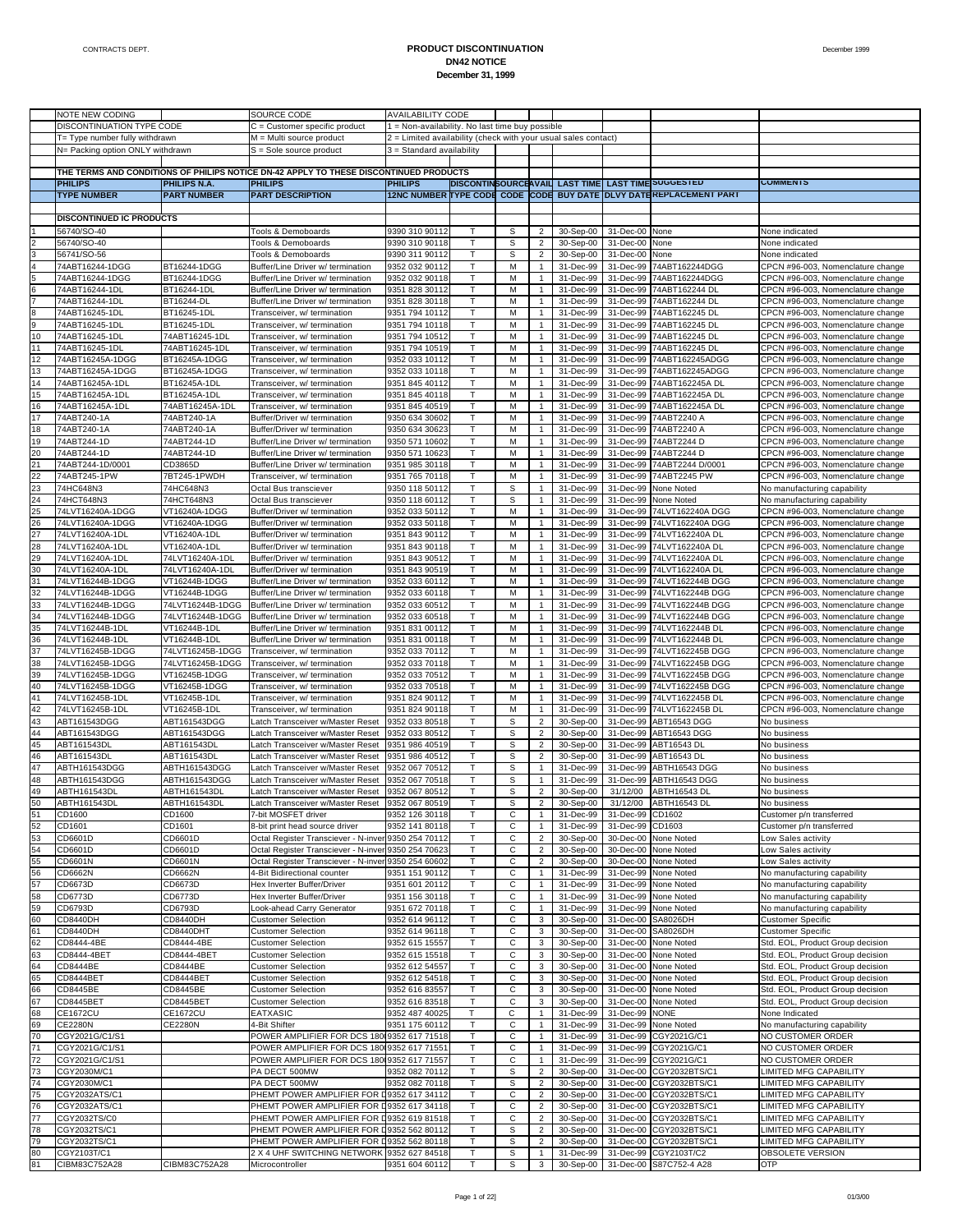|                | NOTE NEW CODING                                                    |                                      | SOURCE CODE                                                                            | <b>AVAILABILITY CODE</b>                                                                    |                              |        |                                  |                        |                        |                                                                     |                                                                        |
|----------------|--------------------------------------------------------------------|--------------------------------------|----------------------------------------------------------------------------------------|---------------------------------------------------------------------------------------------|------------------------------|--------|----------------------------------|------------------------|------------------------|---------------------------------------------------------------------|------------------------------------------------------------------------|
|                | DISCONTINUATION TYPE CODE                                          |                                      | C = Customer specific product                                                          | 1 = Non-availability. No last time buy possible                                             |                              |        |                                  |                        |                        |                                                                     |                                                                        |
|                |                                                                    |                                      | M = Multi source product                                                               |                                                                                             |                              |        |                                  |                        |                        |                                                                     |                                                                        |
|                | T= Type number fully withdrawn<br>N= Packing option ONLY withdrawn |                                      | S = Sole source product                                                                | 2 = Limited availability (check with your usual sales contact)<br>3 = Standard availability |                              |        |                                  |                        |                        |                                                                     |                                                                        |
|                |                                                                    |                                      |                                                                                        |                                                                                             |                              |        |                                  |                        |                        |                                                                     |                                                                        |
|                |                                                                    |                                      | THE TERMS AND CONDITIONS OF PHILIPS NOTICE DN-42 APPLY TO THESE DISCONTINUED PRODUCTS  |                                                                                             |                              |        |                                  |                        |                        |                                                                     |                                                                        |
|                | <b>PHILIPS</b>                                                     | PHILIPS N.A.                         | <b>PHILIPS</b>                                                                         | <b>PHILIPS</b>                                                                              |                              |        |                                  |                        |                        | DISCONTINSOURCEAVAIL LAST TIME LAST TIME SUGGESTED                  | <b>COMMENTS</b>                                                        |
|                | <b>TYPE NUMBER</b>                                                 | <b>PART NUMBER</b>                   | <b>PART DESCRIPTION</b>                                                                |                                                                                             |                              |        |                                  |                        |                        | 12NC NUMBER TYPE CODE CODE CODE BUY DATE DLVY DATE KEPLACEMENT PART |                                                                        |
|                |                                                                    |                                      |                                                                                        |                                                                                             |                              |        |                                  |                        |                        |                                                                     |                                                                        |
|                | <b>DISCONTINUED IC PRODUCTS</b>                                    |                                      |                                                                                        |                                                                                             |                              |        |                                  |                        |                        |                                                                     |                                                                        |
|                | 56740/SO-40                                                        |                                      | Tools & Demoboards                                                                     | 9390 310 90112                                                                              | Τ                            | S      | $\overline{2}$                   | 30-Sep-00              | 31-Dec-00              | None                                                                | None indicated                                                         |
|                | 56740/SO-40                                                        |                                      | Tools & Demoboards                                                                     | 9390 310 90118                                                                              | т                            | s      | $\overline{c}$                   | 30-Sep-00              | 31-Dec-00              | None                                                                | None indicated                                                         |
| 3              | 56741/SO-56                                                        |                                      | Tools & Demoboards                                                                     | 9390 311 90112                                                                              | $\mathsf{T}$                 | S      | $\overline{c}$                   | 30-Sep-00              | 31-Dec-00              | None                                                                | None indicated                                                         |
| 4              | 74ABT16244-1DGG                                                    | BT16244-1DGG                         | Buffer/Line Driver w/ termination                                                      | 9352 032 90112                                                                              | T                            | M      | $\mathbf{1}$                     | 31-Dec-99              | 31-Dec-99              | 74ABT162244DGG                                                      | CPCN #96-003, Nomenclature change                                      |
| 5              | 74ABT16244-1DGG                                                    | BT16244-1DGG                         | Buffer/Line Driver w/ termination                                                      | 9352 032 90118                                                                              | $\mathsf{T}$                 | M      | $\mathbf{1}$                     | 31-Dec-99              | 31-Dec-99              | 74ABT162244DGG                                                      | CPCN #96-003, Nomenclature change                                      |
| 6              | 74ABT16244-1DL                                                     | BT16244-1DL                          | Buffer/Line Driver w/ termination                                                      | 9351 828 30112                                                                              | $\mathsf{T}$                 | М      | -1                               | 31-Dec-99              | 31-Dec-99              | 74ABT162244 DL                                                      | CPCN #96-003, Nomenclature change                                      |
| $\overline{7}$ | 74ABT16244-1DL                                                     | BT16244-DL                           | Buffer/Line Driver w/ termination                                                      | 9351 828 30118                                                                              | $\mathsf{T}$                 | M      | $\mathbf{1}$                     | 31-Dec-99              | 31-Dec-99              | 74ABT162244 DL                                                      | CPCN #96-003, Nomenclature change                                      |
| $\bf{8}$<br>9  | 74ABT16245-1DL<br>74ABT16245-1DL                                   | BT16245-1DL<br>BT16245-1DL           | Transceiver, w/ termination                                                            | 9351 794 10112<br>9351 794 10118                                                            | Τ<br>T                       | M<br>M | $\mathbf{1}$<br>$\mathbf{1}$     | 31-Dec-99<br>31-Dec-99 | 31-Dec-99<br>31-Dec-99 | 74ABT162245 DL<br>74ABT162245 DL                                    | CPCN #96-003, Nomenclature change<br>CPCN #96-003, Nomenclature change |
| 10             | 74ABT16245-1DL                                                     | 74ABT16245-1DL                       | Transceiver, w/ termination<br>Transceiver, w/ termination                             | 9351 794 10512                                                                              | $\mathsf{T}$                 | М      | -1                               | 31-Dec-99              | 31-Dec-99              | 74ABT162245 DL                                                      | CPCN #96-003, Nomenclature change                                      |
| 11             | 74ABT16245-1DL                                                     | 74ABT16245-1DL                       | Transceiver, w/ termination                                                            | 9351 794 10519                                                                              | $\mathsf{T}$                 | M      | $\overline{1}$                   | 31-Dec-99              | 31-Dec-99              | 74ABT162245 DL                                                      | CPCN #96-003, Nomenclature change                                      |
| 12             | 74ABT16245A-1DGG                                                   | BT16245A-1DGG                        | Transceiver, w/ termination                                                            | 9352 033 10112                                                                              | Τ                            | М      | $\mathbf{1}$                     | 31-Dec-99              | 31-Dec-99              | 74ABT162245ADGG                                                     | CPCN #96-003, Nomenclature change                                      |
| 13             | 74ABT16245A-1DGG                                                   | BT16245A-1DGG                        | Transceiver, w/ termination                                                            | 9352 033 10118                                                                              | T                            | M      | $\mathbf{1}$                     | 31-Dec-99              | 31-Dec-99              | 74ABT162245ADGG                                                     | CPCN #96-003, Nomenclature change                                      |
| 14             | 74ABT16245A-1DL                                                    | BT16245A-1DL                         | Transceiver, w/ termination                                                            | 9351 845 40112                                                                              | $\mathsf{T}$                 | M      | $\mathbf{1}$                     | 31-Dec-99              | 31-Dec-99              | 74ABT162245A DL                                                     | CPCN #96-003, Nomenclature change                                      |
| 15             | 74ABT16245A-1DL                                                    | BT16245A-1DL                         | Transceiver, w/ termination                                                            | 9351 845 40118                                                                              | $\mathsf{T}$                 | M      | $\mathbf{1}$                     | 31-Dec-99              | 31-Dec-99              | 74ABT162245A DL                                                     | CPCN #96-003, Nomenclature change                                      |
| 16             | 74ABT16245A-1DL                                                    | 74ABT16245A-1DL                      | Transceiver, w/ termination                                                            | 9351 845 40519                                                                              | т                            | М      | $\mathbf{1}$                     | 31-Dec-99              | 31-Dec-99              | 74ABT162245A DL                                                     | CPCN #96-003, Nomenclature change                                      |
| 17             | 74ABT240-1A                                                        | 74ABT240-1A                          | Buffer/Driver w/ termination                                                           | 9350 634 30602                                                                              | $\mathsf{T}$                 | M      | $\mathbf{1}$                     | 31-Dec-99              | 31-Dec-99              | 74ABT2240 A                                                         | CPCN #96-003, Nomenclature change                                      |
| 18             | 74ABT240-1A                                                        | 74ABT240-1A                          | Buffer/Driver w/ termination                                                           | 9350 634 30623                                                                              | $\mathsf{T}$                 | M      | -1                               | 31-Dec-99              | 31-Dec-99              | 74ABT2240 A                                                         | CPCN #96-003, Nomenclature change                                      |
| 19             | 74ABT244-1D                                                        | 74ABT244-1D                          | Buffer/Line Driver w/ termination                                                      | 9350 571 10602                                                                              | Τ                            | M      | $\mathbf{1}$                     | 31-Dec-99              | 31-Dec-99              | 74ABT2244 D                                                         | CPCN #96-003, Nomenclature change                                      |
| 20             | 74ABT244-1D                                                        | 74ABT244-1D                          | Buffer/Line Driver w/ termination                                                      | 9350 571 10623                                                                              | T                            | M      | $\mathbf{1}$                     | 31-Dec-99              | 31-Dec-99              | 74ABT2244 D                                                         | CPCN #96-003, Nomenclature change                                      |
| 21             | 74ABT244-1D/0001                                                   | CD3865D                              | Buffer/Line Driver w/ termination                                                      | 9351 985 30118                                                                              | $\mathsf{T}$                 | M      | $\mathbf{1}$                     | 31-Dec-99              | 31-Dec-99              | 74ABT2244 D/0001                                                    | CPCN #96-003, Nomenclature change                                      |
| 22             | 74ABT245-1PW                                                       | 7BT245-1PWDH                         | Transceiver, w/ termination                                                            | 9351 765 70118                                                                              | $\mathsf{T}$                 | М      | -1                               | 31-Dec-99              | 31-Dec-99              | 74ABT2245 PW                                                        | CPCN #96-003, Nomenclature change                                      |
| 23<br>24       | 74HC648N3<br>74HCT648N3                                            | 74HC648N3<br>74HCT648N3              | Octal Bus transciever<br>Octal Bus transciever                                         | 9350 118 50112<br>9350 118 60112                                                            | $\mathsf{T}$<br>T            | S<br>S | $\mathbf{1}$<br>$\mathbf{1}$     | 31-Dec-99<br>31-Dec-99 | 31-Dec-99<br>31-Dec-99 | None Noted<br>None Noted                                            | No manufacturing capability<br>No manufacturing capability             |
| 25             | 74LVT16240A-1DGG                                                   | VT16240A-1DGG                        | Buffer/Driver w/ termination                                                           | 9352 033 50112                                                                              | T                            | M      | $\mathbf{1}$                     | 31-Dec-99              | 31-Dec-99              | 74LVT162240A DGG                                                    | CPCN #96-003, Nomenclature change                                      |
| 26             | 74LVT16240A-1DGG                                                   | VT16240A-1DGG                        | Buffer/Driver w/ termination                                                           | 9352 033 50118                                                                              | $\mathsf{T}$                 | M      | -1                               | 31-Dec-99              | 31-Dec-99              | 74LVT162240A DGG                                                    | CPCN #96-003, Nomenclature change                                      |
| 27             | 74LVT16240A-1DL                                                    | VT16240A-1DL                         | Buffer/Driver w/ termination                                                           | 9351 843 90112                                                                              | $\mathsf{T}$                 | M      | $\mathbf{1}$                     | 31-Dec-99              | 31-Dec-99              | 74LVT162240A DL                                                     | CPCN #96-003, Nomenclature change                                      |
| 28             | 74LVT16240A-1DL                                                    | VT16240A-1DL                         | Buffer/Driver w/ termination                                                           | 9351 843 90118                                                                              | т                            | М      | $\mathbf{1}$                     | 31-Dec-99              | 31-Dec-99              | 74LVT162240A DL                                                     | CPCN #96-003, Nomenclature change                                      |
| 29             | 74LVT16240A-1DL                                                    | 74LVT16240A-1DL                      | Buffer/Driver w/ termination                                                           | 9351 843 90512                                                                              | T                            | M      | $\mathbf{1}$                     | 31-Dec-99              | 31-Dec-99              | 74LVT162240A DL                                                     | CPCN #96-003, Nomenclature change                                      |
| 30             | 74LVT16240A-1DL                                                    | 74LVT16240A-1DL                      | Buffer/Driver w/ termination                                                           | 9351 843 90519                                                                              | $\mathsf{T}$                 | M      | $\mathbf{1}$                     | 31-Dec-99              | 31-Dec-99              | 74LVT162240A DL                                                     | CPCN #96-003, Nomenclature change                                      |
| 31             | 74LVT16244B-1DGG                                                   | VT16244B-1DGG                        | Buffer/Line Driver w/ termination                                                      | 9352 033 60112                                                                              | $\mathsf{T}$                 | M      | $\mathbf{1}$                     | 31-Dec-99              | 31-Dec-99              | 74LVT162244B DGG                                                    | CPCN #96-003, Nomenclature change                                      |
| 32             | 74LVT16244B-1DGG                                                   | VT16244B-1DGG                        | Buffer/Line Driver w/ termination                                                      | 9352 033 60118                                                                              | т                            | М      | $\mathbf{1}$                     | 31-Dec-99              | 31-Dec-99              | 74LVT162244B DGG                                                    | CPCN #96-003, Nomenclature change                                      |
| 33             | 74LVT16244B-1DGG                                                   | 74LVT16244B-1DGG                     | Buffer/Line Driver w/ termination                                                      | 9352 033 6051:                                                                              | $\mathsf{T}$                 | M      | $\mathbf{1}$                     | 31-Dec-99              | 31-Dec-99              | 74LVT162244B DGG                                                    | CPCN #96-003, Nomenclature change                                      |
| 34             | 74LVT16244B-1DGG                                                   | 74LVT16244B-1DGG                     | Buffer/Line Driver w/ termination                                                      | 9352 033 60518                                                                              | $\mathsf{T}$                 | М      | -1                               | 31-Dec-99              | 31-Dec-99              | 74LVT162244B DGG                                                    | CPCN #96-003, Nomenclature change                                      |
| 35             | 74LVT16244B-1DL                                                    | VT16244B-1DL                         | Buffer/Line Driver w/ termination                                                      | 9351 831 00112                                                                              | Τ                            | M      | $\mathbf{1}$                     | 31-Dec-99              | 31-Dec-99              | 74LVT162244B DL                                                     | CPCN #96-003, Nomenclature change                                      |
| 36<br>37       | 74LVT16244B-1DL                                                    | VT16244B-1DL                         | Buffer/Line Driver w/ termination                                                      | 9351 831 00118                                                                              | $\mathsf{T}$<br>$\mathsf{T}$ | M<br>M | $\mathbf{1}$<br>$\mathbf{1}$     | 31-Dec-99<br>31-Dec-99 | 31-Dec-99<br>31-Dec-99 | 74LVT162244B DL<br>74LVT162245B DGG                                 | CPCN #96-003, Nomenclature change                                      |
| 38             | 74LVT16245B-1DGG<br>74LVT16245B-1DGG                               | 74LVT16245B-1DGG<br>74LVT16245B-1DGG | Transceiver, w/ termination<br>Transceiver, w/ termination                             | 9352 033 70112<br>9352 033 70118                                                            | $\mathsf{T}$                 | М      | -1                               | 31-Dec-99              | 31-Dec-99              | 74LVT162245B DGG                                                    | CPCN #96-003, Nomenclature change<br>CPCN #96-003, Nomenclature change |
| 39             | 74LVT16245B-1DGG                                                   | VT16245B-1DGG                        | Transceiver, w/ termination                                                            | 9352 033 70512                                                                              | $\mathsf{T}$                 | M      | $\overline{1}$                   | 31-Dec-99              | 31-Dec-99              | 74LVT162245B DGG                                                    | CPCN #96-003, Nomenclature change                                      |
| 40             | 74LVT16245B-1DGG                                                   | VT16245B-1DGG                        | Transceiver, w/ termination                                                            | 9352 033 70518                                                                              | Τ                            | M      | $\mathbf{1}$                     | 31-Dec-99              | 31-Dec-99              | 74LVT162245B DGG                                                    | CPCN #96-003, Nomenclature change                                      |
| 41             | 74LVT16245B-1DL                                                    | VT16245B-1DL                         | Transceiver, w/ termination                                                            | 9351 824 90112                                                                              | T                            | M      | $\mathbf{1}$                     | 31-Dec-99              | 31-Dec-99              | 74LVT162245B DL                                                     | CPCN #96-003, Nomenclature change                                      |
| 42             | 74LVT16245B-1DL                                                    | VT16245B-1DL                         | Transceiver, w/ termination                                                            | 9351 824 90118                                                                              | $\mathsf{T}$                 | M      | $\mathbf{1}$                     | 31-Dec-99              | 31-Dec-99              | 74LVT162245B DL                                                     | CPCN #96-003, Nomenclature change                                      |
| 43             | ABT161543DGG                                                       | ABT161543DGG                         | Latch Transceiver w/Master Reset                                                       | 9352 033 80518                                                                              | $\mathsf{T}$                 | S      | $\overline{2}$                   | 30-Sep-00              | 31-Dec-99              | ABT16543 DGG                                                        | No business                                                            |
| 44             | ABT161543DGG                                                       | ABT161543DGG                         | Latch Transceiver w/Master Reset                                                       | 9352 033 80512                                                                              | т                            | S      | $\overline{2}$                   | 30-Sep-00              | 31-Dec-99              | ABT16543 DGG                                                        | No business                                                            |
| 45             | ABT161543DL                                                        | ABT161543DL                          | Latch Transceiver w/Master Reset                                                       | 9351 986 40519                                                                              | $\mathsf{T}$                 | s      | $\overline{2}$                   | 30-Sep-00              | 31-Dec-99              | ABT16543 DL                                                         | No business                                                            |
| 46             | ABT161543DL                                                        | ABT161543DL                          | Latch Transceiver w/Master Reset                                                       | 9351 986 40512                                                                              | $\mathsf{T}$                 | S      | $\overline{c}$                   | 30-Sep-00              | 31-Dec-99              | ABT16543 DL                                                         | No business                                                            |
| 47             | ABTH161543DGG                                                      | ABTH161543DGG                        | Latch Transceiver w/Master Reset                                                       | 9352 067 7051:                                                                              | $\mathsf{T}$                 | S      | $\mathbf{1}$                     | 31-Dec-99              | 31-Dec-99              | ABTH16543 DGG                                                       | No business                                                            |
| 48             | ABTH161543DGG                                                      | ABTH161543DGG                        | Latch Transceiver w/Master Reset                                                       | 9352 067 70518                                                                              | T                            | S      | $\mathbf{1}$                     | 31-Dec-99              | 31-Dec-99              | ABTH16543 DGG                                                       | No business                                                            |
| 49<br>50       | ABTH161543DL                                                       | ABTH161543DL                         | Latch Transceiver w/Master Reset                                                       | 9352 067 80512                                                                              | $\mathsf{T}$                 | s      | $\overline{2}$                   | 30-Sep-00              | 31/12/00               | ABTH16543 DL                                                        | No business                                                            |
| 51             | AB1H161543DL<br>CD1600                                             | AB I H161543DL<br>CD1600             | Latch Transceiver w/Master Reset   9352 067 80519<br>7-bit MOSFET driver               | 9352 126 30118                                                                              | T                            | s<br>C | $\overline{1}$                   | 30-Sep-00<br>31-Dec-99 | 31-Dec-99 CD1602       | 31/12/00 ABTH16543 DL                                               | No business<br>Customer p/n transferred                                |
| 52             | CD1601                                                             | CD1601                               | 8-bit print head source driver                                                         | 9352 141 80118                                                                              | Τ                            | С      | $\mathbf{1}$                     | 31-Dec-99              | 31-Dec-99 CD1603       |                                                                     | Customer p/n transferred                                               |
| 53             | CD6601D                                                            | CD6601D                              | Octal Register Transciever - N-inver 9350 254 70112                                    |                                                                                             | Τ                            | C      | $\overline{2}$                   | 30-Sep-00              | 30-Dec-00              | None Noted                                                          | Low Sales activity                                                     |
| 54             | CD6601D                                                            | CD6601D                              | Octal Register Transciever - N-inver 9350 254 70623                                    |                                                                                             | т                            | С      | $\overline{c}$                   | 30-Sep-00              |                        | 30-Dec-00 None Noted                                                | Low Sales activity                                                     |
| 55             | CD6601N                                                            | CD6601N                              | Octal Register Transciever - N-inver 9350 254 60602                                    |                                                                                             | Τ                            | C      | $\overline{2}$                   | 30-Sep-00              | 30-Dec-00              | None Noted                                                          | Low Sales activity                                                     |
| 56             | CD6662N                                                            | CD6662N                              | 4-Bit Bidirectional counter                                                            | 9351 151 90112                                                                              | Τ                            | C      | $\mathbf{1}$                     | 31-Dec-99              |                        | 31-Dec-99 None Noted                                                | No manufacturing capability                                            |
| 57             | CD6673D                                                            | CD6673D                              | Hex Inverter Buffer/Driver                                                             | 9351 601 20112                                                                              | T                            | C      | $\mathbf{1}$                     | 31-Dec-99              | 31-Dec-99              | None Noted                                                          | No manufacturing capability                                            |
| 58             | CD6773D                                                            | CD6773D                              | Hex Inverter Buffer/Driver                                                             | 9351 156 30118                                                                              | Τ                            | С      | $\overline{1}$                   | 31-Dec-99              |                        | 31-Dec-99 None Noted                                                | No manufacturing capability                                            |
| 59             | CD6793D                                                            | CD6793D                              | Look-ahead Carry Generator                                                             | 9351 672 70118                                                                              | Τ                            | C      | $\mathbf{1}$                     | 31-Dec-99              | 31-Dec-99              | None Noted                                                          | No manufacturing capability                                            |
| 60             | CD8440DH                                                           | CD8440DH                             | <b>Customer Selection</b>                                                              | 9352 614 96112                                                                              | Τ                            | C      | 3                                | 30-Sep-00              |                        | 31-Dec-00 SA8026DH                                                  | <b>Customer Specific</b>                                               |
| 61             | CD8440DH                                                           | CD8440DHT                            | <b>Customer Selection</b>                                                              | 9352 614 96118                                                                              | Τ                            | C      | 3                                | 30-Sep-00              | 31-Dec-00              | SA8026DH                                                            | <b>Customer Specific</b>                                               |
| 62             | CD8444-4BE                                                         | CD8444-4BE                           | <b>Customer Selection</b>                                                              | 9352 615 15557                                                                              | Τ                            | С      | 3                                | 30-Sep-00              |                        | 31-Dec-00 None Noted                                                | Std. EOL, Product Group decision                                       |
| 63<br>64       | CD8444-4BET                                                        | CD8444-4BET<br>CD8444BE              | <b>Customer Selection</b>                                                              | 9352 615 15518<br>9352 612 54557                                                            | Τ                            | C      | 3                                | 30-Sep-00              | 31-Dec-00              | None Noted<br>31-Dec-00 None Noted                                  | Std. EOL, Product Group decision                                       |
| 65             | CD8444BE<br>CD8444BET                                              | CD8444BET                            | <b>Customer Selection</b><br><b>Customer Selection</b>                                 | 9352 612 54518                                                                              | Τ<br>Τ                       | C<br>C | 3<br>3                           | 30-Sep-00<br>30-Sep-00 | 31-Dec-00              | None Noted                                                          | Std. EOL, Product Group decision<br>Std. EOL, Product Group decision   |
| 66             | CD8445BE                                                           | CD8445BE                             | <b>Customer Selection</b>                                                              | 9352 616 83557                                                                              | Т                            | С      | 3                                | 30-Sep-00              |                        | 31-Dec-00 None Noted                                                | Std. EOL, Product Group decision                                       |
| 67             | CD8445BET                                                          | CD8445BET                            | <b>Customer Selection</b>                                                              | 9352 616 83518                                                                              | T                            | C      | 3                                | 30-Sep-00              | 31-Dec-00              | None Noted                                                          | Std. EOL, Product Group decision                                       |
| 68             | <b>CE1672CU</b>                                                    | <b>CE1672CU</b>                      | EATXASIC                                                                               | 9352 487 40025                                                                              | Τ                            | C      | $\mathbf{1}$                     | 31-Dec-99              | 31-Dec-99 NONE         |                                                                     | None Indicated                                                         |
| 69             | <b>CE2280N</b>                                                     | <b>CE2280N</b>                       | 4-Bit Shifter                                                                          | 9351 175 60112                                                                              | Τ                            | C      | $\mathbf{1}$                     | 31-Dec-99              | 31-Dec-99              | None Noted                                                          | No manufacturing capability                                            |
| 70             | CGY2021G/C1/S1                                                     |                                      | POWER AMPLIFIER FOR DCS 180 9352 617 71518                                             |                                                                                             | т                            | С      | -1                               | 31-Dec-99              | 31-Dec-99              | CGY2021G/C1                                                         | NO CUSTOMER ORDER                                                      |
| 71             | CGY2021G/C1/S1                                                     |                                      | POWER AMPLIFIER FOR DCS 180 9352 617 71551                                             |                                                                                             | Τ                            | C      | $\mathbf{1}$                     | 31-Dec-99              | 31-Dec-99              | CGY2021G/C1                                                         | NO CUSTOMER ORDER                                                      |
| 72             | CGY2021G/C1/S1                                                     |                                      | POWER AMPLIFIER FOR DCS 180 9352 617 71557                                             |                                                                                             | Τ                            | С      | 1                                | 31-Dec-99              |                        | 31-Dec-99 CGY2021G/C1                                               | NO CUSTOMER ORDER                                                      |
| 73             | CGY2030M/C1                                                        |                                      | PA DECT 500MW                                                                          | 9352 082 70112                                                                              | T                            | s      | $\overline{c}$                   | 30-Sep-00              |                        | 31-Dec-00 CGY2032BTS/C1                                             | LIMITED MFG CAPABILITY                                                 |
| 74             | CGY2030M/C1                                                        |                                      | PA DECT 500MW                                                                          | 9352 082 70118                                                                              | Τ                            | S      | $\overline{c}$                   | 30-Sep-00              |                        | 31-Dec-00 CGY2032BTS/C1                                             | LIMITED MFG CAPABILITY                                                 |
| 75<br>76       | CGY2032ATS/C1<br>CGY2032ATS/C1                                     |                                      | PHEMT POWER AMPLIFIER FOR D9352 617 34112<br>PHEMT POWER AMPLIFIER FOR D9352 617 34118 |                                                                                             | Τ<br>Τ                       | C<br>C | $\overline{c}$<br>$\overline{2}$ | 30-Sep-00<br>30-Sep-00 | 31-Dec-00              | CGY2032BTS/C1<br>31-Dec-00 CGY2032BTS/C1                            | LIMITED MFG CAPABILITY<br>LIMITED MFG CAPABILITY                       |
| 77             | CGY2032TS/C0                                                       |                                      | PHEMT POWER AMPLIFIER FOR D9352 619 81518                                              |                                                                                             | Τ                            | C      | $\overline{2}$                   | 30-Sep-00              |                        | 31-Dec-00 CGY2032BTS/C1                                             | LIMITED MFG CAPABILITY                                                 |
| 78             | CGY2032TS/C1                                                       |                                      | PHEMT POWER AMPLIFIER FOR D9352 562 80112                                              |                                                                                             | т                            | S      | $\overline{c}$                   | 30-Sep-00              |                        | 31-Dec-00 CGY2032BTS/C1                                             | LIMITED MFG CAPABILITY                                                 |
| 79             | CGY2032TS/C1                                                       |                                      | PHEMT POWER AMPLIFIER FOR D9352 562 80118                                              |                                                                                             | Τ                            | S      | $\overline{c}$                   | 30-Sep-00              |                        | 31-Dec-00 CGY2032BTS/C1                                             | LIMITED MFG CAPABILITY                                                 |
| 80             | CGY2103T/C1                                                        |                                      | 2 X 4 UHF SWITCHING NETWORK 9352 627 84518                                             |                                                                                             | T                            | S      | $\mathbf{1}$                     | 31-Dec-99              |                        | 31-Dec-99 CGY2103T/C2                                               | OBSOLETE VERSION                                                       |
| 81             | CIBM83C752A28                                                      | CIBM83C752A28                        | Microcontroller                                                                        | 9351 604 60112                                                                              | T                            | S      | 3                                | 30-Sep-00              |                        | 31-Dec-00 S87C752-4 A28                                             | OTP                                                                    |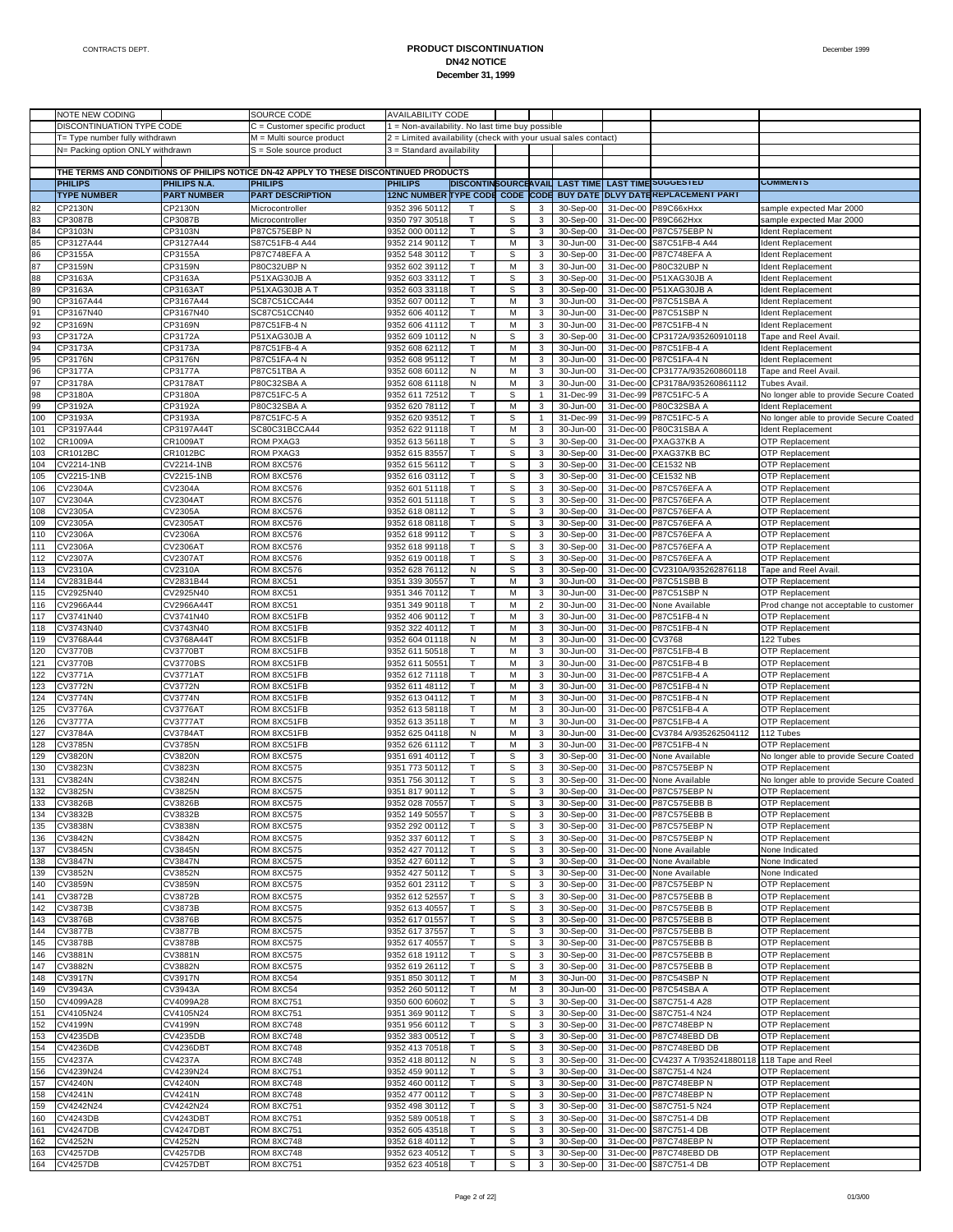|     | NOTE NEW CODING                  |                     | SOURCE CODE                                                                           | <b>AVAILABILITY CODE</b>                                       |                  |                  |                |                                |           |                                   |                                         |
|-----|----------------------------------|---------------------|---------------------------------------------------------------------------------------|----------------------------------------------------------------|------------------|------------------|----------------|--------------------------------|-----------|-----------------------------------|-----------------------------------------|
|     | DISCONTINUATION TYPE CODE        |                     | C = Customer specific product                                                         | 1 = Non-availability. No last time buy possible                |                  |                  |                |                                |           |                                   |                                         |
|     | T= Type number fully withdrawn   |                     | M = Multi source product                                                              | 2 = Limited availability (check with your usual sales contact) |                  |                  |                |                                |           |                                   |                                         |
|     | N= Packing option ONLY withdrawn |                     | S = Sole source product                                                               | 3 = Standard availability                                      |                  |                  |                |                                |           |                                   |                                         |
|     |                                  |                     |                                                                                       |                                                                |                  |                  |                |                                |           |                                   |                                         |
|     |                                  |                     | THE TERMS AND CONDITIONS OF PHILIPS NOTICE DN-42 APPLY TO THESE DISCONTINUED PRODUCTS |                                                                |                  |                  |                |                                |           |                                   |                                         |
|     | <b>PHILIPS</b>                   | <b>PHILIPS N.A.</b> | <b>PHILIPS</b>                                                                        | <b>PHILIPS</b>                                                 |                  |                  |                | DISCONTINSOURCEAVAIL LAST TIME |           | <b>LAST TIME SUGGESTED</b>        | <b>COMMENIS</b>                         |
|     |                                  |                     | <b>PART DESCRIPTION</b>                                                               |                                                                | <b>TYPE CODE</b> |                  |                |                                |           | <b>DLVY DATEREPLACEMENT PART</b>  |                                         |
|     | <b>TYPE NUMBER</b>               | <b>PART NUMBER</b>  |                                                                                       | <b>12NC NUMBER</b>                                             |                  | <b>CODE CODE</b> |                | <b>BUY DATE</b>                |           |                                   |                                         |
| 82  | CP2130N                          | CP2130N             | Microcontroller                                                                       | 9352 396 50112                                                 | т                | S                | 3              | 30-Sep-00                      |           | 31-Dec-00 P89C66xHxx              | sample expected Mar 2000                |
| 83  | CP3087B                          | CP3087B             | Microcontroller                                                                       | 9350 797 30518                                                 | T                | S                | 3              | 30-Sep-00                      |           | 31-Dec-00 P89C662Hxx              | sample expected Mar 2000                |
| 84  | CP3103N                          | CP3103N             | P87C575EBP N                                                                          | 9352 000 00112                                                 | Т                | S                | 3              | 30-Sep-00                      |           | 31-Dec-00 P87C575EBP N            | Ident Replacement                       |
| 85  | CP3127A44                        | CP3127A44           | S87C51FB-4 A44                                                                        | 9352 214 90112                                                 |                  | M                | $\mathbf 3$    | 30-Jun-00                      | 31-Dec-00 | S87C51FB-4 A44                    | Ident Replacement                       |
| 86  | CP3155A                          | CP3155A             | P87C748EFA A                                                                          | 9352 548 30112                                                 | т                | $\mathbb S$      | 3              | 30-Sep-00                      |           | 31-Dec-00 P87C748EFA A            | Ident Replacement                       |
| 87  | CP3159N                          | CP3159N             | P80C32UBP N                                                                           | 9352 602 39112                                                 | $\mathsf{T}$     | M                | 3              | 30-Jun-00                      |           | 31-Dec-00 P80C32UBP N             | Ident Replacement                       |
| 88  | CP3163A                          | CP3163A             | P51XAG30JB A                                                                          | 9352 603 33112                                                 | т                | S                | 3              | 30-Sep-00                      |           | 31-Dec-00 P51XAG30JB A            | Ident Replacement                       |
|     | CP3163A                          |                     | P51XAG30JB A T                                                                        | 9352 603 33118                                                 |                  |                  |                |                                |           | 31-Dec-00 P51XAG30JB A            | dent Replacement                        |
| 89  |                                  | CP3163AT            |                                                                                       |                                                                |                  | S                | $\mathbf 3$    | 30-Sep-00                      |           |                                   |                                         |
| 90  | CP3167A44                        | CP3167A44           | SC87C51CCA44                                                                          | 9352 607 00112                                                 | т                | M                | 3              | 30-Jun-00                      |           | 31-Dec-00 P87C51SBA A             | Ident Replacement                       |
| 91  | CP3167N40                        | CP3167N40           | SC87C51CCN40                                                                          | 9352 606 40112                                                 | $\mathsf{T}$     | M                | 3              | 30-Jun-00                      |           | 31-Dec-00 P87C51SBP N             | Ident Replacement                       |
| 92  | CP3169N                          | CP3169N             | P87C51FB-4 N                                                                          | 9352 606 41112                                                 | т                | М                | 3              | 30-Jun-00                      |           | 31-Dec-00 P87C51FB-4 N            | Ident Replacement                       |
| 93  | CP3172A                          | CP3172A             | P51XAG30JB A                                                                          | 9352 609 10112                                                 | N                | S                | 3              | 30-Sep-00                      | 31-Dec-00 | CP3172A/935260910118              | Tape and Reel Avail                     |
| 94  | CP3173A                          | CP3173A             | P87C51FB-4 A                                                                          | 9352 608 62112                                                 | т                | M                | 3              | 30-Jun-00                      |           | 31-Dec-00 P87C51FB-4 A            | Ident Replacement                       |
| 95  | CP3176N                          | CP3176N             | P87C51FA-4 N                                                                          | 9352 608 95112                                                 | $\mathsf{T}$     | M                | 3              | 30-Jun-00                      |           | 31-Dec-00 P87C51FA-4 N            | Ident Replacement                       |
| 96  | CP3177A                          | CP3177A             | P87C51TBA A                                                                           | 9352 608 60112                                                 | N                | M                | 3              | 30-Jun-00                      | 31-Dec-00 | CP3177A/935260860118              | Tape and Reel Avail                     |
| 97  | CP3178A                          | CP3178AT            | P80C32SBA A                                                                           | 9352 608 61118                                                 | N                | M                | 3              | 30-Jun-00                      | 31-Dec-00 | CP3178A/935260861112              | Tubes Avail.                            |
| 98  | CP3180A                          | CP3180A             | P87C51FC-5 A                                                                          | 9352 611 72512                                                 | т                | $\mathbb S$      | $\mathbf{1}$   | 31-Dec-99                      |           | 31-Dec-99 P87C51FC-5 A            | No longer able to provide Secure Coated |
| 99  | CP3192A                          | CP3192A             | P80C32SBA A                                                                           | 9352 620 78112                                                 | $\mathsf{T}$     | M                | 3              | 30-Jun-00                      |           | 31-Dec-00 P80C32SBA A             | Ident Replacement                       |
|     |                                  |                     |                                                                                       |                                                                |                  |                  |                |                                |           |                                   |                                         |
| 100 | CP3193A                          | CP3193A             | P87C51FC-5 A                                                                          | 9352 620 93512                                                 | т                | $\mathbb S$      | $\mathbf{1}$   | 31-Dec-99                      |           | 31-Dec-99 P87C51FC-5 A            | No longer able to provide Secure Coated |
| 101 | CP3197A44                        | CP3197A44T          | SC80C31BCCA44                                                                         | 9352 622 91118                                                 | $\mathsf{T}$     | M                | 3              | 30-Jun-00                      |           | 31-Dec-00 P80C31SBA A             | Ident Replacement                       |
| 102 | CR1009A                          | <b>CR1009AT</b>     | <b>ROM PXAG3</b>                                                                      | 9352 613 56118                                                 | т                | $\mathbb S$      | 3              | 30-Sep-00                      |           | 31-Dec-00 PXAG37KB A              | <b>OTP Replacement</b>                  |
| 103 | CR1012BC                         | CR1012BC            | ROM PXAG3                                                                             | 9352 615 83557                                                 | $\mathsf{T}$     | S                | 3              | 30-Sep-00                      |           | 31-Dec-00 PXAG37KB BC             | <b>OTP Replacement</b>                  |
| 104 | CV2214-1NB                       | CV2214-1NB          | ROM 8XC576                                                                            | 9352 615 56112                                                 | т                | $\mathbb S$      | 3              | 30-Sep-00                      | 31-Dec-00 | <b>CE1532 NB</b>                  | OTP Replacement                         |
| 105 | CV2215-1NB                       | CV2215-1NB          | ROM 8XC576                                                                            | 9352 616 03112                                                 |                  | S                | 3              | 30-Sep-00                      | 31-Dec-00 | <b>CE1532 NB</b>                  | <b>OTP Replacement</b>                  |
| 106 | CV2304A                          | CV2304A             | ROM 8XC576                                                                            | 9352 601 51118                                                 | т                | $\mathbb S$      | $\mathbf 3$    | 30-Sep-00                      |           | 31-Dec-00 P87C576EFA A            | OTP Replacement                         |
| 107 | CV2304A                          | <b>CV2304AT</b>     | ROM 8XC576                                                                            | 9352 601 51118                                                 | $\mathsf{T}$     | S                | 3              | 30-Sep-00                      |           | 31-Dec-00 P87C576EFA A            | OTP Replacement                         |
| 108 | CV2305A                          |                     | ROM 8XC576                                                                            |                                                                | т                | $\mathbb S$      | 3              | 30-Sep-00                      |           | 31-Dec-00 P87C576EFA A            |                                         |
|     |                                  | CV2305A             |                                                                                       | 9352 618 08112                                                 |                  |                  |                |                                |           |                                   | OTP Replacement                         |
| 109 | CV2305A                          | CV2305AT            | ROM 8XC576                                                                            | 9352 618 08118                                                 |                  | S                | 3              | 30-Sep-00                      |           | 31-Dec-00 P87C576EFA A            | <b>OTP Replacement</b>                  |
| 110 | CV2306A                          | CV2306A             | ROM 8XC576                                                                            | 9352 618 99112                                                 | т                | $\mathbb S$      | $\mathbf 3$    | 30-Sep-00                      |           | 31-Dec-00 P87C576EFA A            | <b>OTP Replacement</b>                  |
| 111 | CV2306A                          | CV2306AT            | ROM 8XC576                                                                            | 9352 618 99118                                                 | Т                | S                | 3              | 30-Sep-00                      |           | 31-Dec-00 P87C576EFA A            | OTP Replacement                         |
| 112 | CV2307A                          | <b>CV2307AT</b>     | ROM 8XC576                                                                            | 9352 619 00118                                                 | т                | S                | 3              | 30-Sep-00                      |           | 31-Dec-00 P87C576EFA A            | OTP Replacement                         |
| 113 | CV2310A                          | CV2310A             | ROM 8XC576                                                                            | 9352 628 76112                                                 | N                | S                | 3              | 30-Sep-00                      | 31-Dec-00 | CV2310A/935262876118              | Tape and Reel Avail                     |
| 114 | CV2831B44                        | CV2831B44           | ROM 8XC51                                                                             | 9351 339 30557                                                 | т                | M                | 3              | 30-Jun-00                      |           | 31-Dec-00 P87C51SBB B             | <b>OTP Replacement</b>                  |
| 115 | CV2925N40                        | CV2925N40           | ROM 8XC51                                                                             | 9351 346 70112                                                 | $\mathsf{T}$     | M                | 3              | 30-Jun-00                      |           | 31-Dec-00 P87C51SBP N             | <b>OTP Replacement</b>                  |
| 116 | CV2966A44                        | CV2966A44T          | ROM 8XC51                                                                             | 9351 349 90118                                                 | т                | M                | $\overline{2}$ | 30-Jun-00                      | 31-Dec-00 | None Available                    | Prod change not acceptable to customer  |
| 117 | CV3741N40                        | CV3741N40           | ROM 8XC51FB                                                                           | 9352 406 90112                                                 |                  | M                | 3              | 30-Jun-00                      | 31-Dec-00 | P87C51FB-4 N                      | <b>OTP Replacement</b>                  |
| 118 | CV3743N40                        |                     | ROM 8XC51FB                                                                           | 9352 322 40112                                                 |                  | M                |                | 30-Jun-00                      |           | 31-Dec-00 P87C51FB-4 N            |                                         |
|     |                                  | CV3743N40           |                                                                                       |                                                                | т                |                  | 3              |                                |           |                                   | OTP Replacement                         |
| 119 | CV3768A44                        | CV3768A44T          | ROM 8XC51FB                                                                           | 9352 604 01118                                                 | $\mathsf{N}$     | M                | 3              | 30-Jun-00                      | 31-Dec-00 | CV3768                            | 122 Tubes                               |
| 120 | <b>CV3770B</b>                   | CV3770BT            | ROM 8XC51FB                                                                           | 9352 611 50518                                                 | т                | M                | 3              | 30-Jun-00                      |           | 31-Dec-00 P87C51FB-4 B            | OTP Replacement                         |
| 121 | <b>CV3770B</b>                   | CV3770BS            | ROM 8XC51FB                                                                           | 9352 611 5055                                                  |                  | M                | 3              | 30-Jun-00                      | 31-Dec-00 | P87C51FB-4 B                      | OTP Replacement                         |
| 122 | CV3771A                          | <b>CV3771AT</b>     | ROM 8XC51FB                                                                           | 9352 612 71118                                                 | т                | M                | 3              | 30-Jun-00                      |           | 31-Dec-00 P87C51FB-4 A            | <b>OTP Replacement</b>                  |
| 123 | <b>CV3772N</b>                   | <b>CV3772N</b>      | ROM 8XC51FB                                                                           | 9352 611 48112                                                 | $\mathsf{T}$     | M                | 3              | 30-Jun-00                      |           | 31-Dec-00 P87C51FB-4 N            | <b>OTP Replacement</b>                  |
| 124 | <b>CV3774N</b>                   | CV3774N             | ROM 8XC51FB                                                                           | 9352 613 04112                                                 | т                | М                | 3              | 30-Jun-00                      |           | 31-Dec-00 P87C51FB-4 N            | OTP Replacement                         |
| 125 | <b>CV3776A</b>                   | CV3776AT            | ROM 8XC51FB                                                                           | 9352 613 58118                                                 |                  | M                | 3              | 30-Jun-00                      | 31-Dec-00 | P87C51FB-4 A                      | <b>OTP Replacement</b>                  |
| 126 | <b>CV3777A</b>                   | CV3777AT            | ROM 8XC51FB                                                                           | 9352 613 35118                                                 | т                | M                | 3              | 30-Jun-00                      |           | 31-Dec-00 P87C51FB-4 A            | OTP Replacement                         |
|     |                                  |                     |                                                                                       |                                                                | $\mathsf{N}$     |                  |                |                                |           | CV3784 A/935262504112             |                                         |
| 127 | CV3784A                          | CV3784AT            | ROM 8XC51FB                                                                           | 9352 625 04118                                                 |                  | M                | 3              | 30-Jun-00                      | 31-Dec-00 |                                   | 112 Tubes                               |
| 128 | <b>CV3785N</b>                   | CV3785N             | ROM 8XC51FB                                                                           | 9352 626 61112                                                 | $\mathsf{T}$     | M                | 3              | 30-Jun-00                      |           | 31-Dec-00 P87C51FB-4 N            | <b>OTP Replacement</b>                  |
| 129 | <b>CV3820N</b>                   | <b>CV3820N</b>      | ROM 8XC575                                                                            | 9351 691 40112                                                 | $\mathsf{T}$     | S                | 3              | 30-Sep-00                      |           | 31-Dec-00 None Available          | No longer able to provide Secure Coated |
| 130 | CV3823N                          | CV3823N             | ROM 8XC575                                                                            | 9351 773 50112                                                 | т                | S                | 3              | 30-Sep-00                      |           | 31-Dec-00 P87C575EBP N            | OTP Replacement                         |
| 131 | <b>CV3824N</b>                   | CV3824N             | ROM 8XC575                                                                            | 9351 756 30112                                                 | $\mathsf{T}$     | S                | 3              | 30-Sep-00                      |           | 31-Dec-00 None Available          | No longer able to provide Secure Coated |
| 132 | <b>CV3825N</b>                   | CV3825N             | ROM 8XC575                                                                            | 9351 817 90112                                                 | $\mathsf{T}$     | S                | 3              | 30-Sep-00                      |           | 31-Dec-00 P87C575EBP N            | OTP Replacement                         |
| 133 | <b>CA3820B</b>                   | CV3826B             | RUM 8XU575                                                                            | 9352 028 70557                                                 |                  |                  |                | 30-Sep-00                      |           | 31-Dec-00 P87C575EBB B            | от керіасетепі                          |
| 134 | CV3832B                          | CV3832B             | ROM 8XC575                                                                            | 9352 149 50557                                                 | т                | S                | 3              | 30-Sep-00                      |           | 31-Dec-00 P87C575EBB B            | <b>OTP Replacement</b>                  |
| 135 | <b>CV3838N</b>                   | CV3838N             | ROM 8XC575                                                                            | 9352 292 00112                                                 | Т                | s                | 3              | 30-Sep-00                      |           | 31-Dec-00 P87C575EBP N            | <b>OTP Replacement</b>                  |
|     |                                  |                     |                                                                                       |                                                                |                  |                  |                |                                |           |                                   |                                         |
| 136 | <b>CV3842N</b>                   | CV3842N             | ROM 8XC575                                                                            | 9352 337 60112                                                 | т                | s                | 3              | 30-Sep-00                      |           | 31-Dec-00 P87C575EBP N            | <b>OTP Replacement</b>                  |
| 137 | <b>CV3845N</b>                   | CV3845N             | ROM 8XC575                                                                            | 9352 427 70112                                                 | т                | s                | 3              | 30-Sep-00                      |           | 31-Dec-00 None Available          | None Indicated                          |
| 138 | <b>CV3847N</b>                   | <b>CV3847N</b>      | ROM 8XC575                                                                            | 9352 427 60112                                                 | Т                | S                | 3              | 30-Sep-00                      |           | 31-Dec-00 None Available          | None Indicated                          |
| 139 | <b>CV3852N</b>                   | CV3852N             | ROM 8XC575                                                                            | 9352 427 50112                                                 | Т                | s                | 3              | 30-Sep-00                      |           | 31-Dec-00 None Available          | None Indicated                          |
| 140 | <b>CV3859N</b>                   | CV3859N             | ROM 8XC575                                                                            | 9352 601 23112                                                 | Т                | s                | 3              | 30-Sep-00                      |           | 31-Dec-00 P87C575EBP N            | OTP Replacement                         |
| 141 | CV3872B                          | CV3872B             | ROM 8XC575                                                                            | 9352 612 52557                                                 | т                | s                | 3              | 30-Sep-00                      |           | 31-Dec-00 P87C575EBB B            | OTP Replacement                         |
| 142 | CV3873B                          | CV3873B             | ROM 8XC575                                                                            | 9352 613 40557                                                 | Т                | $\mathbb S$      | 3              | 30-Sep-00                      |           | 31-Dec-00 P87C575EBB B            | OTP Replacement                         |
| 143 | <b>CV3876B</b>                   | CV3876B             | ROM 8XC575                                                                            | 9352 617 01557                                                 | Т                | s                | 3              | 30-Sep-00                      |           | 31-Dec-00 P87C575EBB B            | <b>OTP Replacement</b>                  |
| 144 | <b>CV3877B</b>                   | <b>CV3877B</b>      | ROM 8XC575                                                                            | 9352 617 37557                                                 | Т                | s                | 3              | 30-Sep-00                      |           | 31-Dec-00 P87C575EBB B            | OTP Replacement                         |
| 145 | <b>CV3878B</b>                   | CV3878B             | ROM 8XC575                                                                            | 9352 617 40557                                                 | т                | s                | 3              | 30-Sep-00                      |           | 31-Dec-00 P87C575EBB B            | OTP Replacement                         |
|     |                                  |                     |                                                                                       |                                                                |                  |                  |                |                                |           |                                   |                                         |
| 146 | CV3881N                          | CV3881N             | ROM 8XC575                                                                            | 9352 618 19112                                                 | Т                | $\mathbb S$      | $\mathbf 3$    | 30-Sep-00                      |           | 31-Dec-00 P87C575EBB B            | OTP Replacement                         |
| 147 | CV3882N                          | CV3882N             | ROM 8XC575                                                                            | 9352 619 26112                                                 | Т                | s                | 3              | 30-Sep-00                      |           | 31-Dec-00 P87C575EBB B            | <b>OTP Replacement</b>                  |
| 148 | CV3917N                          | CV3917N             | ROM 8XC54                                                                             | 9351 850 30112                                                 | Т                | М                | 3              | 30-Jun-00                      |           | 31-Dec-00 P87C54SBP N             | OTP Replacement                         |
| 149 | CV3943A                          | CV3943A             | ROM 8XC54                                                                             | 9352 260 50112                                                 | т                | M                | 3              | 30-Jun-00                      |           | 31-Dec-00 P87C54SBA A             | OTP Replacement                         |
| 150 | CV4099A28                        | CV4099A28           | <b>ROM 8XC751</b>                                                                     | 9350 600 60602                                                 | Т                | $\mathbb S$      | 3              | 30-Sep-00                      |           | 31-Dec-00 S87C751-4 A28           | OTP Replacement                         |
| 151 | CV4105N24                        | CV4105N24           | ROM 8XC751                                                                            | 9351 369 90112                                                 | T                | s                | 3              | 30-Sep-00                      |           | 31-Dec-00 S87C751-4 N24           | <b>OTP Replacement</b>                  |
| 152 | CV4199N                          | CV4199N             | <b>ROM 8XC748</b>                                                                     | 9351 956 60112                                                 | Т                | S                | 3              | 30-Sep-00                      |           | 31-Dec-00 P87C748EBP N            | OTP Replacement                         |
| 153 | <b>CV4235DB</b>                  | CV4235DB            | ROM 8XC748                                                                            | 9352 383 00512                                                 | т                | s                | 3              | 30-Sep-00                      |           | 31-Dec-00 P87C748EBD DB           | <b>OTP Replacement</b>                  |
| 154 | CV4236DB                         | CV4236DB1           | ROM 8XC748                                                                            | 9352 413 70518                                                 | Т                |                  | 3              | 30-Sep-00                      |           | 31-Dec-00 P87C748EBD DB           | OTP Replacement                         |
|     |                                  |                     |                                                                                       |                                                                |                  | S                |                |                                |           |                                   |                                         |
| 155 | <b>CV4237A</b>                   | CV4237A             | ROM 8XC748                                                                            | 9352 418 80112                                                 | N                | s                | 3              | 30-Sep-00                      |           | 31-Dec-00 CV4237 A T/935241880118 | 118 Tape and Reel                       |
| 156 | CV4239N24                        | CV4239N24           | <b>ROM 8XC751</b>                                                                     | 9352 459 90112                                                 | т                | s                | 3              | 30-Sep-00                      | 31-Dec-00 | S87C751-4 N24                     | <b>OTP Replacement</b>                  |
| 157 | <b>CV4240N</b>                   | CV4240N             | ROM 8XC748                                                                            | 9352 460 00112                                                 | т                | S                | 3              | 30-Sep-00                      |           | 31-Dec-00 P87C748EBP N            | <b>OTP Replacement</b>                  |
| 158 | <b>CV4241N</b>                   | CV4241N             | ROM 8XC748                                                                            | 9352 477 00112                                                 | Т                | S                | 3              | 30-Sep-00                      |           | 31-Dec-00 P87C748EBP N            | OTP Replacement                         |
| 159 | CV4242N24                        | CV4242N24           | ROM 8XC751                                                                            | 9352 498 30112                                                 | T                | s                | 3              | 30-Sep-00                      |           | 31-Dec-00 S87C751-5 N24           | <b>OTP Replacement</b>                  |
| 160 | <b>CV4243DB</b>                  | CV4243DBT           | <b>ROM 8XC751</b>                                                                     | 9352 589 00518                                                 | Т                | S                | 3              | 30-Sep-00                      |           | 31-Dec-00 S87C751-4 DB            | OTP Replacement                         |
| 161 | <b>CV4247DB</b>                  | CV4247DBT           | <b>ROM 8XC751</b>                                                                     | 9352 605 43518                                                 | т                | S                | 3              | 30-Sep-00                      |           | 31-Dec-00 S87C751-4 DB            | <b>OTP Replacement</b>                  |
| 162 | <b>CV4252N</b>                   | CV4252N             | ROM 8XC748                                                                            | 9352 618 40112                                                 | Т                | S                | 3              | 30-Sep-00                      |           | 31-Dec-00 P87C748EBP N            | OTP Replacement                         |
| 163 | <b>CV4257DB</b>                  | <b>CV4257DB</b>     | ROM 8XC748                                                                            | 9352 623 40512                                                 | $\sf T$          | s                | 3              | 30-Sep-00                      |           | 31-Dec-00 P87C748EBD DB           | <b>OTP Replacement</b>                  |
|     |                                  |                     |                                                                                       |                                                                |                  |                  |                |                                |           |                                   |                                         |
| 164 | <b>CV4257DB</b>                  | CV4257DBT           | <b>ROM 8XC751</b>                                                                     | 9352 623 40518                                                 | $\mathsf{T}$     | S                | 3              | 30-Sep-00                      |           | 31-Dec-00 S87C751-4 DB            | OTP Replacement                         |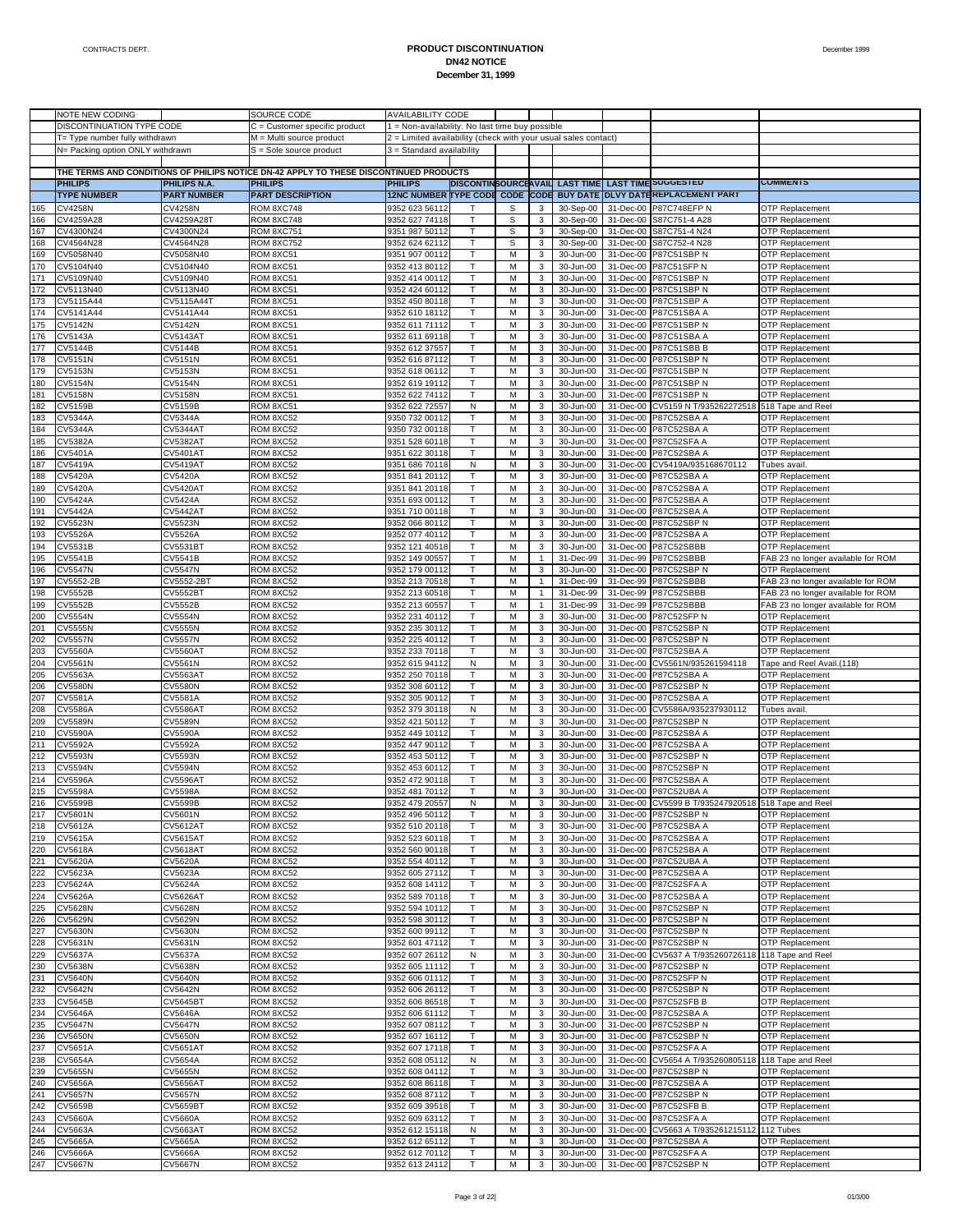|     | NOTE NEW CODING                  |                              | SOURCE CODE                                                                           | <b>AVAILABILITY CODE</b>                                       |              |             |                |                                |           |                                                     |                                    |
|-----|----------------------------------|------------------------------|---------------------------------------------------------------------------------------|----------------------------------------------------------------|--------------|-------------|----------------|--------------------------------|-----------|-----------------------------------------------------|------------------------------------|
|     | DISCONTINUATION TYPE CODE        |                              | $C =$ Customer specific product                                                       | 1 = Non-availability. No last time buy possible                |              |             |                |                                |           |                                                     |                                    |
|     | T= Type number fully withdrawn   |                              | M = Multi source product                                                              | 2 = Limited availability (check with your usual sales contact) |              |             |                |                                |           |                                                     |                                    |
|     | N= Packing option ONLY withdrawn |                              | S = Sole source product                                                               | 3 = Standard availability                                      |              |             |                |                                |           |                                                     |                                    |
|     |                                  |                              |                                                                                       |                                                                |              |             |                |                                |           |                                                     |                                    |
|     |                                  |                              | THE TERMS AND CONDITIONS OF PHILIPS NOTICE DN-42 APPLY TO THESE DISCONTINUED PRODUCTS |                                                                |              |             |                |                                |           |                                                     |                                    |
|     | <b>PHILIPS</b>                   | <b>PHILIPS N.A.</b>          | <b>PHILIPS</b>                                                                        | <b>PHILIPS</b>                                                 |              |             |                | DISCONTINSOURCEAVAIL LAST TIME |           | <b>LAST TIME SUGGESTED</b>                          | <b>COMMENTS</b>                    |
|     | <b>TYPE NUMBER</b>               | <b>PART NUMBER</b>           | <b>PART DESCRIPTION</b>                                                               | <b>12NC NUMBER TYPE CODE CODE CODE</b>                         |              |             |                |                                |           | BUY DATE DLVY DATEREPLACEMENT PART                  |                                    |
| 165 | <b>CV4258N</b>                   | <b>CV4258N</b>               | ROM 8XC748                                                                            | 9352 623 56112                                                 |              | S           | 3              | 30-Sep-00                      | 31-Dec-00 | <b>P87C748EFP N</b>                                 | OTP Replacement                    |
|     |                                  |                              |                                                                                       |                                                                |              |             |                |                                |           |                                                     |                                    |
| 166 | CV4259A28                        | CV4259A28T                   | ROM 8XC748                                                                            | 9352 627 74118                                                 | $\mathsf{T}$ | $\mathbb S$ | 3              | 30-Sep-00                      | 31-Dec-00 | S87C751-4 A28                                       | <b>OTP Replacement</b>             |
| 167 | CV4300N24                        | CV4300N24                    | ROM 8XC751                                                                            | 9351 987 50112                                                 | T            | S           | 3              | 30-Sep-00                      | 31-Dec-00 | S87C751-4 N24                                       | <b>OTP Replacement</b>             |
| 168 | CV4564N28                        | CV4564N28                    | ROM 8XC752                                                                            | 9352 624 62112                                                 | Τ            | S           | 3              | 30-Sep-00                      | 31-Dec-00 | S87C752-4 N28                                       | <b>OTP Replacement</b>             |
| 169 | CV5058N40                        | CV5058N40                    | ROM 8XC51                                                                             | 9351 907 00112                                                 | T            | M           | 3              | 30-Jun-00                      | 31-Dec-00 | <b>P87C51SBP N</b>                                  | <b>OTP Replacement</b>             |
| 170 | CV5104N40                        | CV5104N40                    | ROM 8XC51                                                                             | 9352 413 80112                                                 | т            | M           | 3              | 30-Jun-00                      |           | 31-Dec-00 P87C51SFP N                               | <b>OTP Replacement</b>             |
| 171 | CV5109N40                        | CV5109N40                    | ROM 8XC51                                                                             | 9352 414 00112                                                 |              | M           | 3              | 30-Jun-00                      | 31-Dec-00 | P87C51SBP N                                         | <b>OTP Replacement</b>             |
| 172 | CV5113N40                        | CV5113N40                    | ROM 8XC51                                                                             | 9352 424 60112                                                 | Т            | M           | $\mathbf 3$    | 30-Jun-00                      |           | 31-Dec-00 P87C51SBP N                               | <b>OTP Replacement</b>             |
| 173 | CV5115A44                        | CV5115A44T                   | ROM 8XC51                                                                             | 9352 450 80118                                                 | T            | M           | $\mathbf{3}$   | 30-Jun-00                      | 31-Dec-00 | P87C51SBP A                                         | <b>OTP Replacement</b>             |
|     |                                  |                              |                                                                                       |                                                                |              |             |                |                                |           |                                                     |                                    |
| 174 | CV5141A44                        | CV5141A44                    | ROM 8XC51                                                                             | 9352 610 18112                                                 | T            | M           | 3              | 30-Jun-00                      |           | 31-Dec-00 P87C51SBA A                               | <b>OTP Replacement</b>             |
| 175 | <b>CV5142N</b>                   | CV5142N                      | ROM 8XC51                                                                             | 9352 611 71112                                                 |              | M           | 3              | 30-Jun-00                      | 31-Dec-00 | P87C51SBP N                                         | <b>OTP Replacement</b>             |
| 176 | CV5143A                          | CV5143A1                     | ROM 8XC51                                                                             | 9352 611 69118                                                 | Т            | M           | 3              | 30-Jun-00                      |           | 31-Dec-00 P87C51SBA A                               | <b>OTP Replacement</b>             |
| 177 | CV5144B                          | $\overline{\text{CV}}$ 5144B | ROM 8XC51                                                                             | 9352 612 37557                                                 | T            | M           | $\mathsf 3$    | 30-Jun-00                      | 31-Dec-00 | P87C51SBB B                                         | <b>OTP Replacement</b>             |
| 178 | $\overline{\text{CV}}$ 5151N     | CV5151N                      | ROM 8XC51                                                                             | 9352 616 87112                                                 | $\mathsf{T}$ | M           | 3              | 30-Jun-00                      | 31-Dec-00 | P87C51SBP N                                         | <b>OTP Replacement</b>             |
| 179 | CV5153N                          | CV5153N                      | ROM 8XC51                                                                             | 9352 618 06112                                                 | T            | M           | 3              | 30-Jun-00                      | 31-Dec-00 | P87C51SBP N                                         | <b>OTP Replacement</b>             |
| 180 | <b>CV5154N</b>                   | CV5154N                      | ROM 8XC51                                                                             | 9352 619 19112                                                 | Τ            | M           | $\mathbf 3$    | 30-Jun-00                      |           | 31-Dec-00 P87C51SBP N                               | <b>OTP Replacement</b>             |
| 181 | <b>CV5158N</b>                   | $\overline{\text{CV}}$ 5158N | ROM 8XC51                                                                             | 9352 622 74112                                                 | T            | M           | $\mathbf{3}$   | 30-Jun-00                      | 31-Dec-00 | P87C51SBP N                                         | <b>OTP Replacement</b>             |
| 182 | CV5159B                          | CV5159B                      | ROM 8XC51                                                                             |                                                                | N            | M           | 3              | 30-Jun-00                      | 31-Dec-00 | CV5159 N T/935262272518 518 Tape and Reel           |                                    |
|     | <b>CV5344A</b>                   |                              |                                                                                       | 9352 622 72557                                                 |              |             |                |                                |           |                                                     |                                    |
| 183 |                                  | CV5344A                      | ROM 8XC52                                                                             | 9350 732 00112                                                 | T            | M           | 3              | 30-Jun-00                      | 31-Dec-00 | P87C52SBA A                                         | OTP Replacement                    |
| 184 | CV5344A                          | CV5344A1                     | ROM 8XC52                                                                             | 9350 732 00118                                                 | T            | M           | 3              | 30-Jun-00                      |           | 31-Dec-00 P87C52SBA A                               | <b>OTP Replacement</b>             |
| 185 | CV5382A                          | CV5382A1                     | ROM 8XC52                                                                             | 9351 528 60118                                                 | T            | M           | $\mathsf 3$    | 30-Jun-00                      | 31-Dec-00 | P87C52SFA A                                         | <b>OTP Replacement</b>             |
| 186 | CV5401A                          | CV5401AT                     | ROM 8XC52                                                                             | 9351 622 30118                                                 | т            | M           | 3              | 30-Jun-00                      |           | 31-Dec-00 P87C52SBA A                               | OTP Replacement                    |
| 187 | CV5419A                          | CV5419AT                     | ROM 8XC52                                                                             | 9351 686 70118                                                 | N            | M           | $\mathsf 3$    | 30-Jun-00                      | 31-Dec-00 | CV5419A/935168670112                                | Tubes avail                        |
| 188 | CV5420A                          | CV5420A                      | ROM 8XC52                                                                             | 9351 841 20112                                                 | т            | M           | $\mathbf 3$    | 30-Jun-00                      |           | 31-Dec-00 P87C52SBA A                               | OTP Replacement                    |
| 189 | CV5420A                          |                              | ROM 8XC52                                                                             |                                                                | T            | M           | $\mathsf 3$    | 30-Jun-00                      | 31-Dec-00 | P87C52SBA A                                         |                                    |
|     |                                  | CV5420A1                     |                                                                                       | 9351 841 20118                                                 |              |             |                |                                |           |                                                     | <b>OTP Replacement</b>             |
| 190 | CV5424A                          | CV5424A                      | ROM 8XC52                                                                             | 9351 693 00112                                                 | т            | M           | 3              | 30-Jun-00                      |           | 31-Dec-00 P87C52SBA A                               | <b>OTP Replacement</b>             |
| 191 | CV5442A                          | CV5442A1                     | ROM 8XC52                                                                             | 9351 710 00118                                                 | T            | M           | $\mathsf 3$    | 30-Jun-00                      | 31-Dec-00 | P87C52SBA A                                         | <b>OTP Replacement</b>             |
| 192 | CV5523N                          | CV5523N                      | ROM 8XC52                                                                             | 9352 066 80112                                                 | т            | M           | 3              | 30-Jun-00                      |           | 31-Dec-00 P87C52SBP N                               | <b>OTP Replacement</b>             |
| 193 | CV5526A                          | CV5526A                      | ROM 8XC52                                                                             | 9352 077 40112                                                 | T            | M           | 3              | 30-Jun-00                      | 31-Dec-00 | P87C52SBA A                                         | <b>OTP Replacement</b>             |
| 194 | CV5531B                          | <b>CV5531BT</b>              | ROM 8XC52                                                                             | 9352 121 40518                                                 | т            | M           | 3              | 30-Jun-00                      |           | 31-Dec-00 P87C52SBBB                                | <b>OTP Replacement</b>             |
| 195 | CV5541B                          | CV5541B                      | ROM 8XC52                                                                             | 9352 149 00557                                                 | T            | M           | $\mathbf{1}$   | 31-Dec-99                      | 31-Dec-99 | P87C52SBBB                                          | FAB 23 no longer available for ROM |
| 196 | <b>CV5547N</b>                   | <b>CV5547N</b>               | ROM 8XC52                                                                             | 9352 179 00112                                                 | Τ            | M           | 3              | 30-Jun-00                      |           | 31-Dec-00 P87C52SBP N                               | <b>OTP Replacement</b>             |
| 197 | CV5552-2B                        | CV5552-2BT                   | ROM 8XC52                                                                             | 9352 213 70518                                                 | T            | M           | $\overline{1}$ | 31-Dec-99                      | 31-Dec-99 | P87C52SBBB                                          | FAB 23 no longer available for ROM |
|     |                                  |                              |                                                                                       |                                                                |              |             |                |                                |           |                                                     |                                    |
| 198 | CV5552B                          | CV5552B1                     | ROM 8XC52                                                                             | 9352 213 60518                                                 | т            | M           | $\mathbf{1}$   | 31-Dec-99                      |           | 31-Dec-99 P87C52SBBB                                | FAB 23 no longer available for ROM |
| 199 | CV5552B                          | CV5552B                      | ROM 8XC52                                                                             | 9352 213 60557                                                 |              | M           | $\overline{1}$ | 31-Dec-99                      | 31-Dec-99 | P87C52SBBB                                          | FAB 23 no longer available for ROM |
| 200 | <b>CV5554N</b>                   | CV5554N                      | ROM 8XC52                                                                             | 9352 231 40112                                                 | Τ            | M           | 3              | 30-Jun-00                      |           | 31-Dec-00 P87C52SFP N                               | <b>OTP Replacement</b>             |
| 201 | <b>CV5555N</b>                   | CV5555N                      | ROM 8XC52                                                                             | 9352 235 30112                                                 | T            | M           | 3              | 30-Jun-00                      | 31-Dec-00 | P87C52SBP N                                         | <b>OTP Replacement</b>             |
| 202 | <b>CV5557N</b>                   | <b>CV5557N</b>               | ROM 8XC52                                                                             | 9352 225 40112                                                 | т            | M           | 3              | 30-Jun-00                      |           | 31-Dec-00 P87C52SBP N                               | <b>OTP Replacement</b>             |
| 203 | CV5560A                          | CV5560A1                     | ROM 8XC52                                                                             | 9352 233 70118                                                 |              | M           | 3              | 30-Jun-00                      | 31-Dec-00 | P87C52SBA A                                         | OTP Replacement                    |
| 204 | CV5561N                          | CV5561N                      | ROM 8XC52                                                                             | 9352 615 94112                                                 | N            | M           | $\mathbf 3$    | 30-Jun-00                      | 31-Dec-00 | CV5561N/935261594118                                | Tape and Reel Avail.(118)          |
| 205 | CV5563A                          | CV5563A1                     | ROM 8XC52                                                                             | 9352 250 70118                                                 | T            | M           | $\mathbf{3}$   | 30-Jun-00                      | 31-Dec-00 | P87C52SBA A                                         | <b>OTP Replacement</b>             |
| 206 | <b>CV5580N</b>                   | <b>CV5580N</b>               | ROM 8XC52                                                                             | 9352 308 60112                                                 | T            | M           | 3              | 30-Jun-00                      |           | 31-Dec-00 P87C52SBP N                               | <b>OTP Replacement</b>             |
|     |                                  |                              |                                                                                       |                                                                |              |             |                |                                |           |                                                     |                                    |
| 207 | CV5581A                          | CV5581A                      | ROM 8XC52                                                                             | 9352 305 90112                                                 |              | M           | 3              | 30-Jun-00                      | 31-Dec-00 | P87C52SBA A                                         | <b>OTP Replacement</b>             |
| 208 | CV5586A                          | CV5586A1                     | ROM 8XC52                                                                             | 9352 379 30118                                                 | N            | M           | $\mathbf 3$    | 30-Jun-00                      | 31-Dec-00 | CV5586A/935237930112                                | Tubes avail.                       |
| 209 | <b>CV5589N</b>                   | CV5589N                      | ROM 8XC52                                                                             | 9352 421 50112                                                 | T            | M           | $\mathsf 3$    | 30-Jun-00                      | 31-Dec-00 | P87C52SBP N                                         | <b>OTP Replacement</b>             |
| 210 | <b>CV5590A</b>                   | CV5590A                      | ROM 8XC52                                                                             | 9352 449 10112                                                 | $\mathsf{T}$ | M           | 3              | 30-Jun-00                      | 31-Dec-00 | P87C52SBA A                                         | <b>OTP Replacement</b>             |
| 211 | CV5592A                          | CV5592A                      | ROM 8XC52                                                                             | 9352 447 90112                                                 | T            | M           | 3              | 30-Jun-00                      | 31-Dec-00 | P87C52SBA A                                         | <b>OTP Replacement</b>             |
| 212 | <b>CV5593N</b>                   | CV5593N                      | ROM 8XC52                                                                             | 9352 453 50112                                                 | Τ            | M           | 3              | 30-Jun-00                      |           | 31-Dec-00 P87C52SBP N                               | <b>OTP Replacement</b>             |
| 213 | <b>CV5594N</b>                   | CV5594N                      | ROM 8XC52                                                                             | 9352 453 60112                                                 | T            | M           | $\mathsf 3$    | 30-Jun-00                      | 31-Dec-00 | P87C52SBP N                                         | <b>OTP Replacement</b>             |
| 214 | CV5596A                          | <b>CV5596AT</b>              | ROM 8XC52                                                                             |                                                                | т            | M           | 3              | 30-Jun-00                      | 31-Dec-00 | P87C52SBA A                                         |                                    |
|     |                                  |                              |                                                                                       | 9352 472 90118                                                 |              |             |                |                                |           |                                                     | <b>OTP Replacement</b>             |
| 215 | CV5598A                          | CV5598A                      | ROM 8XC52                                                                             | 9352 481 70112                                                 |              | M           | 3              | 30-Jun-00                      |           | 31-Dec-00 P87C52UBA A                               | <b>OTP Replacement</b>             |
| 216 | CV5599B                          | CV5599B                      | ROM 8XC52                                                                             | 9352 479 20557                                                 | N            | M           |                | 30-Jun-00                      |           | 31-Dec-00 CV5599 B T/935247920518 518 Tape and Reel |                                    |
| 217 | CV5601N                          | CV5601N                      | ROM 8XC52                                                                             | 9352 496 50112                                                 |              | M           | 3              | 30-Jun-00                      |           | 31-Dec-00 P87C52SBP N                               | <b>OTP Replacement</b>             |
| 218 | CV5612A                          | <b>CV5612AT</b>              | ROM 8XC52                                                                             | 9352 510 20118                                                 | т            | М           | 3              | 30-Jun-00                      |           | 31-Dec-00 P87C52SBA A                               | <b>OTP Replacement</b>             |
| 219 | CV5615A                          | CV5615AT                     | ROM 8XC52                                                                             | 9352 523 60118                                                 | Т            | M           | 3              | 30-Jun-00                      |           | 31-Dec-00 P87C52SBA A                               | <b>OTP Replacement</b>             |
| 220 | CV5618A                          | CV5618AT                     | ROM 8XC52                                                                             | 9352 560 90118                                                 | т            | M           | 3              | 30-Jun-00                      |           | 31-Dec-00 P87C52SBA A                               | <b>OTP Replacement</b>             |
| 221 | CV5620A                          | CV5620A                      | ROM 8XC52                                                                             | 9352 554 40112                                                 |              | M           | 3              | 30-Jun-00                      |           | 31-Dec-00 P87C52UBA A                               | <b>OTP Replacement</b>             |
| 222 | CV5623A                          | CV5623A                      | ROM 8XC52                                                                             | 9352 605 27112                                                 | т            | M           | 3              | 30-Jun-00                      |           | 31-Dec-00 P87C52SBA A                               | <b>OTP Replacement</b>             |
| 223 | CV5624A                          | CV5624A                      | ROM 8XC52                                                                             | 9352 608 14112                                                 | T            | M           | 3              | 30-Jun-00                      | 31-Dec-00 | P87C52SFA A                                         | <b>OTP Replacement</b>             |
|     |                                  |                              |                                                                                       |                                                                |              |             |                |                                |           |                                                     |                                    |
| 224 | CV5626A                          | CV5626A1                     | ROM 8XC52                                                                             | 9352 589 70118                                                 | Τ            | M           | 3              | 30-Jun-00                      |           | 31-Dec-00 P87C52SBA A                               | <b>OTP Replacement</b>             |
| 225 | <b>CV5628N</b>                   | CV5628N                      | ROM 8XC52                                                                             | 9352 594 10112                                                 | T            | M           | 3              | 30-Jun-00                      |           | 31-Dec-00 P87C52SBP N                               | <b>OTP Replacement</b>             |
| 226 | <b>CV5629N</b>                   | CV5629N                      | ROM 8XC52                                                                             | 9352 598 30112                                                 | т            | M           | 3              | 30-Jun-00                      |           | 31-Dec-00 P87C52SBP N                               | <b>OTP Replacement</b>             |
| 227 | <b>CV5630N</b>                   | CV5630N                      | ROM 8XC52                                                                             | 9352 600 99112                                                 | T            | M           | 3              | 30-Jun-00                      |           | 31-Dec-00 P87C52SBP N                               | <b>OTP Replacement</b>             |
| 228 | CV5631N                          | CV5631N                      | ROM 8XC52                                                                             | 9352 601 47112                                                 | т            | M           | 3              | 30-Jun-00                      |           | 31-Dec-00 P87C52SBP N                               | <b>OTP Replacement</b>             |
| 229 | CV5637A                          | CV5637A                      | ROM 8XC52                                                                             | 9352 607 26112                                                 | N            | M           | 3              | 30-Jun-00                      | 31-Dec-00 | CV5637 A T/935260726118                             | 118 Tape and Reel                  |
| 230 | CV5638N                          | CV5638N                      | ROM 8XC52                                                                             | 9352 605 11112                                                 | т            | M           | 3              | 30-Jun-00                      |           | 31-Dec-00 P87C52SBP N                               | OTP Replacement                    |
| 231 | <b>CV5640N</b>                   | <b>CV5640N</b>               | ROM 8XC52                                                                             | 9352 606 01112                                                 |              | M           | 3              | 30-Jun-00                      | 31-Dec-00 | P87C52SFP N                                         | <b>OTP Replacement</b>             |
| 232 |                                  |                              |                                                                                       |                                                                |              | M           |                |                                |           | 31-Dec-00 P87C52SBP N                               |                                    |
|     | <b>CV5642N</b>                   | CV5642N                      | ROM 8XC52                                                                             | 9352 606 26112                                                 | т            |             | 3              | 30-Jun-00                      |           |                                                     | <b>OTP Replacement</b>             |
| 233 | CV5645B                          | CV5645B1                     | ROM 8XC52                                                                             | 9352 606 86518                                                 | T            | M           | 3              | 30-Jun-00                      |           | 31-Dec-00 P87C52SFB B                               | <b>OTP Replacement</b>             |
| 234 | CV5646A                          | CV5646A                      | ROM 8XC52                                                                             | 9352 606 61112                                                 | т            | M           | 3              | 30-Jun-00                      |           | 31-Dec-00 P87C52SBA A                               | <b>OTP Replacement</b>             |
| 235 | <b>CV5647N</b>                   | <b>CV5647N</b>               | ROM 8XC52                                                                             | 9352 607 08112                                                 |              | M           | 3              | 30-Jun-00                      |           | 31-Dec-00 P87C52SBP N                               | <b>OTP Replacement</b>             |
| 236 | <b>CV5650N</b>                   | <b>CV5650N</b>               | ROM 8XC52                                                                             | 9352 607 16112                                                 | т            | M           | $\mathbf 3$    | 30-Jun-00                      |           | 31-Dec-00 P87C52SBP N                               | <b>OTP Replacement</b>             |
| 237 | CV5651A                          | CV5651AT                     | ROM 8XC52                                                                             | 9352 607 17118                                                 | T            | M           | 3              | 30-Jun-00                      |           | 31-Dec-00 P87C52SFA A                               | <b>OTP Replacement</b>             |
| 238 | CV5654A                          | CV5654A                      | ROM 8XC52                                                                             | 9352 608 05112                                                 | N            | M           | 3              | 30-Jun-00                      | 31-Dec-00 | CV5654 A T/935260805118 118 Tape and Reel           |                                    |
| 239 | <b>CV5655N</b>                   | CV5655N                      | ROM 8XC52                                                                             | 9352 608 04112                                                 | T            | M           | 3              | 30-Jun-00                      | 31-Dec-00 | P87C52SBP N                                         | OTP Replacement                    |
| 240 | CV5656A                          | <b>CV5656AT</b>              | ROM 8XC52                                                                             | 9352 608 86118                                                 | т            | M           | 3              | 30-Jun-00                      |           | 31-Dec-00 P87C52SBA A                               | <b>OTP Replacement</b>             |
|     |                                  |                              |                                                                                       |                                                                |              |             |                |                                |           |                                                     |                                    |
| 241 | <b>CV5657N</b>                   | CV5657N                      | ROM 8XC52                                                                             | 9352 608 87112                                                 | T            | M           | 3              | 30-Jun-00                      |           | 31-Dec-00 P87C52SBP N                               | <b>OTP Replacement</b>             |
| 242 | CV5659B                          | <b>CV5659BT</b>              | ROM 8XC52                                                                             | 9352 609 39518                                                 | т            | M           | 3              | 30-Jun-00                      |           | 31-Dec-00 P87C52SFB B                               | <b>OTP Replacement</b>             |
| 243 | CV5660A                          | CV5660A                      | ROM 8XC52                                                                             | 9352 609 63112                                                 | T            | M           | 3              | 30-Jun-00                      |           | 31-Dec-00 P87C52SFA A                               | <b>OTP Replacement</b>             |
| 244 | CV5663A                          | CV5663AT                     | ROM 8XC52                                                                             | 9352 612 15118                                                 | N            | M           | 3              | 30-Jun-00                      |           | 31-Dec-00 CV5663 A T/935261215112 112 Tubes         |                                    |
| 245 | CV5665A                          | CV5665A                      | ROM 8XC52                                                                             | 9352 612 65112                                                 | T            | M           | 3              | 30-Jun-00                      | 31-Dec-00 | P87C52SBA A                                         | OTP Replacement                    |
| 246 | CV5666A                          | CV5666A                      | ROM 8XC52                                                                             | 9352 612 70112                                                 | Т            | M           | 3              | 30-Jun-00                      |           | 31-Dec-00 P87C52SFA A                               | <b>OTP Replacement</b>             |
| 247 | CV5667N                          | CV5667N                      | ROM 8XC52                                                                             | 9352 613 24112                                                 |              | M           | 3              | 30-Jun-00                      |           | 31-Dec-00 P87C52SBP N                               | <b>OTP Replacement</b>             |
|     |                                  |                              |                                                                                       |                                                                |              |             |                |                                |           |                                                     |                                    |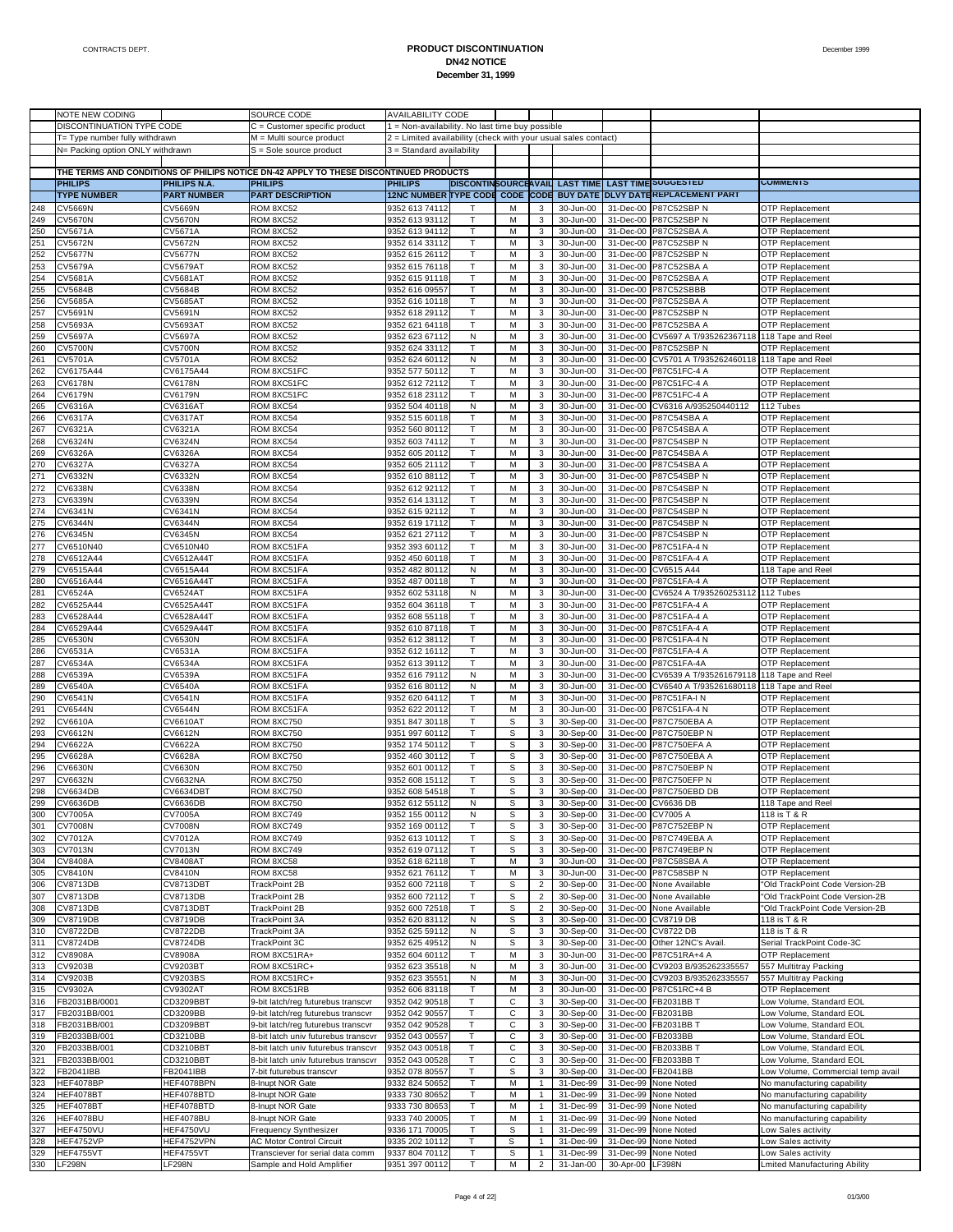|            | NOTE NEW CODING                  |                                  | SOURCE CODE                                                                           | <b>AVAILABILITY CODE</b>                                       |                             |             |                         |                        |                        |                                                          |                                                     |
|------------|----------------------------------|----------------------------------|---------------------------------------------------------------------------------------|----------------------------------------------------------------|-----------------------------|-------------|-------------------------|------------------------|------------------------|----------------------------------------------------------|-----------------------------------------------------|
|            | DISCONTINUATION TYPE CODE        |                                  | C = Customer specific product                                                         | = Non-availability. No last time buy possible                  |                             |             |                         |                        |                        |                                                          |                                                     |
|            | T= Type number fully withdrawn   |                                  | M = Multi source product                                                              | 2 = Limited availability (check with your usual sales contact) |                             |             |                         |                        |                        |                                                          |                                                     |
|            | N= Packing option ONLY withdrawn |                                  | S = Sole source product                                                               | 3 = Standard availability                                      |                             |             |                         |                        |                        |                                                          |                                                     |
|            |                                  |                                  |                                                                                       |                                                                |                             |             |                         |                        |                        |                                                          |                                                     |
|            |                                  |                                  | THE TERMS AND CONDITIONS OF PHILIPS NOTICE DN-42 APPLY TO THESE DISCONTINUED PRODUCTS |                                                                |                             |             |                         |                        |                        |                                                          |                                                     |
|            | <b>PHILIPS</b>                   | PHILIPS N.A.                     | <b>PHILIPS</b>                                                                        | <b>PHILIPS</b>                                                 | <b>DISCONTINSOURCEAVAIL</b> |             |                         | <b>LAST TIME</b>       |                        | <b>LAST TIME SUGGESTED</b>                               | <b>COMMENTS</b>                                     |
|            | <b>TYPE NUMBER</b>               | <b>PART NUMBER</b>               | <b>PART DESCRIPTION</b>                                                               | <b>12NC NUMBER TYPE CODE CODE CODE</b>                         |                             |             |                         |                        |                        | BUY DATE DLVY DATEREPLACEMENT PART                       |                                                     |
| 248        | <b>CV5669N</b>                   | <b>CV5669N</b>                   | ROM 8XC52                                                                             | 9352 613 74112                                                 |                             | M           | 3                       | 30-Jun-00              | 31-Dec-00              | P87C52SBP N                                              | <b>OTP Replacement</b>                              |
| 249        | <b>CV5670N</b>                   | <b>CV5670N</b>                   | ROM 8XC52                                                                             | 9352 613 93112                                                 |                             | M           | 3                       | 30-Jun-00              | 31-Dec-00              | P87C52SBP N                                              | <b>OTP Replacement</b>                              |
| 250        | CV5671A                          | CV5671A                          | ROM 8XC52                                                                             | 9352 613 94112                                                 | T                           | M           | 3                       | 30-Jun-00              | 31-Dec-00              | P87C52SBA A                                              | <b>OTP Replacement</b>                              |
| 251        | CV5672N                          | CV5672N                          | ROM 8XC52                                                                             | 9352 614 33112                                                 |                             | M           | 3                       | 30-Jun-00              |                        | 31-Dec-00 P87C52SBP N                                    | <b>OTP Replacement</b>                              |
| 252        | <b>CV5677N</b>                   | <b>CV5677N</b>                   | ROM 8XC52                                                                             | 9352 615 26112                                                 | T                           | M           | 3                       | 30-Jun-00              | 31-Dec-00              | P87C52SBP N                                              | <b>OTP Replacement</b>                              |
| 253        | CV5679A                          | <b>CV5679AT</b>                  | ROM 8XC52                                                                             | 9352 615 76118                                                 |                             | M           | 3                       | 30-Jun-00              |                        | 31-Dec-00 P87C52SBA A                                    | <b>OTP Replacement</b>                              |
| 254        | CV5681A                          | <b>CV5681AT</b>                  | ROM 8XC52                                                                             | 9352 615 91118                                                 | T                           | M           | 3                       | 30-Jun-00              | 31-Dec-00              | <b>P87C52SBA A</b>                                       | <b>OTP Replacement</b>                              |
| 255        | CV5684B                          | CV5684B                          | ROM 8XC52                                                                             | 9352 616 09557                                                 |                             | M           | 3                       | 30-Jun-00              | 31-Dec-00              | P87C52SBBB                                               | <b>OTP Replacement</b>                              |
| 256        | CV5685A                          | <b>CV5685AT</b>                  | ROM 8XC52                                                                             | 9352 616 10118                                                 | T                           | M           | 3                       | 30-Jun-00              | 31-Dec-00              | P87C52SBA A                                              | <b>OTP Replacement</b>                              |
| 257        | CV5691N                          | CV5691N                          | ROM 8XC52                                                                             | 9352 618 29112                                                 |                             | M           | 3                       | 30-Jun-00              |                        | 31-Dec-00 P87C52SBP N                                    | <b>OTP Replacement</b>                              |
| 258        | CV5693A                          | CV5693AT                         | ROM 8XC52                                                                             | 9352 621 64118                                                 | т                           | M           | 3                       | 30-Jun-00              | 31-Dec-00              | P87C52SBA A                                              | <b>OTP Replacement</b>                              |
| 259<br>260 | CV5697A<br><b>CV5700N</b>        | <b>CV5697A</b><br><b>CV5700N</b> | ROM 8XC52<br>ROM 8XC52                                                                | 9352 623 67112<br>9352 624 33112                               | N<br>T                      | M<br>M      | 3<br>3                  | 30-Jun-00<br>30-Jun-00 | 31-Dec-00<br>31-Dec-00 | CV5697 A T/935262367118 118 Tape and Reel<br>P87C52SBP N | <b>OTP Replacement</b>                              |
| 261        | CV5701A                          | CV5701A                          | ROM 8XC52                                                                             | 9352 624 60112                                                 | N                           | M           | 3                       | 30-Jun-00              | 31-Dec-00              | CV5701 A T/935262460118 118 Tape and Reel                |                                                     |
| 262        | CV6175A44                        | CV6175A44                        | ROM 8XC51FC                                                                           | 9352 577 50112                                                 | T                           | M           | 3                       | 30-Jun-00              | 31-Dec-00              | P87C51FC-4 A                                             | <b>OTP Replacement</b>                              |
| 263        | <b>CV6178N</b>                   | <b>CV6178N</b>                   | ROM 8XC51FC                                                                           | 9352 612 72112                                                 |                             | M           | 3                       | 30-Jun-00              |                        | 31-Dec-00 P87C51FC-4 A                                   | <b>OTP Replacement</b>                              |
| 264        | <b>CV6179N</b>                   | <b>CV6179N</b>                   | ROM 8XC51FC                                                                           | 9352 618 23112                                                 | T                           | M           | 3                       | 30-Jun-00              | 31-Dec-00              | P87C51FC-4 A                                             | <b>OTP Replacement</b>                              |
| 265        | CV6316A                          | CV6316AT                         | ROM 8XC54                                                                             | 9352 504 40118                                                 | N                           | M           | 3                       | 30-Jun-00              | 31-Dec-00              | CV6316 A/935250440112                                    | 112 Tubes                                           |
| 266        | CV6317A                          | <b>CV6317AT</b>                  | ROM 8XC54                                                                             | 9352 515 60118                                                 |                             | M           | 3                       | 30-Jun-00              | 31-Dec-00              | P87C54SBA A                                              | <b>OTP Replacement</b>                              |
| 267        | CV6321A                          | CV6321A                          | ROM 8XC54                                                                             | 9352 560 80112                                                 |                             | M           | 3                       | 30-Jun-00              | 31-Dec-00              | P87C54SBA A                                              | <b>OTP Replacement</b>                              |
| 268        | CV6324N                          | CV6324N                          | ROM 8XC54                                                                             | 9352 603 74112                                                 | T                           | M           | 3                       | 30-Jun-00              | 31-Dec-00              | P87C54SBP N                                              | <b>OTP Replacement</b>                              |
| 269        | CV6326A                          | CV6326A                          | ROM 8XC54                                                                             | 9352 605 20112                                                 |                             | M           | 3                       | 30-Jun-00              | 31-Dec-00              | P87C54SBA A                                              | <b>OTP Replacement</b>                              |
| 270        | CV6327A                          | CV6327A                          | ROM 8XC54                                                                             | 9352 605 21112                                                 | T                           | M           | 3                       | 30-Jun-00              | 31-Dec-00              | P87C54SBA A                                              | <b>OTP Replacement</b>                              |
| 271        | CV6332N                          | CV6332N                          | ROM 8XC54                                                                             | 9352 610 88112                                                 |                             | M           | 3                       | 30-Jun-00              | 31-Dec-00              | P87C54SBP N                                              | <b>OTP Replacement</b>                              |
| 272        | CV6338N                          | <b>CV6338N</b>                   | ROM 8XC54                                                                             | 9352 612 92112                                                 | T                           | M           | 3                       | 30-Jun-00              | 31-Dec-00              | P87C54SBP N                                              | <b>OTP Replacement</b>                              |
| 273        | CV6339N                          | CV6339N                          | ROM 8XC54                                                                             | 9352 614 13112                                                 |                             | M           | 3                       | 30-Jun-00              | 31-Dec-00              | <b>P87C54SBP N</b>                                       | <b>OTP Replacement</b>                              |
| 274        | CV6341N                          | CV6341N                          | ROM 8XC54                                                                             | 9352 615 92112                                                 | T                           | M           | 3                       | 30-Jun-00              | 31-Dec-00              | P87C54SBP N                                              | <b>OTP Replacement</b>                              |
| 275        | CV6344N                          | CV6344N                          | ROM 8XC54                                                                             | 9352 619 17112                                                 |                             | M           | 3                       | 30-Jun-00              |                        | 31-Dec-00 P87C54SBP N                                    | <b>OTP Replacement</b>                              |
| 276        | CV6345N                          | CV6345N                          | ROM 8XC54                                                                             | 9352 621 27112                                                 | T                           | M           | 3                       | 30-Jun-00              | 31-Dec-00              | P87C54SBP N                                              | <b>OTP Replacement</b>                              |
| 277        | CV6510N40                        | CV6510N40                        | ROM 8XC51FA                                                                           | 9352 393 60112                                                 |                             | M           | 3                       | 30-Jun-00              |                        | 31-Dec-00 P87C51FA-4 N                                   | <b>OTP Replacement</b>                              |
| 278        | CV6512A44                        | CV6512A44T                       | ROM 8XC51FA                                                                           | 9352 450 60118                                                 | т                           | M           | 3                       | 30-Jun-00              | 31-Dec-00              | P87C51FA-4 A                                             | <b>OTP Replacement</b>                              |
| 279<br>280 | CV6515A44<br>CV6516A44           | CV6515A44<br>CV6516A44T          | ROM 8XC51FA<br>ROM 8XC51FA                                                            | 9352 482 80112<br>9352 487 00118                               | N<br>T                      | M<br>M      | 3<br>3                  | 30-Jun-00<br>30-Jun-00 | 31-Dec-00<br>31-Dec-00 | CV6515 A44<br>P87C51FA-4 A                               | 118 Tape and Reel<br><b>OTP Replacement</b>         |
| 281        | CV6524A                          | <b>CV6524AT</b>                  | ROM 8XC51FA                                                                           | 9352 602 53118                                                 | N                           | M           | 3                       | 30-Jun-00              | 31-Dec-00              | CV6524 A T/935260253112 112 Tubes                        |                                                     |
| 282        | CV6525A44                        | CV6525A44T                       | ROM 8XC51FA                                                                           | 9352 604 36118                                                 |                             | M           | 3                       | 30-Jun-00              | 31-Dec-00              | P87C51FA-4 A                                             | <b>OTP Replacement</b>                              |
| 283        | CV6528A44                        | CV6528A44T                       | ROM 8XC51FA                                                                           | 9352 608 55118                                                 |                             | M           | 3                       | 30-Jun-00              |                        | 31-Dec-00 P87C51FA-4 A                                   | <b>OTP Replacement</b>                              |
| 284        | CV6529A44                        | CV6529A44T                       | ROM 8XC51FA                                                                           | 9352 610 87118                                                 | T                           | M           | 3                       | 30-Jun-00              | 31-Dec-00              | P87C51FA-4 A                                             | <b>OTP Replacement</b>                              |
| 285        | <b>CV6530N</b>                   | <b>CV6530N</b>                   | ROM 8XC51FA                                                                           | 9352 612 38112                                                 | Т                           | M           | 3                       | 30-Jun-00              | 31-Dec-00              | P87C51FA-4 N                                             | <b>OTP Replacement</b>                              |
| 286        | CV6531A                          | CV6531A                          | ROM 8XC51FA                                                                           | 9352 612 16112                                                 | T                           | M           | 3                       | 30-Jun-00              | 31-Dec-00              | P87C51FA-4 A                                             | <b>OTP Replacement</b>                              |
| 287        | CV6534A                          | CV6534A                          | ROM 8XC51FA                                                                           | 9352 613 39112                                                 |                             | M           | 3                       | 30-Jun-00              | 31-Dec-00              | P87C51FA-4A                                              | <b>OTP Replacement</b>                              |
| 288        | CV6539A                          | CV6539A                          | ROM 8XC51FA                                                                           | 9352 616 79112                                                 | Ν                           | M           | 3                       | 30-Jun-00              | 31-Dec-00              | CV6539 A T/935261679118                                  | 118 Tape and Reel                                   |
| 289        | CV6540A                          | <b>CV6540A</b>                   | ROM 8XC51FA                                                                           | 9352 616 80112                                                 | N                           | M           | 3                       | 30-Jun-00              | 31-Dec-00              | CV6540 A T/935261680118 118 Tape and Reel                |                                                     |
| 290        | CV6541N                          | CV6541N                          | ROM 8XC51FA                                                                           | 9352 620 64112                                                 | T                           | M           | 3                       | 30-Jun-00              | 31-Dec-00              | P87C51FA-IN                                              | <b>OTP Replacement</b>                              |
| 291        | <b>CV6544N</b>                   | <b>CV6544N</b>                   | ROM 8XC51FA                                                                           | 9352 622 20112                                                 |                             | M           | 3                       | 30-Jun-00              | 31-Dec-00              | P87C51FA-4 N                                             | <b>OTP Replacement</b>                              |
| 292        | CV6610A                          | CV6610AT                         | <b>ROM 8XC750</b>                                                                     | 9351 847 30118                                                 | T                           | S           | 3                       | 30-Sep-00              | 31-Dec-00              | P87C750EBA A                                             | <b>OTP Replacement</b>                              |
| 293        | CV6612N                          | CV6612N                          | <b>ROM 8XC750</b>                                                                     | 9351 997 60112                                                 |                             | S           | 3                       | 30-Sep-00              |                        | 31-Dec-00 P87C750EBP N                                   | <b>OTP Replacement</b>                              |
| 294        | CV6622A                          | CV6622A                          | <b>ROM 8XC750</b>                                                                     | 9352 174 50112                                                 | T                           | S           | 3                       | 30-Sep-00              | 31-Dec-00              | P87C750EFA A                                             | <b>OTP Replacement</b>                              |
| 295        | CV6628A                          | CV6628A                          | <b>ROM 8XC750</b>                                                                     | 9352 460 30112                                                 |                             | S           | 3                       | 30-Sep-00              | 31-Dec-00              | P87C750EBA A                                             | <b>OTP Replacement</b>                              |
| 296        | CV6630N                          | <b>CV6630N</b>                   | <b>ROM 8XC750</b>                                                                     | 9352 601 00112                                                 |                             | S           | 3                       | 30-Sep-00              | 31-Dec-00              | P87C750EBP N                                             | <b>OTP Replacement</b>                              |
| 297        | CV6632N                          | CV6632NA                         | <b>ROM 8XC750</b>                                                                     | 9352 608 15112                                                 |                             | S           | 3                       | 30-Sep-00              |                        | 31-Dec-00 P87C750EFP N                                   | <b>OTP Replacement</b>                              |
| 298        | CV6634DB                         | CV6634DBT                        | <b>ROM 8XC750</b>                                                                     | 9352 608 54518                                                 |                             | S           | 3                       | 30-Sep-00              | 31-Dec-00              | P87C750EBD DB                                            | <b>OTP Replacement</b>                              |
| 300        | 299 CV6636DB<br><b>CV7005A</b>   | CV6636DB<br><b>CV7005A</b>       | ROM 8XC750<br>ROM 8XC749                                                              | 9352 612 55112<br>9352 155 00112                               | N<br>Ν                      | s<br>S      | 3                       | 30-Sep-00<br>30-Sep-00 | 31-Dec-00 CV7005 A     | 31-Dec-00 ICV6636 DB                                     | 118 Tape and Reel<br>118 is T & R                   |
| 301        | <b>CV7008N</b>                   | <b>CV7008N</b>                   | ROM 8XC749                                                                            | 9352 169 00112                                                 |                             | S           | 3                       | 30-Sep-00              |                        | 31-Dec-00 P87C752EBP N                                   | OTP Replacement                                     |
| 302        | CV7012A                          | CV7012A                          | ROM 8XC749                                                                            | 9352 613 10112                                                 |                             | S           | 3                       | 30-Sep-00              |                        | 31-Dec-00 P87C749EBA A                                   | <b>OTP Replacement</b>                              |
| 303        | CV7013N                          | CV7013N                          | ROM 8XC749                                                                            | 9352 619 07112                                                 |                             | S           | 3                       | 30-Sep-00              |                        | 31-Dec-00 P87C749EBP N                                   | <b>OTP Replacement</b>                              |
| 304        | CV8408A                          | <b>CV8408AT</b>                  | ROM 8XC58                                                                             | 9352 618 62118                                                 | T                           | M           | 3                       | 30-Jun-00              |                        | 31-Dec-00 P87C58SBA A                                    | <b>OTP Replacement</b>                              |
| 305        | <b>CV8410N</b>                   | <b>CV8410N</b>                   | ROM 8XC58                                                                             | 9352 621 76112                                                 | т                           | М           | 3                       | 30-Jun-00              |                        | 31-Dec-00 P87C58SBP N                                    | <b>OTP Replacement</b>                              |
| 306        | CV8713DB                         | CV8713DBT                        | TrackPoint 2B                                                                         | 9352 600 72118                                                 | T                           | S           | $\overline{\mathbf{c}}$ | 30-Sep-00              | 31-Dec-00              | None Available                                           | 'Old TrackPoint Code Version-2B                     |
| 307        | CV8713DB                         | CV8713DB                         | TrackPoint 2B                                                                         | 9352 600 72112                                                 |                             | S           | 2                       | 30-Sep-00              |                        | 31-Dec-00 None Available                                 | 'Old TrackPoint Code Version-2B                     |
| 308        | CV8713DB                         | CV8713DBT                        | TrackPoint 2B                                                                         | 9352 600 72518                                                 | T                           | S           | $\overline{\mathbf{c}}$ | 30-Sep-00              | 31-Dec-00              | None Available                                           | 'Old TrackPoint Code Version-2B                     |
| 309        | CV8719DB                         | CV8719DB                         | TrackPoint 3A                                                                         | 9352 620 83112                                                 | N                           | S           | 3                       | 30-Sep-00              |                        | 31-Dec-00 CV8719 DB                                      | 118 is T & R                                        |
| 310        | <b>CV8722DB</b>                  | <b>CV8722DB</b>                  | TrackPoint 3A                                                                         | 9352 625 59112                                                 | N                           | S           | 3                       | 30-Sep-00              |                        | 31-Dec-00 CV8722 DB                                      | 118 is T & R                                        |
| 311        | <b>CV8724DB</b>                  | <b>CV8724DB</b>                  | TrackPoint 3C                                                                         | 9352 625 49512                                                 | N                           | S           | 3                       | 30-Sep-00              |                        | 31-Dec-00 Other 12NC's Avail.                            | Serial TrackPoint Code-3C                           |
| 312        | CV8908A                          | CV8908A                          | ROM 8XC51RA+                                                                          | 9352 604 60112                                                 | T                           | M           | 3                       | 30-Jun-00              | 31-Dec-00              | P87C51RA+4 A                                             | <b>OTP Replacement</b>                              |
| 313        | CV9203B                          | <b>CV9203BT</b>                  | ROM 8XC51RC+                                                                          | 9352 623 35518                                                 | N                           | М           | $\mathbf{3}$            | 30-Jun-00              |                        | 31-Dec-00 CV9203 B/935262335557                          | 557 Multitray Packing                               |
| 314        | CV9203B                          | CV9203BS                         | ROM 8XC51RC+                                                                          | 9352 623 35551                                                 | Ν                           | M           | 3                       | 30-Jun-00              | 31-Dec-00              | CV9203 B/935262335557                                    | 557 Multitray Packing                               |
| 315        | CV9302A                          | <b>CV9302AT</b>                  | ROM 8XC51RB                                                                           | 9352 606 83118                                                 |                             | М           | 3                       | 30-Jun-00              |                        | 31-Dec-00 P87C51RC+4 B                                   | <b>OTP Replacement</b>                              |
| 316<br>317 | FB2031BB/0001<br>FB2031BB/001    | CD3209BBT<br>CD3209BB            | 9-bit latch/reg futurebus transcvr<br>9-bit latch/reg futurebus transcvr              | 9352 042 90518<br>9352 042 90557                               | Τ<br>т                      | C<br>С      | 3<br>3                  | 30-Sep-00<br>30-Sep-00 |                        | 31-Dec-00 FB2031BB T<br>31-Dec-00 FB2031BB               | Low Volume, Standard EOL<br>ow Volume, Standard EOL |
| 318        | FB2031BB/001                     | CD3209BBT                        | 9-bit latch/reg futurebus transcvr                                                    | 9352 042 90528                                                 | Т                           | С           | 3                       | 30-Sep-00              |                        | 31-Dec-00 FB2031BB T                                     | Low Volume, Standard EOL                            |
| 319        | FB2033BB/001                     | CD3210BB                         | 8-bit latch univ futurebus transcvr                                                   | 9352 043 00557                                                 | т                           | с           | 3                       | 30-Sep-00              |                        | 31-Dec-00 FB2033BB                                       | ow Volume, Standard EOL                             |
| 320        | FB2033BB/001                     | CD3210BBT                        | 8-bit latch univ futurebus transcvr                                                   | 9352 043 00518                                                 | T                           | $\mathsf C$ | 3                       | 30-Sep-00              | 31-Dec-00              | FB2033BB T                                               | Low Volume, Standard EOL                            |
| 321        | FB2033BB/001                     | CD3210BBT                        | 8-bit latch univ futurebus transcvr                                                   | 9352 043 00528                                                 | т                           | С           | 3                       | 30-Sep-00              |                        | 31-Dec-00 FB2033BB T                                     | ow Volume, Standard EOL                             |
| 322        | FB2041IBB                        | FB2041IBB                        | 7-bit futurebus transcvr                                                              | 9352 078 80557                                                 | Т                           | S           | 3                       | 30-Sep-00              | 31-Dec-00              | FB2041BB                                                 | Low Volume, Commercial temp avail                   |
| 323        | HEF4078BP                        | HEF4078BPN                       | 8-Inupt NOR Gate                                                                      | 9332 824 50652                                                 |                             | M           | $\mathbf{1}$            | 31-Dec-99              | 31-Dec-99              | None Noted                                               | No manufacturing capability                         |
| 324        | HEF4078BT                        | HEF4078BTD                       | 8-Inupt NOR Gate                                                                      | 9333 730 80652                                                 | T                           | M           | $\mathbf{1}$            | 31-Dec-99              | 31-Dec-99              | None Noted                                               | No manufacturing capability                         |
| 325        | HEF4078BT                        | HEF4078BTD                       | 8-Inupt NOR Gate                                                                      | 9333 730 8065:                                                 | т                           | M           | 1                       | 31-Dec-99              | 31-Dec-99              | None Noted                                               | No manufacturing capability                         |
| 326        | HEF4078BU                        | HEF4078BU                        | 8-Inupt NOR Gate                                                                      | 9333 740 20005                                                 | Т                           | M           | $\mathbf{1}$            | 31-Dec-99              | 31-Dec-99              | None Noted                                               | No manufacturing capability                         |
| 327        | <b>HEF4750VU</b>                 | <b>HEF4750VU</b>                 | Frequency Synthesizer                                                                 | 9336 171 70005                                                 |                             | S           |                         | 31-Dec-99              |                        | 31-Dec-99 None Noted                                     | Low Sales activity                                  |
| 328        | <b>HEF4752VP</b>                 | HEF4752VPN                       | <b>AC Motor Control Circuit</b>                                                       | 9335 202 10112                                                 | T                           | s           |                         | 31-Dec-99              | 31-Dec-99              | None Noted                                               | Low Sales activity                                  |
| 329        | <b>HEF4755VT</b>                 | HEF4755VT                        | Transciever for serial data comm                                                      | 9337 804 70112                                                 |                             | S           | 1                       | 31-Dec-99              |                        | 31-Dec-99 None Noted                                     | Low Sales activity                                  |
| 330        | <b>LF298N</b>                    | <b>LF298N</b>                    | Sample and Hold Amplifier                                                             | 9351 397 00112                                                 |                             | М           | $\overline{2}$          | 31-Jan-00              | 30-Apr-00 LF398N       |                                                          | Lmited Manufacturing Ability                        |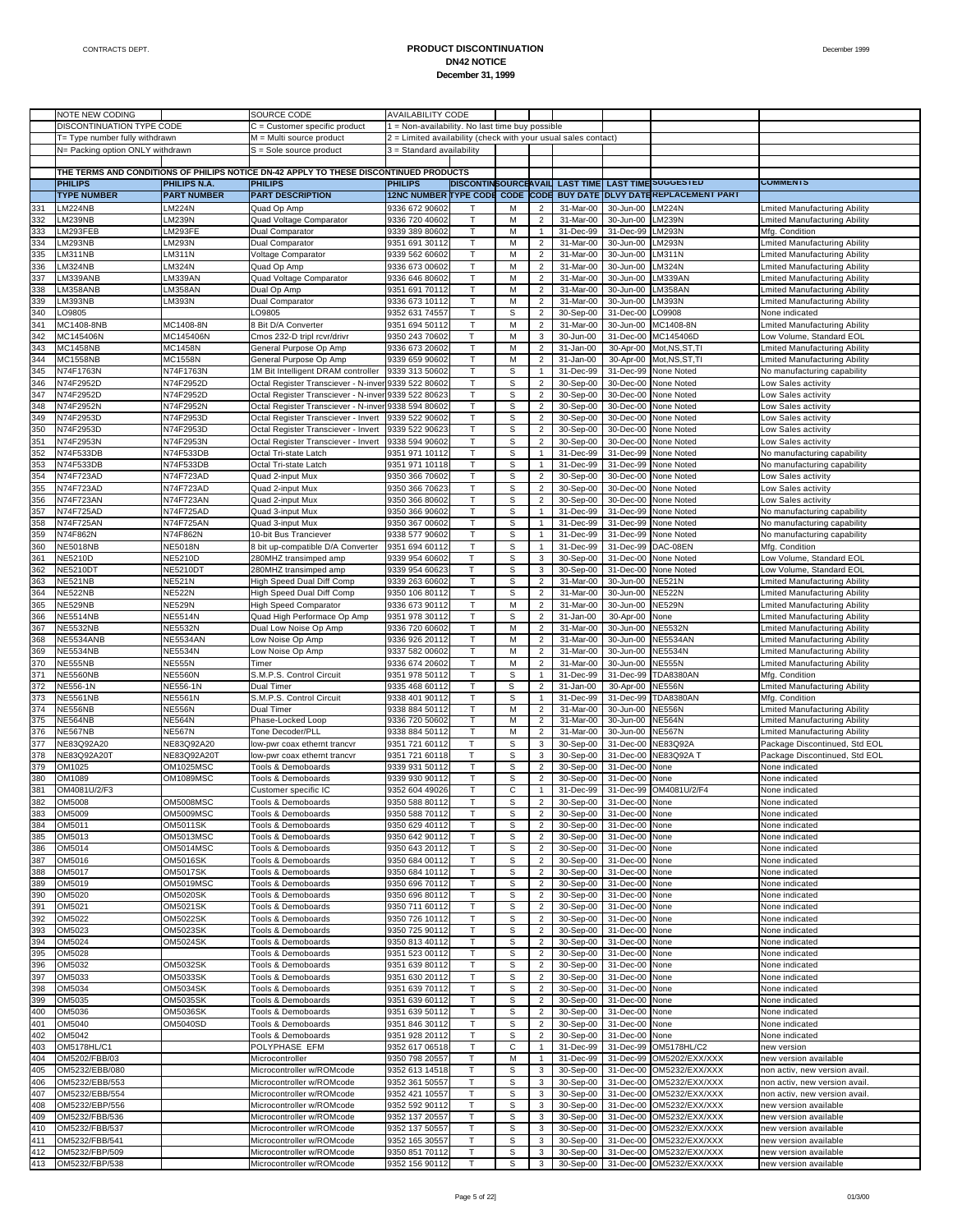|     | NOTE NEW CODING                  |                     | SOURCE CODE                                                                           | <b>AVAILABILITY CODE</b>                                       |                             |                  |                         |                  |                          |                                   |                                                                            |
|-----|----------------------------------|---------------------|---------------------------------------------------------------------------------------|----------------------------------------------------------------|-----------------------------|------------------|-------------------------|------------------|--------------------------|-----------------------------------|----------------------------------------------------------------------------|
|     | DISCONTINUATION TYPE CODE        |                     | C = Customer specific product                                                         | 1 = Non-availability. No last time buy possible                |                             |                  |                         |                  |                          |                                   |                                                                            |
|     | T= Type number fully withdrawn   |                     | M = Multi source product                                                              | 2 = Limited availability (check with your usual sales contact) |                             |                  |                         |                  |                          |                                   |                                                                            |
|     | N= Packing option ONLY withdrawn |                     | S = Sole source product                                                               | 3 = Standard availability                                      |                             |                  |                         |                  |                          |                                   |                                                                            |
|     |                                  |                     |                                                                                       |                                                                |                             |                  |                         |                  |                          |                                   |                                                                            |
|     |                                  |                     |                                                                                       |                                                                |                             |                  |                         |                  |                          |                                   |                                                                            |
|     |                                  |                     | THE TERMS AND CONDITIONS OF PHILIPS NOTICE DN-42 APPLY TO THESE DISCONTINUED PRODUCTS |                                                                |                             |                  |                         |                  |                          |                                   |                                                                            |
|     | <b>PHILIPS</b>                   | <b>PHILIPS N.A.</b> | <b>PHILIPS</b>                                                                        | <b>PHILIPS</b>                                                 | <b>DISCONTINSOURCEAVAIL</b> |                  |                         | <b>LAST TIME</b> |                          | <b>LAST TIME SUGGESTED</b>        | <b>COMMENIS</b>                                                            |
|     | <b>TYPE NUMBER</b>               | <b>PART NUMBER</b>  | <b>PART DESCRIPTION</b>                                                               | <b>12NC NUMBER TYPE CODE</b>                                   |                             | <b>CODE CODE</b> |                         | <b>BUY DATE</b>  |                          | <b>DLVY DATE REPLACEMENT PART</b> |                                                                            |
| 331 | LM224NB                          | LM224N              | Quad Op Amp                                                                           | 9336 672 90602                                                 |                             | M                | 2                       | 31-Mar-00        | 30-Jun-00                | <b>LM224N</b>                     | mited Manufacturing Ability                                                |
| 332 | LM239NB                          | LM239N              | Quad Voltage Comparator                                                               | 9336 720 40602                                                 | т                           | M                | $\overline{2}$          | 31-Mar-00        | 30-Jun-00                | <b>LM239N</b>                     | <b>Lmited Manufacturing Ability</b>                                        |
| 333 | LM293FEB                         | LM293FE             | Dual Comparator                                                                       | 9339 389 80602                                                 |                             | M                | $\mathbf{1}$            | 31-Dec-99        | 31-Dec-99                | <b>LM293N</b>                     | Mfg. Condition                                                             |
| 334 | LM293NB                          | LM293N              | Dual Comparator                                                                       | 9351 691 30112                                                 | Т                           | M                | $\overline{c}$          | 31-Mar-00        | 30-Jun-00                | <b>LM293N</b>                     | <b>Lmited Manufacturing Ability</b>                                        |
| 335 | LM311NB                          | LM311N              | <b>Voltage Comparator</b>                                                             | 9339 562 60602                                                 |                             | M                | $\overline{c}$          | 31-Mar-00        | 30-Jun-00                | LM311N                            | Lmited Manufacturing Ability                                               |
|     |                                  |                     |                                                                                       |                                                                |                             |                  |                         |                  |                          |                                   |                                                                            |
| 336 | LM324NB                          | LM324N              | Quad Op Amp                                                                           | 9336 673 00602                                                 | т                           | M                | $\overline{2}$          | 31-Mar-00        | 30-Jun-00                | <b>LM324N</b>                     | <b>Lmited Manufacturing Ability</b>                                        |
| 337 | LM339ANB                         | LM339AN             | Quad Voltage Comparator                                                               | 9336 646 80602                                                 |                             | M                | $\overline{c}$          | 31-Mar-00        | 30-Jun-00                | LM339AN                           | Lmited Manufacturing Ability                                               |
| 338 | LM358ANB                         | LM358AN             | Dual Op Amp                                                                           | 9351 691 70112                                                 | т                           | M                | $\overline{c}$          | 31-Mar-00        | 30-Jun-00                | LM358AN                           | Lmited Manufacturing Ability                                               |
| 339 | LM393NB                          | LM393N              | Dual Comparator                                                                       | 9336 673 10112                                                 |                             | M                | $\overline{c}$          | 31-Mar-00        | 30-Jun-00                | LM393N                            | Lmited Manufacturing Ability                                               |
| 340 | <b>_O9805</b>                    |                     | <b>_O9805</b>                                                                         | 9352 631 74557                                                 | т                           | S                | $\overline{2}$          | 30-Sep-00        | 31-Dec-00                | LO9908                            | None indicated                                                             |
| 341 | MC1408-8NB                       | MC1408-8N           | <b>Bit D/A Converter</b>                                                              | 9351 694 50112                                                 |                             | M                | $\overline{c}$          | 31-Mar-00        | 30-Jun-00                | MC1408-8N                         | Lmited Manufacturing Ability                                               |
| 342 | MC145406N                        | MC145406N           | Cmos 232-D tripl rcvr/drivr                                                           | 9350 243 70602                                                 | т                           | M                | 3                       | 30-Jun-00        | 31-Dec-00                | MC145406D                         | Low Volume, Standard EOL                                                   |
| 343 | <b>MC1458NB</b>                  | MC1458N             | General Purpose Op Amp                                                                | 9336 673 2060:                                                 |                             | M                | $\overline{c}$          | 31-Jan-00        | 30-Apr-00                | Mot, NS, ST, TI                   | Lmited Manufacturing Ability                                               |
| 344 | <b>MC1558NB</b>                  | MC1558N             |                                                                                       | 9339 659 90602                                                 | т                           | M                | $\overline{2}$          | 31-Jan-00        | 30-Apr-00                | Mot, NS, ST, TI                   |                                                                            |
|     |                                  |                     | General Purpose Op Amp                                                                |                                                                |                             |                  |                         |                  |                          |                                   | Lmited Manufacturing Ability                                               |
| 345 | N74F1763N                        | N74F1763N           | IM Bit Intelligent DRAM controller                                                    | 9339 313 50602                                                 |                             | S                | $\mathbf{1}$            | 31-Dec-99        | 31-Dec-99                | None Noted                        | No manufacturing capability                                                |
| 346 | N74F2952D                        | N74F2952D           | Octal Register Transciever - N-inver 9339 522 8060:                                   |                                                                | т                           | S                | 2                       | 30-Sep-00        | 30-Dec-00                | None Noted                        | Low Sales activity                                                         |
| 347 | N74F2952D                        | N74F2952D           | Octal Register Transciever - N-inver 9339 522 8062:                                   |                                                                |                             | $\mathbb S$      | $\overline{c}$          | 30-Sep-00        | 30-Dec-00                | None Noted                        | Low Sales activity                                                         |
| 348 | N74F2952N                        | N74F2952N           | Octal Register Transciever - N-inver 9338 594 80602                                   |                                                                | т                           | $\mathsf{s}$     | $\overline{2}$          | 30-Sep-00        | 30-Dec-00                | None Noted                        | Low Sales activity                                                         |
| 349 | N74F2953D                        | N74F2953D           | Octal Register Transciever - Invert                                                   | 3339 522 90602                                                 |                             | S                | $\overline{c}$          | 30-Sep-00        | 30-Dec-00                | None Noted                        | Low Sales activity                                                         |
| 350 | N74F2953D                        | N74F2953D           | Octal Register Transciever - Invert                                                   | 9339 522 9062:                                                 | т                           | S                | $\overline{c}$          | 30-Sep-00        | 30-Dec-00                | None Noted                        | Low Sales activity                                                         |
| 351 | N74F2953N                        | N74F2953N           | Octal Register Transciever - Invert                                                   | 9338 594 90602                                                 |                             | $\mathbb S$      | $\overline{c}$          | 30-Sep-00        | 30-Dec-00                | None Noted                        | Low Sales activity                                                         |
| 352 | N74F533DB                        | N74F533DB           | Octal Tri-state Latch                                                                 | 9351 971 10112                                                 | Т                           | $\mathsf{s}$     | $\mathbf{1}$            | 31-Dec-99        | 31-Dec-99                | None Noted                        | No manufacturing capability                                                |
| 353 | N74F533DB                        | N74F533DB           | Octal Tri-state Latch                                                                 | 9351 971 10118                                                 |                             | S                | $\mathbf{1}$            | 31-Dec-99        | 31-Dec-99                | None Noted                        | No manufacturing capability                                                |
| 354 | N74F723AD                        | N74F723AD           | Quad 2-input Mux                                                                      | 9350 366 70602                                                 | т                           | $\mathsf S$      | $\overline{c}$          | 30-Sep-00        | 30-Dec-00                | None Noted                        | Low Sales activity                                                         |
|     |                                  |                     |                                                                                       |                                                                |                             |                  |                         |                  |                          |                                   |                                                                            |
| 355 | N74F723AD                        | N74F723AD           | Quad 2-input Mux                                                                      | 9350 366 7062                                                  |                             | $\mathbb S$      | $\overline{c}$          | 30-Sep-00        | 30-Dec-00                | None Noted                        | Low Sales activity                                                         |
| 356 | N74F723AN                        | N74F723AN           | Quad 2-input Mux                                                                      | 9350 366 80602                                                 | Т                           | $\mathsf{s}$     | $\overline{2}$          | 30-Sep-00        | 30-Dec-00                | None Noted                        | Low Sales activity                                                         |
| 357 | N74F725AD                        | N74F725AD           | Quad 3-input Mux                                                                      | 9350 366 90602                                                 |                             | S                | 1                       | 31-Dec-99        | 31-Dec-99                | None Noted                        | No manufacturing capability                                                |
| 358 | <b>N74F725AN</b>                 | N74F725AN           | Quad 3-input Mux                                                                      | 9350 367 00602                                                 | т                           | $\mathsf S$      | 1                       | 31-Dec-99        | 31-Dec-99                | None Noted                        | No manufacturing capability                                                |
| 359 | N74F862N                         | N74F862N            | 10-bit Bus Tranciever                                                                 | 9338 577 90602                                                 |                             | $\mathbb S$      | $\mathbf{1}$            | 31-Dec-99        | 31-Dec-99                | None Noted                        | No manufacturing capability                                                |
| 360 | <b>NE5018NB</b>                  | <b>NE5018N</b>      | 8 bit up-compatible D/A Converter                                                     | 9351 694 60112                                                 | Т                           | $\mathsf{s}$     | $\mathbf{1}$            | 31-Dec-99        | 31-Dec-99                | DAC-08EN                          | Mfg. Condition                                                             |
| 361 | NE5210D                          | NE5210D             | 280MHZ transimped amp                                                                 | 9339 954 60602                                                 |                             | S                | 3                       | 30-Sep-00        | 31-Dec-00                | None Noted                        | ow Volume, Standard EOL                                                    |
| 362 | NE5210DT                         | NE5210DT            | 280MHZ transimped amp                                                                 | 9339 954 6062                                                  | T                           | $\mathsf S$      | 3                       | 30-Sep-00        | 31-Dec-00                | None Noted                        | Low Volume, Standard EOL                                                   |
| 363 | NE521NB                          | <b>NE521N</b>       | High Speed Dual Diff Comp                                                             | 9339 263 60602                                                 | т                           | $\mathbb S$      | $\overline{2}$          | 31-Mar-00        | 30-Jun-00                | <b>NE521N</b>                     | <b>Lmited Manufacturing Ability</b>                                        |
|     |                                  |                     |                                                                                       |                                                                |                             |                  |                         |                  |                          |                                   |                                                                            |
| 364 | NE522NB                          | <b>NE522N</b>       | High Speed Dual Diff Comp                                                             | 9350 106 80112                                                 | Т                           | S                | $\overline{2}$          | 31-Mar-00        | 30-Jun-00                | <b>NE522N</b>                     | Lmited Manufacturing Ability                                               |
| 365 | NE529NB                          | <b>NE529N</b>       | <b>High Speed Comparator</b>                                                          | 9336 673 90112                                                 |                             | M                | $\overline{c}$          | 31-Mar-00        | 30-Jun-00                | <b>NE529N</b>                     | mited Manufacturing Ability                                                |
| 366 | <b>NE5514NB</b>                  | <b>NE5514N</b>      | Quad High Performace Op Amp                                                           | 9351 978 30112                                                 | т                           | $\mathsf S$      | $\overline{c}$          | 31-Jan-00        | 30-Apr-00                | None                              | <b>Lmited Manufacturing Ability</b>                                        |
| 367 | <b>NE5532NB</b>                  | <b>NE5532N</b>      | Dual Low Noise Op Amp                                                                 | 9336 720 60602                                                 |                             | M                | $\overline{2}$          | 31-Mar-00        | 30-Jun-00                | <b>NE5532N</b>                    | <b>Lmited Manufacturing Ability</b>                                        |
| 368 | NE5534ANB                        | <b>NE5534AN</b>     | ow Noise Op Amp                                                                       | 9336 926 20112                                                 | Т                           | M                | $\overline{2}$          | 31-Mar-00        | 30-Jun-00                | <b>NE5534AN</b>                   | Lmited Manufacturing Ability                                               |
| 369 | <b>NE5534NB</b>                  | <b>NE5534N</b>      | ow Noise Op Amp                                                                       | 9337 582 0060:                                                 |                             | M                | $\overline{c}$          | 31-Mar-00        | 30-Jun-00                | <b>NE5534N</b>                    | mited Manufacturing Ability                                                |
| 370 | NE555NB                          | <b>NE555N</b>       | Timer                                                                                 | 9336 674 20602                                                 | т                           | M                | $\overline{c}$          | 31-Mar-00        | 30-Jun-00                | <b>NE555N</b>                     | Lmited Manufacturing Ability                                               |
| 371 | <b>NE5560NB</b>                  | <b>NE5560N</b>      | S.M.P.S. Control Circuit                                                              | 9351 978 50112                                                 |                             | S                | $\mathbf{1}$            | 31-Dec-99        | 31-Dec-99                | <b>TDA8380AN</b>                  | Mfg. Condition                                                             |
| 372 | <b>NE556-1N</b>                  | NE556-1N            | Dual Timer                                                                            | 9335 468 60112                                                 | Т                           | s                | $\overline{c}$          | 31-Jan-00        | 30-Apr-00                | <b>NE556N</b>                     | Lmited Manufacturing Ability                                               |
| 373 | <b>NE5561NB</b>                  | <b>NE5561N</b>      | S.M.P.S. Control Circuit                                                              | 9338 401 90112                                                 |                             | S                | $\mathbf{1}$            | 31-Dec-99        | 31-Dec-99                | <b>TDA8380AN</b>                  | Mfg. Condition                                                             |
| 374 | NE556NB                          | <b>NE556N</b>       | Dual Timer                                                                            | 9338 884 50112                                                 | т                           | M                | $\overline{c}$          | 31-Mar-00        | 30-Jun-00                | <b>NE556N</b>                     |                                                                            |
| 375 | NE564NB                          | <b>NE564N</b>       | Phase-Locked Loop                                                                     | 9336 720 50602                                                 | т                           | M                |                         | 31-Mar-00        | 30-Jun-00                | <b>NE564N</b>                     | <b>Lmited Manufacturing Ability</b><br><b>Lmited Manufacturing Ability</b> |
|     |                                  |                     |                                                                                       |                                                                |                             |                  | $\overline{a}$          |                  |                          |                                   |                                                                            |
| 376 | NE567NB                          | <b>NE567N</b>       | Tone Decoder/PLL                                                                      | 9338 884 50112                                                 |                             | M                | $\overline{2}$          | 31-Mar-00        | 30-Jun-00                | <b>NE567N</b>                     | <b>Lmited Manufacturing Ability</b>                                        |
| 377 | NE83Q92A20                       | NE83Q92A20          | low-pwr coax ethernt trancvr                                                          | 9351 721 60112                                                 | T                           | S                | 3                       | 30-Sep-00        | 31-Dec-00                | NE83Q92A                          | Package Discontinued, Std EOL                                              |
| 378 | NE83Q92A20T                      | NE83Q92A20T         | low-pwr coax ethernt trancvr                                                          | 9351 721 60118                                                 | т                           | S                | 3                       | 30-Sep-00        | 31-Dec-00                | <b>NE83Q92A T</b>                 | Package Discontinued, Std EOL                                              |
| 379 | OM1025                           | OM1025MSC           | <b>Tools &amp; Demoboards</b>                                                         | 9339 931 50112                                                 | T                           | S                | $\overline{\mathbf{c}}$ | 30-Sep-00        | 31-Dec-00                | None                              | None indicated                                                             |
| 380 | OM1089                           | <b>OM1089MSC</b>    | Tools & Demoboards                                                                    | 9339 930 90112                                                 |                             | S                | $\overline{2}$          | 30-Sep-00        | 31-Dec-00                | None                              | None indicated                                                             |
| 381 | OM4081U/2/F3                     |                     | Customer specific IC                                                                  | 9352 604 49026                                                 |                             | C                | $\mathbf{1}$            | 31-Dec-99        | 31-Dec-99                | OM4081U/2/F4                      | None indicated                                                             |
| 382 | OM5008                           | OM5008MSC           | Tools & Demoboards                                                                    | 9350 588 80112                                                 |                             | s                |                         |                  | 30-Sep-00 31-Dec-00 None |                                   | None indicated                                                             |
| 383 | OM5009                           | OM5009MSC           | Tools & Demoboards                                                                    | 9350 588 70112                                                 | T                           | S                | $\overline{c}$          | 30-Sep-00        | 31-Dec-00                | None                              | None indicated                                                             |
| 384 | OM5011                           | OM5011SK            | <b>Tools &amp; Demoboards</b>                                                         | 9350 629 40112                                                 |                             | s                | $\overline{2}$          | 30-Sep-00        | 31-Dec-00                | None                              | None indicated                                                             |
| 385 | OM5013                           | OM5013MSC           | <b>Tools &amp; Demoboards</b>                                                         | 9350 642 90112                                                 |                             | S                | $\overline{c}$          | 30-Sep-00        | 31-Dec-00                | None                              | None indicated                                                             |
|     |                                  |                     |                                                                                       |                                                                |                             |                  |                         |                  | 31-Dec-00                |                                   |                                                                            |
| 386 | OM5014                           | OM5014MSC           | <b>Tools &amp; Demoboards</b>                                                         | 9350 643 20112                                                 |                             | S                | $\overline{2}$          | 30-Sep-00        |                          | None                              | None indicated                                                             |
| 387 | OM5016                           | OM5016SK            | <b>Tools &amp; Demoboards</b>                                                         | 9350 684 00112                                                 | T                           | S                | $\overline{c}$          | 30-Sep-00        | 31-Dec-00                | None                              | None indicated                                                             |
| 388 | OM5017                           | OM5017SK            | <b>Tools &amp; Demoboards</b>                                                         | 9350 684 10112                                                 |                             | S                | $\overline{2}$          | 30-Sep-00        | 31-Dec-00                | None                              | None indicated                                                             |
| 389 | OM5019                           | OM5019MSC           | <b>Tools &amp; Demoboards</b>                                                         | 9350 696 70112                                                 | Т                           | S                | $\overline{c}$          | 30-Sep-00        | 31-Dec-00                | None                              | None indicated                                                             |
| 390 | OM5020                           | OM5020SK            | <b>Tools &amp; Demoboards</b>                                                         | 9350 696 80112                                                 |                             | S                | $\overline{c}$          | 30-Sep-00        | 31-Dec-00                | None                              | None indicated                                                             |
| 391 | OM5021                           | OM5021SK            | <b>Tools &amp; Demoboards</b>                                                         | 9350 711 60112                                                 | T                           | S                | $\overline{c}$          | 30-Sep-00        | 31-Dec-00                | None                              | None indicated                                                             |
| 392 | OM5022                           | OM5022SK            | <b>Tools &amp; Demoboards</b>                                                         | 9350 726 10112                                                 |                             | S                | $\overline{2}$          | 30-Sep-00        | 31-Dec-00                | None                              | None indicated                                                             |
| 393 | OM5023                           | OM5023SK            | <b>Tools &amp; Demoboards</b>                                                         | 9350 725 90112                                                 | Т                           | S                | $\overline{c}$          | 30-Sep-00        | 31-Dec-00                | None                              | None indicated                                                             |
| 394 | OM5024                           | OM5024SK            | <b>Tools &amp; Demoboards</b>                                                         | 9350 813 40112                                                 |                             | S                | $\overline{c}$          | 30-Sep-00        | 31-Dec-00                | None                              | None indicated                                                             |
| 395 | OM5028                           |                     | <b>Tools &amp; Demoboards</b>                                                         | 9351 523 00112                                                 | T                           | S                | $\overline{c}$          | 30-Sep-00        | 31-Dec-00                | None                              | None indicated                                                             |
| 396 | OM5032                           | OM5032SK            | <b>Tools &amp; Demoboards</b>                                                         | 9351 639 80112                                                 | Т                           | s                | $\overline{2}$          | 30-Sep-00        | 31-Dec-00                | None                              | None indicated                                                             |
| 397 | OM5033                           | OM5033SK            | <b>Tools &amp; Demoboards</b>                                                         | 9351 630 20112                                                 | Т                           | S                | $\overline{c}$          | 30-Sep-00        | 31-Dec-00                | None                              | None indicated                                                             |
|     |                                  |                     |                                                                                       |                                                                |                             |                  |                         |                  | 31-Dec-00                |                                   |                                                                            |
| 398 | OM5034                           | OM5034SK            | <b>Tools &amp; Demoboards</b>                                                         | 9351 639 70112                                                 |                             | S                | $\overline{c}$          | 30-Sep-00        |                          | None                              | None indicated                                                             |
| 399 | OM5035                           | OM5035SK            | <b>Tools &amp; Demoboards</b>                                                         | 9351 639 60112                                                 | T                           | S                | $\overline{c}$          | 30-Sep-00        | 31-Dec-00                | None                              | None indicated                                                             |
| 400 | OM5036                           | OM5036SK            | <b>Tools &amp; Demoboards</b>                                                         | 9351 639 50112                                                 | Т                           | S                | $\overline{2}$          | 30-Sep-00        | 31-Dec-00                | None                              | None indicated                                                             |
| 401 | OM5040                           | OM5040SD            | <b>Tools &amp; Demoboards</b>                                                         | 9351 846 30112                                                 | T                           | S                | $\overline{c}$          | 30-Sep-00        | 31-Dec-00                | None                              | None indicated                                                             |
| 402 | OM5042                           |                     | <b>Tools &amp; Demoboards</b>                                                         | 9351 928 20112                                                 |                             | S                | 2                       | 30-Sep-00        | 31-Dec-00                | None                              | None indicated                                                             |
| 403 | OM5178HL/C1                      |                     | POLYPHASE EFM                                                                         | 9352 617 06518                                                 | T                           | C                | $\mathbf{1}$            | 31-Dec-99        | 31-Dec-99                | OM5178HL/C2                       | new version                                                                |
| 404 | OM5202/FBB/03                    |                     | Microcontroller                                                                       | 9350 798 20557                                                 | т                           | М                | $\mathbf{1}$            | 31-Dec-99        |                          | 31-Dec-99 OM5202/EXX/XXX          | new version available                                                      |
| 405 | OM5232/EBB/080                   |                     | Microcontroller w/ROMcode                                                             | 9352 613 14518                                                 | Т                           | S                | 3                       | 30-Sep-00        | 31-Dec-00                | OM5232/EXX/XXX                    | non activ, new version avail.                                              |
| 406 | OM5232/EBB/553                   |                     | Microcontroller w/ROMcode                                                             | 9352 361 50557                                                 | т                           | S                | 3                       | 30-Sep-00        |                          | 31-Dec-00 OM5232/EXX/XXX          | non activ, new version avail.                                              |
| 407 | OM5232/EBB/554                   |                     | Microcontroller w/ROMcode                                                             | 9352 421 10557                                                 | Τ                           | S                | 3                       | 30-Sep-00        | 31-Dec-00                | OM5232/EXX/XXX                    | non activ, new version avail.                                              |
| 408 | OM5232/EBP/556                   |                     | Microcontroller w/ROMcode                                                             | 9352 592 90112                                                 | т                           | S                | 3                       | 30-Sep-00        |                          | 31-Dec-00 OM5232/EXX/XXX          | new version available                                                      |
| 409 | OM5232/FBB/536                   |                     | Microcontroller w/ROMcode                                                             | 9352 137 20557                                                 | Т                           | S                | 3                       |                  | 31-Dec-00                | OM5232/EXX/XXX                    |                                                                            |
|     |                                  |                     |                                                                                       |                                                                |                             |                  |                         | 30-Sep-00        |                          |                                   | new version available                                                      |
| 410 | OM5232/FBB/537                   |                     | Microcontroller w/ROMcode                                                             | 9352 137 50557                                                 | т                           | S                | 3                       | 30-Sep-00        |                          | 31-Dec-00 OM5232/EXX/XXX          | new version available                                                      |
| 411 | OM5232/FBB/541                   |                     | Microcontroller w/ROMcode                                                             | 9352 165 30557                                                 | Τ                           | S                | 3                       | 30-Sep-00        | 31-Dec-00                | OM5232/EXX/XXX                    | new version available                                                      |
| 412 | OM5232/FBP/509                   |                     | Microcontroller w/ROMcode                                                             | 9350 851 70112                                                 | Т                           | S                | $\mathbf{3}$            | 30-Sep-00        |                          | 31-Dec-00 OM5232/EXX/XXX          | new version available                                                      |
| 413 | OM5232/FBP/538                   |                     | Microcontroller w/ROMcode                                                             | 9352 156 90112                                                 | $\mathsf{T}$                | S                | 3                       | 30-Sep-00        |                          | 31-Dec-00 OM5232/EXX/XXX          | new version available                                                      |

December 1999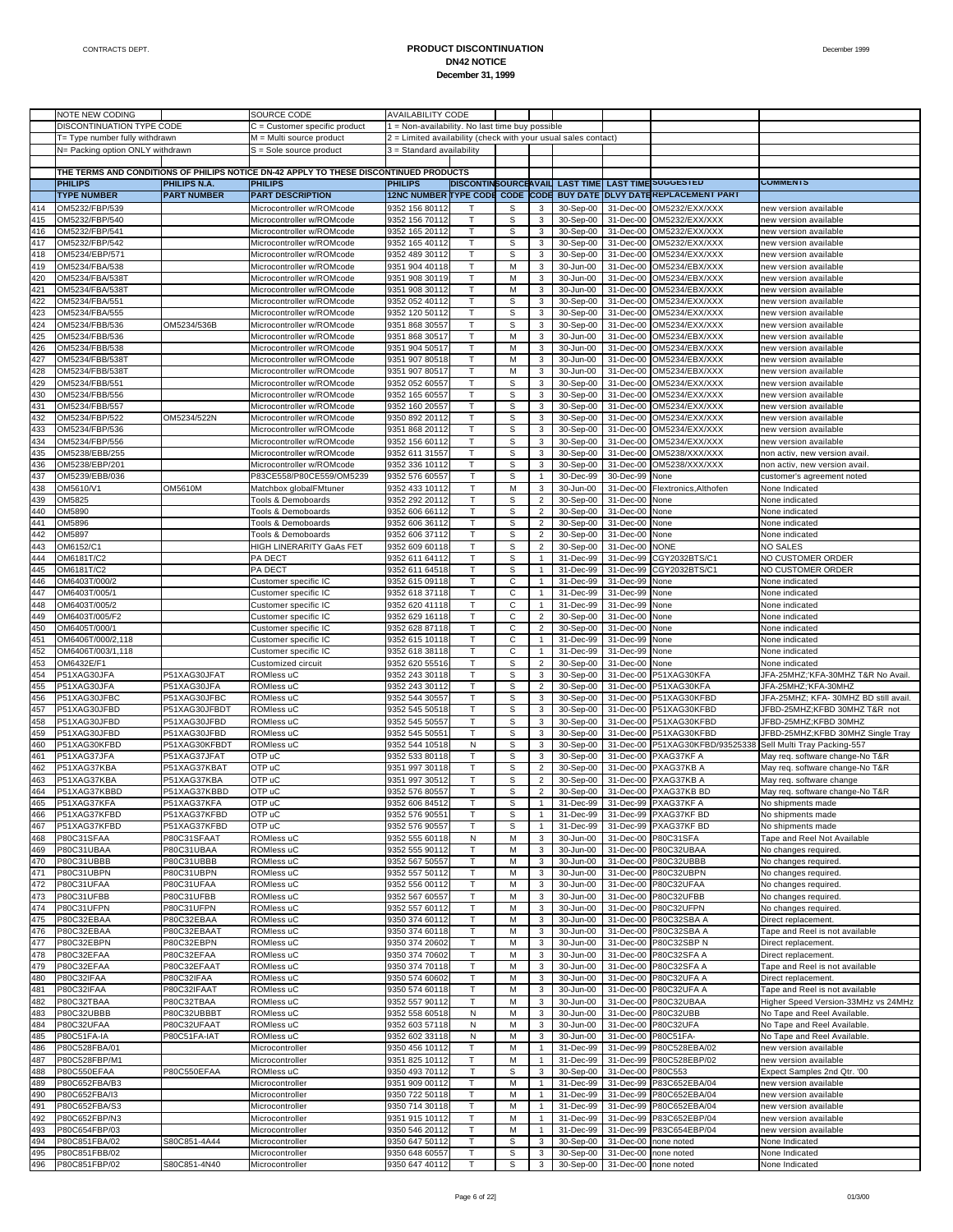|     | NOTE NEW CODING                  |                    | SOURCE CODE                                                                           | <b>AVAILABILITY CODE</b>                                       |    |   |                |           |                   |                                                                     |                                      |
|-----|----------------------------------|--------------------|---------------------------------------------------------------------------------------|----------------------------------------------------------------|----|---|----------------|-----------|-------------------|---------------------------------------------------------------------|--------------------------------------|
|     | DISCONTINUATION TYPE CODE        |                    | C = Customer specific product                                                         | 1 = Non-availability. No last time buy possible                |    |   |                |           |                   |                                                                     |                                      |
|     | T= Type number fully withdrawn   |                    | M = Multi source product                                                              | 2 = Limited availability (check with your usual sales contact) |    |   |                |           |                   |                                                                     |                                      |
|     | N= Packing option ONLY withdrawn |                    | $S =$ Sole source product                                                             | 3 = Standard availability                                      |    |   |                |           |                   |                                                                     |                                      |
|     |                                  |                    |                                                                                       |                                                                |    |   |                |           |                   |                                                                     |                                      |
|     |                                  |                    | THE TERMS AND CONDITIONS OF PHILIPS NOTICE DN-42 APPLY TO THESE DISCONTINUED PRODUCTS |                                                                |    |   |                |           |                   |                                                                     |                                      |
|     | <b>PHILIPS</b>                   | PHILIPS N.A.       | <b>PHILIPS</b>                                                                        | <b>PHILIPS</b>                                                 |    |   |                |           |                   | DISCONTINSOURCEAVAIL LAST TIME LAST TIME SUGGESTED                  | <b>COMMENTS</b>                      |
|     | <b>TYPE NUMBER</b>               | <b>PART NUMBER</b> | <b>PART DESCRIPTION</b>                                                               |                                                                |    |   |                |           |                   | 12NC NUMBER TYPE CODE CODE CODE BUY DATE DLVY DATE KEPLACEMENT PART |                                      |
|     |                                  |                    |                                                                                       |                                                                |    |   |                |           |                   |                                                                     |                                      |
| 414 | OM5232/FBP/539                   |                    | Microcontroller w/ROMcode                                                             | 9352 156 80112                                                 |    | s | 3              | 30-Sep-00 | 31-Dec-00         | OM5232/EXX/XXX                                                      | new version available                |
| 415 | OM5232/FBP/540                   |                    | Microcontroller w/ROMcode                                                             | 9352 156 70112                                                 | T  | s | 3              | 30-Sep-00 | 31-Dec-00         | OM5232/EXX/XXX                                                      | new version available                |
| 416 | OM5232/FBP/541                   |                    | Microcontroller w/ROMcode                                                             | 9352 165 20112                                                 | т  | s | 3              | 30-Sep-00 | 31-Dec-00         | OM5232/EXX/XXX                                                      | new version available                |
| 417 | OM5232/FBP/542                   |                    | Microcontroller w/ROMcode                                                             | 9352 165 40112                                                 | T  | S | 3              | 30-Sep-00 | 31-Dec-00         | OM5232/EXX/XXX                                                      | new version available                |
| 418 | OM5234/EBP/571                   |                    | Microcontroller w/ROMcode                                                             | 9352 489 30112                                                 | T  | S | 3              | 30-Sep-00 | 31-Dec-00         | OM5234/EXX/XXX                                                      | new version available                |
| 419 | OM5234/FBA/538                   |                    | Microcontroller w/ROMcode                                                             | 9351 904 40118                                                 | T  | М | 3              | 30-Jun-00 | 31-Dec-00         | OM5234/EBX/XXX                                                      | new version available                |
| 420 | OM5234/FBA/5387                  |                    | Microcontroller w/ROMcode                                                             | 9351 908 30119                                                 | т  | М | 3              | 30-Jun-00 | 31-Dec-00         | OM5234/EBX/XXX                                                      | new version available                |
| 421 | OM5234/FBA/5387                  |                    | Microcontroller w/ROMcode                                                             | 9351 908 30112                                                 | T  | M | 3              | 30-Jun-00 | 31-Dec-00         | OM5234/EBX/XXX                                                      | new version available                |
|     |                                  |                    |                                                                                       |                                                                |    |   |                |           |                   |                                                                     |                                      |
| 422 | OM5234/FBA/551                   |                    | Microcontroller w/ROMcode                                                             | 9352 052 40112                                                 | T  | S | 3              | 30-Sep-00 | 31-Dec-00         | OM5234/EXX/XXX                                                      | new version available                |
| 423 | OM5234/FBA/555                   |                    | Microcontroller w/ROMcode                                                             | 9352 120 50112                                                 | T  | S | 3              | 30-Sep-00 | 31-Dec-00         | OM5234/EXX/XXX                                                      | new version available                |
| 424 | OM5234/FBB/536                   | OM5234/536B        | Microcontroller w/ROMcode                                                             | 9351 868 30557                                                 | т  | S | 3              | 30-Sep-00 | 31-Dec-00         | OM5234/EXX/XXX                                                      | new version available                |
| 425 | OM5234/FBB/536                   |                    | Microcontroller w/ROMcode                                                             | 9351 868 30517                                                 | T  | М | 3              | 30-Jun-00 | 31-Dec-00         | OM5234/EBX/XXX                                                      | new version available                |
| 426 | OM5234/FBB/538                   |                    | Microcontroller w/ROMcode                                                             | 9351 904 50517                                                 | т  | M | 3              | 30-Jun-00 |                   | 31-Dec-00 OM5234/EBX/XXX                                            | new version available                |
| 427 | OM5234/FBB/5387                  |                    | Microcontroller w/ROMcode                                                             | 9351 907 80518                                                 | T  | M | 3              | 30-Jun-00 | 31-Dec-00         | OM5234/EBX/XXX                                                      | new version available                |
| 428 | OM5234/FBB/5387                  |                    | Microcontroller w/ROMcode                                                             | 9351 907 80517                                                 | т  | M | 3              | 30-Jun-00 | 31-Dec-00         | OM5234/EBX/XXX                                                      | new version available                |
| 429 | OM5234/FBB/551                   |                    | Microcontroller w/ROMcode                                                             | 9352 052 60557                                                 | T  | S | 3              | 30-Sep-00 | 31-Dec-00         | OM5234/EXX/XXX                                                      | new version available                |
|     |                                  |                    |                                                                                       |                                                                | т  |   |                |           |                   |                                                                     |                                      |
| 430 | OM5234/FBB/556                   |                    | Microcontroller w/ROMcode                                                             | 9352 165 60557                                                 |    | S | 3              | 30-Sep-00 | 31-Dec-00         | OM5234/EXX/XXX                                                      | new version available                |
| 431 | OM5234/FBB/557                   |                    | Microcontroller w/ROMcode                                                             | 9352 160 20557                                                 | T  | s | 3              | 30-Sep-00 | 31-Dec-00         | OM5234/EXX/XXX                                                      | new version available                |
| 432 | OM5234/FBP/522                   | OM5234/522N        | Microcontroller w/ROMcode                                                             | 9350 892 20112                                                 | т  | s | 3              | 30-Sep-00 | 31-Dec-00         | OM5234/EXX/XXX                                                      | new version available                |
| 433 | OM5234/FBP/536                   |                    | Microcontroller w/ROMcode                                                             | 9351 868 20112                                                 | T  | S | 3              | 30-Sep-00 | 31-Dec-00         | OM5234/EXX/XXX                                                      | new version available                |
| 434 | OM5234/FBP/556                   |                    | Microcontroller w/ROMcode                                                             | 9352 156 60112                                                 | т  | S | 3              | 30-Sep-00 | 31-Dec-00         | OM5234/EXX/XXX                                                      | new version available                |
| 435 | OM5238/EBB/255                   |                    | Microcontroller w/ROMcode                                                             | 9352 611 31557                                                 | T  | s | 3              | 30-Sep-00 | 31-Dec-00         | OM5238/XXX/XXX                                                      | non activ, new version avail         |
| 436 | OM5238/EBP/201                   |                    | Microcontroller w/ROMcode                                                             | 9352 336 10112                                                 | т  | s | 3              | 30-Sep-00 | 31-Dec-00         | OM5238/XXX/XXX                                                      | non activ, new version avail         |
| 437 | OM5239/EBB/036                   |                    | P83CE558/P80CE559/OM5239                                                              | 9352 576 60557                                                 | T  | S | $\mathbf{1}$   | 30-Dec-99 | 30-Dec-99         | None                                                                | customer's agreement noted           |
|     |                                  |                    |                                                                                       |                                                                |    |   |                |           |                   |                                                                     |                                      |
| 438 | OM5610/V1                        | OM5610M            | Matchbox globalFMtuner                                                                | 9352 433 10112                                                 | T. | M | 3              | 30-Jun-00 | 31-Dec-00         | Flextronics, Althofen                                               | None Indicated                       |
| 439 | OM5825                           |                    | Tools & Demoboards                                                                    | 9352 292 20112                                                 | T  | S | $\overline{2}$ | 30-Sep-00 | 31-Dec-00         | None                                                                | None indicated                       |
| 440 | OM5890                           |                    | Tools & Demoboards                                                                    | 9352 606 66112                                                 | т  | S | $\overline{2}$ | 30-Sep-00 | 31-Dec-00         | None                                                                | None indicated                       |
| 441 | OM5896                           |                    | <b>Tools &amp; Demoboards</b>                                                         | 9352 606 36112                                                 | T  | S | $\overline{2}$ | 30-Sep-00 | 31-Dec-00         | None                                                                | None indicated                       |
| 442 | OM5897                           |                    | Tools & Demoboards                                                                    | 9352 606 37112                                                 | T. | S | $\overline{2}$ | 30-Sep-00 | 31-Dec-00         | None                                                                | None indicated                       |
| 443 | OM6152/C1                        |                    | HIGH LINERARITY GaAs FET                                                              | 9352 609 60118                                                 | T. | S | $\overline{2}$ | 30-Sep-00 | 31-Dec-00         | <b>NONE</b>                                                         | NO SALES                             |
| 444 | OM6181T/C2                       |                    | PA DECT                                                                               | 9352 611 64112                                                 | T  | S | $\mathbf{1}$   | 31-Dec-99 | 31-Dec-99         | CGY2032BTS/C1                                                       | NO CUSTOMER ORDER                    |
| 445 | OM6181T/C2                       |                    | PA DECT                                                                               | 9352 611 64518                                                 | T  | S | 1              | 31-Dec-99 | 31-Dec-99         | CGY2032BTS/C1                                                       | NO CUSTOMER ORDER                    |
| 446 | OM6403T/000/2                    |                    |                                                                                       |                                                                | T. | С | 1              | 31-Dec-99 |                   | None                                                                |                                      |
|     |                                  |                    | Customer specific IC                                                                  | 9352 615 09118                                                 |    |   |                |           | 31-Dec-99         |                                                                     | None indicated                       |
| 447 | OM6403T/005/1                    |                    | Customer specific IC                                                                  | 9352 618 37118                                                 | T  | C | $\mathbf{1}$   | 31-Dec-99 | 31-Dec-99         | None                                                                | None indicated                       |
| 448 | OM6403T/005/2                    |                    | Customer specific IC                                                                  | 9352 620 41118                                                 | T  | С | $\mathbf{1}$   | 31-Dec-99 | 31-Dec-99         | None                                                                | None indicated                       |
| 449 | OM6403T/005/F2                   |                    | Customer specific IC                                                                  | 9352 629 16118                                                 | T  | C | 2              | 30-Sep-00 | 31-Dec-00         | None                                                                | None indicated                       |
| 450 | OM6405T/000/1                    |                    | Customer specific IC                                                                  | 9352 628 87118                                                 | T. | С | $\overline{2}$ | 30-Sep-00 | 31-Dec-00         | None                                                                | None indicated                       |
| 451 | OM6406T/000/2,118                |                    | Customer specific IC                                                                  | 9352 615 10118                                                 | T  | C | $\mathbf{1}$   | 31-Dec-99 | 31-Dec-99         | None                                                                | None indicated                       |
| 452 | OM6406T/003/1,118                |                    | Customer specific IC                                                                  | 9352 618 38118                                                 | т  | С | $\mathbf{1}$   | 31-Dec-99 | 31-Dec-99         | None                                                                | None indicated                       |
| 453 | OM6432E/F1                       |                    | Customized circuit                                                                    | 9352 620 55516                                                 | T  | S | 2              | 30-Sep-00 | 31-Dec-00         | None                                                                | None indicated                       |
| 454 | P51XAG30JFA                      | P51XAG30JFAT       | ROMIess uC                                                                            | 9352 243 30118                                                 | T  | S | 3              | 30-Sep-00 | 31-Dec-00         | P51XAG30KFA                                                         | JFA-25MHZ;'KFA-30MHZ T&R No Avail.   |
| 455 |                                  | P51XAG30JFA        | ROMless uC                                                                            |                                                                | T  | s | $\overline{2}$ | 30-Sep-00 | 31-Dec-00         | P51XAG30KFA                                                         | JFA-25MHZ;'KFA-30MHZ                 |
|     | P51XAG30JFA                      |                    |                                                                                       | 9352 243 30112                                                 |    |   |                |           |                   |                                                                     |                                      |
| 456 | P51XAG30JFBC                     | P51XAG30JFBC       | ROMIess uC                                                                            | 9352 544 30557                                                 | т  | s | 3              | 30-Sep-00 |                   | 31-Dec-00 P51XAG30KFBD                                              | JFA-25MHZ; KFA-30MHZ BD still avail. |
| 457 | P51XAG30JFBD                     | P51XAG30JFBDT      | ROMless uC                                                                            | 9352 545 50518                                                 | T  | S | 3              | 30-Sep-00 | 31-Dec-00         | P51XAG30KFBD                                                        | JFBD-25MHZ;KFBD 30MHZ T&R not        |
| 458 | P51XAG30JFBD                     | P51XAG30JFBD       | ROMless uC                                                                            | 9352 545 50557                                                 | T. | S | 3              | 30-Sep-00 |                   | 31-Dec-00 P51XAG30KFBD                                              | JFBD-25MHZ;KFBD 30MHZ                |
| 459 | P51XAG30JFBD                     | P51XAG30JFBD       | ROMIess uC                                                                            | 9352 545 5055                                                  | T  | s | 3              | 30-Sep-00 | 31-Dec-00         | P51XAG30KFBD                                                        | JFBD-25MHZ;KFBD 30MHZ Single Tray    |
| 460 | P51XAG30KFBD                     | P51XAG30KFBDT      | ROMless uC                                                                            | 9352 544 10518                                                 | N  | s | 3              | 30-Sep-00 |                   | 31-Dec-00 P51XAG30KFBD/93525338                                     | Sell Multi Tray Packing-557          |
| 461 | P51XAG37JFA                      | P51XAG37JFAT       | OTP uC                                                                                | 9352 533 80118                                                 | T  | S | 3              | 30-Sep-00 | 31-Dec-00         | PXAG37KF A                                                          | May req. software change-No T&R      |
| 462 | P51XAG37KBA                      | P51XAG37KBAT       | OTP uC                                                                                | 9351 997 30118                                                 | T. | s | $\overline{2}$ | 30-Sep-00 | 31-Dec-00         | PXAG37KB A                                                          | May req. software change-No T&R      |
| 463 | P51XAG37KBA                      | P51XAG37KBA        | OTP uC                                                                                | 9351 997 30512                                                 | T  | s | $\overline{2}$ | 30-Sep-00 | 31-Dec-00         | PXAG37KB A                                                          | May req. software change             |
|     | P51XAG37KBBD                     | P51XAG37KBBD       | OTP uC                                                                                | 9352 576 80557                                                 | T  | S | $\overline{2}$ |           |                   | 31-Dec-00 PXAG37KB BD                                               | May req. software change-No T&R      |
| 464 |                                  |                    |                                                                                       |                                                                |    |   |                | 30-Sep-00 |                   |                                                                     |                                      |
| 465 | P51XAG37KFA                      | P51XAG37KFA        | OTP uC                                                                                | 9352 606 84512                                                 |    | S |                | 31-Dec-99 |                   | 31-Dec-99 PXAG37KF A                                                | No shipments made                    |
| 466 | P51XAG37KFBD                     | P51XAG37KFBD       | OTP uC                                                                                | 9352 576 90551                                                 | Τ  | s | 1              | 31-Dec-99 |                   | 31-Dec-99 PXAG37KF BD                                               | No shipments made                    |
| 467 | P51XAG37KFBD                     | P51XAG37KFBD       | OTP uC                                                                                | 9352 576 90557                                                 | Τ  | S | $\mathbf{1}$   | 31-Dec-99 |                   | 31-Dec-99 PXAG37KF BD                                               | No shipments made                    |
| 468 | P80C31SFAA                       | P80C31SFAAT        | ROMless uC                                                                            | 9352 555 60118                                                 | N  | М | 3              | 30-Jun-00 |                   | 31-Dec-00 P80C31SFA                                                 | Tape and Reel Not Available          |
| 469 | P80C31UBAA                       | P80C31UBAA         | ROMIess uC                                                                            | 9352 555 90112                                                 | T  | М | 3              | 30-Jun-00 |                   | 31-Dec-00 P80C32UBAA                                                | No changes required                  |
| 470 | P80C31UBBB                       | P80C31UBBB         | ROMless uC                                                                            | 9352 567 50557                                                 | T  | М | $\mathbf{3}$   | 30-Jun-00 |                   | 31-Dec-00 P80C32UBBB                                                | No changes required.                 |
| 471 | P80C31UBPN                       | P80C31UBPN         | ROMless uC                                                                            | 9352 557 50112                                                 | Τ  | М | 3              | 30-Jun-00 |                   | 31-Dec-00 P80C32UBPN                                                | No changes required.                 |
| 472 | P80C31UFAA                       | P80C31UFAA         | ROMIess uC                                                                            | 9352 556 00112                                                 | Τ  | М | 3              | 30-Jun-00 |                   | 31-Dec-00 P80C32UFAA                                                | No changes required.                 |
|     |                                  |                    |                                                                                       |                                                                |    |   |                |           |                   |                                                                     |                                      |
| 473 | P80C31UFBB                       | P80C31UFBB         | ROMless uC                                                                            | 9352 567 60557                                                 | Τ  | М | 3              | 30-Jun-00 | 31-Dec-00         | P80C32UFBB                                                          | No changes required.                 |
| 474 | P80C31UFPN                       | P80C31UFPN         | ROMless uC                                                                            | 9352 557 60112                                                 | T  | M | 3 <sup>1</sup> | 30-Jun-00 |                   | 31-Dec-00 P80C32UFPN                                                | No changes required.                 |
| 475 | P80C32EBAA                       | P80C32EBAA         | ROMless uC                                                                            | 9350 374 60112                                                 | Τ  | М | 3              | 30-Jun-00 | 31-Dec-00         | P80C32SBA A                                                         | Direct replacement.                  |
| 476 | P80C32EBAA                       | P80C32EBAAT        | ROMIess uC                                                                            | 9350 374 60118                                                 | Τ  | М | 3              | 30-Jun-00 |                   | 31-Dec-00 P80C32SBA A                                               | Tape and Reel is not available       |
| 477 | P80C32EBPN                       | P80C32EBPN         | ROMless uC                                                                            | 9350 374 20602                                                 | T  | М | 3              | 30-Jun-00 | 31-Dec-00         | P80C32SBP N                                                         | Direct replacement.                  |
| 478 | P80C32EFAA                       | P80C32EFAA         | ROMless uC                                                                            | 9350 374 70602                                                 | T  | М | 3 <sup>7</sup> | 30-Jun-00 |                   | 31-Dec-00 P80C32SFA A                                               | Direct replacement.                  |
| 479 | P80C32EFAA                       | P80C32EFAAT        | ROMless uC                                                                            | 9350 374 70118                                                 | T  | М | 3              | 30-Jun-00 | 31-Dec-00         | P80C32SFA A                                                         | Tape and Reel is not available       |
| 480 | P80C32IFAA                       | P80C32IFAA         | ROMless uC                                                                            | 9350 574 60602                                                 | Τ  | М | 3              | 30-Jun-00 |                   | 31-Dec-00 P80C32UFA A                                               | Direct replacement.                  |
| 481 | P80C32IFAA                       | P80C32IFAAT        | ROMless uC                                                                            | 9350 574 60118                                                 | Τ  | М | 3              | 30-Jun-00 | 31-Dec-00         | P80C32UFA A                                                         | Tape and Reel is not available       |
|     |                                  |                    |                                                                                       |                                                                |    |   |                |           |                   |                                                                     |                                      |
| 482 | P80C32TBAA                       | P80C32TBAA         | ROMless uC                                                                            | 9352 557 90112                                                 | Τ  | М | $\mathbf{3}$   | 30-Jun-00 |                   | 31-Dec-00 P80C32UBAA                                                | Higher Speed Version-33MHz vs 24MHz  |
| 483 | P80C32UBBB                       | P80C32UBBBT        | ROMless uC                                                                            | 9352 558 60518                                                 | N  | М | 3              | 30-Jun-00 | 31-Dec-00         | P80C32UBB                                                           | No Tape and Reel Available.          |
| 484 | P80C32UFAA                       | P80C32UFAAT        | ROMless uC                                                                            | 9352 603 57118                                                 | N  | М | 3              | 30-Jun-00 |                   | 31-Dec-00 P80C32UFA                                                 | No Tape and Reel Available.          |
| 485 | P80C51FA-IA                      | P80C51FA-IAT       | ROMIess uC                                                                            | 9352 602 33118                                                 | N  | М | 3              | 30-Jun-00 | 31-Dec-00         | P80C51FA-                                                           | No Tape and Reel Available.          |
| 486 | P80C528FBA/01                    |                    | Microcontroller                                                                       | 9350 456 10112                                                 | Τ  | М | 1              | 31-Dec-99 |                   | 31-Dec-99 P80C528EBA/02                                             | new version available                |
| 487 | P80C528FBP/M1                    |                    | Microcontroller                                                                       | 9351 825 10112                                                 | Τ  | М | $\mathbf{1}$   | 31-Dec-99 | 31-Dec-99         | P80C528EBP/02                                                       | new version available                |
| 488 | P80C550EFAA                      | P80C550EFAA        | ROMIess uC                                                                            | 9350 493 70112                                                 | Τ  | s | 3              | 30-Sep-00 | 31-Dec-00 P80C553 |                                                                     | Expect Samples 2nd Qtr. '00          |
| 489 | P80C652FBA/B3                    |                    | Microcontroller                                                                       | 9351 909 00112                                                 | т  | М | $\mathbf{1}$   | 31-Dec-99 | 31-Dec-99         | P83C652EBA/04                                                       | new version available                |
|     |                                  |                    |                                                                                       |                                                                |    |   |                |           |                   |                                                                     |                                      |
| 490 | P80C652FBA/I3                    |                    | Microcontroller                                                                       | 9350 722 50118                                                 | т  | М | $\mathbf{1}$   | 31-Dec-99 |                   | 31-Dec-99 P80C652EBA/04                                             | new version available                |
| 491 | P80C652FBA/S3                    |                    | Microcontroller                                                                       | 9350 714 30118                                                 | т  | М | $\mathbf{1}$   | 31-Dec-99 | 31-Dec-99         | P80C652EBA/04                                                       | new version available                |
| 492 | P80C652FBP/N3                    |                    | Microcontroller                                                                       | 9351 915 10112                                                 | T  | М | 1              | 31-Dec-99 |                   | 31-Dec-99 P83C652EBP/04                                             | new version available                |
| 493 | P80C654FBP/03                    |                    | Microcontroller                                                                       | 9350 546 20112                                                 | т  | М | $\mathbf{1}$   | 31-Dec-99 | 31-Dec-99         | P83C654EBP/04                                                       | new version available                |
| 494 | P80C851FBA/02                    | S80C851-4A44       | Microcontroller                                                                       | 9350 647 50112                                                 | T  | S | $\mathbf{3}$   | 30-Sep-00 | 31-Dec-00         | none noted                                                          | None Indicated                       |
| 495 | P80C851FBB/02                    |                    | Microcontroller                                                                       | 9350 648 60557                                                 | т  | S | 3              | 30-Sep-00 | 31-Dec-00         | none noted                                                          | None Indicated                       |
|     |                                  | S80C851-4N40       | Microcontroller                                                                       | 9350 647 40112                                                 | T  | s | 3 <sup>1</sup> | 30-Sep-00 |                   | 31-Dec-00 none noted                                                | None Indicated                       |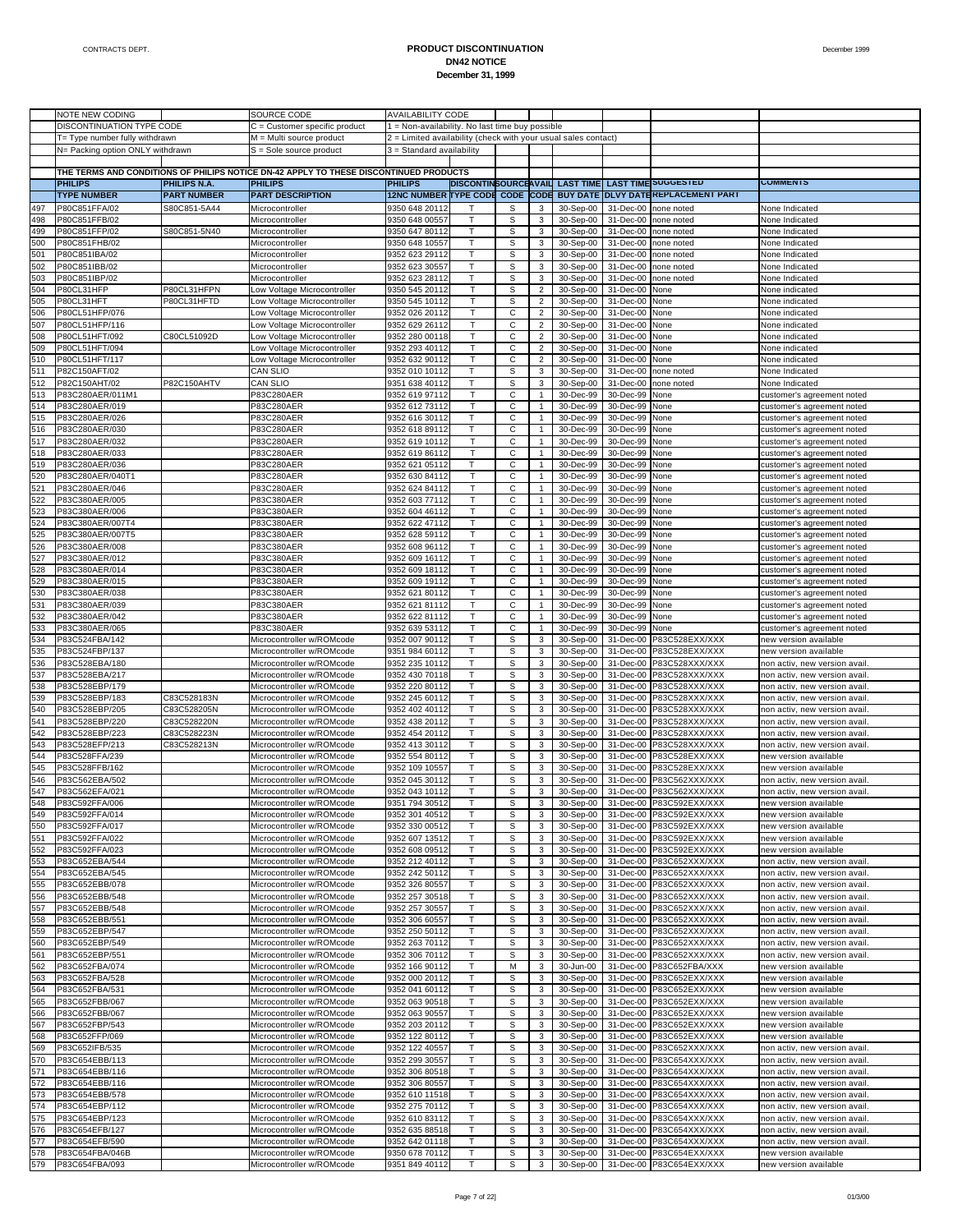|            | NOTE NEW CODING                  |                            | SOURCE CODE                                                                           | <b>AVAILABILITY CODE</b>                                       |                      |             |                                  |                        |                        |                                                         |                                                                |
|------------|----------------------------------|----------------------------|---------------------------------------------------------------------------------------|----------------------------------------------------------------|----------------------|-------------|----------------------------------|------------------------|------------------------|---------------------------------------------------------|----------------------------------------------------------------|
|            | DISCONTINUATION TYPE CODE        |                            | C = Customer specific product                                                         | 1 = Non-availability. No last time buy possible                |                      |             |                                  |                        |                        |                                                         |                                                                |
|            | T= Type number fully withdrawn   |                            | M = Multi source product                                                              | 2 = Limited availability (check with your usual sales contact) |                      |             |                                  |                        |                        |                                                         |                                                                |
|            | N= Packing option ONLY withdrawn |                            | S = Sole source product                                                               | 3 = Standard availability                                      |                      |             |                                  |                        |                        |                                                         |                                                                |
|            |                                  |                            |                                                                                       |                                                                |                      |             |                                  |                        |                        |                                                         |                                                                |
|            |                                  |                            | THE TERMS AND CONDITIONS OF PHILIPS NOTICE DN-42 APPLY TO THESE DISCONTINUED PRODUCTS |                                                                |                      |             |                                  |                        |                        |                                                         |                                                                |
|            | <b>PHILIPS</b>                   | PHILIPS N.A.               | <b>PHILIPS</b>                                                                        | <b>PHILIPS</b>                                                 | DISCONTINSOURCEAVAIL |             |                                  | <b>LAST TIME</b>       |                        | <b>LAST TIME SUGGESTED</b><br>DLVY DATEREPLACEMENT PART | <b>COMMENTS</b>                                                |
|            | <b>TYPE NUMBER</b>               | <b>PART NUMBER</b>         | <b>PART DESCRIPTION</b>                                                               | <b>12NC NUMBER TYPE CODE</b>                                   |                      | <b>CODE</b> | <b>CODE</b>                      | <b>BUY DATE</b>        |                        |                                                         |                                                                |
| 497        | P80C851FFA/02                    | S80C851-5A44               | Microcontroller                                                                       | 9350 648 20112                                                 | т                    | S           | 3                                | 30-Sep-00              | 31-Dec-00              | none noted                                              | None Indicated                                                 |
| 498        | P80C851FFB/02                    |                            | Microcontroller                                                                       | 9350 648 00557                                                 | $\mathsf{T}$         | S           | 3                                | 30-Sep-00              | 31-Dec-00              | none noted                                              | None Indicated                                                 |
| 499        | P80C851FFP/02                    | S80C851-5N40               | Microcontroller                                                                       | 9350 647 80112                                                 | т                    | s           | 3                                | 30-Sep-00              | 31-Dec-00              | none noted                                              | None Indicated                                                 |
| 500        | P80C851FHB/02                    |                            | Microcontroller                                                                       | 9350 648 10557                                                 | $\mathsf{T}$         | S           | 3                                | 30-Sep-00              | 31-Dec-00              | none noted                                              | None Indicated                                                 |
| 501        | P80C851IBA/02                    |                            | Microcontroller                                                                       | 9352 623 29112                                                 | Т<br>$\mathsf{T}$    | s           | 3                                | 30-Sep-00              | 31-Dec-00              | none noted                                              | None Indicated                                                 |
| 502        | P80C851IBB/02                    |                            | Microcontroller                                                                       | 9352 623 30557                                                 |                      | S           | 3                                | 30-Sep-00              | 31-Dec-00              | none noted                                              | None Indicated                                                 |
| 503        | P80C851IBP/02                    |                            | Microcontroller                                                                       | 9352 623 28112                                                 | т<br>T               | s           | 3                                | 30-Sep-00              | 31-Dec-00              | none noted                                              | None Indicated                                                 |
| 504        | P80CL31HFP<br>P80CL31HFT         | P80CL31HFPN<br>P80CL31HFTD | Low Voltage Microcontroller                                                           | 9350 545 20112                                                 |                      | S<br>s      | $\overline{2}$<br>$\overline{2}$ | 30-Sep-00              | 31-Dec-00<br>31-Dec-00 | None                                                    | None indicated                                                 |
| 505<br>506 | P80CL51HFP/076                   |                            | Low Voltage Microcontroller<br>Low Voltage Microcontroller                            | 9350 545 10112<br>9352 026 20112                               | T                    | С           | $\overline{2}$                   | 30-Sep-00<br>30-Sep-00 | 31-Dec-00              | None<br>None                                            | None indicated<br>None indicated                               |
| 507        | P80CL51HFP/116                   |                            | Low Voltage Microcontroller                                                           | 9352 629 26112                                                 |                      | С           | $\overline{2}$                   | 30-Sep-00              | 31-Dec-00              |                                                         |                                                                |
| 508        | P80CL51HFT/092                   | C80CL51092D                | Low Voltage Microcontroller                                                           | 9352 280 00118                                                 | T                    | С           | $\overline{2}$                   | 30-Sep-00              | 31-Dec-00              | None<br>None                                            | None indicated<br>None indicated                               |
| 509        | P80CL51HFT/094                   |                            | Low Voltage Microcontroller                                                           | 9352 293 40112                                                 | т                    | С           | $\overline{2}$                   | 30-Sep-00              | 31-Dec-00              | None                                                    | None indicated                                                 |
| 510        | P80CL51HFT/117                   |                            | Low Voltage Microcontroller                                                           | 9352 632 90112                                                 | T                    | С           | $\overline{\mathbf{c}}$          | 30-Sep-00              | 31-Dec-00              | None                                                    | None indicated                                                 |
| 511        | P82C150AFT/02                    |                            | CAN SLIO                                                                              | 9352 010 10112                                                 |                      | s           | 3                                | 30-Sep-00              | 31-Dec-00              | none noted                                              | None Indicated                                                 |
| 512        | P82C150AHT/02                    | P82C150AHTV                | CAN SLIO                                                                              | 9351 638 40112                                                 | $\mathsf{T}$         | S           | 3                                | 30-Sep-00              | 31-Dec-00              | none noted                                              | None Indicated                                                 |
| 513        | P83C280AER/011M1                 |                            | P83C280AER                                                                            | 9352 619 97112                                                 | Т                    | С           | $\mathbf{1}$                     | 30-Dec-99              | 30-Dec-99              | None                                                    | customer's agreement noted                                     |
| 514        | P83C280AER/019                   |                            | P83C280AER                                                                            | 9352 612 73112                                                 | T                    | С           | $\mathbf{1}$                     | 30-Dec-99              | 30-Dec-99              | None                                                    | customer's agreement noted                                     |
| 515        | P83C280AER/026                   |                            | P83C280AER                                                                            | 9352 616 30112                                                 |                      | С           | $\mathbf{1}$                     | 30-Dec-99              | 30-Dec-99              | None                                                    | customer's agreement noted                                     |
| 516        | P83C280AER/030                   |                            | P83C280AER                                                                            | 9352 618 89112                                                 | T                    | С           | $\mathbf{1}$                     | 30-Dec-99              | 30-Dec-99              | None                                                    | customer's agreement noted                                     |
| 517        | P83C280AER/032                   |                            | P83C280AER                                                                            | 9352 619 10112                                                 | Т                    | С           | 1                                | 30-Dec-99              | 30-Dec-99              | None                                                    | customer's agreement noted                                     |
| 518        | P83C280AER/033                   |                            | P83C280AER                                                                            | 9352 619 86112                                                 | T                    | C           | $\mathbf{1}$                     | 30-Dec-99              | 30-Dec-99              | None                                                    | customer's agreement noted                                     |
| 519        | P83C280AER/036                   |                            | P83C280AER                                                                            | 9352 621 05112                                                 | т                    | С           | -1                               | 30-Dec-99              | 30-Dec-99              | None                                                    | customer's agreement noted                                     |
| 520        | P83C280AER/040T1                 |                            | P83C280AER                                                                            | 9352 630 84112                                                 | T                    | С           | $\mathbf{1}$                     | 30-Dec-99              | 30-Dec-99              | None                                                    | customer's agreement noted                                     |
| 521        | P83C280AER/046                   |                            | P83C280AER                                                                            | 9352 624 84112                                                 | т                    | С           | 1                                | 30-Dec-99              | 30-Dec-99              | None                                                    | customer's agreement noted                                     |
| 522        | P83C380AER/005                   |                            | P83C380AER                                                                            | 9352 603 77112                                                 | T                    | С           | $\mathbf{1}$                     | 30-Dec-99              | 30-Dec-99              | None                                                    | customer's agreement noted                                     |
| 523        | P83C380AER/006                   |                            | P83C380AER                                                                            | 9352 604 46112                                                 |                      | С           | -1                               | 30-Dec-99              | 30-Dec-99              | None                                                    | customer's agreement noted                                     |
| 524        | P83C380AER/007T4                 |                            | P83C380AER                                                                            | 9352 622 47112                                                 | T                    | С           | $\mathbf{1}$                     | 30-Dec-99              | 30-Dec-99              | None                                                    | customer's agreement noted                                     |
| 525        | P83C380AER/007T5                 |                            | P83C380AER                                                                            | 9352 628 59112                                                 | Т                    | С           | 1                                | 30-Dec-99              | 30-Dec-99              | None                                                    | customer's agreement noted                                     |
| 526        | P83C380AER/008                   |                            | P83C380AER                                                                            | 9352 608 96112                                                 | T                    | С           | $\mathbf{1}$                     | 30-Dec-99              | 30-Dec-99              | None                                                    | customer's agreement noted                                     |
| 527        | P83C380AER/012                   |                            | P83C380AER                                                                            | 9352 609 16112                                                 |                      | С           | $\mathbf{1}$                     | 30-Dec-99              | 30-Dec-99              | None                                                    | customer's agreement noted                                     |
| 528        | P83C380AER/014                   |                            | P83C380AER                                                                            | 9352 609 18112                                                 | T                    | С           | $\overline{1}$                   | 30-Dec-99              | 30-Dec-99              | None                                                    | customer's agreement noted                                     |
| 529        | P83C380AER/015                   |                            | P83C380AER                                                                            | 9352 609 19112                                                 | Т                    | С           | 1                                | 30-Dec-99              | 30-Dec-99              | None                                                    | customer's agreement noted                                     |
| 530        | P83C380AER/038                   |                            | P83C380AER                                                                            | 9352 621 80112                                                 | T                    | С           | $\mathbf{1}$                     | 30-Dec-99              | 30-Dec-99              | None                                                    | customer's agreement noted                                     |
| 531        | P83C380AER/039                   |                            | P83C380AER                                                                            | 9352 621 81112                                                 | т                    | С           | $\mathbf{1}$                     | 30-Dec-99              | 30-Dec-99              | None                                                    | customer's agreement noted                                     |
| 532        | P83C380AER/042                   |                            | P83C380AER                                                                            | 9352 622 81112                                                 | T                    | С           | $\mathbf{1}$                     | 30-Dec-99              | 30-Dec-99              | None                                                    | customer's agreement noted                                     |
| 533        | P83C380AER/065                   |                            | P83C380AER                                                                            | 9352 639 53112                                                 |                      | С           | $\mathbf{1}$                     | 30-Dec-99              | 30-Dec-99              | None                                                    | customer's agreement noted                                     |
| 534        | P83C524FBA/142                   |                            | Microcontroller w/ROMcode                                                             | 9352 007 90112                                                 | $\mathsf{T}$         | S           | 3                                | 30-Sep-00              | 31-Dec-00              | P83C528EXX/XXX                                          | new version available                                          |
| 535        | P83C524FBP/137                   |                            | Microcontroller w/ROMcode                                                             | 9351 984 60112                                                 |                      | s           | 3                                | 30-Sep-00              | 31-Dec-00              | P83C528EXX/XXX                                          | new version available                                          |
| 536        | P83C528EBA/180                   |                            | Microcontroller w/ROMcode                                                             | 9352 235 10112                                                 | T                    | S           | 3                                | 30-Sep-00              | 31-Dec-00              | P83C528XXX/XXX                                          | non activ, new version avail                                   |
| 537        | P83C528EBA/217                   |                            | Microcontroller w/ROMcode                                                             | 9352 430 70118                                                 | т                    | s           | 3                                | 30-Sep-00              | 31-Dec-00              | P83C528XXX/XXX                                          | non activ, new version avail                                   |
| 538        | P83C528EBP/179                   |                            | Microcontroller w/ROMcode                                                             | 9352 220 80112                                                 | $\mathsf{T}$         | S           | 3                                | 30-Sep-00              | 31-Dec-00              | P83C528XXX/XXX                                          | non activ, new version avail                                   |
| 539        | P83C528EBP/183                   | C83C528183N                | Microcontroller w/ROMcode                                                             | 9352 245 60112                                                 |                      | s           | 3                                | 30-Sep-00              | 31-Dec-00              | P83C528XXX/XXX                                          | non activ, new version avail                                   |
| 540        | P83C528EBP/205                   | C83C528205N                | Microcontroller w/ROMcode                                                             | 9352 402 40112                                                 | $\mathsf{T}$         | S           | 3                                | 30-Sep-00              | 31-Dec-00              | P83C528XXX/XXX                                          | non activ, new version avail                                   |
| 541        | P83C528EBP/220                   | C83C528220N                | Microcontroller w/ROMcode                                                             | 9352 438 20112                                                 | Т                    | s           | 3                                | 30-Sep-00              | 31-Dec-00              | P83C528XXX/XXX                                          | non activ, new version avail                                   |
| 542        | P83C528EBP/223                   | C83C528223N                | Microcontroller w/ROMcode                                                             | 9352 454 20112                                                 | $\mathsf{T}$         | S           | 3                                | 30-Sep-00              | 31-Dec-00              | P83C528XXX/XXX                                          | non activ, new version avail                                   |
| 543        | P83C528EFP/213                   | C83C528213N                | Microcontroller w/ROMcode                                                             | 9352 413 30112                                                 |                      | s           | 3                                | 30-Sep-00              | 31-Dec-00              | P83C528XXX/XXX                                          | non activ, new version avail                                   |
| 544        | P83C528FFA/239                   |                            | Microcontroller w/ROMcode                                                             | 9352 554 80112                                                 | $\mathsf{T}$         | S           | 3                                | 30-Sep-00              | 31-Dec-00              | P83C528EXX/XXX                                          | new version available                                          |
| 545        | P83C528FFB/162                   |                            | Microcontroller w/ROMcode                                                             | 9352 109 10557                                                 | Т                    | s           | 3                                | 30-Sep-00              | 31-Dec-00              | P83C528EXX/XXX                                          | new version available                                          |
| 546        | P83C562EBA/502                   |                            | Microcontroller w/ROMcode                                                             | 9352 045 30112                                                 | $\mathsf{T}$         | S           | 3                                | 30-Sep-00              | 31-Dec-00              | P83C562XXX/XXX                                          | non activ, new version avail                                   |
| 547        | P83C562EFA/021                   |                            | Microcontroller w/ROMcode                                                             | 9352 043 10112                                                 | т                    | s           | 3                                | 30-Sep-00              |                        | 31-Dec-00 P83C562XXX/XXX                                | non activ, new version avail                                   |
| 548        | P83C592FFA/006                   |                            | Microcontroller w/ROMcode                                                             | 9351 794 30512                                                 |                      | S           | 3                                | 30-Sep-00              |                        | 31-Dec-00 P83C592EXX/XXX                                | new version available                                          |
| 549        | P83C592FFA/014                   |                            | Microcontroller w/ROMcode                                                             | 9352 301 40512                                                 | т                    | s           | 3                                | 30-Sep-00              |                        | 31-Dec-00 P83C592EXX/XXX                                | new version available                                          |
| 550        | P83C592FFA/017                   |                            | Microcontroller w/ROMcode                                                             | 9352 330 00512                                                 | $\mathsf{T}$         | s           | 3                                | 30-Sep-00              |                        | 31-Dec-00 P83C592EXX/XXX                                | new version available                                          |
| 551        | P83C592FFA/022                   |                            | Microcontroller w/ROMcode                                                             | 9352 607 13512                                                 | Т                    | S           | 3                                | 30-Sep-00              |                        | 31-Dec-00 P83C592EXX/XXX                                | new version available                                          |
| 552        | P83C592FFA/023                   |                            | Microcontroller w/ROMcode                                                             | 9352 608 09512                                                 | Т                    | s           | 3                                | 30-Sep-00              |                        | 31-Dec-00 P83C592EXX/XXX                                | new version available                                          |
| 553        | P83C652EBA/544<br>P83C652EBA/545 |                            | Microcontroller w/ROMcode<br>Microcontroller w/ROMcode                                | 9352 212 40112                                                 | т<br>Т               | s           | $\mathbf{3}$                     | 30-Sep-00              |                        | 31-Dec-00 P83C652XXX/XXX                                | non activ, new version avail.                                  |
| 554<br>555 | P83C652EBB/078                   |                            | Microcontroller w/ROMcode                                                             | 9352 242 50112<br>9352 326 80557                               | Т                    | S<br>S      | 3<br>3                           | 30-Sep-00<br>30-Sep-00 |                        | 31-Dec-00 P83C652XXX/XXX<br>31-Dec-00 P83C652XXX/XXX    | non activ, new version avail                                   |
| 556        | P83C652EBB/548                   |                            | Microcontroller w/ROMcode                                                             | 9352 257 30518                                                 | $\mathsf{T}$         | s           | 3                                | 30-Sep-00              |                        | 31-Dec-00 P83C652XXX/XXX                                | non activ, new version avail.<br>non activ, new version avail. |
| 557        | P83C652EBB/548                   |                            | Microcontroller w/ROMcode                                                             | 9352 257 30557                                                 | т                    | S           | $\mathbf{3}$                     | 30-Sep-00              |                        | 31-Dec-00 P83C652XXX/XXX                                | non activ, new version avail.                                  |
| 558        | P83C652EBB/551                   |                            | Microcontroller w/ROMcode                                                             | 9352 306 60557                                                 | Т                    | s           | 3                                | 30-Sep-00              |                        | 31-Dec-00 P83C652XXX/XXX                                | non activ, new version avail.                                  |
| 559        | P83C652EBP/547                   |                            | Microcontroller w/ROMcode                                                             | 9352 250 50112                                                 | $\mathsf{T}$         | s           | 3                                | 30-Sep-00              |                        | 31-Dec-00 P83C652XXX/XXX                                | non activ, new version avail.                                  |
| 560        | P83C652EBP/549                   |                            | Microcontroller w/ROMcode                                                             | 9352 263 70112                                                 | Т                    | S           | 3                                | 30-Sep-00              |                        | 31-Dec-00 P83C652XXX/XXX                                | non activ, new version avail.                                  |
| 561        | P83C652EBP/551                   |                            | Microcontroller w/ROMcode                                                             | 9352 306 70112                                                 | T                    | s           | 3                                | 30-Sep-00              |                        | 31-Dec-00 P83C652XXX/XXX                                | non activ, new version avail.                                  |
| 562        | P83C652FBA/074                   |                            | Microcontroller w/ROMcode                                                             | 9352 166 90112                                                 | $\mathsf{T}$         | M           | 3                                | 30-Jun-00              |                        | 31-Dec-00 P83C652FBA/XXX                                | new version available                                          |
| 563        | P83C652FBA/528                   |                            | Microcontroller w/ROMcode                                                             | 9352 000 20112                                                 | T                    | s           | 3                                | 30-Sep-00              |                        | 31-Dec-00 P83C652EXX/XXX                                | new version available                                          |
| 564        | P83C652FBA/531                   |                            | Microcontroller w/ROMcode                                                             | 9352 041 60112                                                 | $\mathsf{T}$         | S           | 3                                | 30-Sep-00              | 31-Dec-00              | P83C652EXX/XXX                                          | new version available                                          |
| 565        | P83C652FBB/067                   |                            | Microcontroller w/ROMcode                                                             | 9352 063 90518                                                 | Т                    | s           | $\mathbf{3}$                     | 30-Sep-00              |                        | 31-Dec-00 P83C652EXX/XXX                                | new version available                                          |
| 566        | P83C652FBB/067                   |                            | Microcontroller w/ROMcode                                                             | 9352 063 90557                                                 | $\mathsf{T}$         | s           | 3                                | 30-Sep-00              |                        | 31-Dec-00 P83C652EXX/XXX                                | new version available                                          |
| 567        | P83C652FBP/543                   |                            | Microcontroller w/ROMcode                                                             | 9352 203 20112                                                 | Т                    | S           | 3                                | 30-Sep-00              |                        | 31-Dec-00 P83C652EXX/XXX                                | new version available                                          |
| 568        | P83C652FFP/069                   |                            | Microcontroller w/ROMcode                                                             | 9352 122 80112                                                 | Т                    | s           | 3                                | 30-Sep-00              |                        | 31-Dec-00 P83C652EXX/XXX                                | new version available                                          |
| 569        | P83C652IFB/535                   |                            | Microcontroller w/ROMcode                                                             | 9352 122 40557                                                 | т                    | s           | $\mathbf{3}$                     | 30-Sep-00              |                        | 31-Dec-00 P83C652XXX/XXX                                | non activ, new version avail.                                  |
| 570        | P83C654EBB/113                   |                            | Microcontroller w/ROMcode                                                             | 9352 299 30557                                                 | Т                    | s           | 3                                | 30-Sep-00              | 31-Dec-00              | P83C654XXX/XXX                                          | non activ, new version avail                                   |
| 571        | P83C654EBB/116                   |                            | Microcontroller w/ROMcode                                                             | 9352 306 80518                                                 | Т                    | S           | 3                                | 30-Sep-00              |                        | 31-Dec-00 P83C654XXX/XXX                                | non activ, new version avail.                                  |
| 572        | P83C654EBB/116                   |                            | Microcontroller w/ROMcode                                                             | 9352 306 80557                                                 | $\mathsf{T}$         | S           | 3                                | 30-Sep-00              |                        | 31-Dec-00 P83C654XXX/XXX                                | non activ, new version avail.                                  |
| 573        | P83C654EBB/578                   |                            | Microcontroller w/ROMcode                                                             | 9352 610 11518                                                 | т                    | S           | $\mathbf{3}$                     | 30-Sep-00              |                        | 31-Dec-00 P83C654XXX/XXX                                | non activ, new version avail.                                  |
| 574        | P83C654EBP/112                   |                            | Microcontroller w/ROMcode                                                             | 9352 275 70112                                                 | $\mathsf{T}$         | s           | 3                                | 30-Sep-00              |                        | 31-Dec-00 P83C654XXX/XXX                                | non activ, new version avail.                                  |
| 575        | P83C654EBP/123                   |                            | Microcontroller w/ROMcode                                                             | 9352 610 83112                                                 | T                    | s           | 3                                | 30-Sep-00              |                        | 31-Dec-00 P83C654XXX/XXX                                | non activ, new version avail.                                  |
| 576        | P83C654EFB/127                   |                            | Microcontroller w/ROMcode                                                             | 9352 635 88518                                                 | Τ                    | S           | 3                                | 30-Sep-00              | 31-Dec-00              | P83C654XXX/XXX                                          | non activ, new version avail.                                  |
| 577        | P83C654EFB/590                   |                            | Microcontroller w/ROMcode                                                             | 9352 642 01118                                                 | Т                    | S           | 3                                | 30-Sep-00              |                        | 31-Dec-00 P83C654XXX/XXX                                | non activ, new version avail.                                  |
| 578        | P83C654FBA/046B                  |                            | Microcontroller w/ROMcode                                                             | 9350 678 70112                                                 | $\mathsf{T}$         | s           | 3                                | 30-Sep-00              |                        | 31-Dec-00 P83C654EXX/XXX                                | new version available                                          |
| 579        | P83C654FBA/093                   |                            | Microcontroller w/ROMcode                                                             | 9351 849 40112                                                 | т                    | S           | 3                                | 30-Sep-00              |                        | 31-Dec-00 P83C654EXX/XXX                                | new version available                                          |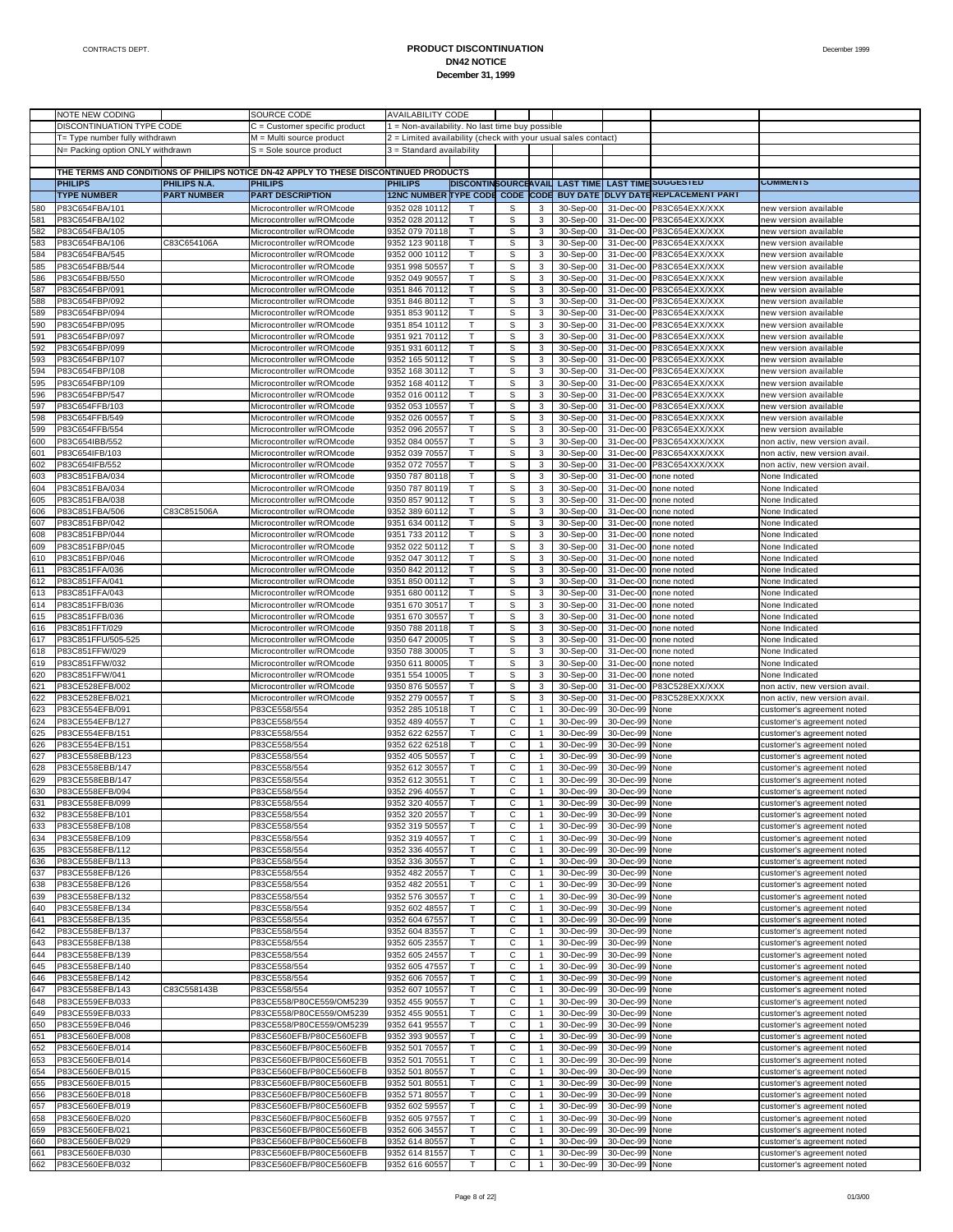|            | NOTE NEW CODING                    |                                    | SOURCE CODE                                                                           | <b>AVAILABILITY CODE</b>                                       |              |        |                              |                        |                        |                                                                                                                          |                                                          |
|------------|------------------------------------|------------------------------------|---------------------------------------------------------------------------------------|----------------------------------------------------------------|--------------|--------|------------------------------|------------------------|------------------------|--------------------------------------------------------------------------------------------------------------------------|----------------------------------------------------------|
|            | DISCONTINUATION TYPE CODE          |                                    | C = Customer specific product                                                         | 1 = Non-availability. No last time buy possible                |              |        |                              |                        |                        |                                                                                                                          |                                                          |
|            | T= Type number fully withdrawn     |                                    | M = Multi source product                                                              | 2 = Limited availability (check with your usual sales contact) |              |        |                              |                        |                        |                                                                                                                          |                                                          |
|            | N= Packing option ONLY withdrawn   |                                    | $S =$ Sole source product                                                             | 3 = Standard availability                                      |              |        |                              |                        |                        |                                                                                                                          |                                                          |
|            |                                    |                                    |                                                                                       |                                                                |              |        |                              |                        |                        |                                                                                                                          |                                                          |
|            |                                    |                                    | THE TERMS AND CONDITIONS OF PHILIPS NOTICE DN-42 APPLY TO THESE DISCONTINUED PRODUCTS |                                                                |              |        |                              |                        |                        |                                                                                                                          | <b>COMMENTS</b>                                          |
|            | <b>PHILIPS</b>                     | PHILIPS N.A.<br><b>PART NUMBER</b> | <b>PHILIPS</b><br><b>PART DESCRIPTION</b>                                             | <b>PHILIPS</b>                                                 |              |        |                              |                        |                        | DISCONTINSOURCEAVAIL LAST TIME LAST TIME SUGGESTED<br>12NC NUMBER TYPE CODE CODE CODE BUY DATE DLVY DATEREPLACEMENT PART |                                                          |
|            | <b>TYPE NUMBER</b>                 |                                    |                                                                                       |                                                                |              |        |                              |                        |                        |                                                                                                                          |                                                          |
| 580        | P83C654FBA/101                     |                                    | Microcontroller w/ROMcode                                                             | 9352 028 10112                                                 |              | s      | 3                            | 30-Sep-00              |                        | 31-Dec-00 P83C654EXX/XXX                                                                                                 | new version available                                    |
| 581        | P83C654FBA/102                     |                                    | Microcontroller w/ROMcode                                                             | 9352 028 20112                                                 | T            | s      | 3                            | 30-Sep-00              | 31-Dec-00              | P83C654EXX/XXX                                                                                                           | new version available                                    |
| 582        | P83C654FBA/105                     |                                    | Microcontroller w/ROMcode                                                             | 9352 079 70118                                                 | т            | s      | 3                            | 30-Sep-00              |                        | 31-Dec-00 P83C654EXX/XXX                                                                                                 | new version available                                    |
| 583        | P83C654FBA/106                     | C83C654106A                        | Microcontroller w/ROMcode<br>Microcontroller w/ROMcode                                | 9352 123 90118                                                 | T            | S      | 3                            | 30-Sep-00              | 31-Dec-00              | P83C654EXX/XXX                                                                                                           | new version available                                    |
| 584        | P83C654FBA/545<br>P83C654FBB/544   |                                    | Microcontroller w/ROMcode                                                             | 9352 000 10112                                                 | T<br>T       | S      | 3                            | 30-Sep-00              |                        | 31-Dec-00 P83C654EXX/XXX                                                                                                 | new version available<br>new version available           |
| 585<br>586 | P83C654FBB/550                     |                                    | Microcontroller w/ROMcode                                                             | 9351 998 50557<br>9352 049 90557                               | т            | s      | 3                            | 30-Sep-00<br>30-Sep-00 | 31-Dec-00              | P83C654EXX/XXX                                                                                                           | new version available                                    |
| 587        | P83C654FBP/091                     |                                    | Microcontroller w/ROMcode                                                             | 9351 846 70112                                                 | T            | s<br>S | 3<br>3                       | 30-Sep-00              | 31-Dec-00              | 31-Dec-00 P83C654EXX/XXX<br>P83C654EXX/XXX                                                                               | new version available                                    |
| 588        | P83C654FBP/092                     |                                    | Microcontroller w/ROMcode                                                             | 9351 846 80112                                                 | T            | S      | 3                            | 30-Sep-00              |                        | 31-Dec-00 P83C654EXX/XXX                                                                                                 | new version available                                    |
| 589        | P83C654FBP/094                     |                                    | Microcontroller w/ROMcode                                                             | 9351 853 90112                                                 | T            | s      | 3                            | 30-Sep-00              | 31-Dec-00              | P83C654EXX/XXX                                                                                                           | new version available                                    |
| 590        | P83C654FBP/095                     |                                    | Microcontroller w/ROMcode                                                             | 9351 854 10112                                                 | т            | s      | 3                            | 30-Sep-00              |                        | 31-Dec-00 P83C654EXX/XXX                                                                                                 | new version available                                    |
| 591        | P83C654FBP/097                     |                                    | Microcontroller w/ROMcode                                                             | 9351 921 70112                                                 | T            | S      | 3                            | 30-Sep-00              | 31-Dec-00              | P83C654EXX/XXX                                                                                                           | new version available                                    |
| 592        | P83C654FBP/099                     |                                    | Microcontroller w/ROMcode                                                             | 9351 931 60112                                                 | T            | S      | 3                            | 30-Sep-00              |                        | 31-Dec-00 P83C654EXX/XXX                                                                                                 | new version available                                    |
| 593        | P83C654FBP/107                     |                                    | Microcontroller w/ROMcode                                                             | 9352 165 50112                                                 | T            | s      | 3                            | 30-Sep-00              | 31-Dec-00              | P83C654EXX/XXX                                                                                                           | new version available                                    |
| 594        | P83C654FBP/108                     |                                    | Microcontroller w/ROMcode                                                             | 9352 168 30112                                                 | т            | s      | 3                            | 30-Sep-00              | 31-Dec-00              | P83C654EXX/XXX                                                                                                           | new version available                                    |
| 595        | P83C654FBP/109                     |                                    | Microcontroller w/ROMcode                                                             | 9352 168 40112                                                 | T            | S      | 3                            | 30-Sep-00              | 31-Dec-00              | P83C654EXX/XXX                                                                                                           | new version available                                    |
| 596        | P83C654FBP/547                     |                                    | Microcontroller w/ROMcode                                                             | 9352 016 00112                                                 | т            | S      | 3                            | 30-Sep-00              |                        | 31-Dec-00 P83C654EXX/XXX                                                                                                 | new version available                                    |
| 597        | P83C654FFB/103                     |                                    | Microcontroller w/ROMcode                                                             | 9352 053 10557                                                 | T            | s      | 3                            | 30-Sep-00              | 31-Dec-00              | P83C654EXX/XXX                                                                                                           | new version available                                    |
| 598        | P83C654FFB/549                     |                                    | Microcontroller w/ROMcode                                                             | 9352 026 00557                                                 | т            | s      | 3                            | 30-Sep-00              |                        | 31-Dec-00 P83C654EXX/XXX                                                                                                 | new version available                                    |
| 599        | P83C654FFB/554                     |                                    | Microcontroller w/ROMcode                                                             | 9352 096 20557                                                 | T            | S      | 3                            | 30-Sep-00              | 31-Dec-00              | P83C654EXX/XXX                                                                                                           | new version available                                    |
| 600        | P83C654IBB/552                     |                                    | Microcontroller w/ROMcode                                                             | 9352 084 00557                                                 | т            | S      | 3                            | 30-Sep-00              |                        | 31-Dec-00 P83C654XXX/XXX                                                                                                 | non activ, new version avail.                            |
| 601        | P83C654IFB/103                     |                                    | Microcontroller w/ROMcode                                                             | 9352 039 70557                                                 | T            | s      | 3                            | 30-Sep-00              | 31-Dec-00              | P83C654XXX/XXX                                                                                                           | non activ, new version avail                             |
| 602        | P83C654IFB/552                     |                                    | Microcontroller w/ROMcode                                                             | 9352 072 70557                                                 | т            | s      | 3                            | 30-Sep-00              | 31-Dec-00              | P83C654XXX/XXX                                                                                                           | non activ, new version avail.                            |
| 603        | P83C851FBA/034                     |                                    | Microcontroller w/ROMcode                                                             | 9350 787 80118                                                 | T            | S      | 3                            | 30-Sep-00              | 31-Dec-00              | none noted                                                                                                               | None Indicated                                           |
| 604        | P83C851FBA/034                     |                                    | Microcontroller w/ROMcode                                                             | 9350 787 80119                                                 | T            | S      | 3                            | 30-Sep-00              | 31-Dec-00              | none noted                                                                                                               | None Indicated                                           |
| 605        | P83C851FBA/038                     |                                    | Microcontroller w/ROMcode                                                             | 9350 857 90112                                                 | T            | s      | 3                            | 30-Sep-00              | 31-Dec-00              | none noted                                                                                                               | None Indicated                                           |
| 606        | P83C851FBA/506                     | C83C851506A                        | Microcontroller w/ROMcode                                                             | 9352 389 60112                                                 | т            | s      | 3                            | 30-Sep-00              | 31-Dec-00              | none noted                                                                                                               | None Indicated                                           |
| 607        | P83C851FBP/042                     |                                    | Microcontroller w/ROMcode                                                             | 9351 634 00112                                                 | T            | S      | 3                            | 30-Sep-00              | 31-Dec-00              | none noted                                                                                                               | None Indicated                                           |
| 608        | P83C851FBP/044                     |                                    | Microcontroller w/ROMcode                                                             | 9351 733 20112                                                 | T            | S      | 3                            | 30-Sep-00              | 31-Dec-00              | none noted                                                                                                               | None Indicated                                           |
| 609        | P83C851FBP/045                     |                                    | Microcontroller w/ROMcode                                                             | 9352 022 50112                                                 | T            | s      | 3                            | 30-Sep-00              | 31-Dec-00              | none noted                                                                                                               | None Indicated                                           |
| 610        | P83C851FBP/046                     |                                    | Microcontroller w/ROMcode                                                             | 9352 047 30112                                                 | т            | s      | 3                            | 30-Sep-00              | 31-Dec-00              | none noted                                                                                                               | None Indicated                                           |
| 611        | P83C851FFA/036                     |                                    | Microcontroller w/ROMcode                                                             | 9350 842 20112                                                 | T            | S      | 3                            | 30-Sep-00              | 31-Dec-00              | none noted                                                                                                               | None Indicated                                           |
| 612        | P83C851FFA/041                     |                                    | Microcontroller w/ROMcode                                                             | 9351 850 00112                                                 | T            | S      | 3                            | 30-Sep-00              | 31-Dec-00              | none noted                                                                                                               | None Indicated                                           |
| 613        | P83C851FFA/043                     |                                    | Microcontroller w/ROMcode                                                             | 9351 680 00112                                                 | T            | s      | 3                            | 30-Sep-00              | 31-Dec-00              | none noted                                                                                                               | None Indicated                                           |
| 614        | P83C851FFB/036                     |                                    | Microcontroller w/ROMcode                                                             | 9351 670 30517                                                 | т            | s      | 3                            | 30-Sep-00              | 31-Dec-00              | none noted                                                                                                               | None Indicated                                           |
| 615        | P83C851FFB/036                     |                                    | Microcontroller w/ROMcode                                                             | 9351 670 30557                                                 | T            | S      | 3                            | 30-Sep-00              | 31-Dec-00              | none noted                                                                                                               | None Indicated                                           |
| 616        | P83C851FFT/029                     |                                    | Microcontroller w/ROMcode                                                             | 9350 788 20118                                                 | т            | S      | 3                            | 30-Sep-00              | 31-Dec-00              | none noted                                                                                                               | None Indicated                                           |
| 617        | P83C851FFU/505-525                 |                                    | Microcontroller w/ROMcode                                                             | 9350 647 20005                                                 | T            | s      | 3                            | 30-Sep-00              | 31-Dec-00              | none noted                                                                                                               | None Indicated                                           |
| 618        | P83C851FFW/029                     |                                    | Microcontroller w/ROMcode                                                             | 9350 788 30005                                                 | т            | s      | 3                            | 30-Sep-00              | 31-Dec-00              | none noted                                                                                                               | None Indicated                                           |
| 619        | P83C851FFW/032                     |                                    | Microcontroller w/ROMcode                                                             | 9350 611 80005                                                 | T            | S      | 3                            | 30-Sep-00              | 31-Dec-00              | none noted                                                                                                               | None Indicated                                           |
| 620        | P83C851FFW/041                     |                                    | Microcontroller w/ROMcode                                                             | 9351 554 10005                                                 | T            | S      | 3                            | 30-Sep-00              | 31-Dec-00              | none noted                                                                                                               | None Indicated                                           |
| 621        | P83CE528EFB/002                    |                                    | Microcontroller w/ROMcode                                                             | 9350 876 50557                                                 | T            | S      | 3                            | 30-Sep-00              | 31-Dec-00              | P83C528EXX/XXX                                                                                                           | non activ, new version avail                             |
| 622        | P83CE528EFB/021                    |                                    | Microcontroller w/ROMcode                                                             | 9352 279 00557                                                 | т            | s      | 3                            | 30-Sep-00              | 31-Dec-00              | P83C528EXX/XXX                                                                                                           | non activ, new version avail                             |
| 623        | P83CE554EFB/091                    |                                    | P83CE558/554                                                                          | 9352 285 10518                                                 | T            | C      | $\mathbf{1}$                 | 30-Dec-99              | 30-Dec-99              | None                                                                                                                     | customer's agreement noted                               |
| 624        | P83CE554EFB/127                    |                                    | P83CE558/554                                                                          | 9352 489 40557                                                 | T.           | С      | $\mathbf{1}$                 | 30-Dec-99              | 30-Dec-99              | None                                                                                                                     | customer's agreement noted                               |
| 625        | P83CE554EFB/151                    |                                    | P83CE558/554                                                                          | 9352 622 62557                                                 | T            | C      | $\mathbf{1}$                 | 30-Dec-99              | 30-Dec-99              | None                                                                                                                     | customer's agreement noted                               |
| 626        | P83CE554EFB/151                    |                                    | P83CE558/554                                                                          | 9352 622 62518                                                 | т            | С      | $\mathbf{1}$                 | 30-Dec-99              | 30-Dec-99              | None                                                                                                                     | customer's agreement noted                               |
| 627        | P83CE558EBB/123                    |                                    | P83CE558/554                                                                          | 9352 405 50557                                                 | T            | C      | $\mathbf{1}$                 | 30-Dec-99              | 30-Dec-99              | None                                                                                                                     | customer's agreement noted                               |
| 628        | P83CE558EBB/147                    |                                    | P83CE558/554                                                                          | 9352 612 30557                                                 | T            | С      | $\mathbf{1}$                 | 30-Dec-99              | 30-Dec-99              | None                                                                                                                     | customer's agreement noted                               |
| 629<br>630 | P83CE558EBB/147<br>P83CE558EFB/094 |                                    | P83CE558/554<br>P83CE558/554                                                          | 9352 612 3055<br>9352 296 40557                                | T<br>т       | C<br>С | $\mathbf{1}$<br>$\mathbf{1}$ | 30-Dec-99<br>30-Dec-99 | 30-Dec-99<br>30-Dec-99 | None<br>None                                                                                                             | customer's agreement noted<br>customer's agreement noted |
| 631        | P83CE558EFB/099                    |                                    | P83CE558/554                                                                          | 9352 320 40557                                                 |              | С      |                              | 30-Dec-99              | 30-Dec-99 None         |                                                                                                                          | customer's agreement noted                               |
| 632        | P83CE558EFB/101                    |                                    | P83CE558/554                                                                          | 9352 320 20557                                                 | T            | С      | $\mathbf{1}$                 | 30-Dec-99              | 30-Dec-99              | None                                                                                                                     |                                                          |
| 633        | P83CE558EFB/108                    |                                    | P83CE558/554                                                                          | 9352 319 50557                                                 | T            | C      | $\mathbf{1}$                 | 30-Dec-99              | 30-Dec-99              | None                                                                                                                     | customer's agreement noted<br>customer's agreement noted |
| 634        | P83CE558EFB/109                    |                                    | P83CE558/554                                                                          | 9352 319 40557                                                 | T            | С      | $\mathbf{1}$                 | 30-Dec-99              | 30-Dec-99              | None                                                                                                                     | customer's agreement noted                               |
| 635        | P83CE558EFB/112                    |                                    | P83CE558/554                                                                          | 9352 336 40557                                                 | Τ            | C      | $\mathbf{1}$                 | 30-Dec-99              | 30-Dec-99              | None                                                                                                                     | customer's agreement noted                               |
| 636        | P83CE558EFB/113                    |                                    | P83CE558/554                                                                          | 9352 336 30557                                                 | T            | С      | $\mathbf{1}$                 | 30-Dec-99              | 30-Dec-99              | None                                                                                                                     | customer's agreement noted                               |
| 637        | P83CE558EFB/126                    |                                    | P83CE558/554                                                                          | 9352 482 20557                                                 | T            | C      | $\mathbf{1}$                 | 30-Dec-99              | 30-Dec-99              | None                                                                                                                     | customer's agreement noted                               |
| 638        | P83CE558EFB/126                    |                                    | P83CE558/554                                                                          | 9352 482 20551                                                 | T.           | С      | $\mathbf{1}$                 | 30-Dec-99              | 30-Dec-99              | None                                                                                                                     | customer's agreement noted                               |
| 639        | P83CE558EFB/132                    |                                    | P83CE558/554                                                                          | 9352 576 30557                                                 | Τ            | C      | $\mathbf{1}$                 | 30-Dec-99              | 30-Dec-99              | None                                                                                                                     | customer's agreement noted                               |
| 640        | P83CE558EFB/134                    |                                    | P83CE558/554                                                                          | 9352 602 48557                                                 | T            | С      | $\mathbf{1}$                 | 30-Dec-99              | 30-Dec-99              | None                                                                                                                     | customer's agreement noted                               |
| 641        | P83CE558EFB/135                    |                                    | P83CE558/554                                                                          | 9352 604 67557                                                 | T            | C      | $\mathbf{1}$                 | 30-Dec-99              | 30-Dec-99              | None                                                                                                                     | customer's agreement noted                               |
| 642        | P83CE558EFB/137                    |                                    | P83CE558/554                                                                          | 9352 604 83557                                                 | T.           | С      | $\mathbf{1}$                 | 30-Dec-99              | 30-Dec-99              | None                                                                                                                     | customer's agreement noted                               |
| 643        | P83CE558EFB/138                    |                                    | P83CE558/554                                                                          | 9352 605 23557                                                 | T            | C      | $\mathbf{1}$                 | 30-Dec-99              | 30-Dec-99              | None                                                                                                                     | customer's agreement noted                               |
| 644        | P83CE558EFB/139                    |                                    | P83CE558/554                                                                          | 9352 605 24557                                                 | T.           | С      | $\mathbf{1}$                 | 30-Dec-99              | 30-Dec-99              | None                                                                                                                     | customer's agreement noted                               |
| 645        | P83CE558EFB/140                    |                                    | P83CE558/554                                                                          | 9352 605 47557                                                 | Τ            | C      | $\mathbf{1}$                 | 30-Dec-99              | 30-Dec-99              | None                                                                                                                     | customer's agreement noted                               |
| 646        | P83CE558EFB/142                    |                                    | P83CE558/554                                                                          | 9352 606 70557                                                 | T.           | С      | $\mathbf{1}$                 | 30-Dec-99              | 30-Dec-99              | None                                                                                                                     | customer's agreement noted                               |
| 647        | P83CE558EFB/143                    | C83C558143B                        | P83CE558/554                                                                          | 9352 607 10557                                                 | T            | C      | $\mathbf{1}$                 | 30-Dec-99              | 30-Dec-99              | None                                                                                                                     | customer's agreement noted                               |
| 648        | P83CE559EFB/033                    |                                    | P83CE558/P80CE559/OM5239                                                              | 9352 455 90557                                                 | Τ            | С      | 1                            | 30-Dec-99              | 30-Dec-99              | None                                                                                                                     | customer's agreement noted                               |
| 649        | P83CE559EFB/033                    |                                    | P83CE558/P80CE559/OM5239                                                              | 9352 455 90551                                                 | Τ            | C      | $\mathbf{1}$                 | 30-Dec-99              | 30-Dec-99              | None                                                                                                                     | customer's agreement noted                               |
| 650        | P83CE559EFB/046                    |                                    | P83CE558/P80CE559/OM5239                                                              | 9352 641 95557                                                 | T.           | С      | $\mathbf{1}$                 | 30-Dec-99              | 30-Dec-99              | None                                                                                                                     | customer's agreement noted                               |
| 651        | P83CE560EFB/008                    |                                    | P83CE560EFB/P80CE560EFB                                                               | 9352 393 90557                                                 | Τ            | C      | $\mathbf{1}$                 | 30-Dec-99              | 30-Dec-99              | None                                                                                                                     | customer's agreement noted                               |
| 652        | P83CE560EFB/014                    |                                    | P83CE560EFB/P80CE560EFB                                                               | 9352 501 70557                                                 | T.           | С      | 1                            | 30-Dec-99              | 30-Dec-99              | None                                                                                                                     | customer's agreement noted                               |
| 653        | P83CE560EFB/014                    |                                    | P83CE560EFB/P80CE560EFB                                                               | 9352 501 70551                                                 | Τ            | C      | $\mathbf{1}$                 | 30-Dec-99              | 30-Dec-99              | None                                                                                                                     | customer's agreement noted                               |
| 654        | P83CE560EFB/015                    |                                    | P83CE560EFB/P80CE560EFB                                                               | 9352 501 80557                                                 | T.           | С      | $\mathbf{1}$                 | 30-Dec-99              | 30-Dec-99              | None                                                                                                                     | customer's agreement noted                               |
| 655        | P83CE560EFB/015                    |                                    | P83CE560EFB/P80CE560EFB                                                               | 9352 501 80551                                                 | Τ            | C      | $\mathbf{1}$                 | 30-Dec-99              | 30-Dec-99              | None                                                                                                                     | customer's agreement noted                               |
| 656        | P83CE560EFB/018                    |                                    | P83CE560EFB/P80CE560EFB                                                               | 9352 571 80557                                                 | T            | С      | $\mathbf{1}$                 | 30-Dec-99              | 30-Dec-99              | None                                                                                                                     | customer's agreement noted                               |
| 657        | P83CE560EFB/019                    |                                    | P83CE560EFB/P80CE560EFB                                                               | 9352 602 59557                                                 | $\mathsf{T}$ | C      | $\mathbf{1}$                 | 30-Dec-99              | 30-Dec-99              | None                                                                                                                     | customer's agreement noted                               |
| 658        | P83CE560EFB/020                    |                                    | P83CE560EFB/P80CE560EFB                                                               | 9352 605 97557                                                 | T.           | С      | 1                            | 30-Dec-99              | 30-Dec-99              | None                                                                                                                     | customer's agreement noted                               |
| 659        | P83CE560EFB/021                    |                                    | P83CE560EFB/P80CE560EFB                                                               | 9352 606 34557                                                 | Τ            | C      | $\mathbf{1}$                 | 30-Dec-99              | 30-Dec-99              | None                                                                                                                     | customer's agreement noted                               |
| 660        | P83CE560EFB/029                    |                                    | P83CE560EFB/P80CE560EFB                                                               | 9352 614 80557                                                 | T.           | С      | $\mathbf{1}$                 | 30-Dec-99              | 30-Dec-99              | None                                                                                                                     | customer's agreement noted                               |
| 661        | P83CE560EFB/030                    |                                    | P83CE560EFB/P80CE560EFB                                                               | 9352 614 81557                                                 | T            | C      | $\mathbf{1}$                 | 30-Dec-99              | 30-Dec-99              | None                                                                                                                     | customer's agreement noted                               |
|            |                                    |                                    | P83CE560EFB/P80CE560EFB                                                               | 9352 616 60557                                                 | T.           | С      | 1                            | 30-Dec-99              | 30-Dec-99 None         |                                                                                                                          | customer's agreement noted                               |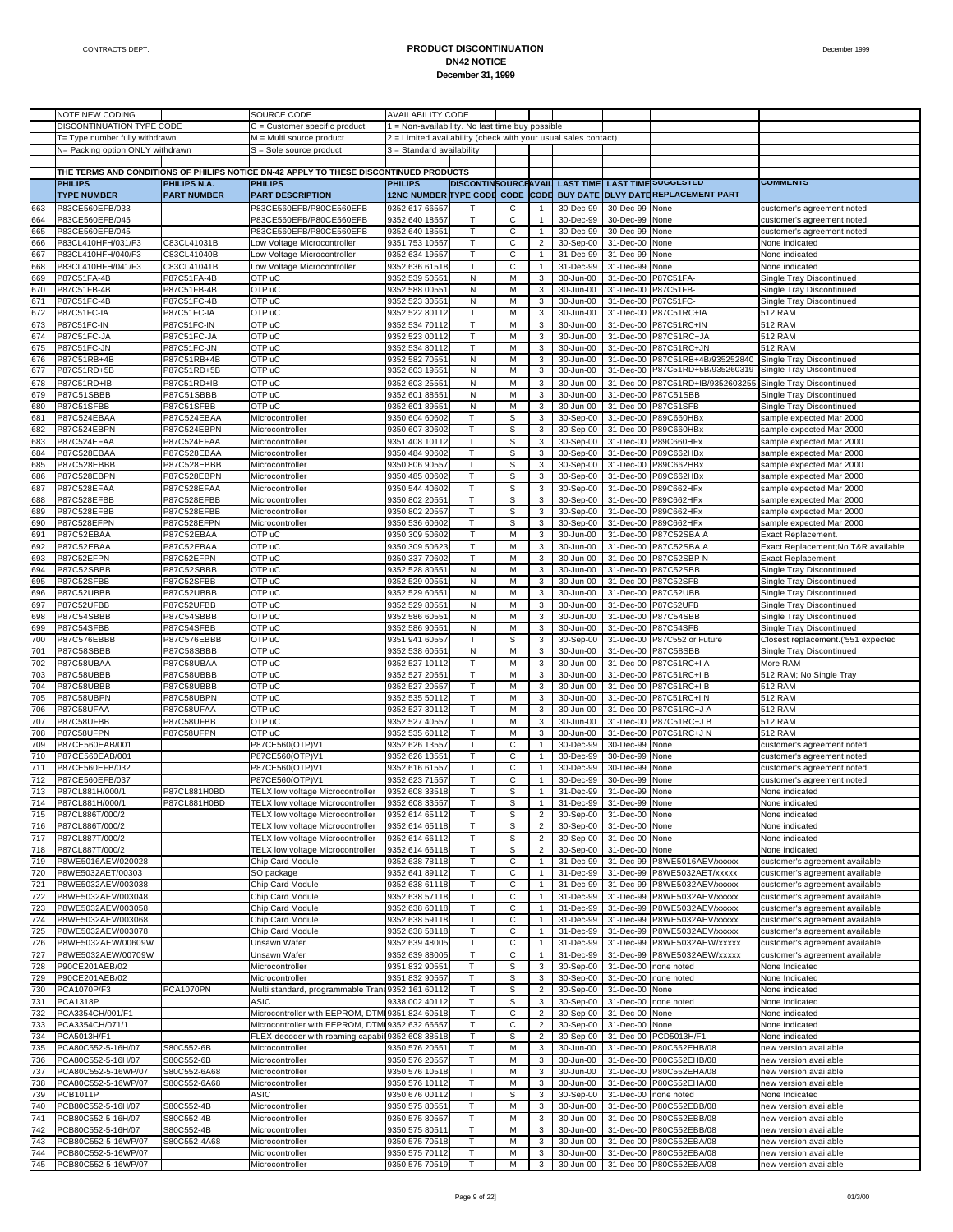|            | NOTE NEW CODING                       |                            | SOURCE CODE                                                                           | <b>AVAILABILITY CODE</b>                                       |                             |              |                     |                        |                          |                                                |                                                      |
|------------|---------------------------------------|----------------------------|---------------------------------------------------------------------------------------|----------------------------------------------------------------|-----------------------------|--------------|---------------------|------------------------|--------------------------|------------------------------------------------|------------------------------------------------------|
|            | DISCONTINUATION TYPE CODE             |                            | $C =$ Customer specific product                                                       | 1 = Non-availability. No last time buy possible                |                             |              |                     |                        |                          |                                                |                                                      |
|            | T= Type number fully withdrawn        |                            | M = Multi source product                                                              | 2 = Limited availability (check with your usual sales contact) |                             |              |                     |                        |                          |                                                |                                                      |
|            | N= Packing option ONLY withdrawn      |                            | S = Sole source product                                                               | 3 = Standard availability                                      |                             |              |                     |                        |                          |                                                |                                                      |
|            |                                       |                            |                                                                                       |                                                                |                             |              |                     |                        |                          |                                                |                                                      |
|            |                                       |                            | THE TERMS AND CONDITIONS OF PHILIPS NOTICE DN-42 APPLY TO THESE DISCONTINUED PRODUCTS |                                                                |                             |              |                     |                        |                          |                                                |                                                      |
|            | <b>PHILIPS</b>                        | <b>PHILIPS N.A.</b>        | <b>PHILIPS</b>                                                                        | <b>PHILIPS</b>                                                 | <b>DISCONTINSOURCEAVAIL</b> |              |                     | <b>LAST TIME</b>       |                          | <b>LAST TIME SUGGESTED</b>                     | <b>COMMENTS</b>                                      |
|            | <b>TYPE NUMBER</b>                    | <b>PART NUMBER</b>         | <b>PART DESCRIPTION</b>                                                               | <b>12NC NUMBER TYPE CODE CODE</b>                              |                             |              | CODE                | <b>BUY DATE</b>        |                          | <b>DLVY DATEREPLACEMENT PART</b>               |                                                      |
| 663        | P83CE560EFB/033                       |                            | P83CE560EFB/P80CE560EFB                                                               | 9352 617 66557                                                 |                             | C            |                     | 30-Dec-99              | 30-Dec-99                | None                                           | customer's agreement noted                           |
| 664        | P83CE560EFB/045                       |                            | P83CE560EFB/P80CE560EFB                                                               | 9352 640 18557                                                 | Т                           | С            | 1                   | 30-Dec-99              | 30-Dec-99                | None                                           | customer's agreement noted                           |
| 665        | P83CE560EFB/045                       |                            | P83CE560EFB/P80CE560EFB                                                               | 9352 640 1855 <sup>-</sup>                                     | T                           | $\mathsf C$  | $\mathbf{1}$        | 30-Dec-99              | 30-Dec-99                | None                                           | customer's agreement noted                           |
| 666        | P83CL410HFH/031/F3                    | C83CL41031B                | Low Voltage Microcontroller                                                           | 9351 753 10557                                                 | т                           | С            | $\overline{c}$      | 30-Sep-00              | 31-Dec-00                | None                                           | None indicated                                       |
| 667        | P83CL410HFH/040/F3                    | C83CL41040B                | Low Voltage Microcontroller                                                           | 9352 634 19557                                                 | T                           | $\mathsf C$  | 1                   | 31-Dec-99              | 31-Dec-99                | None                                           | None indicated                                       |
| 668        | P83CL410HFH/041/F3                    | C83CL41041B                | Low Voltage Microcontroller                                                           | 9352 636 61518                                                 | Т                           | С            | $\mathbf{1}$        | 31-Dec-99              | 31-Dec-99                | None                                           | None indicated                                       |
| 669        | P87C51FA-4B                           | P87C51FA-4B                | OTP uC                                                                                | 9352 539 5055                                                  | N                           | M            | 3                   | 30-Jun-00              | 31-Dec-00                | P87C51FA-                                      | Single Tray Discontinued                             |
| 670        | P87C51FB-4B                           | P87C51FB-4B                | OTP uC                                                                                | 9352 588 0055                                                  | N                           | M            | 3                   | 30-Jun-00              | 31-Dec-00                | P87C51FB-                                      | Single Tray Discontinued                             |
| 671        | P87C51FC-4B                           | P87C51FC-4B                | OTP uC                                                                                | 9352 523 30551                                                 | N                           | M            | 3                   | 30-Jun-00              | 31-Dec-00                | P87C51FC-                                      | Single Tray Discontinued                             |
| 672        | P87C51FC-IA                           | P87C51FC-IA                | OTP uC                                                                                | 9352 522 80112                                                 | Т                           | M            | 3                   | 30-Jun-00              | 31-Dec-00                | P87C51RC+IA                                    | 512 RAM                                              |
| 673        | P87C51FC-IN                           | P87C51FC-IN                | OTP uC                                                                                | 9352 534 70112                                                 | T                           | M            | 3                   | 30-Jun-00              | 31-Dec-00                | P87C51RC+IN                                    | 512 RAM                                              |
| 674        | P87C51FC-JA                           | P87C51FC-JA                | OTP uC                                                                                | 9352 523 00112                                                 | Т                           | M            | 3                   | 30-Jun-00              | 31-Dec-00                | P87C51RC+JA                                    | 512 RAM                                              |
| 675        | P87C51FC-JN                           | P87C51FC-JN                | OTP uC                                                                                | 9352 534 80112                                                 | T                           | M            | 3                   | 30-Jun-00              | 31-Dec-00                | P87C51RC+JN                                    | 512 RAM                                              |
| 676<br>677 | P87C51RB+4B<br>P87C51RD+5B            | P87C51RB+4B<br>P87C51RD+5B | OTP uC<br>OTP <sub>u</sub> C                                                          | 9352 582 7055<br>9352 603 1955                                 | N<br>N                      | M<br>M       | 3<br>3              | 30-Jun-00<br>30-Jun-00 | 31-Dec-00<br>31-Dec-00   | P87C51RB+4B/935252840<br>P8/C51RD+5B/935Z60319 | Single Tray Discontinued<br>Single Tray Discontinued |
|            |                                       |                            |                                                                                       |                                                                |                             |              |                     |                        |                          |                                                |                                                      |
| 678<br>679 | P87C51RD+IB<br>P87C51SBBB             | P87C51RD+IB                | OTP uC                                                                                | 9352 603 2555                                                  | Ν<br>N                      | М<br>M       | 3                   | 30-Jun-00<br>30-Jun-00 | 31-Dec-00                | P87C51RD+IB/9352603255<br>P87C51SBB            | Single Tray Discontinued                             |
| 680        |                                       | P87C51SBBB                 | OTP uC<br>OTP uC                                                                      | 9352 601 8855                                                  | N                           | M            | 3<br>3              | 30-Jun-00              | 31-Dec-00<br>31-Dec-00   | P87C51SFB                                      | Single Tray Discontinued                             |
| 681        | P87C51SFBB                            | P87C51SFBB                 | Microcontroller                                                                       | 9352 601 8955                                                  | T                           | $\mathbb S$  |                     |                        |                          |                                                | Single Tray Discontinued                             |
| 682        | P87C524EBAA<br>P87C524EBPN            | P87C524EBAA<br>P87C524EBPN | Microcontroller                                                                       | 9350 604 60602<br>9350 607 30602                               | т                           | $\mathbb S$  | 3<br>3              | 30-Sep-00<br>30-Sep-00 | 31-Dec-00<br>31-Dec-00   | P89C660HBx<br>P89C660HBx                       | sample expected Mar 2000<br>sample expected Mar 2000 |
| 683        | P87C524EFAA                           | P87C524EFAA                | Microcontroller                                                                       | 9351 408 10112                                                 | T                           | $\mathbb S$  | 3                   | 30-Sep-00              | 31-Dec-00                | P89C660HFx                                     | sample expected Mar 2000                             |
| 684        | P87C528EBAA                           | P87C528EBAA                | Microcontroller                                                                       | 9350 484 90602                                                 | т                           | $\mathbb S$  | 3                   | 30-Sep-00              | 31-Dec-00                | P89C662HBx                                     | sample expected Mar 2000                             |
| 685        | P87C528EBBB                           | P87C528EBBB                | Microcontroller                                                                       | 9350 806 90557                                                 | т                           | $\mathbb S$  | 3                   | 30-Sep-00              | 31-Dec-00                | P89C662HBx                                     | sample expected Mar 2000                             |
| 686        | P87C528EBPN                           | P87C528EBPN                | Microcontroller                                                                       | 9350 485 00602                                                 | т                           | $\mathbb S$  | 3                   | 30-Sep-00              | 31-Dec-00                | P89C662HBx                                     | sample expected Mar 2000                             |
| 687        | P87C528EFAA                           | P87C528EFAA                | Microcontroller                                                                       | 9350 544 40602                                                 | T                           | $\mathbb S$  | 3                   | 30-Sep-00              | 31-Dec-00                | P89C662HFx                                     | sample expected Mar 2000                             |
| 688        | P87C528EFBB                           | P87C528EFBB                | Microcontroller                                                                       | 9350 802 2055 <sup>*</sup>                                     | т                           | $\mathbb S$  | 3                   | 30-Sep-00              | 31-Dec-00                | P89C662HFx                                     | sample expected Mar 2000                             |
| 689        | P87C528EFBB                           | P87C528EFBB                | Microcontroller                                                                       | 9350 802 20557                                                 | т                           | $\mathbb S$  | 3                   | 30-Sep-00              | 31-Dec-00                | P89C662HFx                                     | sample expected Mar 2000                             |
| 690        | P87C528EFPN                           | P87C528EFPN                | Microcontroller                                                                       | 9350 536 60602                                                 | т                           | $\mathbb S$  | 3                   | 30-Sep-00              | 31-Dec-00                | P89C662HFx                                     | sample expected Mar 2000                             |
| 691        | P87C52EBAA                            | P87C52EBAA                 | OTP uC                                                                                | 9350 309 50602                                                 | T                           | M            | 3                   | 30-Jun-00              | 31-Dec-00                | P87C52SBA A                                    | <b>Exact Replacement</b>                             |
| 692        | P87C52EBAA                            | P87C52EBAA                 | OTP uC                                                                                | 9350 309 50623                                                 | т                           | M            | 3                   | 30-Jun-00              | 31-Dec-00                | P87C52SBA A                                    | Exact Replacement; No T&R available                  |
| 693        | P87C52EFPN                            | P87C52EFPN                 | OTP uC                                                                                | 9350 337 70602                                                 | T                           | M            | 3                   | 30-Jun-00              | 31-Dec-00                | P87C52SBP N                                    | <b>Exact Replacement</b>                             |
| 694        | P87C52SBBB                            | P87C52SBBB                 | OTP uC                                                                                | 9352 528 8055                                                  | N                           | M            | 3                   | 30-Jun-00              | 31-Dec-00                | P87C52SBB                                      | Single Tray Discontinued                             |
| 695        | P87C52SFBB                            | P87C52SFBB                 | OTP uC                                                                                | 9352 529 0055                                                  | N                           | M            | 3                   | 30-Jun-00              | 31-Dec-00                | P87C52SFB                                      | Single Tray Discontinued                             |
| 696        | P87C52UBBB                            | P87C52UBBB                 | OTP uC                                                                                | 9352 529 6055                                                  | N                           | M            | 3                   | 30-Jun-00              | 31-Dec-00                | P87C52UBB                                      | Single Tray Discontinued                             |
| 697        | P87C52UFBB                            | P87C52UFBB                 | OTP uC                                                                                | 9352 529 8055                                                  | N                           | M            | 3                   | 30-Jun-00              | 31-Dec-00                | P87C52UFB                                      | Single Tray Discontinued                             |
| 698        | P87C54SBBB                            | P87C54SBBB                 | OTP uC                                                                                | 9352 586 6055                                                  | N                           | M            | 3                   | 30-Jun-00              | 31-Dec-00                | P87C54SBB                                      | Single Tray Discontinued                             |
| 699        | P87C54SFBB                            | P87C54SFBB                 | OTP uC                                                                                | 9352 586 9055                                                  | N                           | M            | 3                   | 30-Jun-00              | 31-Dec-00                | P87C54SFB                                      | Single Tray Discontinued                             |
| 700        | P87C576EBBB                           | P87C576EBBB                | OTP uC                                                                                | 9351 941 60557                                                 | Т                           | $\mathbb S$  | 3                   | 30-Sep-00              | 31-Dec-00                | P87C552 or Future                              | Closest replacement.('551 expected                   |
| 701        | P87C58SBBB                            | P87C58SBBB                 | OTP uC                                                                                | 9352 538 6055                                                  | N                           | M            | 3                   | 30-Jun-00              | 31-Dec-00                | P87C58SBB                                      | Single Tray Discontinued                             |
| 702        | P87C58UBAA                            | P87C58UBAA                 | OTP uC                                                                                | 9352 527 10112                                                 | т                           | M            | 3                   | 30-Jun-00              | 31-Dec-00                | P87C51RC+I A                                   | More RAM                                             |
| 703        | P87C58UBBB                            | P87C58UBBB                 | OTP uC                                                                                | 9352 527 20551                                                 | T                           | M            | 3                   | 30-Jun-00              | 31-Dec-00                | P87C51RC+IB                                    | 512 RAM; No Single Tray                              |
| 704        | P87C58UBBB                            | P87C58UBBB                 | OTP uC                                                                                | 9352 527 20557                                                 | Т                           | M            | 3                   | 30-Jun-00              | 31-Dec-00                | P87C51RC+IB                                    | 512 RAM                                              |
| 705        | P87C58UBPN                            | P87C58UBPN                 | OTP uC                                                                                | 9352 535 50112                                                 | Т                           | M            | 3                   | 30-Jun-00              | 31-Dec-00                | P87C51RC+IN                                    | 512 RAM                                              |
| 706        | P87C58UFAA                            | P87C58UFAA                 | OTP uC                                                                                | 9352 527 30112                                                 | т                           | M            | 3                   | 30-Jun-00              | 31-Dec-00                | P87C51RC+J A                                   | 512 RAM                                              |
| 707        | P87C58UFBB                            | P87C58UFBB                 | OTP uC                                                                                | 9352 527 40557                                                 | T                           | M            | 3                   | 30-Jun-00              | 31-Dec-00                | P87C51RC+J B                                   | 512 RAM                                              |
| 708        | P87C58UFPN                            | P87C58UFPN                 | OTP uC                                                                                | 9352 535 60112                                                 | Т                           | M            | 3                   | 30-Jun-00              | 31-Dec-00                | P87C51RC+J N                                   | 512 RAM                                              |
| 709        | P87CE560EAB/001                       |                            | P87CE560(OTP)V1                                                                       | 9352 626 13557                                                 | T                           | $\mathsf{C}$ | $\mathbf{1}$        | 30-Dec-99              | 30-Dec-99                | None                                           | customer's agreement noted                           |
| 710        | P87CE560EAB/001                       |                            | P87CE560(OTP)V1                                                                       | 9352 626 13551                                                 | т                           | С            | 1                   | 30-Dec-99              | 30-Dec-99                | None                                           | customer's agreement noted                           |
| 711        | P87CE560EFB/032                       |                            | P87CE560(OTP)V1                                                                       | 9352 616 61557                                                 | T                           | $\mathsf C$  | 1                   | 30-Dec-99              | 30-Dec-99                | None                                           | customer's agreement noted                           |
| 712        | P87CE560EFB/037                       |                            | P87CE560(OTP)V1                                                                       | 9352 623 71557                                                 | т                           | С            | 1                   | 30-Dec-99              | 30-Dec-99                | None                                           | customer's agreement noted                           |
| 713        | P87CL881H/000/1                       | P87CL881H0BD               | TELX low voltage Microcontroller                                                      | 9352 608 33518                                                 |                             | S            |                     | 31-Dec-99              | 31-Dec-99                | None                                           | None indicated                                       |
| 714        | P87CL881H/000/1                       | P87CL881H0BD               | TELX low voltage Microcontroller                                                      | 9352 608 33557                                                 |                             | s            |                     |                        | 31-Dec-99 31-Dec-99 None |                                                | None indicated                                       |
| 715        | P87CL886T/000/2                       |                            | <b>TELX low voltage Microcontroller</b>                                               | 9352 614 65112                                                 | T                           | S            | $\overline{c}$      | 30-Sep-00              | 31-Dec-00                | None                                           | None indicated                                       |
| 716        | P87CL886T/000/2                       |                            | TELX low voltage Microcontroller                                                      | 9352 614 65118                                                 | т                           | s            | $\overline{2}$      | 30-Sep-00              | 31-Dec-00                | None                                           | None indicated                                       |
| 717        | P87CL887T/000/2                       |                            | TELX low voltage Microcontroller<br>TELX low voltage Microcontroller                  | 9352 614 66112<br>9352 614 66118                               | Т                           | S<br>s       | $\overline{c}$      | 30-Sep-00              | 31-Dec-00                | None                                           | None indicated                                       |
| 718<br>719 | P87CL887T/000/2<br>P8WE5016AEV/020028 |                            | Chip Card Module                                                                      | 9352 638 78118                                                 | т<br>Т                      | $\mathsf C$  | $\overline{2}$<br>1 | 30-Sep-00<br>31-Dec-99 | 31-Dec-00<br>31-Dec-99   | None<br>P8WE5016AEV/xxxxx                      | None indicated<br>customer's agreement available     |
| 720        | P8WE5032AET/00303                     |                            | SO package                                                                            | 9352 641 89112                                                 | т                           | С            | $\mathbf{1}$        | 31-Dec-99              |                          | 31-Dec-99 P8WE5032AET/xxxxx                    | customer's agreement available                       |
| 721        | P8WE5032AEV/003038                    |                            | Chip Card Module                                                                      | 9352 638 61118                                                 | Т                           | С            | 1                   | 31-Dec-99              | 31-Dec-99                | P8WE5032AEV/xxxxx                              | customer's agreement available                       |
| 722        | P8WE5032AEV/003048                    |                            | Chip Card Module                                                                      | 9352 638 57118                                                 | т                           | С            |                     | 31-Dec-99              | 31-Dec-99                | P8WE5032AEV/xxxxx                              | customer's agreement available                       |
| 723        | P8WE5032AEV/003058                    |                            | Chip Card Module                                                                      | 9352 638 60118                                                 | Т                           | $\mathsf C$  | 1                   | 31-Dec-99              | 31-Dec-99                | P8WE5032AEV/xxxxx                              | customer's agreement available                       |
| 724        | P8WE5032AEV/003068                    |                            | Chip Card Module                                                                      | 9352 638 59118                                                 | т                           | С            | $\mathbf{1}$        | 31-Dec-99              |                          | 31-Dec-99 P8WE5032AEV/xxxxx                    | customer's agreement available                       |
| 725        | P8WE5032AEV/003078                    |                            | Chip Card Module                                                                      | 9352 638 58118                                                 | Т                           | C            | 1                   | 31-Dec-99              | 31-Dec-99                | P8WE5032AEV/xxxxx                              | customer's agreement available                       |
| 726        | P8WE5032AEW/00609W                    |                            | Unsawn Wafer                                                                          | 9352 639 48005                                                 | т                           | С            | 1                   | 31-Dec-99              | 31-Dec-99                | P8WE5032AEW/xxxxx                              | customer's agreement available                       |
| 727        | P8WE5032AEW/00709W                    |                            | Unsawn Wafer                                                                          | 9352 639 88005                                                 | Т                           | $\mathsf C$  | 1                   | 31-Dec-99              | 31-Dec-99                | P8WE5032AEW/xxxxx                              | customer's agreement available                       |
| 728        | P90CE201AEB/02                        |                            | Microcontroller                                                                       | 9351 832 90551                                                 | т                           | s            | 3                   | 30-Sep-00              | 31-Dec-00                | none noted                                     | None Indicated                                       |
| 729        | P90CE201AEB/02                        |                            | Microcontroller                                                                       | 9351 832 90557                                                 | т                           | S            | 3                   | 30-Sep-00              | 31-Dec-00                | none noted                                     | None Indicated                                       |
| 730        | PCA1070P/F3                           | PCA1070PN                  | Multi standard, programmable Trans 9352 161 60112                                     |                                                                | Т                           | s            | $\overline{c}$      | 30-Sep-00              | 31-Dec-00                | None                                           | None indicated                                       |
| 731        | PCA1318P                              |                            | ASIC                                                                                  | 9338 002 40112                                                 | T                           | $\mathbb S$  | 3                   | 30-Sep-00              | 31-Dec-00                | none noted                                     | None Indicated                                       |
| 732        | PCA3354CH/001/F1                      |                            | Microcontroller with EEPROM, DTMI 9351 824 60518                                      |                                                                | т                           | С            | $\overline{2}$      | 30-Sep-00              | 31-Dec-00                | None                                           | None indicated                                       |
| 733        | PCA3354CH/071/1                       |                            | Microcontroller with EEPROM, DTMI 9352 632 66557                                      |                                                                | Т                           | C            | $\overline{c}$      | 30-Sep-00              | 31-Dec-00                | None                                           | None indicated                                       |
| 734        | PCA5013H/F1                           |                            | FLEX-decoder with roaming capabil 9352 608 38518                                      |                                                                | т                           | S            | $\overline{c}$      | 30-Sep-00              |                          | 31-Dec-00 PCD5013H/F1                          | None indicated                                       |
| 735        | PCA80C552-5-16H/07                    | S80C552-6B                 | Microcontroller                                                                       | 9350 576 20551                                                 | т                           | М            | 3                   | 30-Jun-00              |                          | 31-Dec-00 P80C552EHB/08                        | new version available                                |
| 736        | PCA80C552-5-16H/07                    | S80C552-6B                 | Microcontroller                                                                       | 9350 576 20557                                                 | т                           | М            | $\mathbf{3}$        | 30-Jun-00              |                          | 31-Dec-00 P80C552EHB/08                        | new version available                                |
| 737        | PCA80C552-5-16WP/07                   | S80C552-6A68               | Microcontroller                                                                       | 9350 576 10518                                                 | T                           | М            | 3                   | 30-Jun-00              | 31-Dec-00                | P80C552EHA/08                                  | new version available                                |
| 738        | PCA80C552-5-16WP/07                   | S80C552-6A68               | Microcontroller                                                                       | 9350 576 10112                                                 | т                           | М            | 3                   | 30-Jun-00              |                          | 31-Dec-00 P80C552EHA/08                        | new version available                                |
| 739        | PCB1011P                              |                            | ASIC                                                                                  | 9350 676 00112                                                 | T                           | S            | 3                   | 30-Sep-00              | 31-Dec-00 none noted     |                                                | None Indicated                                       |
| 740        | PCB80C552-5-16H/07                    | S80C552-4B                 | Microcontroller                                                                       | 9350 575 80551                                                 | т                           | М            | $\mathbf{3}$        | 30-Jun-00              |                          | 31-Dec-00 P80C552EBB/08                        | new version available                                |
| 741        | PCB80C552-5-16H/07                    | S80C552-4B                 | Microcontroller                                                                       | 9350 575 80557                                                 | T                           | М            | 3                   | 30-Jun-00              |                          | 31-Dec-00 P80C552EBB/08                        | new version available                                |
| 742        | PCB80C552-5-16H/07                    | S80C552-4B                 | Microcontroller                                                                       | 9350 575 80511                                                 | Т                           | М            | 3                   | 30-Jun-00              |                          | 31-Dec-00 P80C552EBB/08                        | new version available                                |
| 743        | PCB80C552-5-16WP/07                   | S80C552-4A68               | Microcontroller                                                                       | 9350 575 70518                                                 | T                           | M            | 3                   | 30-Jun-00              |                          | 31-Dec-00 P80C552EBA/08                        | new version available                                |
| 744        | PCB80C552-5-16WP/07                   |                            | Microcontroller                                                                       | 9350 575 70112                                                 | т                           | М            | 3                   | 30-Jun-00              |                          | 31-Dec-00 P80C552EBA/08                        | new version available                                |
| 745        | PCB80C552-5-16WP/07                   |                            | Microcontroller                                                                       | 9350 575 70519                                                 |                             | M            | 3                   | 30-Jun-00              |                          | 31-Dec-00 P80C552EBA/08                        | new version available                                |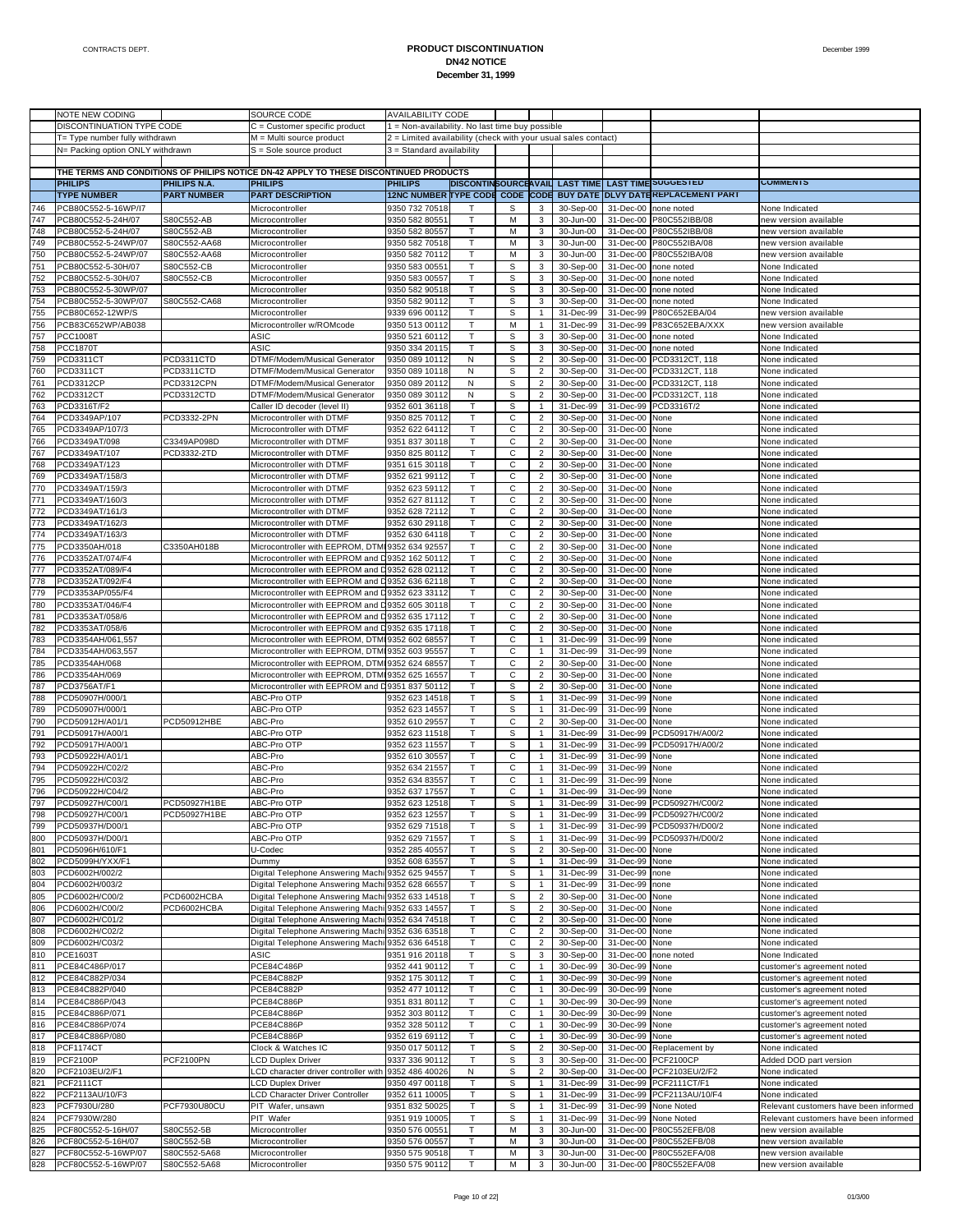|     | NOTE NEW CODING                  |                    | SOURCE CODE                                                                           | <b>AVAILABILITY CODE</b>                                       |              |   |                |           |           |                                                                    |                                       |
|-----|----------------------------------|--------------------|---------------------------------------------------------------------------------------|----------------------------------------------------------------|--------------|---|----------------|-----------|-----------|--------------------------------------------------------------------|---------------------------------------|
|     | DISCONTINUATION TYPE CODE        |                    | C = Customer specific product                                                         | 1 = Non-availability. No last time buy possible                |              |   |                |           |           |                                                                    |                                       |
|     | T= Type number fully withdrawn   |                    | M = Multi source product                                                              | 2 = Limited availability (check with your usual sales contact) |              |   |                |           |           |                                                                    |                                       |
|     | N= Packing option ONLY withdrawn |                    | $S =$ Sole source product                                                             | 3 = Standard availability                                      |              |   |                |           |           |                                                                    |                                       |
|     |                                  |                    |                                                                                       |                                                                |              |   |                |           |           |                                                                    |                                       |
|     |                                  |                    | THE TERMS AND CONDITIONS OF PHILIPS NOTICE DN-42 APPLY TO THESE DISCONTINUED PRODUCTS |                                                                |              |   |                |           |           |                                                                    |                                       |
|     |                                  |                    |                                                                                       |                                                                |              |   |                |           |           |                                                                    | <b>COMMENIS</b>                       |
|     | <b>PHILIPS</b>                   | PHILIPS N.A.       | <b>PHILIPS</b>                                                                        | <b>PHILIPS</b>                                                 |              |   |                |           |           | DISCONTINSOURCEAVAIL LAST TIME LAST TIME SUGGESTED                 |                                       |
|     | <b>TYPE NUMBER</b>               | <b>PART NUMBER</b> | <b>PART DESCRIPTION</b>                                                               |                                                                |              |   |                |           |           | 12NC NUMBER TYPE CODE CODE CODE BUY DATE DLVY DATEREPLACEMENT PART |                                       |
| 746 | PCB80C552-5-16WP/I7              |                    | Microcontroller                                                                       | 9350 732 70518                                                 |              | s | 3              | 30-Sep-00 | 31-Dec-00 | none noted                                                         | None Indicated                        |
| 747 | PCB80C552-5-24H/07               | S80C552-AB         | Microcontroller                                                                       | 9350 582 8055                                                  | T            | M | 3              | 30-Jun-00 | 31-Dec-00 | P80C552IBB/08                                                      | new version available                 |
| 748 | PCB80C552-5-24H/07               | S80C552-AB         | Microcontroller                                                                       | 9350 582 80557                                                 | т            | М | 3              | 30-Jun-00 |           | 31-Dec-00 P80C552IBB/08                                            | new version available                 |
| 749 | PCB80C552-5-24WP/07              | S80C552-AA68       | Microcontroller                                                                       | 9350 582 70518                                                 | T            | М | 3              | 30-Jun-00 | 31-Dec-00 | P80C552IBA/08                                                      | new version available                 |
| 750 | PCB80C552-5-24WP/07              | S80C552-AA68       | Microcontroller                                                                       | 9350 582 70112                                                 | T            | M | 3              | 30-Jun-00 | 31-Dec-00 | P80C552IBA/08                                                      | new version available                 |
|     |                                  |                    |                                                                                       |                                                                |              |   |                |           |           |                                                                    | None Indicated                        |
| 751 | PCB80C552-5-30H/07               | S80C552-CB         | Microcontroller                                                                       | 9350 583 0055                                                  | T            | S | 3              | 30-Sep-00 | 31-Dec-00 | none noted                                                         |                                       |
| 752 | PCB80C552-5-30H/07               | S80C552-CB         | Microcontroller                                                                       | 9350 583 00557                                                 | т            | s | 3              | 30-Sep-00 | 31-Dec-00 | none noted                                                         | None Indicated                        |
| 753 | PCB80C552-5-30WP/07              |                    | Microcontroller                                                                       | 9350 582 90518                                                 | T            | S | 3              | 30-Sep-00 | 31-Dec-00 | none noted                                                         | None Indicated                        |
| 754 | PCB80C552-5-30WP/07              | S80C552-CA68       | Microcontroller                                                                       | 9350 582 90112                                                 | T            | S | 3              | 30-Sep-00 | 31-Dec-00 | none noted                                                         | None Indicated                        |
| 755 | PCB80C652-12WP/S                 |                    | Microcontroller                                                                       | 9339 696 00112                                                 | T            | S | $\mathbf{1}$   | 31-Dec-99 | 31-Dec-99 | P80C652EBA/04                                                      | new version available                 |
| 756 | PCB83C652WP/AB038                |                    | Microcontroller w/ROMcode                                                             | 9350 513 00112                                                 | т            | M | $\mathbf{1}$   | 31-Dec-99 | 31-Dec-99 | P83C652EBA/XXX                                                     | new version available                 |
| 757 | PCC1008T                         |                    | ASIC                                                                                  | 9350 521 60112                                                 | T            | S | 3              | 30-Sep-00 | 31-Dec-00 | none noted                                                         | None Indicated                        |
| 758 | <b>PCC1870T</b>                  |                    | ASIC                                                                                  | 9350 334 20115                                                 | T            | S | 3              | 30-Sep-00 | 31-Dec-00 | none noted                                                         | None Indicated                        |
| 759 | PCD3311CT                        | PCD3311CTD         | DTMF/Modem/Musical Generator                                                          | 9350 089 10112                                                 | N            | s | $\overline{2}$ | 30-Sep-00 | 31-Dec-00 | PCD3312CT, 118                                                     | None indicated                        |
|     |                                  | PCD3311CTD         |                                                                                       |                                                                |              |   |                |           |           |                                                                    |                                       |
| 760 | PCD3311CT                        |                    | DTMF/Modem/Musical Generator                                                          | 9350 089 10118                                                 | Ν            | s | $\overline{2}$ | 30-Sep-00 | 31-Dec-00 | PCD3312CT, 118                                                     | None indicated                        |
| 761 | <b>PCD3312CP</b>                 | PCD3312CPN         | DTMF/Modem/Musical Generator                                                          | 9350 089 20112                                                 | N            | S | 2              | 30-Sep-00 | 31-Dec-00 | PCD3312CT, 118                                                     | None indicated                        |
| 762 | PCD3312CT                        | PCD3312CTD         | DTMF/Modem/Musical Generator                                                          | 9350 089 30112                                                 | N            | S | $\overline{2}$ | 30-Sep-00 | 31-Dec-00 | PCD3312CT, 118                                                     | None indicated                        |
| 763 | PCD3316T/F2                      |                    | Caller ID decoder (level II)                                                          | 9352 601 36118                                                 | $\mathsf{T}$ | s | $\mathbf{1}$   | 31-Dec-99 | 31-Dec-99 | PCD3316T/2                                                         | None indicated                        |
| 764 | PCD3349AP/107                    | PCD3332-2PN        | Microcontroller with DTMF                                                             | 9350 825 70112                                                 | т            | С | $\overline{2}$ | 30-Sep-00 | 31-Dec-00 | None                                                               | None indicated                        |
| 765 | PCD3349AP/107/3                  |                    | Microcontroller with DTMF                                                             | 9352 622 64112                                                 | Τ            | С | $\overline{2}$ | 30-Sep-00 | 31-Dec-00 | None                                                               | None indicated                        |
| 766 | PCD3349AT/098                    | C3349AP098D        | Microcontroller with DTMF                                                             | 9351 837 30118                                                 | T            | С | $\overline{2}$ | 30-Sep-00 | 31-Dec-00 | None                                                               | None indicated                        |
| 767 | PCD3349AT/107                    | PCD3332-2TD        | Microcontroller with DTMF                                                             | 9350 825 80112                                                 | T            | C | $\overline{2}$ | 30-Sep-00 | 31-Dec-00 | None                                                               | None indicated                        |
| 768 | PCD3349AT/123                    |                    | Microcontroller with DTMF                                                             | 9351 615 30118                                                 | т            | С | $\overline{2}$ | 30-Sep-00 | 31-Dec-00 | None                                                               | None indicated                        |
| 769 | PCD3349AT/158/3                  |                    | Microcontroller with DTMF                                                             | 9352 621 99112                                                 | T            | C | $\overline{2}$ | 30-Sep-00 | 31-Dec-00 | None                                                               | None indicated                        |
| 770 |                                  |                    | Microcontroller with DTMF                                                             |                                                                | T.           | С | $\overline{2}$ |           |           |                                                                    |                                       |
|     | PCD3349AT/159/3                  |                    |                                                                                       | 9352 623 59112                                                 |              |   |                | 30-Sep-00 | 31-Dec-00 | None                                                               | None indicated                        |
| 771 | PCD3349AT/160/3                  |                    | Microcontroller with DTMF                                                             | 9352 627 81112                                                 | T            | C | $\overline{2}$ | 30-Sep-00 | 31-Dec-00 | None                                                               | None indicated                        |
| 772 | PCD3349AT/161/3                  |                    | Microcontroller with DTMF                                                             | 9352 628 72112                                                 | T            | С | $\overline{2}$ | 30-Sep-00 | 31-Dec-00 | None                                                               | None indicated                        |
| 773 | PCD3349AT/162/3                  |                    | Microcontroller with DTMF                                                             | 9352 630 29118                                                 | T            | C | $\overline{2}$ | 30-Sep-00 | 31-Dec-00 | None                                                               | None indicated                        |
| 774 | PCD3349AT/163/3                  |                    | Microcontroller with DTMF                                                             | 9352 630 64118                                                 | T.           | С | $\overline{2}$ | 30-Sep-00 | 31-Dec-00 | None                                                               | None indicated                        |
| 775 | PCD3350AH/018                    | C3350AH018B        | Microcontroller with EEPROM, DTMI 9352 634 92557                                      |                                                                | T.           | C | $\overline{2}$ | 30-Sep-00 | 31-Dec-00 | None                                                               | None indicated                        |
| 776 | PCD3352AT/074/F4                 |                    | Microcontroller with EEPROM and D9352 162 50112                                       |                                                                | T            | С | $\overline{2}$ | 30-Sep-00 | 31-Dec-00 | None                                                               | None indicated                        |
| 777 | PCD3352AT/089/F4                 |                    | Microcontroller with EEPROM and D                                                     | 9352 628 02112                                                 | T            | C | $\overline{2}$ | 30-Sep-00 | 31-Dec-00 | None                                                               | None indicated                        |
| 778 | PCD3352AT/092/F4                 |                    | Microcontroller with EEPROM and D9352 636 62118                                       |                                                                | T.           | С | $\overline{2}$ | 30-Sep-00 | 31-Dec-00 | None                                                               | None indicated                        |
| 779 |                                  |                    |                                                                                       |                                                                | T            | C | $\overline{2}$ |           |           |                                                                    |                                       |
|     | PCD3353AP/055/F4                 |                    | Microcontroller with EEPROM and D9352 623 33112                                       |                                                                |              |   |                | 30-Sep-00 | 31-Dec-00 | None                                                               | None indicated                        |
| 780 | PCD3353AT/046/F4                 |                    | Microcontroller with EEPROM and D9352 605 30118                                       |                                                                | T            | С | $\overline{2}$ | 30-Sep-00 | 31-Dec-00 | None                                                               | None indicated                        |
| 781 | PCD3353AT/058/6                  |                    | Microcontroller with EEPROM and D                                                     | 9352 635 17112                                                 | T            | C | $\overline{2}$ | 30-Sep-00 | 31-Dec-00 | None                                                               | None indicated                        |
| 782 | PCD3353AT/058/6                  |                    | Microcontroller with EEPROM and D9352 635 17118                                       |                                                                | T.           | С | $\overline{2}$ | 30-Sep-00 | 31-Dec-00 | None                                                               | None indicated                        |
| 783 | PCD3354AH/061,557                |                    | Microcontroller with EEPROM, DTMI 9352 602 68557                                      |                                                                | T            | C | $\mathbf{1}$   | 31-Dec-99 | 31-Dec-99 | None                                                               | None indicated                        |
| 784 | PCD3354AH/063,557                |                    | Microcontroller with EEPROM, DTMI 9352 603 95557                                      |                                                                | т            | С | $\mathbf{1}$   | 31-Dec-99 | 31-Dec-99 | None                                                               | None indicated                        |
| 785 | PCD3354AH/068                    |                    | Microcontroller with EEPROM, DTMI 9352 624 68557                                      |                                                                | T            | C | 2              | 30-Sep-00 | 31-Dec-00 | None                                                               | None indicated                        |
| 786 | PCD3354AH/069                    |                    | Microcontroller with EEPROM, DTMI 9352 625 16557                                      |                                                                | T            | С | $\overline{2}$ | 30-Sep-00 | 31-Dec-00 | None                                                               | None indicated                        |
| 787 | PCD3756AT/F1                     |                    | Microcontroller with EEPROM and D9351 837 50112                                       |                                                                | T            | s | $\overline{2}$ | 30-Sep-00 | 31-Dec-00 | None                                                               | None indicated                        |
| 788 | PCD50907H/000/1                  |                    | ABC-Pro OTP                                                                           | 9352 623 14518                                                 | т            | s | 1              | 31-Dec-99 | 31-Dec-99 | None                                                               | None indicated                        |
|     |                                  |                    | ABC-Pro OTP                                                                           |                                                                | T            |   | $\mathbf{1}$   |           | 31-Dec-99 |                                                                    |                                       |
| 789 | PCD50907H/000/1                  |                    |                                                                                       | 9352 623 14557                                                 |              | S |                | 31-Dec-99 |           | None                                                               | None indicated                        |
| 790 | PCD50912H/A01/1                  | PCD50912HBE        | ABC-Pro                                                                               | 9352 610 29557                                                 | T.           | С | $\overline{2}$ | 30-Sep-00 | 31-Dec-00 | None                                                               | None indicated                        |
| 791 | PCD50917H/A00/1                  |                    | ABC-Pro OTP                                                                           | 9352 623 11518                                                 | T            | s | $\mathbf{1}$   | 31-Dec-99 | 31-Dec-99 | PCD50917H/A00/2                                                    | None indicated                        |
| 792 | PCD50917H/A00/1                  |                    | ABC-Pro OTP                                                                           | 9352 623 11557                                                 | т            | s | 1              | 31-Dec-99 | 31-Dec-99 | PCD50917H/A00/2                                                    | None indicated                        |
| 793 | PCD50922H/A01/1                  |                    | ABC-Pro                                                                               | 9352 610 30557                                                 | T            | C | $\mathbf{1}$   | 31-Dec-99 | 31-Dec-99 | None                                                               | None indicated                        |
| 794 | PCD50922H/C02/2                  |                    | ABC-Pro                                                                               | 9352 634 21557                                                 | T            | С | $\mathbf{1}$   | 31-Dec-99 | 31-Dec-99 | None                                                               | None indicated                        |
| 795 | PCD50922H/C03/2                  |                    | ABC-Pro                                                                               | 9352 634 83557                                                 | T.           | С | $\mathbf{1}$   | 31-Dec-99 | 31-Dec-99 | None                                                               | None indicated                        |
| 796 | PCD50922H/C04/2                  |                    | ABC-Pro                                                                               | 9352 637 17557                                                 | т            | С | $\mathbf{1}$   | 31-Dec-99 | 31-Dec-99 | None                                                               | None indicated                        |
| 797 | PCD50927H/C00/1                  | PCD50927H1BE       | ABC-Pro OTP                                                                           | 9352 623 12518                                                 |              | S |                | 31-Dec-99 |           | 31-Dec-99 PCD50927H/C00/2                                          | None indicated                        |
| 798 |                                  | PCD50927H1BE       |                                                                                       |                                                                | Τ            |   | 1              |           |           |                                                                    |                                       |
|     | PCD50927H/C00/1                  |                    | ABC-Pro OTP                                                                           | 9352 623 12557                                                 |              | s |                | 31-Dec-99 |           | 31-Dec-99 PCD50927H/C00/2                                          | None indicated                        |
| 799 | PCD50937H/D00/1                  |                    | ABC-Pro OTP                                                                           | 9352 629 71518                                                 | Τ            | S | $\mathbf{1}$   | 31-Dec-99 | 31-Dec-99 | PCD50937H/D00/2                                                    | None indicated                        |
| 800 | PCD50937H/D00/1                  |                    | ABC-Pro OTP                                                                           | 9352 629 71557                                                 | Τ            | s | $\mathbf{1}$   | 31-Dec-99 | 31-Dec-99 | PCD50937H/D00/2                                                    | None indicated                        |
| 801 | PCD5096H/610/F1                  |                    | U-Codec                                                                               | 9352 285 40557                                                 | Τ            | S | 2              | 30-Sep-00 | 31-Dec-00 | None                                                               | None indicated                        |
| 802 | PCD5099H/YXX/F1                  |                    | Dummy                                                                                 | 9352 608 63557                                                 | T            | S | 1              | 31-Dec-99 | 31-Dec-99 | None                                                               | None indicated                        |
| 803 | PCD6002H/002/2                   |                    | Digital Telephone Answering Machi                                                     | 9352 625 94557                                                 | T            | S | $\mathbf{1}$   | 31-Dec-99 | 31-Dec-99 | none                                                               | None indicated                        |
| 804 | PCD6002H/003/2                   |                    | Digital Telephone Answering Machi 9352 628 66557                                      |                                                                | Τ            | s | $\mathbf{1}$   | 31-Dec-99 | 31-Dec-99 | none                                                               | None indicated                        |
| 805 | PCD6002H/C00/2                   | PCD6002HCBA        | Digital Telephone Answering Machi                                                     | 9352 633 14518                                                 | Τ            | S | 2              | 30-Sep-00 | 31-Dec-00 | None                                                               | None indicated                        |
| 806 | PCD6002H/C00/2                   | PCD6002HCBA        | Digital Telephone Answering Machi 9352 633 14557                                      |                                                                | T            | S | $\overline{2}$ | 30-Sep-00 | 31-Dec-00 | None                                                               | None indicated                        |
| 807 | PCD6002H/C01/2                   |                    | Digital Telephone Answering Machi                                                     | 9352 634 74518                                                 | Τ            | С | $\overline{2}$ | 30-Sep-00 | 31-Dec-00 | None                                                               | None indicated                        |
| 808 | PCD6002H/C02/2                   |                    | Digital Telephone Answering Machi 9352 636 63518                                      |                                                                | Τ            | С | $\overline{2}$ | 30-Sep-00 | 31-Dec-00 | None                                                               | None indicated                        |
| 809 | PCD6002H/C03/2                   |                    | Digital Telephone Answering Machi 9352 636 64518                                      |                                                                | Τ            | С | $\overline{2}$ | 30-Sep-00 | 31-Dec-00 | None                                                               | None indicated                        |
|     |                                  |                    |                                                                                       |                                                                |              |   |                |           |           |                                                                    |                                       |
| 810 | PCE1603T                         |                    | ASIC                                                                                  | 9351 916 20118                                                 | т            | S | 3 <sup>7</sup> | 30-Sep-00 | 31-Dec-00 | none noted                                                         | None Indicated                        |
| 811 | PCE84C486P/017                   |                    | PCE84C486P                                                                            | 9352 441 90112                                                 | Τ            | С | $\mathbf{1}$   | 30-Dec-99 | 30-Dec-99 | None                                                               | customer's agreement noted            |
| 812 | PCE84C882P/034                   |                    | PCE84C882P                                                                            | 9352 175 30112                                                 | T            | С | $\mathbf{1}$   | 30-Dec-99 | 30-Dec-99 | None                                                               | customer's agreement noted            |
| 813 | PCE84C882P/040                   |                    | PCE84C882P                                                                            | 9352 477 10112                                                 | т            | C | $\mathbf{1}$   | 30-Dec-99 | 30-Dec-99 | None                                                               | customer's agreement noted            |
| 814 | PCE84C886P/043                   |                    | PCE84C886P                                                                            | 9351 831 80112                                                 | т            | С | 1              | 30-Dec-99 | 30-Dec-99 | None                                                               | customer's agreement noted            |
| 815 | PCE84C886P/071                   |                    | PCE84C886P                                                                            | 9352 303 80112                                                 | Τ            | С | $\mathbf{1}$   | 30-Dec-99 | 30-Dec-99 | None                                                               | customer's agreement noted            |
| 816 | PCE84C886P/074                   |                    | PCE84C886P                                                                            | 9352 328 50112                                                 | T            | С | $\mathbf{1}$   | 30-Dec-99 | 30-Dec-99 | None                                                               | customer's agreement noted            |
| 817 | PCE84C886P/080                   |                    | PCE84C886P                                                                            | 9352 619 69112                                                 | т            | C | $\mathbf{1}$   | 30-Dec-99 | 30-Dec-99 | None                                                               | customer's agreement noted            |
| 818 | <b>PCF1174CT</b>                 |                    | Clock & Watches IC                                                                    | 9350 017 50112                                                 | T            | S | $\overline{2}$ | 30-Sep-00 |           | 31-Dec-00 Replacement by                                           | None indicated                        |
| 819 | PCF2100P                         | PCF2100PN          | <b>LCD Duplex Driver</b>                                                              | 9337 336 90112                                                 | $\mathsf T$  | S | 3              | 30-Sep-00 | 31-Dec-00 | <b>PCF2100CP</b>                                                   | Added DOD part version                |
| 820 | PCF2103EU/2/F1                   |                    |                                                                                       |                                                                |              |   |                |           |           |                                                                    |                                       |
|     |                                  |                    | LCD character driver controller with                                                  | 9352 486 40026                                                 | N            | s | $\overline{2}$ | 30-Sep-00 |           | 31-Dec-00 PCF2103EU/2/F2                                           | None indicated                        |
| 821 | <b>PCF2111CT</b>                 |                    | <b>LCD Duplex Driver</b>                                                              | 9350 497 00118                                                 | Τ            | S | $\mathbf{1}$   | 31-Dec-99 | 31-Dec-99 | PCF2111CT/F1                                                       | None indicated                        |
| 822 | PCF2113AU/10/F3                  |                    | LCD Character Driver Controller                                                       | 9352 611 10005                                                 | T            | S | 1              | 31-Dec-99 |           | 31-Dec-99 PCF2113AU/10/F4                                          | None indicated                        |
| 823 | PCF7930U/280                     | PCF7930U80CU       | PIT Wafer, unsawn                                                                     | 9351 832 50025                                                 | $\mathsf{T}$ | S | $\mathbf{1}$   | 31-Dec-99 | 31-Dec-99 | None Noted                                                         | Relevant customers have been informed |
| 824 | PCF7930W/280                     |                    | PIT Wafer                                                                             | 9351 919 10005                                                 | Τ            | s | 1              | 31-Dec-99 | 31-Dec-99 | None Noted                                                         | Relevant customers have been informed |
| 825 | PCF80C552-5-16H/07               | S80C552-5B         | Microcontroller                                                                       | 9350 576 00551                                                 | т            | М | 3              | 30-Jun-00 | 31-Dec-00 | P80C552EFB/08                                                      | new version available                 |
| 826 | PCF80C552-5-16H/07               | S80C552-5B         | Microcontroller                                                                       | 9350 576 00557                                                 | T            | M | 3              | 30-Jun-00 |           | 31-Dec-00 P80C552EFB/08                                            | new version available                 |
| 827 | PCF80C552-5-16WP/07              | S80C552-5A68       | Microcontroller                                                                       | 9350 575 90518                                                 | T            | М | 3              | 30-Jun-00 |           | 31-Dec-00 P80C552EFA/08                                            | new version available                 |
| 828 | PCF80C552-5-16WP/07              | S80C552-5A68       | Microcontroller                                                                       | 9350 575 90112                                                 | Τ            | М | $\mathbf{3}$   | 30-Jun-00 |           | 31-Dec-00 P80C552EFA/08                                            | new version available                 |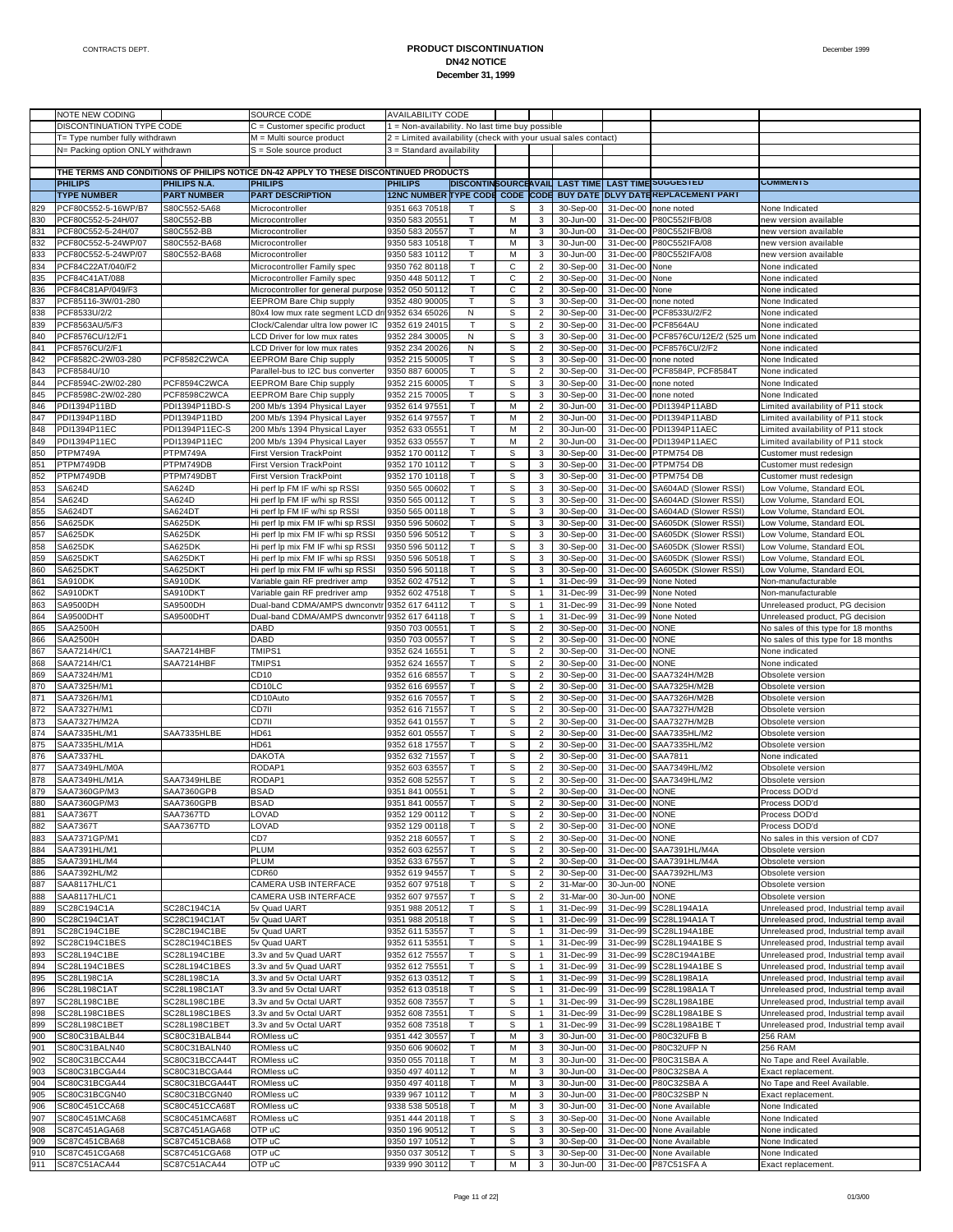|            | NOTE NEW CODING                          |                                 | SOURCE CODE                                                                           | <b>AVAILABILITY CODE</b>                                       |                              |             |                                  |                        |                          |                                                                     |                                                                                  |
|------------|------------------------------------------|---------------------------------|---------------------------------------------------------------------------------------|----------------------------------------------------------------|------------------------------|-------------|----------------------------------|------------------------|--------------------------|---------------------------------------------------------------------|----------------------------------------------------------------------------------|
|            | DISCONTINUATION TYPE CODE                |                                 | $C =$ Customer specific product                                                       | 1 = Non-availability. No last time buy possible                |                              |             |                                  |                        |                          |                                                                     |                                                                                  |
|            | T= Type number fully withdrawn           |                                 | M = Multi source product                                                              | 2 = Limited availability (check with your usual sales contact) |                              |             |                                  |                        |                          |                                                                     |                                                                                  |
|            | N= Packing option ONLY withdrawn         |                                 | $S =$ Sole source product                                                             | 3 = Standard availability                                      |                              |             |                                  |                        |                          |                                                                     |                                                                                  |
|            |                                          |                                 |                                                                                       |                                                                |                              |             |                                  |                        |                          |                                                                     |                                                                                  |
|            |                                          |                                 | THE TERMS AND CONDITIONS OF PHILIPS NOTICE DN-42 APPLY TO THESE DISCONTINUED PRODUCTS |                                                                |                              |             |                                  |                        |                          |                                                                     |                                                                                  |
|            | <b>PHILIPS</b>                           | <b>PHILIPS N.A.</b>             | <b>PHILIPS</b>                                                                        | <b>PHILIPS</b>                                                 |                              |             |                                  |                        |                          | DISCONTINSOURCEAVAIL LAST TIME LAST TIME SUGGESTED                  | <b>COMMENTS</b>                                                                  |
|            | <b>TYPE NUMBER</b>                       | <b>PART NUMBER</b>              | <b>PART DESCRIPTION</b>                                                               |                                                                |                              |             |                                  |                        |                          | 12NC NUMBER TYPE CODE CODE CODE BUY DATE DLVY DATE KEPLACEMENT PART |                                                                                  |
| 829        | PCF80C552-5-16WP/B7                      | S80C552-5A68                    | Microcontroller                                                                       | 9351 663 70518                                                 | T.                           | S           | 3                                | 30-Sep-00              |                          | 31-Dec-00 none noted                                                | None Indicated                                                                   |
| 830        | PCF80C552-5-24H/07                       | S80C552-BB                      | Microcontroller                                                                       | 9350 583 20551                                                 | T                            | M           | 3 <sup>1</sup>                   | 30-Jun-00              |                          | 31-Dec-00 P80C552IFB/08                                             | new version available                                                            |
| 831        | PCF80C552-5-24H/07                       | S80C552-BB                      | Microcontroller                                                                       | 9350 583 20557                                                 | T.                           | M           | 3                                | 30-Jun-00              |                          | 31-Dec-00 P80C552IFB/08                                             | new version available                                                            |
| 832        | PCF80C552-5-24WP/07                      | S80C552-BA68                    | Microcontroller                                                                       | 9350 583 10518                                                 | T.                           | М           | 3                                | 30-Jun-00              |                          | 31-Dec-00 P80C552IFA/08                                             | hew version available                                                            |
| 833<br>834 | PCF80C552-5-24WP/07<br>PCF84C22AT/040/F2 | S80C552-BA68                    | Microcontroller                                                                       | 9350 583 10112<br>9350 762 80118                               | T<br>$\mathsf{T}$            | M<br>С      | 3<br>$\overline{2}$              | 30-Jun-00<br>30-Sep-00 | 31-Dec-00<br>31-Dec-00   | P80C552IFA/08<br>None                                               | new version available                                                            |
| 835        | PCF84C41AT/088                           |                                 | Microcontroller Family spec<br>Microcontroller Family spec                            | 9350 448 50112                                                 | $\mathsf{T}$                 | С           | $\overline{2}$                   | 30-Sep-00              | 31-Dec-00                | None                                                                | None indicated<br>None indicated                                                 |
| 836        | PCF84C81AP/049/F3                        |                                 | Microcontroller for general purpose 9352 050 50112                                    |                                                                | T                            | С           | $\overline{2}$                   | 30-Sep-00              | 31-Dec-00                | None                                                                | None indicated                                                                   |
| 837        | PCF85116-3W/01-280                       |                                 | <b>EEPROM Bare Chip supply</b>                                                        | 9352 480 90005                                                 | T.                           | s           | 3                                | 30-Sep-00              | 31-Dec-00                | none noted                                                          | None Indicated                                                                   |
| 838        | PCF8533U/2/2                             |                                 | 80x4 low mux rate segment LCD dri 9352 634 65026                                      |                                                                | N                            | S           | $\overline{2}$                   | 30-Sep-00              |                          | 31-Dec-00 PCF8533U/2/F2                                             | None indicated                                                                   |
| 839        | PCF8563AU/5/F3                           |                                 | Clock/Calendar ultra low power IC                                                     | 9352 619 24015                                                 | T                            | s           | $\overline{2}$                   | 30-Sep-00              |                          | 31-Dec-00 PCF8564AU                                                 | None indicated                                                                   |
| 840        | PCF8576CU/12/F1                          |                                 | LCD Driver for low mux rates                                                          | 9352 284 30005                                                 | N                            | s           | 3                                | 30-Sep-00              |                          | 31-Dec-00 PCF8576CU/12E/2 (525 um                                   | None indicated                                                                   |
| 841        | PCF8576CU/2/F1                           |                                 | LCD Driver for low mux rates                                                          | 9352 234 20026                                                 | N                            | s           | $\overline{2}$                   | 30-Sep-00              |                          | 31-Dec-00 PCF8576CU/2/F2                                            | None indicated                                                                   |
| 842        | PCF8582C-2W/03-280                       | PCF8582C2WCA                    | <b>EEPROM Bare Chip supply</b>                                                        | 9352 215 50005                                                 | T.                           | S           | $\mathbf{3}$                     | 30-Sep-00              |                          | 31-Dec-00 none noted                                                | None Indicated                                                                   |
| 843        | PCF8584U/10                              |                                 | Parallel-bus to I2C bus converter                                                     | 9350 887 60005                                                 | $\mathsf{T}$                 | S           | $\overline{2}$                   | 30-Sep-00              | 31-Dec-00                | PCF8584P, PCF8584T                                                  | None indicated                                                                   |
| 844        | PCF8594C-2W/02-280                       | PCF8594C2WCA                    | <b>EEPROM Bare Chip supply</b>                                                        | 9352 215 60005                                                 | т                            | S           | 3                                | 30-Sep-00              |                          | 31-Dec-00 none noted                                                | None Indicated                                                                   |
| 845        | PCF8598C-2W/02-280                       | PCF8598C2WCA                    | <b>EEPROM Bare Chip supply</b>                                                        | 9352 215 70005                                                 | T                            | S           | 3                                | 30-Sep-00              | 31-Dec-00                | none noted                                                          | None Indicated                                                                   |
| 846<br>847 | PDI1394P11BD                             | PDI1394P11BD-S                  | 200 Mb/s 1394 Physical Layer                                                          | 9352 614 97551                                                 | $\mathsf{T}$<br>$\mathsf{T}$ | М           | $\overline{2}$<br>$\overline{2}$ | 30-Jun-00              |                          | 31-Dec-00 PDI1394P11ABD<br>31-Dec-00 PDI1394P11ABD                  | imited availability of P11 stock                                                 |
| 848        | PDI1394P11BD<br>PDI1394P11EC             | PDI1394P11BD<br>PDI1394P11EC-S  | 200 Mb/s 1394 Physical Layer                                                          | 9352 614 97557<br>9352 633 05551                               | т                            | M<br>М      |                                  | 30-Jun-00<br>30-Jun-00 |                          | 31-Dec-00 PDI1394P11AEC                                             | Limited availability of P11 stock<br>imited availability of P11 stock            |
| 849        | PDI1394P11EC                             | PDI1394P11EC                    | 200 Mb/s 1394 Physical Layer<br>200 Mb/s 1394 Physical Layer                          | 9352 633 05557                                                 | $\mathsf{T}$                 | M           | $\overline{2}$<br>$\overline{2}$ | 30-Jun-00              |                          | 31-Dec-00 PDI1394P11AEC                                             | Limited availability of P11 stock                                                |
| 850        | PTPM749A                                 | PTPM749A                        | <b>First Version TrackPoint</b>                                                       | 9352 170 00112                                                 | T                            | S           | 3                                | 30-Sep-00              |                          | 31-Dec-00 PTPM754 DB                                                | Customer must redesign                                                           |
| 851        | PTPM749DB                                | PTPM749DB                       | <b>First Version TrackPoint</b>                                                       | 9352 170 10112                                                 | T                            | S           | 3                                | 30-Sep-00              |                          | 31-Dec-00 PTPM754 DB                                                | Customer must redesign                                                           |
| 852        | PTPM749DB                                | PTPM749DBT                      | <b>First Version TrackPoint</b>                                                       | 9352 170 10118                                                 | T                            | S           | 3                                | 30-Sep-00              |                          | 31-Dec-00 PTPM754 DB                                                | Customer must redesign                                                           |
| 853        | SA624D                                   | SA624D                          | Hi perf Ip FM IF w/hi sp RSSI                                                         | 9350 565 00602                                                 | Т                            | S           | 3                                | 30-Sep-00              | 31-Dec-00                | SA604AD (Slower RSSI)                                               | Low Volume, Standard EOL                                                         |
| 854        | SA624D                                   | SA624D                          | Hi perf Ip FM IF w/hi sp RSSI                                                         | 9350 565 00112                                                 | T                            | S           | $\mathbf{3}$                     | 30-Sep-00              |                          | 31-Dec-00 SA604AD (Slower RSSI)                                     | Low Volume, Standard EOL                                                         |
| 355        | <b>SA624DT</b>                           | SA624DT                         | Hi perf lp FM IF w/hi sp RSSI                                                         | 9350 565 00118                                                 | $\mathsf{T}$                 | S           | 3                                | 30-Sep-00              | 31-Dec-00                | SA604AD (Slower RSSI)                                               | Low Volume, Standard EOL                                                         |
| 356        | SA625DK                                  | SA625DK                         | Hi perf Ip mix FM IF w/hi sp RSSI                                                     | 9350 596 50602                                                 | т                            | S           | 3                                | 30-Sep-00              | 31-Dec-00                | SA605DK (Slower RSSI)                                               | Low Volume, Standard EOL                                                         |
| 857        | SA625DK                                  | SA625DK                         | Hi perf Ip mix FM IF w/hi sp RSSI                                                     | 9350 596 50512                                                 | $\mathsf{T}$                 | S           | 3                                | 30-Sep-00              | 31-Dec-00                | SA605DK (Slower RSSI)                                               | Low Volume, Standard EOL                                                         |
| 358        | SA625DK                                  | SA625DK                         | Hi perf Ip mix FM IF w/hi sp RSSI                                                     | 9350 596 50112                                                 | T                            | S           | 3                                | 30-Sep-00              | 31-Dec-00                | SA605DK (Slower RSSI)                                               | Low Volume, Standard EOL                                                         |
| 359        | SA625DKT                                 | SA625DKT                        | Hi perf lp mix FM IF w/hi sp RSSI                                                     | 9350 596 50518                                                 | $\mathsf{T}$                 | S           | 3                                | 30-Sep-00              | 31-Dec-00                | SA605DK (Slower RSSI)                                               | Low Volume, Standard EOL                                                         |
| 860        | SA625DKT                                 | SA625DKT                        | Hi perf Ip mix FM IF w/hi sp RSSI                                                     | 9350 596 50118                                                 | т                            | S           | 3                                | 30-Sep-00              | 31-Dec-00                | SA605DK (Slower RSSI)                                               | Low Volume, Standard EOL                                                         |
| 861<br>862 | SA910DK<br>SA910DKT                      | SA910DK                         | Variable gain RF predriver amp<br>Variable gain RF predriver amp                      | 9352 602 47512<br>9352 602 47518                               | Т<br>T                       | S<br>S      | $\mathbf{1}$<br>$\mathbf{1}$     | 31-Dec-99<br>31-Dec-99 | 31-Dec-99<br>31-Dec-99   | None Noted<br>None Noted                                            | Non-manufacturable                                                               |
| 863        | SA9500DH                                 | SA910DKT<br><b>SA9500DH</b>     | Dual-band CDMA/AMPS dwnconvtr                                                         | 9352 617 64112                                                 | Τ                            | S           | $\mathbf{1}$                     | 31-Dec-99              | 31-Dec-99                | None Noted                                                          | Non-manufacturable<br>Unreleased product, PG decision                            |
| 864        | SA9500DHT                                | SA9500DHT                       | Dual-band CDMA/AMPS dwnconvtr 9352 617 64118                                          |                                                                | T                            | S           | $\mathbf{1}$                     | 31-Dec-99              | 31-Dec-99                | None Noted                                                          | Unreleased product, PG decision                                                  |
| 865        | <b>SAA2500H</b>                          |                                 | <b>DABD</b>                                                                           | 9350 703 00551                                                 | $\mathsf{T}$                 | S           | 2                                | 30-Sep-00              | 31-Dec-00                | <b>NONE</b>                                                         | No sales of this type for 18 months                                              |
| 366        | <b>SAA2500H</b>                          |                                 | DABD                                                                                  | 9350 703 00557                                                 | T                            | S           | $\overline{2}$                   | 30-Sep-00              | 31-Dec-00                | <b>NONE</b>                                                         | No sales of this type for 18 months                                              |
| 867        | SAA7214H/C1                              | SAA7214HBF                      | TMIPS1                                                                                | 9352 624 16551                                                 | $\mathsf{T}$                 | S           | $\overline{2}$                   | 30-Sep-00              | 31-Dec-00                | <b>NONE</b>                                                         | None indicated                                                                   |
| 868        | SAA7214H/C1                              | SAA7214HBF                      | TMIPS1                                                                                | 9352 624 16557                                                 | т                            | S           | $\overline{2}$                   | 30-Sep-00              | 31-Dec-00                | <b>NONE</b>                                                         | None indicated                                                                   |
| 869        | SAA7324H/M1                              |                                 | CD <sub>10</sub>                                                                      | 9352 616 68557                                                 | $\mathsf{T}$                 | s           | $\overline{2}$                   | 30-Sep-00              | 31-Dec-00                | SAA7324H/M2B                                                        | Obsolete version                                                                 |
| 870        | SAA7325H/M1                              |                                 | CD10LC                                                                                | 9352 616 69557                                                 | T                            | s           | $\overline{2}$                   | 30-Sep-00              | 31-Dec-00                | SAA7325H/M2B                                                        | Obsolete version                                                                 |
| 871        | SAA7326H/M1                              |                                 | CD10Auto                                                                              | 9352 616 70557                                                 | $\mathsf{T}$                 | s           | $\overline{2}$                   | 30-Sep-00              | 31-Dec-00                | SAA7326H/M2B                                                        | Obsolete version                                                                 |
| 872        | SAA7327H/M1                              |                                 | CD7II                                                                                 | 9352 616 71557                                                 | т                            | s           | $\overline{2}$                   | 30-Sep-00              | 31-Dec-00                | SAA7327H/M2B                                                        | Obsolete version                                                                 |
| 873        | SAA7327H/M2A                             |                                 | CD7II                                                                                 | 9352 641 01557                                                 | $\mathsf{T}$                 | s           | $\overline{2}$                   | 30-Sep-00              | 31-Dec-00                | SAA7327H/M2B                                                        | Obsolete version                                                                 |
| 874        | SAA7335HL/M1                             | SAA7335HLBE                     | HD61                                                                                  | 9352 601 05557                                                 | T                            | S           | $\overline{2}$                   | 30-Sep-00              |                          | 31-Dec-00 SAA7335HL/M2                                              | Obsolete version                                                                 |
| 875        | SAA7335HL/M1A<br>SAA7337HL               |                                 | HD61<br><b>DAKOTA</b>                                                                 | 9352 618 17557                                                 | T<br>T                       | s           | $\overline{2}$                   | 30-Sep-00              | 31-Dec-00<br>31-Dec-00   | SAA7335HL/M2<br>SAA7811                                             | Obsolete version                                                                 |
| 876<br>877 | SAA7349HL/M0A                            |                                 | RODAP1                                                                                | 9352 632 71557<br>9352 603 63557                               | $\mathsf{T}$                 | s<br>s      | $\overline{2}$<br>$\overline{2}$ | 30-Sep-00<br>30-Sep-00 | 31-Dec-00                | SAA7349HL/M2                                                        | None indicated<br>Obsolete version                                               |
| 878        | SAA7349HL/M1A                            | SAA7349HLBE                     | RODAP1                                                                                | 9352 608 52557                                                 | T                            | S           | $\overline{2}$                   | 30-Sep-00              |                          | 31-Dec-00 SAA7349HL/M2                                              | Obsolete version                                                                 |
| 879        | SAA7360GP/M3                             | SAA7360GPB                      | <b>BSAD</b>                                                                           | 9351 841 00551                                                 | $\mathsf{T}$                 | S           | $\overline{2}$                   | 30-Sep-00              | 31-Dec-00 NONE           |                                                                     | Process DOD'd                                                                    |
|            | 880 SAA7360GP/M3                         | SAA7360GPB                      | BSAD                                                                                  | 9351 841 00557                                                 |                              | s           |                                  |                        | 30-Sep-00 31-Dec-00 NONE |                                                                     | Process DOD'd                                                                    |
| 881        | <b>SAA7367T</b>                          | <b>SAA7367TD</b>                | LOVAD                                                                                 | 9352 129 00112                                                 | T                            | s           | $\overline{2}$                   |                        | 30-Sep-00 31-Dec-00 NONE |                                                                     | Process DOD'd                                                                    |
| 882        | <b>SAA7367T</b>                          | SAA7367TD                       | LOVAD                                                                                 | 9352 129 00118                                                 | Τ                            | S           | $\overline{2}$                   | 30-Sep-00              | 31-Dec-00 NONE           |                                                                     | Process DOD'd                                                                    |
| 883        | SAA7371GP/M1                             |                                 | CD7                                                                                   | 9352 218 60557                                                 | Т                            | S           | $\overline{2}$                   | 30-Sep-00              | 31-Dec-00 NONE           |                                                                     | No sales in this version of CD7                                                  |
| 884        | SAA7391HL/M1                             |                                 | PLUM                                                                                  | 9352 603 62557                                                 | T                            | s           | $\overline{2}$                   | 30-Sep-00              |                          | 31-Dec-00 SAA7391HL/M4A                                             | Obsolete version                                                                 |
| 885        | SAA7391HL/M4                             |                                 | PLUM                                                                                  | 9352 633 67557                                                 | Т                            | s           | $\overline{2}$                   | 30-Sep-00              | 31-Dec-00                | SAA7391HL/M4A                                                       | Obsolete version                                                                 |
| 886        | SAA7392HL/M2                             |                                 | CDR60                                                                                 | 9352 619 94557                                                 | Τ                            | S           | $\overline{2}$                   | 30-Sep-00              |                          | 31-Dec-00 SAA7392HL/M3                                              | Obsolete version                                                                 |
| 887        | SAA8117HL/C1                             |                                 | CAMERA USB INTERFACE                                                                  | 9352 607 97518                                                 | Т                            | s           | $\overline{2}$                   | 31-Mar-00              | 30-Jun-00                | <b>NONE</b>                                                         | Obsolete version                                                                 |
| 888        | SAA8117HL/C1                             |                                 | CAMERA USB INTERFACE                                                                  | 9352 607 97557                                                 | $\mathsf{T}$                 | s           | $\overline{2}$                   | 31-Mar-00              | 30-Jun-00                | <b>NONE</b>                                                         | Obsolete version                                                                 |
| 889        | SC28C194C1A                              | SC28C194C1A                     | 5v Quad UART                                                                          | 9351 988 20512                                                 | T.                           | $\mathbb S$ | $\mathbf{1}$                     | 31-Dec-99              | 31-Dec-99                | SC28L194A1A                                                         | Unreleased prod, Industrial temp avail                                           |
| 890<br>891 | SC28C194C1AT<br>SC28C194C1BE             | SC28C194C1AT<br>SC28C194C1BE    | 5v Quad UART<br>5v Quad UART                                                          | 9351 988 20518<br>9352 611 53557                               | T<br>T.                      | s<br>s      | $\mathbf{1}$<br>$\mathbf{1}$     | 31-Dec-99<br>31-Dec-99 | 31-Dec-99                | 31-Dec-99 SC28L194A1A T<br>SC28L194A1BE                             | Unreleased prod, Industrial temp avail<br>Unreleased prod, Industrial temp avail |
| 892        | SC28C194C1BES                            | SC28C194C1BES                   | 5v Quad UART                                                                          | 9352 611 53551                                                 | T.                           | s           | $\mathbf{1}$                     | 31-Dec-99              |                          | 31-Dec-99 SC28L194A1BE S                                            | Unreleased prod, Industrial temp avail                                           |
| 893        | SC28L194C1BE                             | SC28L194C1BE                    | 3.3v and 5v Quad UART                                                                 | 9352 612 75557                                                 | Τ                            | $\mathbb S$ | $\mathbf{1}$                     | 31-Dec-99              |                          | 31-Dec-99 SC28C194A1BE                                              | Unreleased prod, Industrial temp avail                                           |
| 894        | SC28L194C1BES                            | SC28L194C1BES                   | 3.3v and 5v Quad UART                                                                 | 9352 612 75551                                                 | T.                           | S           | $\mathbf{1}$                     | 31-Dec-99              |                          | 31-Dec-99 SC28L194A1BE S                                            | Unreleased prod, Industrial temp avail                                           |
| 895        | SC28L198C1A                              | SC28L198C1A                     | 3.3v and 5v Octal UART                                                                | 9352 613 03512                                                 | T.                           | s           | $\mathbf{1}$                     | 31-Dec-99              |                          | 31-Dec-99 SC28L198A1A                                               | Unreleased prod, Industrial temp avail                                           |
| 896        | SC28L198C1AT                             | SC28L198C1AT                    | 3.3v and 5v Octal UART                                                                | 9352 613 03518                                                 | Τ                            | s           | 1                                | 31-Dec-99              |                          | 31-Dec-99 SC28L198A1A T                                             | Unreleased prod, Industrial temp avail                                           |
| 897        | SC28L198C1BE                             | SC28L198C1BE                    | 3.3v and 5v Octal UART                                                                | 9352 608 73557                                                 | Τ                            | s           | $\mathbf{1}$                     | 31-Dec-99              |                          | 31-Dec-99 SC28L198A1BE                                              | Unreleased prod, Industrial temp avail                                           |
| 898        | SC28L198C1BES                            | SC28L198C1BES                   | 3.3v and 5v Octal UART                                                                | 9352 608 73551                                                 | T.                           | S           | $\mathbf{1}$                     | 31-Dec-99              |                          | 31-Dec-99 SC28L198A1BE S                                            | Unreleased prod, Industrial temp avail                                           |
| 899        | SC28L198C1BET                            | SC28L198C1BET                   | 3.3v and 5v Octal UART                                                                | 9352 608 73518                                                 | T                            | $\mathbb S$ | $\mathbf{1}$                     | 31-Dec-99              |                          | 31-Dec-99 SC28L198A1BE T                                            | Unreleased prod, Industrial temp avail                                           |
| 900        | SC80C31BALB44                            | SC80C31BALB44                   | ROMIess uC                                                                            | 9351 442 30557                                                 | $\mathsf{T}$                 | М           | 3                                | 30-Jun-00              |                          | 31-Dec-00 P80C32UFB B                                               | 256 RAM                                                                          |
| 901        | SC80C31BALN40                            | SC80C31BALN40                   | ROMless uC                                                                            | 9350 606 90602                                                 | Т                            | М           | 3                                | 30-Jun-00              |                          | 31-Dec-00 P80C32UFP N                                               | 256 RAM                                                                          |
| 902        | SC80C31BCCA44                            | SC80C31BCCA44T                  | ROMless uC                                                                            | 9350 055 70118                                                 | Τ                            | М           | $\mathbf{3}$                     | 30-Jun-00              |                          | 31-Dec-00 P80C31SBA A                                               | No Tape and Reel Available.                                                      |
| 903        | SC80C31BCGA44                            | SC80C31BCGA44                   | ROMless uC                                                                            | 9350 497 40112                                                 | T                            | M           | 3                                | 30-Jun-00              |                          | 31-Dec-00 P80C32SBA A                                               | Exact replacement.                                                               |
| 904        | SC80C31BCGA44<br>SC80C31BCGN40           | SC80C31BCGA44T                  | ROMless uC<br>ROMless uC                                                              | 9350 497 40118<br>9339 967 10112                               | т<br>Т                       | М           | $\mathbf{3}$                     | 30-Jun-00              |                          | 31-Dec-00 P80C32SBA A<br>31-Dec-00 P80C32SBP N                      | No Tape and Reel Available.                                                      |
| 905<br>906 | SC80C451CCA68                            | SC80C31BCGN40<br>SC80C451CCA68T | ROMless uC                                                                            | 9338 538 50518                                                 | Τ                            | М<br>М      | 3<br>$\mathbf{3}$                | 30-Jun-00<br>30-Jun-00 |                          | 31-Dec-00 None Available                                            | Exact replacement.<br>None Indicated                                             |
| 907        | SC80C451MCA68                            | SC80C451MCA68T                  | ROMless uC                                                                            | 9351 444 20118                                                 | Т                            | s           | 3                                | 30-Sep-00              | 31-Dec-00                | None Available                                                      | None Indicated                                                                   |
| 908        | SC87C451AGA68                            | SC87C451AGA68                   | OTP uC                                                                                | 9350 196 90512                                                 | T                            | s           | 3                                | 30-Sep-00              |                          | 31-Dec-00 None Available                                            | None indicated                                                                   |
| 909        | SC87C451CBA68                            | SC87C451CBA68                   | OTP uC                                                                                | 9350 197 10512                                                 | Τ                            | $\mathbb S$ | 3                                | 30-Sep-00              | 31-Dec-00                | None Available                                                      | None Indicated                                                                   |
| 910        | SC87C451CGA68                            | SC87C451CGA68                   | OTP uC                                                                                | 9350 037 30512                                                 | Τ                            | S           | 3                                | 30-Sep-00              |                          | 31-Dec-00 None Available                                            | None Indicated                                                                   |
| 911        | SC87C51ACA44                             | SC87C51ACA44                    | OTP uC                                                                                | 9339 990 30112                                                 | Τ                            | М           | 3 <sup>7</sup>                   | 30-Jun-00              |                          | 31-Dec-00 P87C51SFA A                                               | Exact replacement.                                                               |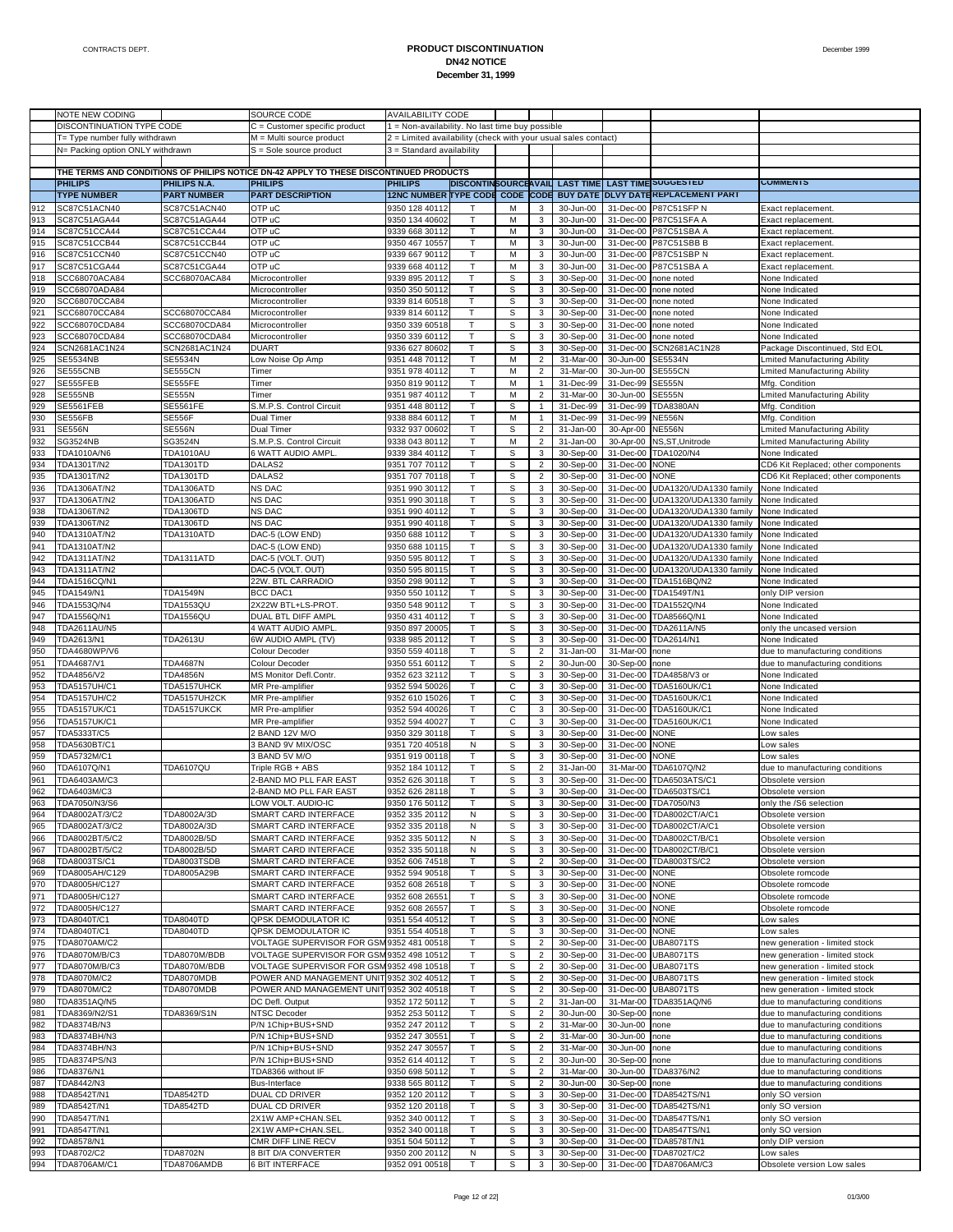|            | NOTE NEW CODING                  |                          | SOURCE CODE                                                                           | <b>AVAILABILITY CODE</b>                                       |        |                  |                                  |                        |                        |                                                                    |                                                                    |
|------------|----------------------------------|--------------------------|---------------------------------------------------------------------------------------|----------------------------------------------------------------|--------|------------------|----------------------------------|------------------------|------------------------|--------------------------------------------------------------------|--------------------------------------------------------------------|
|            | DISCONTINUATION TYPE CODE        |                          | $C =$ Customer specific product                                                       | 1 = Non-availability. No last time buy possible                |        |                  |                                  |                        |                        |                                                                    |                                                                    |
|            | T= Type number fully withdrawn   |                          | M = Multi source product                                                              | 2 = Limited availability (check with your usual sales contact) |        |                  |                                  |                        |                        |                                                                    |                                                                    |
|            | N= Packing option ONLY withdrawn |                          | $S =$ Sole source product                                                             | 3 = Standard availability                                      |        |                  |                                  |                        |                        |                                                                    |                                                                    |
|            |                                  |                          |                                                                                       |                                                                |        |                  |                                  |                        |                        |                                                                    |                                                                    |
|            |                                  |                          | THE TERMS AND CONDITIONS OF PHILIPS NOTICE DN-42 APPLY TO THESE DISCONTINUED PRODUCTS |                                                                |        |                  |                                  |                        |                        |                                                                    |                                                                    |
|            | <b>PHILIPS</b>                   | PHILIPS N.A.             | <b>PHILIPS</b>                                                                        | <b>PHILIPS</b>                                                 |        |                  |                                  |                        |                        | DISCONTINSOURCEAVAIL LAST TIME LAST TIME SUGGESTED                 | <b>COMMENTS</b>                                                    |
|            | <b>TYPE NUMBER</b>               | <b>PART NUMBER</b>       | <b>PART DESCRIPTION</b>                                                               |                                                                |        |                  |                                  |                        |                        | 12NC NUMBER TYPE CODE CODE CODE BUY DATE DLVY DATEREPLACEMENT PART |                                                                    |
| 912        | SC87C51ACN40                     | SC87C51ACN40             | OTP uC                                                                                | 9350 128 40112                                                 |        | M                | 3                                | 30-Jun-00              | 31-Dec-00              | P87C51SFP N                                                        | Exact replacement                                                  |
| 913        | SC87C51AGA44                     | SC87C51AGA44             | OTP uC                                                                                | 9350 134 40602                                                 | т      | M                | 3                                | 30-Jun-00              | 31-Dec-00              | <b>P87C51SFA A</b>                                                 | Exact replacement.                                                 |
| 914        | SC87C51CCA44                     | SC87C51CCA44             | OTP uC                                                                                | 9339 668 30112                                                 | Т      | M                | 3                                | 30-Jun-00              | 31-Dec-00              | P87C51SBA A                                                        | Exact replacement                                                  |
| 915        | SC87C51CCB44                     | SC87C51CCB44             | OTP uC                                                                                | 9350 467 10557                                                 | т      | M                | 3                                | 30-Jun-00              |                        | 31-Dec-00 P87C51SBB B                                              | Exact replacement                                                  |
| 916        | SC87C51CCN40                     | SC87C51CCN40             | OTP uC                                                                                | 9339 667 90112                                                 |        | M                | 3                                | 30-Jun-00              | 31-Dec-00              | P87C51SBP N                                                        | Exact replacement.                                                 |
| 917        | SC87C51CGA44                     | SC87C51CGA44             | OTP uC                                                                                | 9339 668 40112                                                 | т      | М                | 3                                | 30-Jun-00              | 31-Dec-00              | P87C51SBA A                                                        | Exact replacement.                                                 |
| 918        | SCC68070ACA84                    | SCC68070ACA84            | Microcontroller                                                                       | 9339 895 20112                                                 | T      | S                | 3                                | 30-Sep-00              | 31-Dec-00              | none noted                                                         | None Indicated                                                     |
| 919        | SCC68070ADA84                    |                          | Microcontroller                                                                       | 9350 350 50112                                                 | т      | $\mathbb S$      | 3                                | 30-Sep-00              | 31-Dec-00              | none noted                                                         | None Indicated                                                     |
| 920        | SCC68070CCA84                    |                          | Microcontroller                                                                       | 9339 814 60518                                                 | T      | S                | 3                                | 30-Sep-00              | 31-Dec-00              | none noted                                                         | None Indicated                                                     |
| 921        | SCC68070CCA84                    | SCC68070CCA84            | Microcontroller                                                                       | 9339 814 60112                                                 | т      | S                | 3                                | 30-Sep-00              | 31-Dec-00              | none noted                                                         | None Indicated                                                     |
| 922        | SCC68070CDA84                    | SCC68070CDA84            | Microcontroller                                                                       | 9350 339 60518                                                 | T      | S                | 3                                | 30-Sep-00              | 31-Dec-00              | none noted                                                         | <b>Vone Indicated</b>                                              |
| 923        | SCC68070CDA84                    | SCC68070CDA84            | Microcontroller                                                                       | 9350 339 60112                                                 | Т      | $\mathbb S$      | 3                                | 30-Sep-00              | 31-Dec-00              | none noted                                                         | None Indicated                                                     |
| 924        | SCN2681AC1N24                    | SCN2681AC1N24            | <b>DUART</b>                                                                          | 9336 627 80602                                                 | T      | S                | 3                                | 30-Sep-00              | 31-Dec-00              | SCN2681AC1N28                                                      | Package Discontinued, Std EOL                                      |
| 925        | <b>SE5534NB</b>                  | SE5534N                  | Low Noise Op Amp                                                                      | 9351 448 70112                                                 | т<br>т | М                | $\overline{2}$                   | 31-Mar-00              | 30-Jun-00              | SE5534N                                                            | Lmited Manufacturing Ability                                       |
| 926<br>927 | SE555CNB                         | <b>SE555CN</b>           | Timer                                                                                 | 9351 978 40112                                                 | т      | M<br>M           | $\overline{\mathbf{c}}$          | 31-Mar-00              | 30-Jun-00              | SE555CN<br><b>SE555N</b>                                           | mited Manufacturing Ability                                        |
| 928        | SE555FEB<br><b>SE555NB</b>       | SE555FE<br><b>SE555N</b> | Timer<br>Timer                                                                        | 9350 819 90112                                                 | т      | M                | 1<br>$\overline{\mathbf{c}}$     | 31-Dec-99<br>31-Mar-00 | 31-Dec-99<br>30-Jun-00 | <b>SE555N</b>                                                      | Mfg. Condition<br>mited Manufacturing Ability                      |
| 929        | SE5561FEB                        | SE5561FE                 | S.M.P.S. Control Circuit                                                              | 9351 987 40112<br>9351 448 80112                               | т      | S                | $\mathbf{1}$                     | 31-Dec-99              | 31-Dec-99              | <b>TDA8380AN</b>                                                   | Mfg. Condition                                                     |
| 930        | SE556FB                          | <b>SE556F</b>            |                                                                                       | 9338 884 60112                                                 | т      | M                | $\mathbf{1}$                     | 31-Dec-99              | 31-Dec-99              | <b>NE556N</b>                                                      | Mfg. Condition                                                     |
| 931        | <b>SE556N</b>                    | <b>SE556N</b>            | Dual Timer<br>Dual Timer                                                              | 9332 937 00602                                                 | Т      | S                | $\overline{c}$                   | 31-Jan-00              | 30-Apr-00              | <b>NE556N</b>                                                      | Lmited Manufacturing Ability                                       |
| 932        | SG3524NB                         | SG3524N                  | S.M.P.S. Control Circuit                                                              | 9338 043 80112                                                 | T      | M                | $\overline{\mathbf{c}}$          | 31-Jan-00              | 30-Apr-00              | NS,ST,Unitrode                                                     | Lmited Manufacturing Ability                                       |
| 933        | TDA1010A/N6                      | <b>TDA1010AU</b>         | 6 WATT AUDIO AMPL                                                                     | 9339 384 40112                                                 | т      | S                | 3                                | 30-Sep-00              | 31-Dec-00              | TDA1020/N4                                                         | None Indicated                                                     |
| 934        | TDA1301T/N2                      | <b>TDA1301TD</b>         | DALAS2                                                                                | 9351 707 70112                                                 |        | S                | $\overline{\mathbf{c}}$          | 30-Sep-00              | 31-Dec-00              | NONE                                                               | CD6 Kit Replaced; other components                                 |
| 935        | TDA1301T/N2                      | TDA1301TD                | DALAS2                                                                                | 9351 707 70118                                                 | т      | $\mathbb S$      | $\overline{\mathbf{c}}$          | 30-Sep-00              | 31-Dec-00              | NONE                                                               | CD6 Kit Replaced; other components                                 |
| 936        | TDA1306AT/N2                     | TDA1306ATD               | NS DAC                                                                                | 9351 990 30112                                                 | T      | S                | 3                                | 30-Sep-00              | 31-Dec-00              | UDA1320/UDA1330 family                                             | None Indicated                                                     |
| 937        | TDA1306AT/N2                     | TDA1306ATD               | NS DAC                                                                                | 9351 990 30118                                                 | т      | S                | 3                                | 30-Sep-00              | 31-Dec-00              | UDA1320/UDA1330 family                                             | None Indicated                                                     |
| 938        | TDA1306T/N2                      | <b>TDA1306TD</b>         | NS DAC                                                                                | 9351 990 40112                                                 | т      | S                | 3                                | 30-Sep-00              | 31-Dec-00              | UDA1320/UDA1330 family                                             | None Indicated                                                     |
| 939        | TDA1306T/N2                      | TDA1306TD                | NS DAC                                                                                | 9351 990 40118                                                 | т      | $\mathbb S$      | 3                                | 30-Sep-00              | 31-Dec-00              | UDA1320/UDA1330 family                                             | None Indicated                                                     |
| 940        | TDA1310AT/N2                     | TDA1310ATD               | DAC-5 (LOW END)                                                                       | 9350 688 10112                                                 |        | S                | 3                                | 30-Sep-00              | 31-Dec-00              | UDA1320/UDA1330 family                                             | None Indicated                                                     |
| 941        | TDA1310AT/N2                     |                          | DAC-5 (LOW END)                                                                       | 9350 688 10115                                                 | т      | S                | 3                                | 30-Sep-00              | 31-Dec-00              | UDA1320/UDA1330 family                                             | None Indicated                                                     |
| 942        | TDA1311AT/N2                     | TDA1311ATD               | DAC-5 (VOLT. OUT)                                                                     | 9350 595 80112                                                 | т      | S                | 3                                | 30-Sep-00              | 31-Dec-00              | UDA1320/UDA1330 family                                             | <b>Vone Indicated</b>                                              |
| 943        | TDA1311AT/N2                     |                          | DAC-5 (VOLT. OUT)                                                                     | 9350 595 80115                                                 | т      | $\mathbb S$      | 3                                | 30-Sep-00              | 31-Dec-00              | UDA1320/UDA1330 family                                             | None Indicated                                                     |
| 944        | TDA1516CQ/N1                     |                          | 22W. BTL CARRADIO                                                                     | 9350 298 90112                                                 | T      | S                | 3                                | 30-Sep-00              | 31-Dec-00              | TDA1516BQ/N2                                                       | <b>Vone Indicated</b>                                              |
| 945        | TDA1549/N1                       | <b>TDA1549N</b>          | <b>BCC DAC1</b>                                                                       | 9350 550 10112                                                 | т      | $\mathbb S$      | 3                                | 30-Sep-00              | 31-Dec-00              | TDA1549T/N1                                                        | only DIP version                                                   |
| 946        | TDA1553Q/N4                      | <b>TDA1553QU</b>         | 2X22W BTL+LS-PROT                                                                     | 9350 548 90112                                                 |        | S                | 3                                | 30-Sep-00              | 31-Dec-00              | TDA1552Q/N4                                                        | None Indicated                                                     |
| 947        | TDA1556Q/N1                      | <b>TDA1556QU</b>         | DUAL BTL DIFF AMPL                                                                    | 9350 431 40112                                                 | т      | $\mathbb S$      | 3                                | 30-Sep-00              | 31-Dec-00              | TDA8566Q/N1                                                        | None Indicated                                                     |
| 948        | <b>TDA2611AU/N5</b>              |                          | 4 WATT AUDIO AMPL                                                                     | 9350 897 20005                                                 | T      | S                | 3                                | 30-Sep-00              | 31-Dec-00              | TDA2611A/N5                                                        | only the uncased version                                           |
| 949        | TDA2613/N1                       | TDA2613U                 | 6W AUDIO AMPL (TV)                                                                    | 9338 985 20112                                                 | т      | S                | 3                                | 30-Sep-00              | 31-Dec-00              | TDA2614/N1                                                         | None Indicated                                                     |
| 950        | TDA4680WP/V6                     |                          | Colour Decoder                                                                        | 9350 559 40118                                                 | т      | S                | $\overline{\mathbf{c}}$          | 31-Jan-00              | 31-Mar-00              | none                                                               | due to manufacturing conditions                                    |
| 951        | TDA4687/V1                       | <b>TDA4687N</b>          | Colour Decoder                                                                        | 9350 551 60112                                                 | т      | $\mathbb S$      | $\overline{\mathbf{c}}$          | 30-Jun-00              | 30-Sep-00              | none                                                               | due to manufacturing conditions                                    |
| 952        | TDA4856/V2                       | <b>TDA4856N</b>          | MS Monitor Defl.Contr.                                                                | 9352 623 32112                                                 |        | S                | 3                                | 30-Sep-00              | 31-Dec-00              | TDA4858/V3 or                                                      | None Indicated                                                     |
| 953        | <b>TDA5157UH/C1</b>              | TDA5157UHCK              | MR Pre-amplifier                                                                      | 9352 594 50026                                                 | т      | С                | 3                                | 30-Sep-00              | 31-Dec-00              | TDA5160UK/C1                                                       | None Indicated                                                     |
| 954        | <b>TDA5157UH/C2</b>              | TDA5157UH2CK             | MR Pre-amplifier                                                                      | 9352 610 15026                                                 | т      | C                | 3                                | 30-Sep-00              | 31-Dec-00              | TDA5160UK/C1                                                       | <b>Vone Indicated</b>                                              |
| 955        | <b>TDA5157UK/C1</b>              | TDA5157UKCK              | MR Pre-amplifier                                                                      | 9352 594 40026                                                 | т      | С                | 3                                | 30-Sep-00              | 31-Dec-00              | <b>TDA5160UK/C1</b>                                                | None Indicated                                                     |
| 956        | <b>TDA5157UK/C1</b>              |                          | MR Pre-amplifier                                                                      | 9352 594 40027                                                 | т      | C                | 3                                | 30-Sep-00              | 31-Dec-00              | TDA5160UK/C1                                                       | <b>Vone Indicated</b>                                              |
| 957        | TDA5333T/C5                      |                          | 2 BAND 12V M/O                                                                        | 9350 329 30118                                                 | т      | $\mathbb S$      | 3                                | 30-Sep-00              | 31-Dec-00              | <b>NONE</b>                                                        | ow sales                                                           |
| 958        | TDA5630BT/C1                     |                          | 3 BAND 9V MIX/OSC<br>3 BAND 5V M/O                                                    | 9351 720 40518                                                 | N      | S<br>$\mathbb S$ | 3                                | 30-Sep-00              | 31-Dec-00              | <b>NONE</b>                                                        | ow sales                                                           |
| 959<br>960 | TDA5732M/C1<br>TDA6107Q/N1       | <b>TDA6107QU</b>         | Triple RGB + ABS                                                                      | 9351 919 00118                                                 | т<br>т | S                | 3<br>$\overline{\mathbf{c}}$     | 30-Sep-00<br>31-Jan-00 | 31-Dec-00<br>31-Mar-00 | <b>NONE</b><br>TDA6107Q/N2                                         | Low sales                                                          |
| 961        | TDA6403AM/C3                     |                          | 2-BAND MO PLL FAR EAST                                                                | 9352 184 10112<br>9352 626 30118                               | т      | S                | 3                                | 30-Sep-00              | 31-Dec-00              | TDA6503ATS/C1                                                      | due to manufacturing conditions                                    |
| 962        | TDA6403M/C3                      |                          | -BAND MO PLL FAR EAST                                                                 | 9352 626 28118                                                 |        | s                | 3                                | 30-Sep-00              | 31-Dec-00              | TDA6503TS/C1                                                       | Obsolete version<br>Obsolete version                               |
| 963        | TDA7050/N3/S6                    |                          | LOW VOLT. AUDIO-IC                                                                    | 9350 176 50112                                                 |        | s                |                                  |                        |                        | 30-Sep-00 31-Dec-00 TDA7050/N3                                     | only the /S6 selection                                             |
| 964        | TDA8002AT/3/C2                   | TDA8002A/3D              | SMART CARD INTERFACE                                                                  | 9352 335 20112                                                 | Ν      | $\mathbb S$      | 3                                | 30-Sep-00              |                        | 31-Dec-00 TDA8002CT/A/C1                                           | Obsolete version                                                   |
| 965        | TDA8002AT/3/C2                   | TDA8002A/3D              | SMART CARD INTERFACE                                                                  | 9352 335 20118                                                 | N      | $\mathbb S$      | 3                                | 30-Sep-00              |                        | 31-Dec-00 TDA8002CT/A/C1                                           | Obsolete version                                                   |
| 966        | TDA8002BT/5/C2                   | TDA8002B/5D              | SMART CARD INTERFACE                                                                  | 9352 335 50112                                                 | N      | S                | 3                                | 30-Sep-00              | 31-Dec-00              | TDA8002CT/B/C1                                                     | Obsolete version                                                   |
| 967        | TDA8002BT/5/C2                   | TDA8002B/5D              | SMART CARD INTERFACE                                                                  | 9352 335 50118                                                 | N      | $\mathbb S$      | 3                                | 30-Sep-00              | 31-Dec-00              | TDA8002CT/B/C1                                                     | Obsolete version                                                   |
| 968        | TDA8003TS/C1                     | TDA8003TSDB              | SMART CARD INTERFACE                                                                  | 9352 606 74518                                                 | Т      | S                | $\overline{2}$                   | 30-Sep-00              | 31-Dec-00              | TDA8003TS/C2                                                       | Obsolete version                                                   |
| 969        | TDA8005AH/C129                   | TDA8005A29B              | SMART CARD INTERFACE                                                                  | 9352 594 90518                                                 | т      | $\mathbb S$      | 3                                | 30-Sep-00              | 31-Dec-00              | <b>NONE</b>                                                        | Obsolete romcode                                                   |
| 970        | TDA8005H/C127                    |                          | SMART CARD INTERFACE                                                                  | 9352 608 26518                                                 |        | S                | 3                                | 30-Sep-00              | 31-Dec-00              | <b>NONE</b>                                                        | Obsolete romcode                                                   |
| 971        | TDA8005H/C127                    |                          | SMART CARD INTERFACE                                                                  | 9352 608 26551                                                 | т      | $\mathbb S$      | 3                                | 30-Sep-00              | 31-Dec-00              | <b>NONE</b>                                                        | Obsolete romcode                                                   |
| 972        | TDA8005H/C127                    |                          | SMART CARD INTERFACE                                                                  | 9352 608 26557                                                 | Т      | S                | 3                                | 30-Sep-00              | 31-Dec-00              | <b>NONE</b>                                                        | Obsolete romcode                                                   |
| 973        | TDA8040T/C1                      | <b>TDA8040TD</b>         | QPSK DEMODULATOR IC                                                                   | 9351 554 40512                                                 | т      | $\mathbb S$      | 3                                | 30-Sep-00              | 31-Dec-00              | <b>NONE</b>                                                        | Low sales                                                          |
| 974        | TDA8040T/C1                      | <b>TDA8040TD</b>         | QPSK DEMODULATOR IC                                                                   | 9351 554 40518                                                 | т      | S                | 3                                | 30-Sep-00              | 31-Dec-00              | <b>NONE</b>                                                        | ow sales                                                           |
| 975        | TDA8070AM/C2                     |                          | VOLTAGE SUPERVISOR FOR GSM 9352 481 00518                                             |                                                                | т      | $\mathbb S$      | $\overline{2}$                   | 30-Sep-00              |                        | 31-Dec-00 UBA8071TS                                                | new generation - limited stock                                     |
| 976        | TDA8070M/B/C3                    | TDA8070M/BDB             | VOLTAGE SUPERVISOR FOR GSM 9352 498 10512                                             |                                                                | Т      | S                | $\overline{\mathbf{c}}$          | 30-Sep-00              | 31-Dec-00              | <b>UBA8071TS</b>                                                   | new generation - limited stock                                     |
| 977        | TDA8070M/B/C3                    | TDA8070M/BDB             | VOLTAGE SUPERVISOR FOR GSM 9352 498 10518                                             |                                                                | т      | $\mathbb S$      | $\overline{2}$                   | 30-Sep-00              |                        | 31-Dec-00 UBA8071TS                                                | new generation - limited stock                                     |
| 978        | TDA8070M/C2                      | TDA8070MDB               | POWER AND MANAGEMENT UNIT 9352 302 40512                                              |                                                                | Т      | S                | $\overline{\mathbf{c}}$          | 30-Sep-00              | 31-Dec-00              | <b>UBA8071TS</b>                                                   | new generation - limited stock                                     |
| 979        | TDA8070M/C2                      | TDA8070MDB               | POWER AND MANAGEMENT UNIT 9352 302 40518                                              |                                                                | т      | $\mathbb S$      | $\overline{\mathbf{c}}$          | 30-Sep-00              | 31-Dec-00              | <b>UBA8071TS</b>                                                   | new generation - limited stock                                     |
| 980        | TDA8351AQ/N5                     |                          | DC Defl. Output                                                                       | 9352 172 50112                                                 | Т      | S                | $\overline{2}$                   | 31-Jan-00              | 31-Mar-00              | TDA8351AQ/N6                                                       | due to manufacturing conditions                                    |
| 981        | TDA8369/N2/S1                    | TDA8369/S1N              | <b>NTSC Decoder</b>                                                                   | 9352 253 50112                                                 | т      | S                | $\overline{a}$                   | 30-Jun-00              | 30-Sep-00              | none                                                               | due to manufacturing conditions                                    |
| 982        | TDA8374B/N3                      |                          | P/N 1Chip+BUS+SND                                                                     | 9352 247 20112                                                 |        | S                | $\overline{\mathbf{c}}$          | 31-Mar-00              | 30-Jun-00              | none                                                               | due to manufacturing conditions                                    |
| 983        | TDA8374BH/N3                     |                          | P/N 1Chip+BUS+SND                                                                     | 9352 247 30551                                                 | т      | $\mathbb S$      | $\overline{2}$                   | 31-Mar-00              | 30-Jun-00              | none                                                               | due to manufacturing conditions                                    |
| 984        | TDA8374BH/N3                     |                          | P/N 1Chip+BUS+SND                                                                     | 9352 247 30557                                                 | Т      | S                | $\overline{2}$                   | 31-Mar-00              | 30-Jun-00              | none                                                               | due to manufacturing conditions                                    |
| 985        | TDA8374PS/N3<br>TDA8376/N1       |                          | P/N 1Chip+BUS+SND                                                                     | 9352 614 40112<br>9350 698 50112                               | т<br>Т | $\mathbb S$<br>S | $\overline{2}$<br>$\overline{2}$ | 30-Jun-00<br>31-Mar-00 | 30-Sep-00              | none<br>TDA8376/N2                                                 | due to manufacturing conditions                                    |
| 986<br>987 | TDA8442/N3                       |                          | TDA8366 without IF<br>Bus-Interface                                                   | 9338 565 80112                                                 | т      | $\mathbb S$      | $\overline{2}$                   | 30-Jun-00              | 30-Jun-00<br>30-Sep-00 | none                                                               | due to manufacturing conditions<br>due to manufacturing conditions |
| 988        | TDA8542T/N1                      | <b>TDA8542TD</b>         | DUAL CD DRIVER                                                                        | 9352 120 20112                                                 | Т      | S                | 3                                | 30-Sep-00              | 31-Dec-00              | TDA8542TS/N1                                                       | only SO version                                                    |
| 989        | TDA8542T/N1                      | TDA8542TD                | DUAL CD DRIVER                                                                        | 9352 120 20118                                                 | т      | $\mathbb S$      | 3                                | 30-Sep-00              | 31-Dec-00              | TDA8542TS/N1                                                       | only SO version                                                    |
| 990        | TDA8547T/N1                      |                          | 2X1W AMP+CHAN.SEL                                                                     | 9352 340 00112                                                 | Т      | S                | 3                                | 30-Sep-00              | 31-Dec-00              | TDA8547TS/N1                                                       | only SO version                                                    |
| 991        | <b>TDA8547T/N1</b>               |                          | 2X1W AMP+CHAN.SEL                                                                     | 9352 340 00118                                                 | т      | s                | 3                                | 30-Sep-00              | 31-Dec-00              | <b>TDA8547TS/N1</b>                                                | only SO version                                                    |
| 992        | TDA8578/N1                       |                          | CMR DIFF LINE RECV                                                                    | 9351 504 50112                                                 | Т      | S                | 3                                | 30-Sep-00              | 31-Dec-00              | TDA8578T/N1                                                        | only DIP version                                                   |
| 993        | TDA8702/C2                       | <b>TDA8702N</b>          | 8 BIT D/A CONVERTER                                                                   | 9350 200 20112                                                 | N      | S                | 3                                | 30-Sep-00              |                        | 31-Dec-00 TDA8702T/C2                                              | Low sales                                                          |
| 994        | TDA8706AM/C1                     | TDA8706AMDB              | 6 BIT INTERFACE                                                                       | 9352 091 00518                                                 |        | S                | 3                                | 30-Sep-00              |                        | 31-Dec-00 TDA8706AM/C3                                             | Obsolete version Low sales                                         |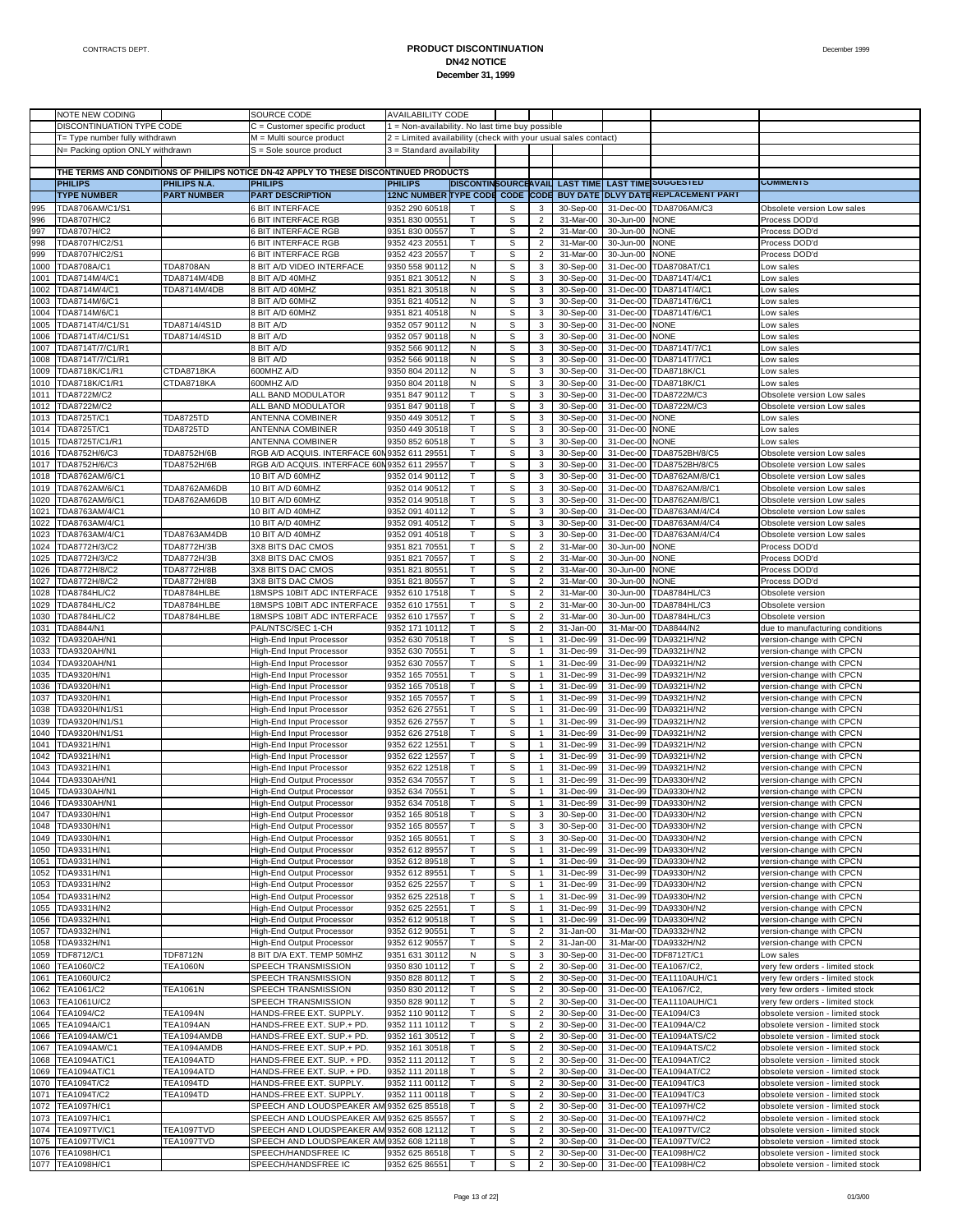|      | NOTE NEW CODING                  |                    | SOURCE CODE                                                                           | <b>AVAILABILITY CODE</b>                                       |              |             |                |           |           |                                                    |                                  |
|------|----------------------------------|--------------------|---------------------------------------------------------------------------------------|----------------------------------------------------------------|--------------|-------------|----------------|-----------|-----------|----------------------------------------------------|----------------------------------|
|      | DISCONTINUATION TYPE CODE        |                    | C = Customer specific product                                                         | 1 = Non-availability. No last time buy possible                |              |             |                |           |           |                                                    |                                  |
|      | T= Type number fully withdrawn   |                    | M = Multi source product                                                              | 2 = Limited availability (check with your usual sales contact) |              |             |                |           |           |                                                    |                                  |
|      | N= Packing option ONLY withdrawn |                    | $S =$ Sole source product                                                             | 3 = Standard availability                                      |              |             |                |           |           |                                                    |                                  |
|      |                                  |                    |                                                                                       |                                                                |              |             |                |           |           |                                                    |                                  |
|      |                                  |                    |                                                                                       |                                                                |              |             |                |           |           |                                                    |                                  |
|      |                                  |                    | THE TERMS AND CONDITIONS OF PHILIPS NOTICE DN-42 APPLY TO THESE DISCONTINUED PRODUCTS |                                                                |              |             |                |           |           |                                                    |                                  |
|      | <b>PHILIPS</b>                   | PHILIPS N.A.       | <b>PHILIPS</b>                                                                        | <b>PHILIPS</b>                                                 |              |             |                |           |           | DISCONTINSOURCEAVAIL LAST TIME LAST TIME SUGGESTED | <b>COMMENIS</b>                  |
|      | <b>TYPE NUMBER</b>               | <b>PART NUMBER</b> | <b>PART DESCRIPTION</b>                                                               | <b>12NC NUMBER TYPE CODE</b>                                   |              |             |                |           |           | CODE CODE BUY DATE DLVY DATEREPLACEMENT PART       |                                  |
| 995  | TDA8706AM/C1/S1                  |                    | <b>6 BIT INTERFACE</b>                                                                | 9352 290 60518                                                 |              | s           | 3              | 30-Sep-00 | 31-Dec-00 | TDA8706AM/C3                                       | Obsolete version Low sales       |
| 996  | <b>TDA8707H/C2</b>               |                    | 6 BIT INTERFACE RGB                                                                   | 9351 830 00551                                                 | T            | S           | $\overline{2}$ | 31-Mar-00 | 30-Jun-00 | <b>NONE</b>                                        | Process DOD'd                    |
| 997  | TDA8707H/C2                      |                    | 6 BIT INTERFACE RGB                                                                   | 9351 830 00557                                                 | т            | s           | $\overline{a}$ | 31-Mar-00 | 30-Jun-00 | <b>NONE</b>                                        | Process DOD'd                    |
| 998  | TDA8707H/C2/S1                   |                    | 6 BIT INTERFACE RGB                                                                   | 9352 423 2055                                                  | T            | $\mathbb S$ | $\overline{a}$ | 31-Mar-00 | 30-Jun-00 | <b>NONE</b>                                        | Process DOD'd                    |
| 999  | TDA8707H/C2/S1                   |                    | 6 BIT INTERFACE RGB                                                                   | 9352 423 20557                                                 | T            | s           | $\overline{2}$ | 31-Mar-00 | 30-Jun-00 | NONE                                               | Process DOD'd                    |
|      |                                  |                    |                                                                                       |                                                                |              |             |                |           |           |                                                    |                                  |
| 1000 | TDA8708A/C1                      | <b>TDA8708AN</b>   | 8 BIT A/D VIDEO INTERFACE                                                             | 9350 558 90112                                                 | N            | S           | 3              | 30-Sep-00 | 31-Dec-00 | TDA8708AT/C1                                       | ow sales                         |
| 1001 | TDA8714M/4/C1                    | TDA8714M/4DB       | 8 BIT A/D 40MHZ                                                                       | 9351 821 30512                                                 | N            | s           | 3              | 30-Sep-00 | 31-Dec-00 | TDA8714T/4/C1                                      | ow sales                         |
| 1002 | TDA8714M/4/C1                    | TDA8714M/4DB       | 8 BIT A/D 40MHZ                                                                       | 9351 821 30518                                                 | N            | $\mathbb S$ | 3              | 30-Sep-00 | 31-Dec-00 | TDA8714T/4/C1                                      | ow sales                         |
| 1003 | TDA8714M/6/C1                    |                    | 8 BIT A/D 60MHZ                                                                       | 9351 821 40512                                                 | N            | S           | 3              | 30-Sep-00 | 31-Dec-00 | TDA8714T/6/C1                                      | ow sales                         |
| 1004 | TDA8714M/6/C1                    |                    | 8 BIT A/D 60MHZ                                                                       | 9351 821 40518                                                 | N            | S           | 3              | 30-Sep-00 | 31-Dec-00 | TDA8714T/6/C1                                      | ow sales                         |
| 1005 | TDA8714T/4/C1/S1                 | TDA8714/4S1D       | 8 BIT A/D                                                                             | 9352 057 90112                                                 | N            | s           | 3              | 30-Sep-00 | 31-Dec-00 | <b>NONE</b>                                        | ow sales                         |
| 1006 | TDA8714T/4/C1/S1                 | TDA8714/4S1D       | 8 BIT A/D                                                                             | 9352 057 90118                                                 | N            | S           | 3              | 30-Sep-00 | 31-Dec-00 | <b>NONE</b>                                        | ow sales                         |
| 1007 | TDA8714T/7/C1/R1                 |                    | 8 BIT A/D                                                                             | 9352 566 90112                                                 | N            | s           | 3              | 30-Sep-00 | 31-Dec-00 | TDA8714T/7/C1                                      | ow sales                         |
| 1008 | TDA8714T/7/C1/R1                 |                    | 8 BIT A/D                                                                             | 9352 566 90118                                                 | N            | $\mathbb S$ | 3              | 30-Sep-00 | 31-Dec-00 | TDA8714T/7/C1                                      | ow sales                         |
|      |                                  |                    |                                                                                       |                                                                |              |             |                |           |           |                                                    |                                  |
| 1009 | TDA8718K/C1/R1                   | CTDA8718KA         | 600MHZ A/D                                                                            | 9350 804 20112                                                 | N            | s           | 3              | 30-Sep-00 | 31-Dec-00 | TDA8718K/C1                                        | ow sales                         |
| 1010 | TDA8718K/C1/R1                   | CTDA8718KA         | 600MHZ A/D                                                                            | 9350 804 20118                                                 | N            | S           | 3              | 30-Sep-00 | 31-Dec-00 | TDA8718K/C1                                        | ow sales                         |
| 1011 | TDA8722M/C2                      |                    | ALL BAND MODULATOR                                                                    | 9351 847 90112                                                 | T            | $\mathbb S$ | 3              | 30-Sep-00 | 31-Dec-00 | TDA8722M/C3                                        | Obsolete version Low sales       |
| 1012 | TDA8722M/C2                      |                    | ALL BAND MODULATOR                                                                    | 9351 847 90118                                                 | т            | $\mathsf s$ | 3              | 30-Sep-00 | 31-Dec-00 | TDA8722M/C3                                        | Obsolete version Low sales       |
| 1013 | TDA8725T/C1                      | <b>TDA8725TD</b>   | <b>ANTENNA COMBINER</b>                                                               | 9350 449 30512                                                 | $\mathsf{T}$ | s           | 3              | 30-Sep-00 | 31-Dec-00 | <b>NONE</b>                                        | ow sales                         |
| 1014 | TDA8725T/C1                      | <b>TDA8725TD</b>   | <b>ANTENNA COMBINER</b>                                                               | 9350 449 30518                                                 | т            | s           | 3              | 30-Sep-00 | 31-Dec-00 | <b>NONE</b>                                        | Low sales                        |
| 1015 | TDA8725T/C1/R1                   |                    | ANTENNA COMBINER                                                                      | 9350 852 60518                                                 | T            | $\mathbb S$ | 3              | 30-Sep-00 | 31-Dec-00 | <b>NONE</b>                                        | ow sales                         |
| 1016 | TDA8752H/6/C3                    | TDA8752H/6B        | RGB A/D ACQUIS. INTERFACE 60N 9352 611 2955                                           |                                                                | T            | $\mathsf s$ | 3              | 30-Sep-00 | 31-Dec-00 | TDA8752BH/8/C5                                     | Obsolete version Low sales       |
| 1017 | TDA8752H/6/C3                    | TDA8752H/6B        | RGB A/D ACQUIS. INTERFACE 60N 9352 611 2955                                           |                                                                | т            | $\mathbb S$ | 3              | 30-Sep-00 | 31-Dec-00 | TDA8752BH/8/C5                                     | Obsolete version Low sales       |
| 1018 | TDA8762AM/6/C1                   |                    | 10 BIT A/D 60MHZ                                                                      | 9352 014 90112                                                 | т            | $\mathbb S$ | 3              | 30-Sep-00 | 31-Dec-00 | TDA8762AM/8/C1                                     | Obsolete version Low sales       |
| 1019 | TDA8762AM/6/C1                   | TDA8762AM6DB       | 10 BIT A/D 60MHZ                                                                      | 9352 014 90512                                                 | T            | s           | 3              | 30-Sep-00 | 31-Dec-00 | TDA8762AM/8/C1                                     | Obsolete version Low sales       |
|      |                                  |                    |                                                                                       |                                                                |              | S           |                |           |           |                                                    |                                  |
| 1020 | TDA8762AM/6/C1                   | TDA8762AM6DB       | 10 BIT A/D 60MHZ                                                                      | 9352 014 90518                                                 | т<br>т       |             | 3              | 30-Sep-00 | 31-Dec-00 | TDA8762AM/8/C1                                     | Obsolete version Low sales       |
| 1021 | TDA8763AM/4/C1                   |                    | 10 BIT A/D 40MHZ                                                                      | 9352 091 40112                                                 |              | $\mathbb S$ | 3              | 30-Sep-00 | 31-Dec-00 | TDA8763AM/4/C4                                     | Obsolete version Low sales       |
| 1022 | TDA8763AM/4/C1                   |                    | 10 BIT A/D 40MHZ                                                                      | 9352 091 40512                                                 | т            | $\mathbb S$ | 3              | 30-Sep-00 | 31-Dec-00 | TDA8763AM/4/C4                                     | Obsolete version Low sales       |
| 1023 | TDA8763AM/4/C1                   | TDA8763AM4DB       | 10 BIT A/D 40MHZ                                                                      | 9352 091 40518                                                 | T            | s           | 3              | 30-Sep-00 | 31-Dec-00 | TDA8763AM/4/C4                                     | Obsolete version Low sales       |
| 1024 | TDA8772H/3/C2                    | TDA8772H/3B        | 3X8 BITS DAC CMOS                                                                     | 9351 821 7055                                                  | т            | S           | $\overline{a}$ | 31-Mar-00 | 30-Jun-00 | <b>NONE</b>                                        | Process DOD'd                    |
| 1025 | TDA8772H/3/C2                    | TDA8772H/3B        | 3X8 BITS DAC CMOS                                                                     | 9351 821 70557                                                 | т            | $\mathbb S$ | $\overline{2}$ | 31-Mar-00 | 30-Jun-00 | <b>NONE</b>                                        | Process DOD'd                    |
| 1026 | TDA8772H/8/C2                    | TDA8772H/8B        | 3X8 BITS DAC CMOS                                                                     | 9351 821 8055                                                  | T            | $\mathbb S$ | $\overline{2}$ | 31-Mar-00 | 30-Jun-00 | <b>NONE</b>                                        | Process DOD'd                    |
| 1027 | TDA8772H/8/C2                    | TDA8772H/8B        | 3X8 BITS DAC CMOS                                                                     | 9351 821 80557                                                 | T            | $\mathbb S$ | $\overline{2}$ | 31-Mar-00 | 30-Jun-00 | <b>NONE</b>                                        | Process DOD'd                    |
| 1028 | TDA8784HL/C2                     | TDA8784HLBE        | 18MSPS 10BIT ADC INTERFACE                                                            | 9352 610 17518                                                 | T            | $\mathbb S$ | $\overline{2}$ | 31-Mar-00 | 30-Jun-00 | TDA8784HL/C3                                       | Obsolete version                 |
| 1029 | TDA8784HL/C2                     | TDA8784HLBE        | 18MSPS 10BIT ADC INTERFACE                                                            | 9352 610 17551                                                 | т            | s           | $\overline{2}$ | 31-Mar-00 | 30-Jun-00 | <b>TDA8784HL/C3</b>                                | Obsolete version                 |
| 1030 | <b>TDA8784HL/C2</b>              | TDA8784HLBE        | 18MSPS 10BIT ADC INTERFACE                                                            | 9352 610 1755                                                  | т            | s           | $\overline{2}$ | 31-Mar-00 | 30-Jun-00 | <b>TDA8784HL/C3</b>                                | Obsolete version                 |
| 1031 | TDA8844/N1                       |                    | PAL/NTSC/SEC 1-CH                                                                     | 9352 171 10112                                                 | T            | $\mathbb S$ | $\overline{2}$ | 31-Jan-00 | 31-Mar-00 | TDA8844/N2                                         | due to manufacturing conditions  |
| 1032 | TDA9320AH/N1                     |                    | High-End Input Processor                                                              | 9352 630 70518                                                 | T            | s           | $\mathbf{1}$   | 31-Dec-99 | 31-Dec-99 | TDA9321H/N2                                        | version-change with CPCN         |
| 1033 | TDA9320AH/N1                     |                    | High-End Input Processor                                                              | 9352 630 70551                                                 | т            | s           | $\mathbf{1}$   | 31-Dec-99 | 31-Dec-99 | TDA9321H/N2                                        | version-change with CPCN         |
| 1034 | TDA9320AH/N1                     |                    | High-End Input Processor                                                              | 9352 630 7055                                                  | т            | s           | $\mathbf{1}$   | 31-Dec-99 | 31-Dec-99 | TDA9321H/N2                                        | version-change with CPCN         |
| 1035 | TDA9320H/N1                      |                    | High-End Input Processor                                                              | 9352 165 70551                                                 | T            | $\mathbb S$ | $\mathbf{1}$   | 31-Dec-99 | 31-Dec-99 | TDA9321H/N2                                        | version-change with CPCN         |
| 1036 | TDA9320H/N1                      |                    | High-End Input Processor                                                              | 9352 165 70518                                                 | T            | S           | $\mathbf{1}$   | 31-Dec-99 | 31-Dec-99 | TDA9321H/N2                                        | version-change with CPCN         |
| 1037 | TDA9320H/N1                      |                    | <b>High-End Input Processor</b>                                                       | 9352 165 70557                                                 | т            | s           | $\mathbf{1}$   | 31-Dec-99 | 31-Dec-99 | TDA9321H/N2                                        | version-change with CPCN         |
|      |                                  |                    | High-End Input Processor                                                              |                                                                | т            | $\mathbb S$ |                |           |           | TDA9321H/N2                                        |                                  |
| 1038 | TDA9320H/N1/S1                   |                    |                                                                                       | 9352 626 2755'                                                 | т            |             | $\mathbf{1}$   | 31-Dec-99 | 31-Dec-99 |                                                    | version-change with CPCN         |
| 1039 | TDA9320H/N1/S1                   |                    | High-End Input Processor                                                              | 9352 626 27557                                                 |              | s           | $\mathbf{1}$   | 31-Dec-99 | 31-Dec-99 | TDA9321H/N2                                        | version-change with CPCN         |
| 1040 | TDA9320H/N1/S1                   |                    | High-End Input Processor                                                              | 9352 626 27518                                                 | т            | S           | $\mathbf{1}$   | 31-Dec-99 | 31-Dec-99 | TDA9321H/N2                                        | version-change with CPCN         |
| 1041 | TDA9321H/N1                      |                    | <b>High-End Input Processor</b>                                                       | 9352 622 12551                                                 | т            | s           | $\mathbf{1}$   | 31-Dec-99 | 31-Dec-99 | TDA9321H/N2                                        | version-change with CPCN         |
| 1042 | TDA9321H/N1                      |                    | <b>High-End Input Processor</b>                                                       | 9352 622 12557                                                 | т            | S           | $\mathbf{1}$   | 31-Dec-99 | 31-Dec-99 | TDA9321H/N2                                        | version-change with CPCN         |
| 1043 | TDA9321H/N1                      |                    | High-End Input Processor                                                              | 9352 622 12518                                                 | т            | s           | $\mathbf{1}$   | 31-Dec-99 | 31-Dec-99 | TDA9321H/N2                                        | version-change with CPCN         |
| 1044 | TDA9330AH/N1                     |                    | High-End Output Processor                                                             | 9352 634 70557                                                 | T            | S           | $\mathbf{1}$   | 31-Dec-99 | 31-Dec-99 | TDA9330H/N2                                        | version-change with CPCN         |
| 1045 | TDA9330AH/N1                     |                    | High-End Output Processor                                                             | 9352 634 70551                                                 |              | s           | $\mathbf{1}$   | 31-Dec-99 | 31-Dec-99 | TDA9330H/N2                                        | version-change with CPCN         |
|      | 1046 TDA9330AH/N1                |                    | High-End Output Processor                                                             | 9352 634 70518                                                 |              | S           |                |           |           | 31-Dec-99 31-Dec-99 TDA9330H/N2                    | version-change with CPCN         |
|      | 1047 TDA9330H/N1                 |                    | High-End Output Processor                                                             | 9352 165 80518                                                 | т            | s           | 3              | 30-Sep-00 |           | 31-Dec-00 TDA9330H/N2                              | version-change with CPCN         |
| 1048 | TDA9330H/N1                      |                    | High-End Output Processor                                                             | 9352 165 80557                                                 | т            | S           | 3              | 30-Sep-00 | 31-Dec-00 | TDA9330H/N2                                        | version-change with CPCN         |
| 1049 | TDA9330H/N1                      |                    | High-End Output Processor                                                             | 9352 165 80551                                                 | т            | s           | 3              | 30-Sep-00 | 31-Dec-00 | TDA9330H/N2                                        | version-change with CPCN         |
| 1050 | TDA9331H/N1                      |                    | High-End Output Processor                                                             | 9352 612 89557                                                 | т            | s           | 1              | 31-Dec-99 | 31-Dec-99 | <b>TDA9330H/N2</b>                                 | version-change with CPCN         |
| 1051 | TDA9331H/N1                      |                    | High-End Output Processor                                                             | 9352 612 89518                                                 | T            | $\mathbb S$ | $\mathbf{1}$   | 31-Dec-99 | 31-Dec-99 | TDA9330H/N2                                        | version-change with CPCN         |
| 1052 | TDA9331H/N1                      |                    |                                                                                       | 9352 612 89551                                                 | т            | S           | $\mathbf{1}$   | 31-Dec-99 | 31-Dec-99 | TDA9330H/N2                                        | version-change with CPCN         |
|      |                                  |                    | High-End Output Processor                                                             |                                                                |              |             |                |           |           |                                                    |                                  |
| 1053 | TDA9331H/N2                      |                    | High-End Output Processor                                                             | 9352 625 22557                                                 | т            | $\mathbb S$ | $\mathbf{1}$   | 31-Dec-99 | 31-Dec-99 | TDA9330H/N2                                        | version-change with CPCN         |
| 1054 | TDA9331H/N2                      |                    | High-End Output Processor                                                             | 9352 625 22518                                                 | т            | s           | $\mathbf{1}$   | 31-Dec-99 | 31-Dec-99 | TDA9330H/N2                                        | version-change with CPCN         |
| 1055 | TDA9331H/N2                      |                    | High-End Output Processor                                                             | 9352 625 22551                                                 | T            | $\mathbb S$ | $\mathbf{1}$   | 31-Dec-99 | 31-Dec-99 | TDA9330H/N2                                        | version-change with CPCN         |
| 1056 | TDA9332H/N1                      |                    | High-End Output Processor                                                             | 9352 612 90518                                                 | т            | S           | $\mathbf{1}$   | 31-Dec-99 | 31-Dec-99 | TDA9330H/N2                                        | version-change with CPCN         |
| 1057 | TDA9332H/N1                      |                    | <b>High-End Output Processor</b>                                                      | 9352 612 90551                                                 | т            | $\mathbb S$ | $\overline{a}$ | 31-Jan-00 | 31-Mar-00 | TDA9332H/N2                                        | version-change with CPCN         |
| 1058 | TDA9332H/N1                      |                    | High-End Output Processor                                                             | 9352 612 90557                                                 | т            | s           | $\overline{2}$ | 31-Jan-00 | 31-Mar-00 | TDA9332H/N2                                        | version-change with CPCN         |
| 1059 | TDF8712/C1                       | <b>TDF8712N</b>    | 8 BIT D/A EXT. TEMP 50MHZ                                                             | 9351 631 30112                                                 | N            | $\mathbb S$ | 3              | 30-Sep-00 |           | 31-Dec-00 TDF8712T/C1                              | Low sales                        |
| 1060 | TEA1060/C2                       | <b>TEA1060N</b>    | SPEECH TRANSMISSION                                                                   | 9350 830 10112                                                 | т            | S           | $\overline{2}$ | 30-Sep-00 | 31-Dec-00 | TEA1067/C2,                                        | very few orders - limited stock  |
| 1061 | TEA1060U/C2                      |                    | SPEECH TRANSMISSION                                                                   | 9350 828 80112                                                 | т            | $\mathbb S$ | $\overline{a}$ | 30-Sep-00 | 31-Dec-00 | <b>TEA1110AUH/C1</b>                               | very few orders - limited stock  |
| 1062 | TEA1061/C2                       | <b>TEA1061N</b>    | SPEECH TRANSMISSION                                                                   | 9350 830 20112                                                 | т            | $\mathbb S$ | $\overline{2}$ | 30-Sep-00 |           | 31-Dec-00 TEA1067/C2                               | very few orders - limited stock  |
|      | 1063 TEA1061U/C2                 |                    | SPEECH TRANSMISSION                                                                   | 9350 828 90112                                                 | т            | S           | $\overline{2}$ | 30-Sep-00 |           | 31-Dec-00 TEA1110AUH/C1                            | very few orders - limited stock  |
| 1064 | TEA1094/C2                       | <b>TEA1094N</b>    | HANDS-FREE EXT. SUPPLY.                                                               | 9352 110 90112                                                 | т            | S           | $\overline{2}$ | 30-Sep-00 | 31-Dec-00 | TEA1094/C3                                         | obsolete version - limited stock |
| 1065 | TEA1094A/C1                      | <b>TEA1094AN</b>   | HANDS-FREE EXT. SUP.+ PD.                                                             | 9352 111 10112                                                 | т            | $\mathbb S$ | $\overline{a}$ | 30-Sep-00 |           | 31-Dec-00 TEA1094A/C2                              | obsolete version - limited stock |
| 1066 | <b>TEA1094AM/C1</b>              | TEA1094AMDB        | HANDS-FREE EXT. SUP.+ PD.                                                             | 9352 161 30512                                                 | т            | s           | $\overline{2}$ | 30-Sep-00 |           | 31-Dec-00 TEA1094ATS/C2                            | obsolete version - limited stock |
| 1067 | TEA1094AM/C1                     | TEA1094AMDB        | HANDS-FREE EXT. SUP.+ PD.                                                             | 9352 161 30518                                                 | т            | $\mathbb S$ | $\overline{2}$ | 30-Sep-00 |           | 31-Dec-00 TEA1094ATS/C2                            | obsolete version - limited stock |
| 1068 | TEA1094AT/C1                     | TEA1094ATD         | HANDS-FREE EXT. SUP. + PD.                                                            | 9352 111 20112                                                 | т            | S           | $\overline{a}$ | 30-Sep-00 | 31-Dec-00 | TEA1094AT/C2                                       | obsolete version - limited stock |
| 1069 | <b>TEA1094AT/C1</b>              | TEA1094ATD         | HANDS-FREE EXT. SUP. + PD.                                                            | 9352 111 20118                                                 | т            | $\mathbb S$ | $\overline{2}$ | 30-Sep-00 | 31-Dec-00 | TEA1094AT/C2                                       | obsolete version - limited stock |
| 1070 | TEA1094T/C2                      |                    |                                                                                       |                                                                | т            |             |                |           | 31-Dec-00 |                                                    |                                  |
|      |                                  | TEA1094TD          | HANDS-FREE EXT. SUPPLY.                                                               | 9352 111 00112                                                 |              | s           | $\overline{2}$ | 30-Sep-00 |           | TEA1094T/C3                                        | obsolete version - limited stock |
| 1071 | TEA1094T/C2                      | TEA1094TD          | HANDS-FREE EXT. SUPPLY.                                                               | 9352 111 00118                                                 | Т            | $\mathbb S$ | $\overline{a}$ | 30-Sep-00 |           | 31-Dec-00 TEA1094T/C3                              | obsolete version - limited stock |
| 1072 | TEA1097H/C1                      |                    | SPEECH AND LOUDSPEAKER AM 9352 625 85518                                              |                                                                | т            | S           | $\overline{2}$ | 30-Sep-00 |           | 31-Dec-00 TEA1097H/C2                              | obsolete version - limited stock |
|      | 1073 TEA1097H/C1                 |                    | SPEECH AND LOUDSPEAKER AM 9352 625 85557                                              |                                                                | т            | S           | $\overline{2}$ | 30-Sep-00 |           | 31-Dec-00 TEA1097H/C2                              | obsolete version - limited stock |
|      | 1074 TEA1097TV/C1                | TEA1097TVD         | SPEECH AND LOUDSPEAKER AM 9352 608 12112                                              |                                                                | т            | s           | $\overline{a}$ | 30-Sep-00 | 31-Dec-00 | <b>TEA1097TV/C2</b>                                | obsolete version - limited stock |
|      | 1075   TEA1097TV/C1              | TEA1097TVD         | SPEECH AND LOUDSPEAKER AM 9352 608 12118                                              |                                                                | T            | $\mathbb S$ | $\overline{2}$ | 30-Sep-00 |           | 31-Dec-00 TEA1097TV/C2                             | obsolete version - limited stock |
|      | 1076 TEA1098H/C1                 |                    | SPEECH/HANDSFREE IC                                                                   | 9352 625 86518                                                 | т            | S           | $\overline{2}$ | 30-Sep-00 |           | 31-Dec-00 TEA1098H/C2                              | obsolete version - limited stock |
|      | 1077 TEA1098H/C1                 |                    | SPEECH/HANDSFREE IC                                                                   | 9352 625 86551                                                 | т            | s           | $\overline{2}$ | 30-Sep-00 |           | 31-Dec-00 TEA1098H/C2                              | obsolete version - limited stock |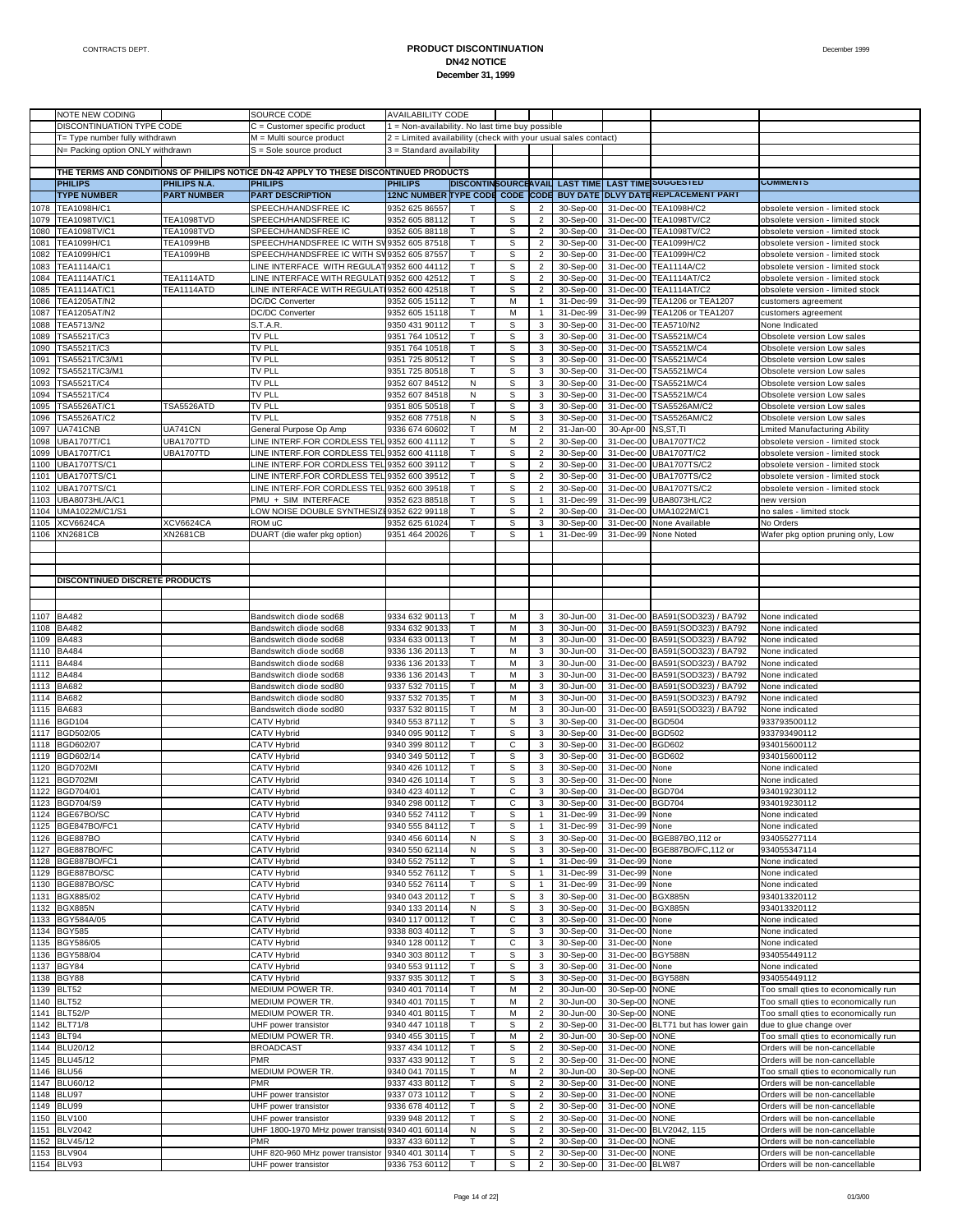|      | NOTE NEW CODING                  |                     | SOURCE CODE                                                                           | <b>AVAILABILITY CODE</b>                                       |              |             |                |                                |                  |                                    |                                     |
|------|----------------------------------|---------------------|---------------------------------------------------------------------------------------|----------------------------------------------------------------|--------------|-------------|----------------|--------------------------------|------------------|------------------------------------|-------------------------------------|
|      | DISCONTINUATION TYPE CODE        |                     | C = Customer specific product                                                         | 1 = Non-availability. No last time buy possible                |              |             |                |                                |                  |                                    |                                     |
|      | T= Type number fully withdrawn   |                     | M = Multi source product                                                              | 2 = Limited availability (check with your usual sales contact) |              |             |                |                                |                  |                                    |                                     |
|      | N= Packing option ONLY withdrawn |                     | S = Sole source product                                                               | 3 = Standard availability                                      |              |             |                |                                |                  |                                    |                                     |
|      |                                  |                     |                                                                                       |                                                                |              |             |                |                                |                  |                                    |                                     |
|      |                                  |                     | THE TERMS AND CONDITIONS OF PHILIPS NOTICE DN-42 APPLY TO THESE DISCONTINUED PRODUCTS |                                                                |              |             |                |                                |                  |                                    |                                     |
|      | <b>PHILIPS</b>                   | <b>PHILIPS N.A.</b> | <b>PHILIPS</b>                                                                        | <b>PHILIPS</b>                                                 |              |             |                | DISCONTINSOURCEAVAIL LAST TIME |                  | <b>LAST TIME SUGGESTED</b>         | <b>COMMENTS</b>                     |
|      | <b>TYPE NUMBER</b>               | <b>PART NUMBER</b>  | <b>PART DESCRIPTION</b>                                                               | 12NC NUMBER TYPE CODE CODE CODE                                |              |             |                |                                |                  | BUY DATE DLVY DATEREPLACEMENT PART |                                     |
|      |                                  |                     |                                                                                       |                                                                |              |             |                |                                |                  |                                    |                                     |
| 1078 | TEA1098H/C1                      |                     | SPEECH/HANDSFREE IC                                                                   | 9352 625 86557                                                 |              | s           | $\overline{2}$ | 30-Sep-00                      | 31-Dec-00        | TEA1098H/C2                        | obsolete version - limited stock    |
| 1079 | TEA1098TV/C1                     | TEA1098TVD          | SPEECH/HANDSFREE IC                                                                   | 9352 605 88112                                                 | т            | s           | $\overline{2}$ | 30-Sep-00                      | 31-Dec-00        | TEA1098TV/C2                       | obsolete version - limited stock    |
| 1080 | <b>TEA1098TV/C1</b>              | TEA1098TVD          | SPEECH/HANDSFREE IC                                                                   | 9352 605 88118                                                 | $\mathsf{T}$ | s           | $\overline{2}$ | 30-Sep-00                      | 31-Dec-00        | TEA1098TV/C2                       | obsolete version - limited stock    |
| 1081 | TEA1099H/C1                      | TEA1099HB           | SPEECH/HANDSFREE IC WITH SV 9352 605 87518                                            |                                                                | т            | S           | $\overline{c}$ | 30-Sep-00                      | 31-Dec-00        | TEA1099H/C2                        | obsolete version - limited stock    |
| 1082 | TEA1099H/C1                      | TEA1099HB           | SPEECH/HANDSFREE IC WITH SV 9352 605 8755                                             |                                                                | T            | S           | $\overline{c}$ | 30-Sep-00                      | 31-Dec-00        | TEA1099H/C2                        | obsolete version - limited stock    |
| 1083 | <b>TEA1114A/C1</b>               |                     | LINE INTERFACE WITH REGULAT 9352 600 44112                                            |                                                                | т            | S           | $\overline{2}$ | 30-Sep-00                      | 31-Dec-00        | TEA1114A/C2                        | obsolete version - limited stock    |
| 1084 | TEA1114AT/C1                     | TEA1114ATD          | LINE INTERFACE WITH REGULATI                                                          | 9352 600 42512                                                 | $\mathsf{T}$ | S           | $\overline{2}$ | 30-Sep-00                      | 31-Dec-00        | <b>TEA1114AT/C2</b>                | obsolete version - limited stock    |
| 1085 | TEA1114AT/C1                     | TEA1114ATD          | LINE INTERFACE WITH REGULATI                                                          | 9352 600 42518                                                 | $\mathsf{T}$ | S           | $\overline{c}$ | 30-Sep-00                      | 31-Dec-00        | <b>TEA1114AT/C2</b>                | obsolete version - limited stock    |
| 1086 | <b>TEA1205AT/N2</b>              |                     | <b>DC/DC Converter</b>                                                                | 9352 605 15112                                                 | $\mathsf{T}$ | M           | $\mathbf{1}$   | 31-Dec-99                      | 31-Dec-99        | <b>TEA1206 or TEA1207</b>          | customers agreement                 |
| 1087 |                                  |                     |                                                                                       |                                                                | Т            | M           | $\mathbf{1}$   | 31-Dec-99                      | 31-Dec-99        | <b>TEA1206 or TEA1207</b>          |                                     |
|      | TEA1205AT/N2                     |                     | <b>DC/DC Converter</b>                                                                | 9352 605 15118                                                 |              |             |                |                                |                  |                                    | customers agreement                 |
| 1088 | TEA5713/N2                       |                     | S.T.A.R.                                                                              | 9350 431 90112                                                 | $\mathsf{T}$ | s           | 3              | 30-Sep-00                      | 31-Dec-00        | TEA5710/N2                         | None Indicated                      |
| 1089 | TSA5521T/C3                      |                     | <b>TV PLL</b>                                                                         | 9351 764 10512                                                 | т            | S           | 3              | 30-Sep-00                      | 31-Dec-00        | TSA5521M/C4                        | Obsolete version Low sales          |
| 1090 | <b>TSA5521T/C3</b>               |                     | TV PLL                                                                                | 9351 764 10518                                                 | $\mathsf{T}$ | S           | 3              | 30-Sep-00                      | 31-Dec-00        | TSA5521M/C4                        | Obsolete version Low sales          |
| 1091 | TSA5521T/C3/M1                   |                     | <b>TV PLL</b>                                                                         | 9351 725 80512                                                 | Т            | S           | 3              | 30-Sep-00                      | 31-Dec-00        | TSA5521M/C4                        | Obsolete version Low sales          |
| 1092 | TSA5521T/C3/M1                   |                     | <b>TV PLL</b>                                                                         | 9351 725 80518                                                 |              | S           | 3              | 30-Sep-00                      | 31-Dec-00        | TSA5521M/C4                        | Obsolete version Low sales          |
| 1093 | TSA5521T/C4                      |                     | TV PLL                                                                                | 9352 607 84512                                                 | N            | S           | 3              | 30-Sep-00                      | 31-Dec-00        | TSA5521M/C4                        | Obsolete version Low sales          |
| 1094 | TSA5521T/C4                      |                     | TV PLL                                                                                | 9352 607 84518                                                 | N            | S           | 3              | 30-Sep-00                      | 31-Dec-00        | TSA5521M/C4                        | Obsolete version Low sales          |
| 1095 | TSA5526AT/C1                     | <b>TSA5526ATD</b>   | <b>TV PLL</b>                                                                         | 9351 805 50518                                                 | т            | S           | 3              | 30-Sep-00                      | 31-Dec-00        | TSA5526AM/C2                       | Obsolete version Low sales          |
| 1096 | TSA5526AT/C2                     |                     | tv pll                                                                                | 9352 608 77518                                                 | N            | S           | 3              | 30-Sep-00                      | 31-Dec-00        | TSA5526AM/C2                       | Obsolete version Low sales          |
| 1097 | UA741CNB                         | UA741CN             | General Purpose Op Amp                                                                | 9336 674 60602                                                 | т            | M           | $\overline{2}$ | 31-Jan-00                      | 30-Apr-00        | NS, ST, TI                         | Lmited Manufacturing Ability        |
|      |                                  |                     |                                                                                       |                                                                |              |             |                |                                |                  |                                    |                                     |
| 1098 | UBA1707T/C1                      | UBA1707TD           | LINE INTERF.FOR CORDLESS TEL 9352 600 41112                                           |                                                                | $\mathsf{T}$ | S           | $\overline{2}$ | 30-Sep-00                      | 31-Dec-00        | <b>UBA1707T/C2</b>                 | obsolete version - limited stock    |
| 1099 | <b>UBA1707T/C1</b>               | UBA1707TD           | LINE INTERF.FOR CORDLESS TEL 9352 600 41118                                           |                                                                | т            | S           | $\overline{2}$ | 30-Sep-00                      | 31-Dec-00        | <b>UBA1707T/C2</b>                 | obsolete version - limited stock    |
| 1100 | <b>UBA1707TS/C1</b>              |                     | LINE INTERF.FOR CORDLESS TEL 9352 600 39112                                           |                                                                |              | S           | $\overline{2}$ | 30-Sep-00                      | 31-Dec-00        | <b>UBA1707TS/C2</b>                | obsolete version - limited stock    |
| 1101 | <b>UBA1707TS/C1</b>              |                     | LINE INTERF.FOR CORDLESS TEL 9352 600 39512                                           |                                                                | т            | S           | $\overline{2}$ | 30-Sep-00                      | 31-Dec-00        | <b>UBA1707TS/C2</b>                | obsolete version - limited stock    |
| 1102 | <b>UBA1707TS/C1</b>              |                     | LINE INTERF.FOR CORDLESS TEL 9352 600 39518                                           |                                                                | $\mathsf{T}$ | S           | $\overline{c}$ | 30-Sep-00                      | 31-Dec-00        | <b>UBA1707TS/C2</b>                | obsolete version - limited stock    |
| 1103 | UBA8073HL/A/C1                   |                     | PMU + SIM INTERFACE                                                                   | 9352 623 88518                                                 | т            | S           | $\mathbf{1}$   | 31-Dec-99                      | 31-Dec-99        | UBA8073HL/C2                       | new version                         |
| 1104 | UMA1022M/C1/S1                   |                     | LOW NOISE DOUBLE SYNTHESIZE9352 622 99118                                             |                                                                | $\mathsf{T}$ | s           | $\overline{2}$ | 30-Sep-00                      | 31-Dec-00        | UMA1022M/C1                        | no sales - limited stock            |
| 1105 | <b>XCV6624CA</b>                 | XCV6624CA           | ROM uC                                                                                | 9352 625 61024                                                 | т            | S           | 3              | 30-Sep-00                      | 31-Dec-00        | None Available                     | No Orders                           |
|      | 1106 XN2681CB                    | XN2681CB            | DUART (die wafer pkg option)                                                          | 9351 464 20026                                                 | $\mathsf{T}$ | S           | $\mathbf{1}$   | 31-Dec-99                      |                  | 31-Dec-99 None Noted               | Wafer pkg option pruning only, Low  |
|      |                                  |                     |                                                                                       |                                                                |              |             |                |                                |                  |                                    |                                     |
|      |                                  |                     |                                                                                       |                                                                |              |             |                |                                |                  |                                    |                                     |
|      |                                  |                     |                                                                                       |                                                                |              |             |                |                                |                  |                                    |                                     |
|      |                                  |                     |                                                                                       |                                                                |              |             |                |                                |                  |                                    |                                     |
|      | DISCONTINUED DISCRETE PRODUCTS   |                     |                                                                                       |                                                                |              |             |                |                                |                  |                                    |                                     |
|      |                                  |                     |                                                                                       |                                                                |              |             |                |                                |                  |                                    |                                     |
|      |                                  |                     |                                                                                       |                                                                |              |             |                |                                |                  |                                    |                                     |
|      | 1107 BA482                       |                     | Bandswitch diode sod68                                                                | 9334 632 90113                                                 | Т            | M           | 3              | 30-Jun-00                      |                  | 31-Dec-00 BA591(SOD323) / BA792    | None indicated                      |
| 1108 | <b>BA482</b>                     |                     | Bandswitch diode sod68                                                                | 9334 632 90133                                                 | $\mathsf{T}$ | M           | 3              | 30-Jun-00                      |                  | 31-Dec-00 BA591(SOD323) / BA792    | None indicated                      |
| 1109 | <b>BA483</b>                     |                     | Bandswitch diode sod68                                                                | 9334 633 00113                                                 | Т            | M           | 3              | 30-Jun-00                      |                  | 31-Dec-00 BA591(SOD323) / BA792    | None indicated                      |
| 1110 | <b>BA484</b>                     |                     | Bandswitch diode sod68                                                                | 9336 136 20113                                                 | т            | M           | 3              | 30-Jun-00                      | 31-Dec-00        | BA591(SOD323) / BA792              | None indicated                      |
| 1111 | <b>BA484</b>                     |                     | Bandswitch diode sod68                                                                | 9336 136 20133                                                 | $\mathsf{T}$ | M           | 3              | 30-Jun-00                      |                  | 31-Dec-00 BA591(SOD323) / BA792    | None indicated                      |
|      |                                  |                     |                                                                                       |                                                                | $\mathsf{T}$ | M           | 3              |                                |                  |                                    |                                     |
| 1112 | <b>BA484</b>                     |                     | Bandswitch diode sod68                                                                | 9336 136 20143                                                 |              |             |                | 30-Jun-00                      |                  | 31-Dec-00 BA591(SOD323) / BA792    | None indicated                      |
| 1113 | <b>BA682</b>                     |                     | Bandswitch diode sod80                                                                | 9337 532 70115                                                 | Т            | M           | 3              | 30-Jun-00                      |                  | 31-Dec-00 BA591(SOD323) / BA792    | None indicated                      |
| 1114 | <b>BA682</b>                     |                     | Bandswitch diode sod80                                                                | 9337 532 70135                                                 | T            | M           | 3              | 30-Jun-00                      | 31-Dec-00        | BA591(SOD323) / BA792              | None indicated                      |
| 1115 | <b>BA683</b>                     |                     | Bandswitch diode sod80                                                                | 9337 532 80115                                                 | т            | M           | 3              | 30-Jun-00                      |                  | 31-Dec-00 BA591(SOD323) / BA792    | None indicated                      |
| 1116 | <b>BGD104</b>                    |                     | <b>CATV Hybrid</b>                                                                    | 9340 553 87112                                                 | т            | S           | 3              | 30-Sep-00                      | 31-Dec-00 BGD504 |                                    | 933793500112                        |
| 1117 | BGD502/05                        |                     | <b>CATV Hybrid</b>                                                                    | 9340 095 90112                                                 | Т            | S           | 3              | 30-Sep-00                      | 31-Dec-00        | <b>BGD502</b>                      | 933793490112                        |
| 1118 | BGD602/07                        |                     | CATV Hybrid                                                                           | 9340 399 80112                                                 |              | C           | 3              | 30-Sep-00                      | 31-Dec-00        | <b>BGD602</b>                      | 934015600112                        |
| 1119 | BGD602/14                        |                     | <b>CATV Hybrid</b>                                                                    | 9340 349 50112                                                 | т            | S           | 3              | 30-Sep-00                      | 31-Dec-00        | <b>BGD602</b>                      | 934015600112                        |
| 1120 | BGD702MI                         |                     | <b>CATV Hybrid</b>                                                                    | 9340 426 10112                                                 | $\mathsf{T}$ | S           | 3              | 30-Sep-00                      | 31-Dec-00        | None                               | None indicated                      |
| 1121 | BGD702MI                         |                     |                                                                                       | 9340 426 10114                                                 | т            | S           | 3              |                                | 31-Dec-00        | None                               | None indicated                      |
|      |                                  |                     | <b>CATV Hybrid</b><br><b>CATV Hybrid</b>                                              | 9340 423 40112                                                 |              | C           | 3              | 30-Sep-00                      | 31-Dec-00 BGD704 |                                    |                                     |
|      | 1122 BGD704/01                   |                     |                                                                                       |                                                                |              |             |                | 30-Sep-00                      |                  |                                    | 934019230112                        |
|      | 1123 BGD704/S9                   |                     | CATV Hybrid                                                                           | 9340 298 00112                                                 |              | С           | 3              | 30-Sep-00                      | 31-Dec-00 BGD704 |                                    | 934019230112                        |
|      | 1124 BGE67BO/SC                  |                     | <b>CATV Hybrid</b>                                                                    | 9340 552 74112                                                 | т            | S           | $\mathbf{1}$   | 31-Dec-99                      | 31-Dec-99 None   |                                    | None indicated                      |
|      | 1125 BGE847BO/FC1                |                     | CATV Hybrid                                                                           | 9340 555 84112                                                 | т            | S           | $\mathbf{1}$   | 31-Dec-99                      | 31-Dec-99        | None                               | None indicated                      |
|      | 1126 BGE887BO                    |                     | CATV Hybrid                                                                           | 9340 456 60114                                                 | N            | s           | $\mathbf 3$    | 30-Sep-00                      | 31-Dec-00        | BGE887BO, 112 or                   | 934055277114                        |
| 1127 | BGE887BO/FC                      |                     | <b>CATV Hybrid</b>                                                                    | 9340 550 62114                                                 | N            | S           | 3              | 30-Sep-00                      |                  | 31-Dec-00 BGE887BO/FC, 112 or      | 934055347114                        |
|      | 1128 BGE887BO/FC1                |                     | CATV Hybrid                                                                           | 9340 552 75112                                                 | т            | S           | $\mathbf{1}$   | 31-Dec-99                      | 31-Dec-99        | None                               | None indicated                      |
| 1129 | BGE887BO/SC                      |                     | CATV Hybrid                                                                           | 9340 552 76112                                                 | Т            | S           | $\mathbf{1}$   | 31-Dec-99                      | 31-Dec-99        | None                               | None indicated                      |
| 1130 | BGE887BO/SC                      |                     | CATV Hybrid                                                                           | 9340 552 76114                                                 | т            | S           | $\mathbf{1}$   | 31-Dec-99                      | 31-Dec-99        | None                               | None indicated                      |
|      | 1131 BGX885/02                   |                     | CATV Hybrid                                                                           | 9340 043 20112                                                 | Т            | S           | 3              | 30-Sep-00                      | 31-Dec-00        | <b>BGX885N</b>                     | 934013320112                        |
|      | 1132 BGX885N                     |                     | CATV Hybrid                                                                           | 9340 133 20114                                                 | N            | s           | 3              | 30-Sep-00                      | 31-Dec-00        | <b>BGX885N</b>                     | 934013320112                        |
|      | 1133 BGY584A/05                  |                     | CATV Hybrid                                                                           | 9340 117 00112                                                 | Т            | С           | 3              | 30-Sep-00                      | 31-Dec-00        | None                               | None indicated                      |
|      |                                  |                     |                                                                                       |                                                                |              |             |                |                                |                  |                                    |                                     |
|      | 1134 BGY585                      |                     | CATV Hybrid                                                                           | 9338 803 40112                                                 | Т            | s           | 3              | 30-Sep-00                      | 31-Dec-00 None   |                                    | None indicated                      |
|      | 1135 BGY586/05                   |                     | CATV Hybrid                                                                           | 9340 128 00112                                                 | Т            | С           | 3              | 30-Sep-00                      | 31-Dec-00        | None                               | None indicated                      |
|      | 1136 BGY588/04                   |                     | CATV Hybrid                                                                           | 9340 303 80112                                                 | $\mathsf{T}$ | s           | 3              | 30-Sep-00                      | 31-Dec-00        | <b>BGY588N</b>                     | 934055449112                        |
|      | 1137 BGY84                       |                     | CATV Hybrid                                                                           | 9340 553 91112                                                 | Т            | S           | 3              | 30-Sep-00                      | 31-Dec-00 None   |                                    | None indicated                      |
| 1138 | BGY88                            |                     | <b>CATV Hybrid</b>                                                                    | 9337 935 30112                                                 | Т            | s           | 3              | 30-Sep-00                      | 31-Dec-00        | <b>BGY588N</b>                     | 934055449112                        |
|      | 1139 BLT52                       |                     | MEDIUM POWER TR.                                                                      | 9340 401 70114                                                 | Т            | M           | $\overline{2}$ | 30-Jun-00                      | 30-Sep-00 NONE   |                                    | Too small qties to economically run |
|      | 1140 BLT52                       |                     | MEDIUM POWER TR.                                                                      | 9340 401 70115                                                 | Т            | M           | $\overline{2}$ | 30-Jun-00                      | 30-Sep-00 NONE   |                                    | Too small qties to economically run |
|      | 1141 BLT52/P                     |                     | MEDIUM POWER TR.                                                                      | 9340 401 80115                                                 | Т            | М           | $\overline{2}$ | 30-Jun-00                      | 30-Sep-00 NONE   |                                    | Too small qties to economically run |
|      | 1142 BLT71/8                     |                     | UHF power transistor                                                                  | 9340 447 10118                                                 | т            | s           | $\overline{2}$ | 30-Sep-00                      |                  | 31-Dec-00 BLT71 but has lower gain | due to glue change over             |
|      | 1143 BLT94                       |                     | MEDIUM POWER TR.                                                                      |                                                                | Т            |             |                |                                |                  |                                    |                                     |
|      |                                  |                     |                                                                                       | 9340 455 30115                                                 |              | M           | $\overline{2}$ | 30-Jun-00                      | 30-Sep-00        | <b>NONE</b>                        | Too small qties to economically run |
|      | 1144 BLU20/12                    |                     | <b>BROADCAST</b>                                                                      | 9337 434 10112                                                 | Т            | S           | $\overline{2}$ | 30-Sep-00                      | 31-Dec-00 NONE   |                                    | Orders will be non-cancellable      |
|      | 1145 BLU45/12                    |                     | PMR                                                                                   | 9337 433 90112                                                 | Т            | S           | $\overline{2}$ | 30-Sep-00                      | 31-Dec-00        | <b>NONE</b>                        | Orders will be non-cancellable      |
|      | 1146 BLU56                       |                     | MEDIUM POWER TR.                                                                      | 9340 041 70115                                                 | т            | М           | $\overline{2}$ | 30-Jun-00                      | 30-Sep-00        | <b>NONE</b>                        | Too small qties to economically run |
|      | 1147 BLU60/12                    |                     | PMR                                                                                   | 9337 433 80112                                                 | Т            | $\mathbb S$ | $\overline{2}$ | 30-Sep-00                      | 31-Dec-00        | <b>NONE</b>                        | Orders will be non-cancellable      |
|      | 1148 BLU97                       |                     | UHF power transistor                                                                  | 9337 073 10112                                                 | т            | S           | $\overline{2}$ | 30-Sep-00                      | 31-Dec-00        | <b>NONE</b>                        | Orders will be non-cancellable      |
|      | 1149 BLU99                       |                     | UHF power transistor                                                                  | 9336 678 40112                                                 | Т            | S           | $\overline{2}$ | 30-Sep-00                      | 31-Dec-00        | <b>NONE</b>                        | Orders will be non-cancellable      |
| 1150 | <b>BLV100</b>                    |                     | UHF power transistor                                                                  | 9339 948 20112                                                 | $\mathsf{T}$ | s           | $\overline{2}$ | 30-Sep-00                      | 31-Dec-00        | <b>NONE</b>                        | Orders will be non-cancellable      |
|      | 1151 BLV2042                     |                     | UHF 1800-1970 MHz power transiste 9340 401 60114                                      |                                                                | N            | S           | $\overline{2}$ | 30-Sep-00                      |                  | 31-Dec-00 BLV2042, 115             | Orders will be non-cancellable      |
|      | 1152 BLV45/12                    |                     | PMR                                                                                   | 9337 433 60112                                                 | т            | S           | $\overline{2}$ | 30-Sep-00                      | 31-Dec-00 NONE   |                                    | Orders will be non-cancellable      |
|      | 1153 BLV904                      |                     |                                                                                       | 9340 401 30114                                                 | Т            | S           | $\overline{2}$ |                                | 31-Dec-00 NONE   |                                    | Orders will be non-cancellable      |
|      |                                  |                     | UHF 820-960 MHz power transistor                                                      |                                                                |              |             |                | 30-Sep-00                      |                  |                                    |                                     |
|      | 1154 BLV93                       |                     | UHF power transistor                                                                  | 9336 753 60112                                                 | т            | s           | $\overline{2}$ | 30-Sep-00                      | 31-Dec-00 BLW87  |                                    | Orders will be non-cancellable      |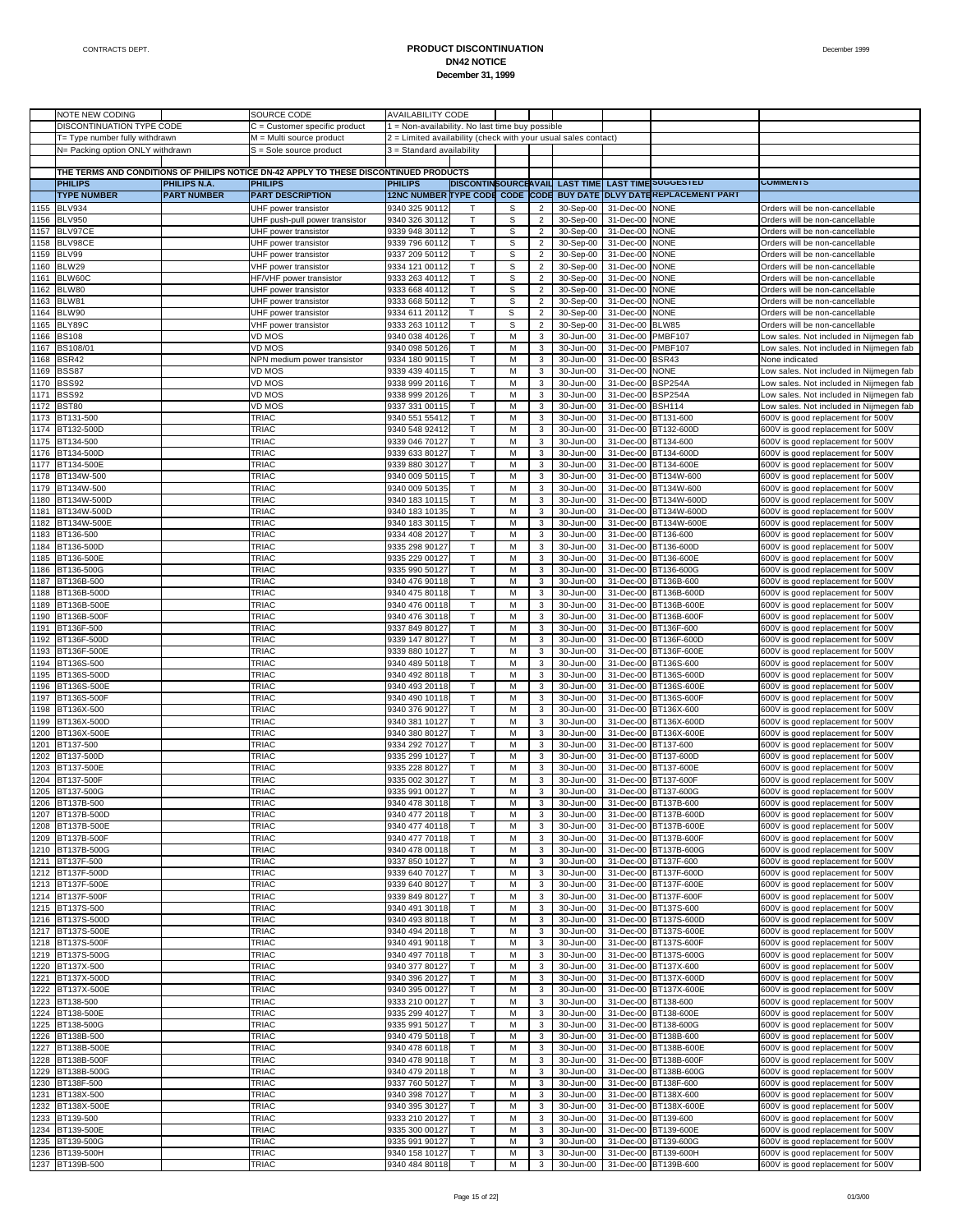|              | NOTE NEW CODING                  |                     | SOURCE CODE                                                                           | <b>AVAILABILITY CODE</b>                                       |              |                  |                                           |                                       |                        |                                            |                                                                  |
|--------------|----------------------------------|---------------------|---------------------------------------------------------------------------------------|----------------------------------------------------------------|--------------|------------------|-------------------------------------------|---------------------------------------|------------------------|--------------------------------------------|------------------------------------------------------------------|
|              | DISCONTINUATION TYPE CODE        |                     | $C =$ Customer specific product                                                       | 1 = Non-availability. No last time buy possible                |              |                  |                                           |                                       |                        |                                            |                                                                  |
|              | T= Type number fully withdrawn   |                     | M = Multi source product                                                              | 2 = Limited availability (check with your usual sales contact) |              |                  |                                           |                                       |                        |                                            |                                                                  |
|              | N= Packing option ONLY withdrawn |                     | S = Sole source product                                                               | 3 = Standard availability                                      |              |                  |                                           |                                       |                        |                                            |                                                                  |
|              |                                  |                     | THE TERMS AND CONDITIONS OF PHILIPS NOTICE DN-42 APPLY TO THESE DISCONTINUED PRODUCTS |                                                                |              |                  |                                           |                                       |                        |                                            |                                                                  |
|              | <b>PHILIPS</b>                   | <b>PHILIPS N.A.</b> | <b>PHILIPS</b>                                                                        | <b>PHILIPS</b>                                                 |              |                  |                                           | <b>DISCONTINSOURCEAVAIL LAST TIME</b> |                        | <b>LAST TIME SUGGESTED</b>                 | <b>COMMENTS</b>                                                  |
|              | <b>TYPE NUMBER</b>               | <b>PART NUMBER</b>  | <b>PART DESCRIPTION</b>                                                               | 12NC NUMBER TYPE CODE CODE CODE                                |              |                  |                                           |                                       |                        | <b>BUY DATE DLVY DATE REPLACEMENT PART</b> |                                                                  |
|              | <b>BLV934</b>                    |                     |                                                                                       |                                                                |              |                  |                                           | 30-Sep-00                             |                        |                                            |                                                                  |
| 1155<br>1156 |                                  |                     | UHF power transistor                                                                  | 9340 325 90112<br>9340 326 30112                               | $\mathsf{T}$ | S<br>$\mathbb S$ | $\overline{c}$                            |                                       | 31-Dec-00              | <b>NONE</b>                                | Orders will be non-cancellable                                   |
| 1157         | <b>BLV950</b><br>BLV97CE         |                     | UHF push-pull power transistor                                                        |                                                                | T            | S                | $\overline{2}$                            | 30-Sep-00                             | 31-Dec-00              | <b>NONE</b><br><b>NONE</b>                 | Orders will be non-cancellable                                   |
| 1158         |                                  |                     | UHF power transistor                                                                  | 9339 948 30112                                                 |              | $\mathbb S$      | $\overline{c}$                            | 30-Sep-00                             | 31-Dec-00              | <b>NONE</b>                                | Orders will be non-cancellable                                   |
|              | BLV98CE                          |                     | UHF power transistor                                                                  | 9339 796 60112                                                 | Т<br>T       |                  | $\overline{2}$                            | 30-Sep-00                             | 31-Dec-00              |                                            | Orders will be non-cancellable                                   |
| 1159<br>1160 | BLV99<br>BLW29                   |                     | UHF power transistor                                                                  | 9337 209 50112                                                 |              | S<br>$\mathbb S$ | $\overline{\mathbf{c}}$                   | 30-Sep-00                             | 31-Dec-00              | <b>NONE</b><br><b>NONE</b>                 | Orders will be non-cancellable                                   |
|              | BLW60C                           |                     | VHF power transistor                                                                  | 9334 121 00112                                                 | т<br>T       | S                | $\overline{2}$<br>$\overline{2}$          | 30-Sep-00                             | 31-Dec-00              | <b>NONE</b>                                | Orders will be non-cancellable                                   |
| 1161<br>1162 | BLW80                            |                     | HF/VHF power transistor                                                               | 9333 263 40112<br>9333 668 40112                               | Т            | $\mathbb S$      |                                           | 30-Sep-00                             | 31-Dec-00              | <b>NONE</b>                                | Orders will be non-cancellable                                   |
| 1163         | BLW81                            |                     | UHF power transistor<br>UHF power transistor                                          | 9333 668 50112                                                 | T            | $\mathbb S$      | $\overline{2}$<br>$\overline{\mathbf{c}}$ | 30-Sep-00<br>30-Sep-00                | 31-Dec-00<br>31-Dec-00 | <b>NONE</b>                                | Orders will be non-cancellable<br>Orders will be non-cancellable |
| 1164         | BLW90                            |                     |                                                                                       |                                                                | т            | $\mathbb S$      | $\overline{2}$                            | 30-Sep-00                             | 31-Dec-00              | <b>NONE</b>                                |                                                                  |
| 1165         | BLY89C                           |                     | UHF power transistor<br>VHF power transistor                                          | 9334 611 20112<br>9333 263 10112                               | T            | S                | $\overline{\mathbf{c}}$                   | 30-Sep-00                             | 31-Dec-00              | BLW85                                      | Orders will be non-cancellable<br>Orders will be non-cancellable |
| 1166         | <b>BS108</b>                     |                     | VD MOS                                                                                | 9340 038 40126                                                 | Т            | M                | 3                                         | 30-Jun-00                             | 31-Dec-00              | <b>PMBF107</b>                             | ow sales. Not included in Nijmegen fab                           |
| 1167         | BS108/01                         |                     | VD MOS                                                                                | 9340 098 50126                                                 | T            | M                | $\mathbf{3}$                              | 30-Jun-00                             | 31-Dec-00              | <b>PMBF107</b>                             | ow sales. Not included in Nijmegen fab                           |
| 1168         | <b>BSR42</b>                     |                     | NPN medium power transistor                                                           | 9334 180 90115                                                 | т            | M                | 3                                         | 30-Jun-00                             | 31-Dec-00              | <b>BSR43</b>                               | None indicated                                                   |
| 1169         | <b>BSS87</b>                     |                     | VD MOS                                                                                | 9339 439 40115                                                 | T            | M                | 3                                         | 30-Jun-00                             | 31-Dec-00              | <b>NONE</b>                                | ow sales. Not included in Nijmegen fab                           |
| 1170         | <b>BSS92</b>                     |                     | VD MOS                                                                                | 9338 999 20116                                                 | Т            | M                | 3                                         | 30-Jun-00                             | 31-Dec-00              | <b>BSP254A</b>                             | Low sales. Not included in Nijmegen fab                          |
| 1171         | <b>BSS92</b>                     |                     | VD MOS                                                                                | 9338 999 20126                                                 | T            | M                | 3                                         | 30-Jun-00                             | 31-Dec-00              | <b>BSP254A</b>                             | Low sales. Not included in Nijmegen fab                          |
| 1172         | <b>BST80</b>                     |                     | VD MOS                                                                                | 9337 331 00115                                                 | т            | M                | 3                                         | 30-Jun-00                             | 31-Dec-00              | <b>BSH114</b>                              | Low sales. Not included in Nijmegen fab                          |
| 1173         | BT131-500                        |                     | TRIAC                                                                                 | 9340 551 55412                                                 | T            | M                | 3                                         | 30-Jun-00                             | 31-Dec-00              | BT131-600                                  | 600V is good replacement for 500V                                |
|              | 1174 BT132-500D                  |                     | TRIAC                                                                                 | 9340 548 92412                                                 | Т            | M                | 3                                         | 30-Jun-00                             |                        | 31-Dec-00 BT132-600D                       | 600V is good replacement for 500V                                |
| 1175         | BT134-500                        |                     | TRIAC                                                                                 | 9339 046 70127                                                 | T            | M                | 3                                         | 30-Jun-00                             | 31-Dec-00 BT134-600    |                                            | 600V is good replacement for 500V                                |
|              | 1176 BT134-500D                  |                     | TRIAC                                                                                 | 9339 633 80127                                                 | т            | M                | 3                                         | 30-Jun-00                             |                        | 31-Dec-00 BT134-600D                       | 600V is good replacement for 500V                                |
| 1177         | BT134-500E                       |                     | TRIAC                                                                                 | 9339 880 30127                                                 | T            | M                | $\mathbf 3$                               | 30-Jun-00                             |                        | 31-Dec-00 BT134-600E                       | 600V is good replacement for 500V                                |
|              | 1178 BT134W-500                  |                     | TRIAC                                                                                 | 9340 009 50115                                                 | т            | M                | 3                                         | 30-Jun-00                             |                        | 31-Dec-00 BT134W-600                       | 600V is good replacement for 500V                                |
| 1179         | BT134W-500                       |                     | TRIAC                                                                                 | 9340 009 50135                                                 | T            | M                | 3                                         | 30-Jun-00                             |                        | 31-Dec-00 BT134W-600                       | 600V is good replacement for 500V                                |
| 1180         | BT134W-500D                      |                     | TRIAC                                                                                 | 9340 183 10115                                                 | т            | M                | 3                                         | 30-Jun-00                             |                        | 31-Dec-00 BT134W-600D                      | 600V is good replacement for 500V                                |
| 1181         | BT134W-500D                      |                     | TRIAC                                                                                 | 9340 183 10135                                                 | T            | M                | 3                                         | 30-Jun-00                             |                        | 31-Dec-00 BT134W-600D                      | 600V is good replacement for 500V                                |
| 1182         | BT134W-500E                      |                     | TRIAC                                                                                 | 9340 183 30115                                                 | т            | M                | 3                                         | 30-Jun-00                             |                        | 31-Dec-00 BT134W-600E                      | 600V is good replacement for 500V                                |
| 1183         | BT136-500                        |                     | TRIAC                                                                                 | 9334 408 20127                                                 | T            | M                | 3                                         | 30-Jun-00                             | 31-Dec-00 BT136-600    |                                            | 600V is good replacement for 500V                                |
| 1184         | BT136-500D                       |                     | TRIAC                                                                                 | 9335 298 90127                                                 | т            | M                | 3                                         | 30-Jun-00                             |                        | 31-Dec-00 BT136-600D                       | 600V is good replacement for 500V                                |
| 1185         | BT136-500E                       |                     | TRIAC                                                                                 | 9335 229 00127                                                 | T            | M                | 3                                         | 30-Jun-00                             |                        | 31-Dec-00 BT136-600E                       | 600V is good replacement for 500V                                |
| 1186         | BT136-500G                       |                     | TRIAC                                                                                 | 9335 990 50127                                                 | Τ            | M                | 3                                         | 30-Jun-00                             |                        | 31-Dec-00 BT136-600G                       | 600V is good replacement for 500V                                |
| 1187         | BT136B-500                       |                     | TRIAC                                                                                 | 9340 476 90118                                                 | T            | M                | 3                                         | 30-Jun-00                             |                        | 31-Dec-00 BT136B-600                       | 600V is good replacement for 500V                                |
| 1188         | BT136B-500D                      |                     | TRIAC                                                                                 | 9340 475 80118                                                 | т            | M                | 3                                         | 30-Jun-00                             |                        | 31-Dec-00 BT136B-600D                      | 600V is good replacement for 500V                                |
| 1189         | BT136B-500E                      |                     | TRIAC                                                                                 | 9340 476 00118                                                 | T            | M                | 3                                         | 30-Jun-00                             |                        | 31-Dec-00 BT136B-600E                      | 600V is good replacement for 500V                                |
| 1190         | BT136B-500F                      |                     | TRIAC                                                                                 | 9340 476 30118                                                 | Т            | M                | 3                                         | 30-Jun-00                             |                        | 31-Dec-00 BT136B-600F                      | 600V is good replacement for 500V                                |
| 1191         | BT136F-500                       |                     | TRIAC                                                                                 | 9337 849 80127                                                 | T            | M                | 3                                         | 30-Jun-00                             |                        | 31-Dec-00 BT136F-600                       | 600V is good replacement for 500V                                |
| 1192         | BT136F-500D                      |                     | TRIAC                                                                                 | 9339 147 80127                                                 | т            | M                | 3                                         | 30-Jun-00                             |                        | 31-Dec-00 BT136F-600D                      | 600V is good replacement for 500V                                |
| 1193         | BT136F-500E                      |                     | TRIAC                                                                                 | 9339 880 10127                                                 |              | M                | 3                                         | 30-Jun-00                             | 31-Dec-00              | BT136F-600E                                | 600V is good replacement for 500V                                |
|              | 1194 BT136S-500                  |                     | TRIAC                                                                                 | 9340 489 50118                                                 | Т            | M                | 3                                         | 30-Jun-00                             |                        | 31-Dec-00 BT136S-600                       | 600V is good replacement for 500V                                |
| 1195         | BT136S-500D                      |                     | TRIAC                                                                                 | 9340 492 80118                                                 | T            | M                | 3                                         | 30-Jun-00                             |                        | 31-Dec-00 BT136S-600D                      | 600V is good replacement for 500V                                |
| 1196         | BT136S-500E                      |                     | TRIAC                                                                                 | 9340 493 20118                                                 | т            | M                | 3                                         | 30-Jun-00                             |                        | 31-Dec-00 BT136S-600E                      | 600V is good replacement for 500V                                |
| 1197         | BT136S-500F                      |                     | TRIAC                                                                                 | 9340 490 10118                                                 |              | M                | 3                                         | 30-Jun-00                             |                        | 31-Dec-00 BT136S-600F                      | 600V is good replacement for 500V                                |
| 1198         | BT136X-500                       |                     | TRIAC                                                                                 | 9340 376 90127                                                 | Т            | M                | 3                                         | 30-Jun-00                             |                        | 31-Dec-00 BT136X-600                       | 600V is good replacement for 500V                                |
| 1199         | BT136X-500D                      |                     | TRIAC                                                                                 | 9340 381 10127                                                 | T            | M                | 3                                         | 30-Jun-00                             |                        | 31-Dec-00 BT136X-600D                      | 600V is good replacement for 500V                                |
| 1200         | BT136X-500E                      |                     | TRIAC                                                                                 | 9340 380 80127                                                 | т            | М                | 3                                         | 30-Jun-00                             |                        | 31-Dec-00 BT136X-600E                      | 600V is good replacement for 500V                                |
| 1201         | BT137-500                        |                     | TRIAC                                                                                 | 9334 292 70127                                                 | T            | M                | 3                                         | 30-Jun-00                             | 31-Dec-00 BT137-600    |                                            | 600V is good replacement for 500V                                |
| 1202         | BT137-500D                       |                     | TRIAC                                                                                 | 9335 299 10127                                                 | Т            | M                | 3                                         | 30-Jun-00                             |                        | 31-Dec-00 BT137-600D                       | 600V is good replacement for 500V                                |
| 1203         | BT137-500E                       |                     | TRIAC                                                                                 | 9335 228 80127                                                 | T            | M                | 3                                         | 30-Jun-00                             |                        | 31-Dec-00 BT137-600E                       | 600V is good replacement for 500V                                |
| 1204         | BT137-500F                       |                     | TRIAC                                                                                 | 9335 002 30127                                                 | т            | M                | 3                                         | 30-Jun-00                             |                        | 31-Dec-00 BT137-600F                       | 600V is good replacement for 500V                                |
|              | 1205 BT137-500G                  |                     | TRIAC                                                                                 | 9335 991 00127                                                 |              | M                | 3                                         | 30-Jun-00                             |                        | 31-Dec-00 BT137-600G                       | 600V is good replacement for 500V                                |
|              | 1206 BT137B-500                  |                     | TRIAC                                                                                 | 9340 478 30118                                                 |              | M                |                                           |                                       |                        | 30-Jun-00 31-Dec-00 BT137B-600             | 600V is good replacement for 500V                                |
|              | 1207 BT137B-500D                 |                     | TRIAC                                                                                 | 9340 477 20118                                                 | T            | M                | 3                                         | 30-Jun-00                             |                        | 31-Dec-00 BT137B-600D                      | 600V is good replacement for 500V                                |
|              | 1208 BT137B-500E                 |                     | TRIAC                                                                                 | 9340 477 40118                                                 | Т            | М                | 3                                         | 30-Jun-00                             |                        | 31-Dec-00 BT137B-600E                      | 600V is good replacement for 500V                                |
|              | 1209 BT137B-500F                 |                     | TRIAC                                                                                 | 9340 477 70118                                                 | т            | M                | 3                                         | 30-Jun-00                             |                        | 31-Dec-00 BT137B-600F                      | 600V is good replacement for 500V                                |
|              | 1210 BT137B-500G                 |                     | TRIAC                                                                                 | 9340 478 00118                                                 | Т            | M                | 3                                         | 30-Jun-00                             |                        | 31-Dec-00 BT137B-600G                      | 600V is good replacement for 500V                                |
|              | 1211 BT137F-500                  |                     | TRIAC                                                                                 | 9337 850 10127                                                 | T            | M                | 3                                         | 30-Jun-00                             |                        | 31-Dec-00 BT137F-600                       | 600V is good replacement for 500V                                |
|              | 1212 BT137F-500D                 |                     | TRIAC                                                                                 | 9339 640 70127                                                 | Т            | М                | 3                                         | 30-Jun-00                             |                        | 31-Dec-00 BT137F-600D                      | 600V is good replacement for 500V                                |
|              | 1213 BT137F-500E                 |                     | TRIAC                                                                                 | 9339 640 80127                                                 | т            | M                | 3                                         | 30-Jun-00                             |                        | 31-Dec-00 BT137F-600E                      | 600V is good replacement for 500V                                |
|              | 1214 BT137F-500F                 |                     | TRIAC                                                                                 | 9339 849 80127                                                 | т            | M                | 3                                         | 30-Jun-00                             |                        | 31-Dec-00 BT137F-600F                      | 600V is good replacement for 500V                                |
|              | 1215 BT137S-500                  |                     | TRIAC                                                                                 | 9340 491 30118                                                 | Т            | M                | 3                                         | 30-Jun-00                             |                        | 31-Dec-00 BT137S-600                       | 600V is good replacement for 500V                                |
|              | 1216 BT137S-500D                 |                     | TRIAC                                                                                 | 9340 493 80118                                                 | Т            | М                | 3                                         | 30-Jun-00                             |                        | 31-Dec-00 BT137S-600D                      | 600V is good replacement for 500V                                |
|              | 1217 BT137S-500E                 |                     | TRIAC                                                                                 | 9340 494 20118                                                 | Т            | M                | 3                                         | 30-Jun-00                             |                        | 31-Dec-00 BT137S-600E                      | 600V is good replacement for 500V                                |
|              | 1218 BT137S-500F                 |                     | TRIAC                                                                                 | 9340 491 90118                                                 | Т            | M                | 3                                         | 30-Jun-00                             |                        | 31-Dec-00 BT137S-600F                      | 600V is good replacement for 500V                                |
|              | 1219 BT137S-500G                 |                     | TRIAC                                                                                 | 9340 497 70118                                                 | T            | M                | 3                                         | 30-Jun-00                             |                        | 31-Dec-00 BT137S-600G                      | 600V is good replacement for 500V                                |
|              | 1220 BT137X-500                  |                     | TRIAC                                                                                 | 9340 377 80127                                                 | Т            | М                | 3                                         | 30-Jun-00                             |                        | 31-Dec-00 BT137X-600                       | 600V is good replacement for 500V                                |
|              | 1221 BT137X-500D                 |                     | TRIAC                                                                                 | 9340 396 20127                                                 |              | M                | 3                                         | 30-Jun-00                             |                        | 31-Dec-00 BT137X-600D                      | 600V is good replacement for 500V                                |
|              | 1222 BT137X-500E                 |                     | TRIAC                                                                                 | 9340 395 00127                                                 | т            | M                | 3                                         | 30-Jun-00                             |                        | 31-Dec-00 BT137X-600E                      | 600V is good replacement for 500V                                |
|              | 1223 BT138-500                   |                     | TRIAC                                                                                 | 9333 210 00127                                                 | Т            | M                | 3                                         | 30-Jun-00                             | 31-Dec-00 BT138-600    |                                            | 600V is good replacement for 500V                                |
|              | 1224 BT138-500E                  |                     | TRIAC                                                                                 | 9335 299 40127                                                 | т            | М                | 3                                         | 30-Jun-00                             |                        | 31-Dec-00 BT138-600E                       | 600V is good replacement for 500V                                |
|              | 1225 BT138-500G                  |                     | TRIAC                                                                                 | 9335 991 50127                                                 |              | M                | 3                                         | 30-Jun-00                             |                        | 31-Dec-00 BT138-600G                       | 600V is good replacement for 500V                                |
|              | 1226 BT138B-500                  |                     | TRIAC                                                                                 | 9340 479 50118                                                 | т            | M                | 3                                         | 30-Jun-00                             |                        | 31-Dec-00 BT138B-600                       | 600V is good replacement for 500V                                |
|              | 1227 BT138B-500E                 |                     | TRIAC                                                                                 | 9340 478 60118                                                 | Т            | M                | 3                                         | 30-Jun-00                             |                        | 31-Dec-00 BT138B-600E                      | 600V is good replacement for 500V                                |
|              | 1228 BT138B-500F                 |                     | TRIAC                                                                                 | 9340 478 90118                                                 | т            | М                | 3                                         | 30-Jun-00                             |                        | 31-Dec-00 BT138B-600F                      | 600V is good replacement for 500V                                |
|              | 1229 BT138B-500G                 |                     | TRIAC                                                                                 | 9340 479 20118                                                 |              | M                | 3                                         | 30-Jun-00                             |                        | 31-Dec-00 BT138B-600G                      | 600V is good replacement for 500V                                |
|              | 1230 BT138F-500                  |                     | TRIAC                                                                                 | 9337 760 50127                                                 | т            | M                | 3                                         | 30-Jun-00                             |                        | 31-Dec-00 BT138F-600                       | 600V is good replacement for 500V                                |
|              | 1231 BT138X-500                  |                     | TRIAC                                                                                 | 9340 398 70127                                                 | T            | M                | 3                                         | 30-Jun-00                             |                        | 31-Dec-00 BT138X-600                       | 600V is good replacement for 500V                                |
|              | 1232 BT138X-500E                 |                     | TRIAC                                                                                 | 9340 395 30127                                                 | т            | М                | 3                                         | 30-Jun-00                             |                        | 31-Dec-00 BT138X-600E                      | 600V is good replacement for 500V                                |
|              | 1233 BT139-500                   |                     | TRIAC                                                                                 | 9333 210 20127                                                 | т            | M                | 3                                         | 30-Jun-00                             | 31-Dec-00 BT139-600    |                                            | 600V is good replacement for 500V                                |
|              | 1234 BT139-500E                  |                     | TRIAC                                                                                 | 9335 300 00127                                                 | т            | M                | 3                                         | 30-Jun-00                             |                        | 31-Dec-00 BT139-600E                       | 600V is good replacement for 500V                                |
|              | 1235 BT139-500G                  |                     | TRIAC                                                                                 | 9335 991 90127                                                 | T            | M                | 3                                         | 30-Jun-00                             |                        | 31-Dec-00 BT139-600G                       | 600V is good replacement for 500V                                |
|              | 1236 BT139-500H                  |                     | TRIAC                                                                                 | 9340 158 10127                                                 | т            | М                | 3                                         | 30-Jun-00                             |                        | 31-Dec-00 BT139-600H                       | 600V is good replacement for 500V                                |
|              | 1237 BT139B-500                  |                     | TRIAC                                                                                 | 9340 484 80118                                                 |              | М                | 3                                         | 30-Jun-00                             |                        | 31-Dec-00 BT139B-600                       | 600V is good replacement for 500V                                |

December 1999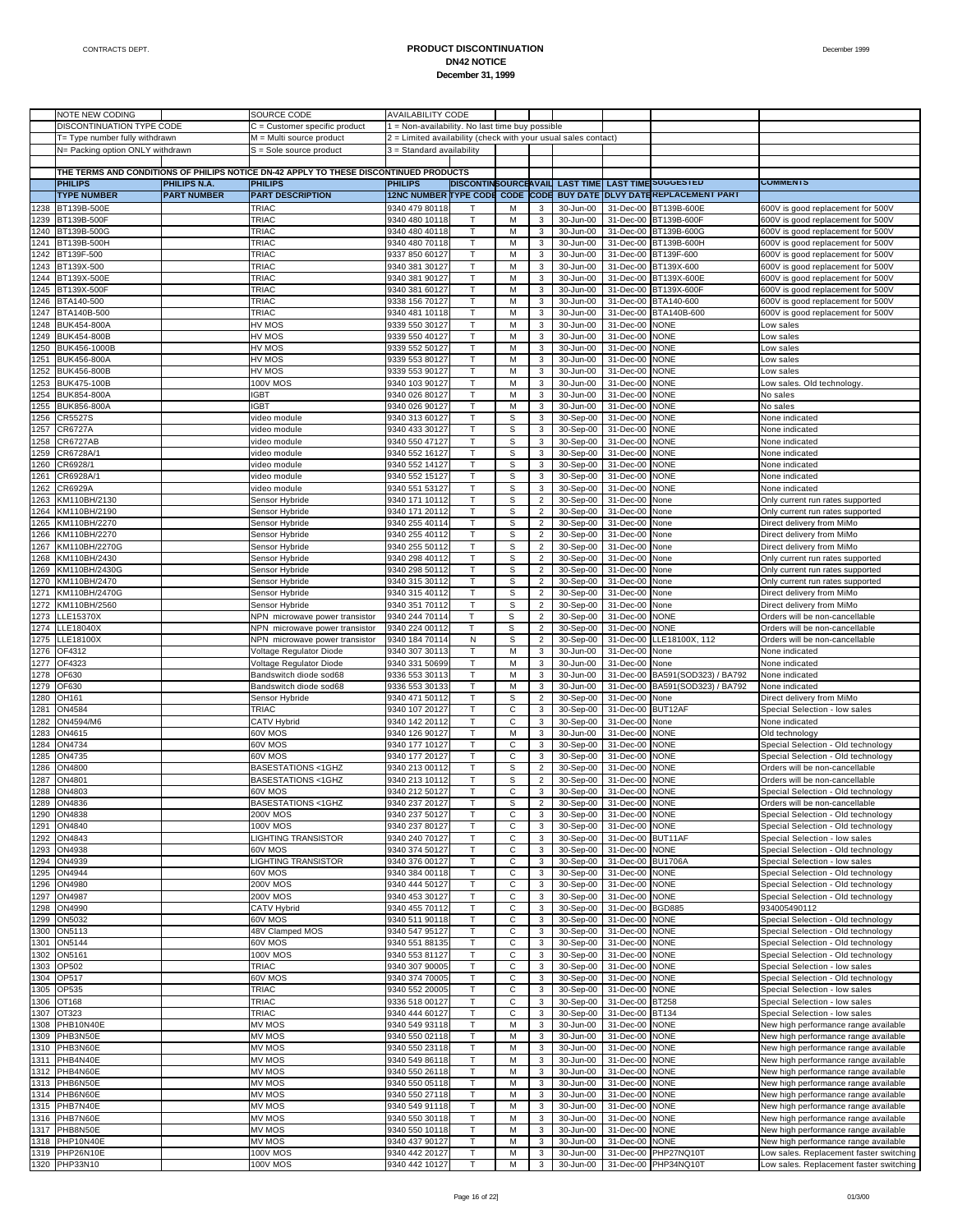|              | NOTE NEW CODING                                                    |                     | SOURCE CODE                                                                           | <b>AVAILABILITY CODE</b>                                       |              |             |                         |                                       |                             |                                    |                                                                              |
|--------------|--------------------------------------------------------------------|---------------------|---------------------------------------------------------------------------------------|----------------------------------------------------------------|--------------|-------------|-------------------------|---------------------------------------|-----------------------------|------------------------------------|------------------------------------------------------------------------------|
|              | DISCONTINUATION TYPE CODE                                          |                     | C = Customer specific product                                                         | 1 = Non-availability. No last time buy possible                |              |             |                         |                                       |                             |                                    |                                                                              |
|              |                                                                    |                     |                                                                                       | 2 = Limited availability (check with your usual sales contact) |              |             |                         |                                       |                             |                                    |                                                                              |
|              | T= Type number fully withdrawn<br>N= Packing option ONLY withdrawn |                     | M = Multi source product<br>S = Sole source product                                   | 3 = Standard availability                                      |              |             |                         |                                       |                             |                                    |                                                                              |
|              |                                                                    |                     |                                                                                       |                                                                |              |             |                         |                                       |                             |                                    |                                                                              |
|              |                                                                    |                     | THE TERMS AND CONDITIONS OF PHILIPS NOTICE DN-42 APPLY TO THESE DISCONTINUED PRODUCTS |                                                                |              |             |                         |                                       |                             |                                    |                                                                              |
|              | <b>PHILIPS</b>                                                     | <b>PHILIPS N.A.</b> | <b>PHILIPS</b>                                                                        | <b>PHILIPS</b>                                                 |              |             |                         | <b>DISCONTINSOURCEAVAIL LAST TIME</b> |                             | <b>LAST TIME SUGGESTED</b>         | <b>COMMENTS</b>                                                              |
|              | <b>TYPE NUMBER</b>                                                 | <b>PART NUMBER</b>  | <b>PART DESCRIPTION</b>                                                               | 12NC NUMBER TYPE CODE CODE CODE                                |              |             |                         |                                       |                             | BUY DATE DLVY DATEREPLACEMENT PART |                                                                              |
| 1238         | BT139B-500E                                                        |                     | TRIAC                                                                                 | 9340 479 80118                                                 |              | M           | 3                       | 30-Jun-00                             | 31-Dec-00                   | BT139B-600E                        | 600V is good replacement for 500V                                            |
| 1239         | BT139B-500F                                                        |                     | TRIAC                                                                                 | 9340 480 10118                                                 | $\mathsf{T}$ | M           | 3                       | 30-Jun-00                             |                             | 31-Dec-00 BT139B-600F              | 600V is good replacement for 500V                                            |
| 1240         | BT139B-500G                                                        |                     | TRIAC                                                                                 | 9340 480 40118                                                 | T            | M           | $\mathbf 3$             | 30-Jun-00                             | 31-Dec-00                   | BT139B-600G                        | 600V is good replacement for 500V                                            |
| 1241         | BT139B-500H                                                        |                     | TRIAC                                                                                 | 9340 480 70118                                                 | Τ            | M           | 3                       | 30-Jun-00                             |                             | 31-Dec-00 BT139B-600H              | 600V is good replacement for 500V                                            |
| 1242         | BT139F-500                                                         |                     | TRIAC                                                                                 | 9337 850 60127                                                 | T            | M           | 3                       | 30-Jun-00                             |                             | 31-Dec-00 BT139F-600               | 600V is good replacement for 500V                                            |
| 1243         | BT139X-500                                                         |                     | TRIAC                                                                                 | 9340 381 30127                                                 | т            | M           | 3                       | 30-Jun-00                             |                             | 31-Dec-00 BT139X-600               | 600V is good replacement for 500V                                            |
| 1244         | BT139X-500E                                                        |                     | TRIAC                                                                                 | 9340 381 90127                                                 | T            | M           | $\mathbf 3$             | 30-Jun-00                             | 31-Dec-00                   | BT139X-600E                        | 600V is good replacement for 500V                                            |
| 1245         | BT139X-500F                                                        |                     | TRIAC                                                                                 | 9340 381 60127                                                 | Т            | M           | 3                       | 30-Jun-00                             |                             | 31-Dec-00 BT139X-600F              | 600V is good replacement for 500V                                            |
| 1246         | BTA140-500                                                         |                     | TRIAC                                                                                 | 9338 156 70127                                                 | T            | M           | 3                       | 30-Jun-00                             | 31-Dec-00                   | BTA140-600                         | 600V is good replacement for 500V                                            |
| 1247         | BTA140B-500                                                        |                     | TRIAC                                                                                 | 9340 481 10118                                                 | $\mathsf{T}$ | M           | 3                       | 30-Jun-00                             |                             | 31-Dec-00 BTA140B-600              | 600V is good replacement for 500V                                            |
| 1248         | BUK454-800A                                                        |                     | HV MOS                                                                                | 9339 550 30127                                                 |              | M           | 3                       | 30-Jun-00                             | 31-Dec-00                   | <b>NONE</b>                        | ow sales                                                                     |
| 1249         | <b>BUK454-800B</b>                                                 |                     | HV MOS                                                                                | 9339 550 40127                                                 | Т            | M           | 3                       | 30-Jun-00                             | 31-Dec-00                   | <b>NONE</b>                        | Low sales                                                                    |
| 1250         | BUK456-1000B                                                       |                     | HV MOS                                                                                | 9339 552 50127                                                 | T            | M           | 3                       | 30-Jun-00                             | 31-Dec-00                   | <b>NONE</b>                        | ow sales                                                                     |
| 1251         | <b>BUK456-800A</b>                                                 |                     | HV MOS                                                                                | 9339 553 80127                                                 | $\mathsf{T}$ | M           | 3                       | 30-Jun-00                             | 31-Dec-00                   | <b>NONE</b>                        | ow sales                                                                     |
| 1252         | <b>BUK456-800B</b>                                                 |                     | HV MOS                                                                                | 9339 553 90127                                                 | T            | M           | $\mathbf 3$             | 30-Jun-00                             | 31-Dec-00                   | <b>NONE</b>                        | ow sales                                                                     |
| 1253         | <b>BUK475-100B</b>                                                 |                     | <b>100V MOS</b>                                                                       | 9340 103 90127                                                 | Т            | M           | 3                       | 30-Jun-00                             | 31-Dec-00                   | <b>NONE</b>                        | ow sales. Old technology                                                     |
| 1254         | BUK854-800A                                                        |                     | <b>GBT</b>                                                                            | 9340 026 80127                                                 | T            | M           | $\mathbf{3}$            | 30-Jun-00                             | 31-Dec-00                   | <b>NONE</b>                        | No sales                                                                     |
| 1255         | BUK856-800A                                                        |                     | <b>GBT</b>                                                                            | 9340 026 90127                                                 | $\mathsf{T}$ | M           | 3                       | 30-Jun-00                             | 31-Dec-00                   | <b>NONE</b>                        | No sales                                                                     |
| 1256         | CR5527S                                                            |                     | video module                                                                          | 9340 313 60127                                                 | T            | S           | 3                       | 30-Sep-00                             | 31-Dec-00                   | <b>NONE</b>                        | None indicated                                                               |
| 1257         | CR6727A                                                            |                     | video module                                                                          | 9340 433 30127                                                 | т            | $\mathbb S$ | 3                       | 30-Sep-00                             | 31-Dec-00                   | <b>NONE</b>                        | None indicated                                                               |
| 1258         | CR6727AB                                                           |                     | video module                                                                          | 9340 550 47127                                                 | T            | S           | 3                       | 30-Sep-00                             | 31-Dec-00                   | <b>NONE</b>                        | None indicated                                                               |
| 1259         | CR6728A/1                                                          |                     | video module                                                                          | 9340 552 16127                                                 | т            | S           | 3                       | 30-Sep-00                             | 31-Dec-00                   | <b>NONE</b>                        | None indicated                                                               |
| 1260         | CR6928/1                                                           |                     | video module                                                                          | 9340 552 14127                                                 | T            | S           | 3                       | 30-Sep-00                             | 31-Dec-00                   | <b>NONE</b>                        | None indicated                                                               |
| 1261         | CR6928A/1                                                          |                     | video module                                                                          | 9340 552 15127                                                 | т            | $\mathbb S$ | 3                       | 30-Sep-00                             | 31-Dec-00                   | <b>NONE</b>                        | None indicated                                                               |
| 1262         | CR6929A                                                            |                     | video module                                                                          | 9340 551 53127                                                 | T            | S           | 3                       | 30-Sep-00                             | 31-Dec-00                   | <b>NONE</b>                        | None indicated                                                               |
| 1263         | KM110BH/2130                                                       |                     | Sensor Hybride                                                                        | 9340 171 10112                                                 | т            | $\mathbb S$ | $\overline{2}$          | 30-Sep-00                             | 31-Dec-00                   | None                               | Only current run rates supported                                             |
| 1264         | KM110BH/2190                                                       |                     | Sensor Hybride                                                                        | 9340 171 20112                                                 | T            | S           | $\overline{\mathbf{c}}$ | 30-Sep-00                             | 31-Dec-00                   | None                               | Only current run rates supported                                             |
| 1265         | KM110BH/2270                                                       |                     | Sensor Hybride                                                                        | 9340 255 40114                                                 | т            | $\mathbb S$ | $\overline{c}$          | 30-Sep-00                             | 31-Dec-00                   | None                               | Direct delivery from MiMo                                                    |
| 1266         | KM110BH/2270                                                       |                     | Sensor Hybride                                                                        | 9340 255 40112                                                 | T            | S           | $\overline{\mathbf{c}}$ | 30-Sep-00                             | 31-Dec-00                   | None                               | Direct delivery from MiMo                                                    |
| 1267         | KM110BH/2270G                                                      |                     | Sensor Hybride                                                                        | 9340 255 50112                                                 | т            | S           | $\overline{2}$          | 30-Sep-00                             | 31-Dec-00                   | None                               | Direct delivery from MiMo                                                    |
| 1268         | KM110BH/2430                                                       |                     | Sensor Hybride                                                                        | 9340 298 40112                                                 | T            | S           | $\boldsymbol{2}$        | 30-Sep-00                             | 31-Dec-00                   | None                               | Only current run rates supported                                             |
| 1269         | KM110BH/2430G                                                      |                     | Sensor Hybride                                                                        | 9340 298 50112                                                 | Τ            | $\mathbb S$ | $\overline{2}$          | 30-Sep-00                             | 31-Dec-00                   | None                               | Only current run rates supported                                             |
| 1270         | KM110BH/2470                                                       |                     | Sensor Hybride                                                                        | 9340 315 30112                                                 | T            | $\mathbb S$ | $\overline{\mathbf{c}}$ | 30-Sep-00                             | 31-Dec-00                   | None                               | Only current run rates supported                                             |
| 1271         | KM110BH/2470G                                                      |                     | Sensor Hybride                                                                        | 9340 315 40112                                                 | т            | $\mathbb S$ | $\overline{2}$          | 30-Sep-00                             | 31-Dec-00                   | None                               | Direct delivery from MiMo                                                    |
| 1272         | KM110BH/2560                                                       |                     | Sensor Hybride                                                                        | 9340 351 70112                                                 | T            | S           | $\boldsymbol{2}$        | 30-Sep-00                             | 31-Dec-00                   | None                               | Direct delivery from MiMo                                                    |
| 1273         | LLE15370X                                                          |                     | NPN microwave power transistor                                                        | 9340 244 70114                                                 | т            | $\mathbb S$ | $\overline{2}$          | 30-Sep-00                             | 31-Dec-00                   | NONE                               | Orders will be non-cancellable                                               |
| 1274         | LLE18040X                                                          |                     | NPN microwave power transistor                                                        | 9340 224 00112                                                 | T            | $\mathbb S$ | $\overline{\mathbf{c}}$ | 30-Sep-00                             | 31-Dec-00                   | <b>NONE</b>                        | Orders will be non-cancellable                                               |
| 1275         | LLE18100X                                                          |                     | NPN microwave power transistor                                                        | 9340 184 70114                                                 | N            | S           | $\overline{2}$          | 30-Sep-00                             | 31-Dec-00                   | LLE18100X, 112                     | Orders will be non-cancellable                                               |
| 1276         | OF4312                                                             |                     | Voltage Regulator Diode                                                               | 9340 307 30113                                                 | T            | M           | 3                       | 30-Jun-00                             | 31-Dec-00                   | None                               | None indicated                                                               |
| 1277         | OF4323                                                             |                     | Voltage Regulator Diode                                                               | 9340 331 50699                                                 | Т            | M           | 3                       | 30-Jun-00                             | 31-Dec-00                   | None                               | None indicated                                                               |
| 1278         | OF630                                                              |                     | Bandswitch diode sod68                                                                | 9336 553 30113                                                 | T            | M           | $\mathsf 3$             | 30-Jun-00                             | 31-Dec-00                   | BA591(SOD323) / BA792              | None indicated                                                               |
| 1279         | OF630                                                              |                     | Bandswitch diode sod68                                                                | 9336 553 30133                                                 | $\mathsf{T}$ | M           | 3                       | 30-Jun-00                             | 31-Dec-00                   | BA591(SOD323) / BA792              | None indicated                                                               |
| 1280         | OH161                                                              |                     | Sensor Hybride                                                                        | 9340 471 50112                                                 | T            | S           | $\overline{c}$          | 30-Sep-00                             | 31-Dec-00                   | None                               | Direct delivery from MiMo                                                    |
| 1281         | ON4584                                                             |                     | TRIAC                                                                                 | 9340 107 20127                                                 | Т            | С           | 3                       | 30-Sep-00                             | 31-Dec-00                   | BUT12AF                            | Special Selection - low sales                                                |
| 1282         | ON4594/M6                                                          |                     | <b>CATV Hybrid</b>                                                                    | 9340 142 20112                                                 | T            | C           | 3                       | 30-Sep-00                             | 31-Dec-00                   | None                               | None indicated                                                               |
| 1283         | ON4615                                                             |                     | 60V MOS                                                                               | 9340 126 90127                                                 | т            | M           | 3                       | 30-Jun-00                             | 31-Dec-00                   | NONE                               | Old technology                                                               |
| 1284         | ON4734                                                             |                     | 60V MOS                                                                               | 9340 177 10127                                                 | T            | C           | 3                       | 30-Sep-00                             | 31-Dec-00                   | <b>NONE</b>                        | Special Selection - Old technology                                           |
| 1285         | ON4735                                                             |                     | 60V MOS                                                                               | 9340 177 20127                                                 | Τ            | $\mathsf C$ | 3                       | 30-Sep-00                             | 31-Dec-00                   | <b>NONE</b>                        | Special Selection - Old technology                                           |
| 1286         | ON4800                                                             |                     | BASESTATIONS <1GHZ                                                                    | 9340 213 00112                                                 | T            | S           | $\overline{\mathbf{c}}$ | 30-Sep-00                             | 31-Dec-00                   | <b>NONE</b>                        | Orders will be non-cancellable                                               |
| 1287         | ON4801                                                             |                     | BASESTATIONS <1GHZ                                                                    | 9340 213 10112                                                 | т            | S           | $\overline{2}$          | 30-Sep-00                             | 31-Dec-00                   | <b>NONE</b>                        | Orders will be non-cancellable                                               |
| 1288         | ON4803                                                             |                     | 60V MOS                                                                               | 9340 212 50127                                                 |              | C           | 3                       | 30-Sep-00                             | 31-Dec-00                   | <b>NONE</b>                        | Special Selection - Old technology                                           |
|              | 1289 ON4836                                                        |                     | BASESTATIONS <1GHZ                                                                    | 9340 237 20127                                                 |              | s           |                         |                                       | 30-Sep-00 31-Dec-00 NONE    |                                    | Orders will be non-cancellable                                               |
|              | 1290 ON4838                                                        |                     | <b>200V MOS</b>                                                                       | 9340 237 50127                                                 | T            | $\mathsf C$ | 3                       | 30-Sep-00                             | 31-Dec-00 NONE              |                                    | Special Selection - Old technology                                           |
|              | 1291 ON4840                                                        |                     | <b>100V MOS</b>                                                                       | 9340 237 80127                                                 | т            | С           | 3                       | 30-Sep-00                             | 31-Dec-00 NONE              |                                    | Special Selection - Old technology                                           |
| 1292         | ON4843                                                             |                     | <b>LIGHTING TRANSISTOR</b>                                                            | 9340 240 70127                                                 | $\mathsf{T}$ | С           | 3                       | 30-Sep-00                             | 31-Dec-00 BUT11AF           |                                    | Special Selection - low sales                                                |
|              | 1293 ON4938                                                        |                     | 60V MOS                                                                               | 9340 374 50127                                                 | Т            | С           | 3                       | 30-Sep-00                             | 31-Dec-00 NONE              |                                    | Special Selection - Old technology                                           |
|              | 1294 ON4939                                                        |                     | LIGHTING TRANSISTOR                                                                   | 9340 376 00127                                                 | T            | C           | 3                       | 30-Sep-00                             | 31-Dec-00 BU1706A           |                                    | Special Selection - low sales                                                |
| 1295         | ON4944                                                             |                     | 60V MOS                                                                               | 9340 384 00118                                                 | т            | С           | 3                       | 30-Sep-00                             | 31-Dec-00 NONE              |                                    | Special Selection - Old technology                                           |
| 1296         | ON4980                                                             |                     | <b>200V MOS</b>                                                                       | 9340 444 50127                                                 | т            | С           | 3                       | 30-Sep-00                             | 31-Dec-00 NONE              |                                    | Special Selection - Old technology                                           |
| 1297         | <b>ON4987</b>                                                      |                     | <b>200V MOS</b>                                                                       | 9340 453 30127                                                 | т            | $\mathsf C$ | 3                       | 30-Sep-00                             | 31-Dec-00 NONE              |                                    | Special Selection - Old technology                                           |
| 1298         | ON4990                                                             |                     | CATV Hybrid                                                                           | 9340 455 70112                                                 | T            | C           | 3                       | 30-Sep-00                             | 31-Dec-00 BGD885            |                                    | 934005490112                                                                 |
| 1299         | ON5032                                                             |                     | 60V MOS                                                                               | 9340 511 90118                                                 | Т            | С           | 3                       | 30-Sep-00                             | 31-Dec-00 NONE              |                                    | Special Selection - Old technology                                           |
| 1300         | ON5113                                                             |                     | 48V Clamped MOS                                                                       | 9340 547 95127                                                 | Т            | С           | 3                       | 30-Sep-00                             | 31-Dec-00                   | <b>NONE</b>                        | Special Selection - Old technology                                           |
|              | 1301 ON5144                                                        |                     | 60V MOS                                                                               | 9340 551 88135                                                 | Т            | $\mathsf C$ | 3                       | 30-Sep-00                             | 31-Dec-00 NONE              |                                    | Special Selection - Old technology                                           |
| 1302<br>1303 | ON5161                                                             |                     | <b>100V MOS</b>                                                                       | 9340 553 81127                                                 | T            | C           | 3                       | 30-Sep-00                             | 31-Dec-00<br>31-Dec-00 NONE | <b>NONE</b>                        | Special Selection - Old technology                                           |
|              | OP502                                                              |                     | TRIAC                                                                                 | 9340 307 90005                                                 | Т            | С           | 3                       | 30-Sep-00                             | 31-Dec-00                   |                                    | Special Selection - low sales                                                |
|              | 1304 OP517                                                         |                     | 60V MOS                                                                               | 9340 374 70005                                                 |              | С           | 3                       | 30-Sep-00                             |                             | <b>NONE</b>                        | Special Selection - Old technology                                           |
|              | 1305 OP535                                                         |                     | TRIAC                                                                                 | 9340 552 20005                                                 | Т<br>T       | $\mathsf C$ | 3                       | 30-Sep-00                             | 31-Dec-00 NONE              |                                    | Special Selection - low sales                                                |
| 1306         | OT168                                                              |                     | TRIAC                                                                                 | 9336 518 00127                                                 |              | C           | 3                       | 30-Sep-00                             | 31-Dec-00 BT258             |                                    | Special Selection - low sales                                                |
|              | 1307 OT323                                                         |                     | TRIAC                                                                                 | 9340 444 60127                                                 | Т            | С           | 3                       | 30-Sep-00                             | 31-Dec-00 BT134             |                                    | Special Selection - low sales                                                |
|              | 1308 PHB10N40E                                                     |                     | MV MOS                                                                                | 9340 549 93118                                                 |              | M           | 3                       | 30-Jun-00                             | 31-Dec-00                   | <b>NONE</b>                        | New high performance range available                                         |
|              | 1309 PHB3N50E                                                      |                     | MV MOS                                                                                | 9340 550 02118                                                 | Т<br>T       | M           | 3                       | 30-Jun-00                             | 31-Dec-00 NONE              |                                    | New high performance range available                                         |
|              | 1310 PHB3N60E                                                      |                     | MV MOS                                                                                | 9340 550 23118                                                 |              | M           | 3                       | 30-Jun-00                             | 31-Dec-00                   | <b>NONE</b>                        | New high performance range available                                         |
|              | 1311 PHB4N40E                                                      |                     | MV MOS                                                                                | 9340 549 86118                                                 | Т            | М           | 3                       | 30-Jun-00                             | 31-Dec-00 NONE              |                                    | New high performance range available                                         |
|              | 1312 PHB4N60E                                                      |                     | MV MOS                                                                                | 9340 550 26118                                                 | T            | M           | 3                       | 30-Jun-00                             | 31-Dec-00                   | <b>NONE</b>                        | New high performance range available                                         |
|              | 1313 PHB6N50E                                                      |                     | MV MOS                                                                                | 9340 550 05118                                                 | Т<br>T       | M<br>M      | 3                       | 30-Jun-00                             | 31-Dec-00 NONE              |                                    | New high performance range available                                         |
|              | 1314 PHB6N60E                                                      |                     | MV MOS                                                                                | 9340 550 27118                                                 |              | М           | 3                       | 30-Jun-00                             | 31-Dec-00                   | <b>NONE</b>                        | New high performance range available                                         |
|              | 1315 PHB7N40E<br>1316 PHB7N60E                                     |                     | MV MOS<br>MV MOS                                                                      | 9340 549 91118                                                 | Т            |             | 3                       | 30-Jun-00                             | 31-Dec-00                   | <b>NONE</b>                        | New high performance range available                                         |
|              | 1317 PHB8N50E                                                      |                     | MV MOS                                                                                | 9340 550 30118<br>9340 550 10118                               | т            | M<br>M      | 3                       | 30-Jun-00<br>30-Jun-00                | 31-Dec-00<br>31-Dec-00 NONE | <b>NONE</b>                        | New high performance range available                                         |
|              | 1318 PHP10N40E                                                     |                     | MV MOS                                                                                | 9340 437 90127                                                 | Т<br>T       | M           | 3<br>3                  | 30-Jun-00                             | 31-Dec-00 NONE              |                                    | New high performance range available<br>New high performance range available |
|              | 1319 PHP26N10E                                                     |                     | <b>100V MOS</b>                                                                       |                                                                | т            | M           |                         | 30-Jun-00                             |                             | 31-Dec-00 PHP27NQ10T               |                                                                              |
|              | 1320 PHP33N10                                                      |                     |                                                                                       | 9340 442 20127                                                 |              | M           | 3<br>3                  |                                       |                             | 31-Dec-00 PHP34NQ10T               | Low sales. Replacement faster switching                                      |
|              |                                                                    |                     | <b>100V MOS</b>                                                                       | 9340 442 10127                                                 |              |             |                         | 30-Jun-00                             |                             |                                    | Low sales. Replacement faster switching                                      |